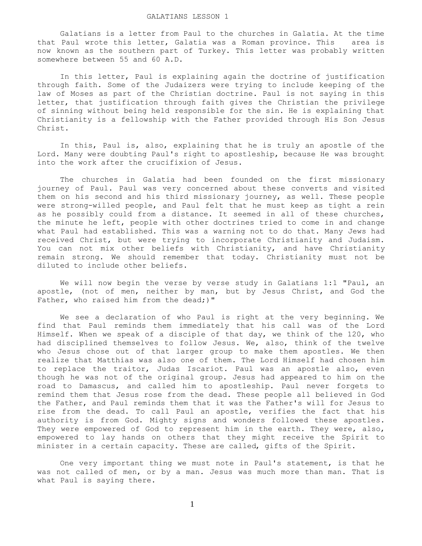Galatians is a letter from Paul to the churches in Galatia. At the time that Paul wrote this letter, Galatia was a Roman province. This area is now known as the southern part of Turkey. This letter was probably written somewhere between 55 and 60 A.D.

 In this letter, Paul is explaining again the doctrine of justification through faith. Some of the Judaizers were trying to include keeping of the law of Moses as part of the Christian doctrine. Paul is not saying in this letter, that justification through faith gives the Christian the privilege of sinning without being held responsible for the sin. He is explaining that Christianity is a fellowship with the Father provided through His Son Jesus Christ.

 In this, Paul is, also, explaining that he is truly an apostle of the Lord. Many were doubting Paul's right to apostleship, because He was brought into the work after the crucifixion of Jesus.

 The churches in Galatia had been founded on the first missionary journey of Paul. Paul was very concerned about these converts and visited them on his second and his third missionary journey, as well. These people were strong-willed people, and Paul felt that he must keep as tight a rein as he possibly could from a distance. It seemed in all of these churches, the minute he left, people with other doctrines tried to come in and change what Paul had established. This was a warning not to do that. Many Jews had received Christ, but were trying to incorporate Christianity and Judaism. You can not mix other beliefs with Christianity, and have Christianity remain strong. We should remember that today. Christianity must not be diluted to include other beliefs.

We will now begin the verse by verse study in Galatians 1:1 "Paul, an apostle, (not of men, neither by man, but by Jesus Christ, and God the Father, who raised him from the dead;)"

 We see a declaration of who Paul is right at the very beginning. We find that Paul reminds them immediately that his call was of the Lord Himself. When we speak of a disciple of that day, we think of the 120, who had disciplined themselves to follow Jesus. We, also, think of the twelve who Jesus chose out of that larger group to make them apostles. We then realize that Matthias was also one of them. The Lord Himself had chosen him to replace the traitor, Judas Iscariot. Paul was an apostle also, even though he was not of the original group. Jesus had appeared to him on the road to Damascus, and called him to apostleship. Paul never forgets to remind them that Jesus rose from the dead. These people all believed in God the Father, and Paul reminds them that it was the Father's will for Jesus to rise from the dead. To call Paul an apostle, verifies the fact that his authority is from God. Mighty signs and wonders followed these apostles. They were empowered of God to represent him in the earth. They were, also, empowered to lay hands on others that they might receive the Spirit to minister in a certain capacity. These are called, gifts of the Spirit.

 One very important thing we must note in Paul's statement, is that he was not called of men, or by a man. Jesus was much more than man. That is what Paul is saying there.

1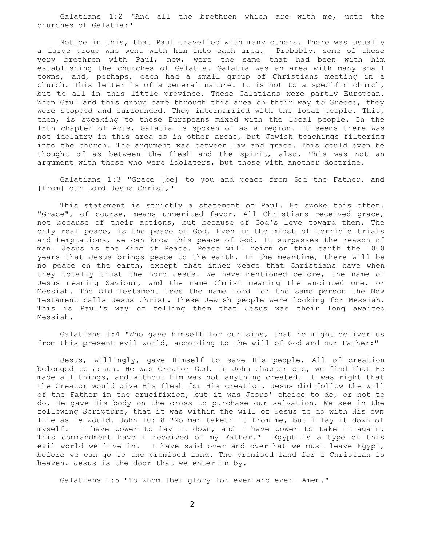Galatians 1:2 "And all the brethren which are with me, unto the churches of Galatia:"

 Notice in this, that Paul travelled with many others. There was usually a large group who went with him into each area. Probably, some of these very brethren with Paul, now, were the same that had been with him establishing the churches of Galatia. Galatia was an area with many small towns, and, perhaps, each had a small group of Christians meeting in a church. This letter is of a general nature. It is not to a specific church, but to all in this little province. These Galatians were partly European. When Gaul and this group came through this area on their way to Greece, they were stopped and surrounded. They intermarried with the local people. This, then, is speaking to these Europeans mixed with the local people. In the 18th chapter of Acts, Galatia is spoken of as a region. It seems there was not idolatry in this area as in other areas, but Jewish teachings filtering into the church. The argument was between law and grace. This could even be thought of as between the flesh and the spirit, also. This was not an argument with those who were idolaters, but those with another doctrine.

 Galatians 1:3 "Grace [be] to you and peace from God the Father, and [from] our Lord Jesus Christ,"

 This statement is strictly a statement of Paul. He spoke this often. "Grace", of course, means unmerited favor. All Christians received grace, not because of their actions, but because of God's love toward them. The only real peace, is the peace of God. Even in the midst of terrible trials and temptations, we can know this peace of God. It surpasses the reason of man. Jesus is the King of Peace. Peace will reign on this earth the 1000 years that Jesus brings peace to the earth. In the meantime, there will be no peace on the earth, except that inner peace that Christians have when they totally trust the Lord Jesus. We have mentioned before, the name of Jesus meaning Saviour, and the name Christ meaning the anointed one, or Messiah. The Old Testament uses the name Lord for the same person the New Testament calls Jesus Christ. These Jewish people were looking for Messiah. This is Paul's way of telling them that Jesus was their long awaited Messiah.

 Galatians 1:4 "Who gave himself for our sins, that he might deliver us from this present evil world, according to the will of God and our Father:"

 Jesus, willingly, gave Himself to save His people. All of creation belonged to Jesus. He was Creator God. In John chapter one, we find that He made all things, and without Him was not anything created. It was right that the Creator would give His flesh for His creation. Jesus did follow the will of the Father in the crucifixion, but it was Jesus' choice to do, or not to do. He gave His body on the cross to purchase our salvation. We see in the following Scripture, that it was within the will of Jesus to do with His own life as He would. John 10:18 "No man taketh it from me, but I lay it down of myself. I have power to lay it down, and I have power to take it again. This commandment have I received of my Father." Egypt is a type of this evil world we live in. I have said over and overthat we must leave Egypt, before we can go to the promised land. The promised land for a Christian is heaven. Jesus is the door that we enter in by.

Galatians 1:5 "To whom [be] glory for ever and ever. Amen."

2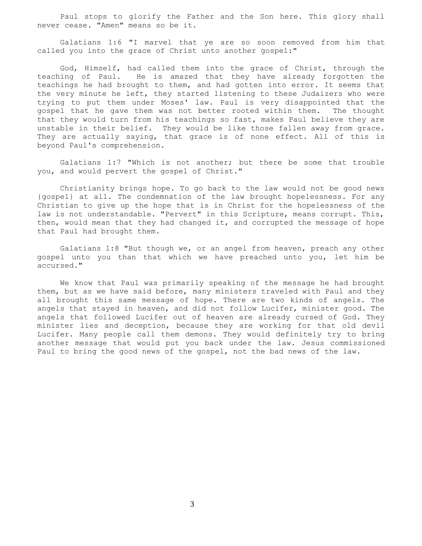Paul stops to glorify the Father and the Son here. This glory shall never cease. "Amen" means so be it.

 Galatians 1:6 "I marvel that ye are so soon removed from him that called you into the grace of Christ unto another gospel:"

 God, Himself, had called them into the grace of Christ, through the teaching of Paul. He is amazed that they have already forgotten the teachings he had brought to them, and had gotten into error. It seems that the very minute he left, they started listening to these Judaizers who were trying to put them under Moses' law. Paul is very disappointed that the gospel that he gave them was not better rooted within them. The thought that they would turn from his teachings so fast, makes Paul believe they are unstable in their belief. They would be like those fallen away from grace. They are actually saying, that grace is of none effect. All of this is beyond Paul's comprehension.

 Galatians 1:7 "Which is not another; but there be some that trouble you, and would pervert the gospel of Christ."

 Christianity brings hope. To go back to the law would not be good news {gospel} at all. The condemnation of the law brought hopelessness. For any Christian to give up the hope that is in Christ for the hopelessness of the law is not understandable. "Pervert" in this Scripture, means corrupt. This, then, would mean that they had changed it, and corrupted the message of hope that Paul had brought them.

 Galatians 1:8 "But though we, or an angel from heaven, preach any other gospel unto you than that which we have preached unto you, let him be accursed."

 We know that Paul was primarily speaking of the message he had brought them, but as we have said before, many ministers traveled with Paul and they all brought this same message of hope. There are two kinds of angels. The angels that stayed in heaven, and did not follow Lucifer, minister good. The angels that followed Lucifer out of heaven are already cursed of God. They minister lies and deception, because they are working for that old devil Lucifer. Many people call them demons. They would definitely try to bring another message that would put you back under the law. Jesus commissioned Paul to bring the good news of the gospel, not the bad news of the law.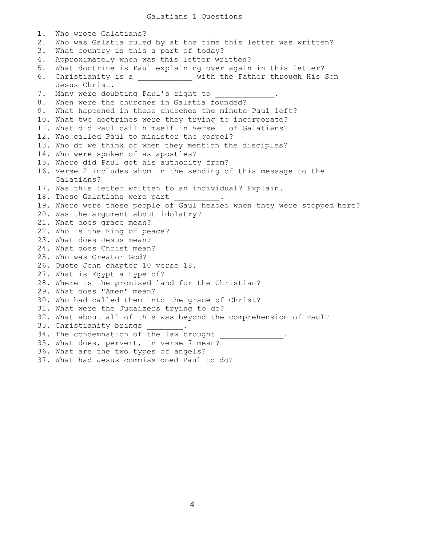Galatians 1 Questions

1. Who wrote Galatians? 2. Who was Galatia ruled by at the time this letter was written? 3. What country is this a part of today? 4. Approximately when was this letter written? 5. What doctrine is Paul explaining over again in this letter? 6. Christianity is a \_\_\_\_\_\_\_\_\_\_\_\_ with the Father through His Son Jesus Christ. 7. Many were doubting Paul's right to 8. When were the churches in Galatia founded? 9. What happened in these churches the minute Paul left? 10. What two doctrines were they trying to incorporate? 11. What did Paul call himself in verse 1 of Galatians? 12. Who called Paul to minister the gospel? 13. Who do we think of when they mention the disciples? 14. Who were spoken of as apostles? 15. Where did Paul get his authority from? 16. Verse 2 includes whom in the sending of this message to the Galatians? 17. Was this letter written to an individual? Explain. 18. These Galatians were part 19. Where were these people of Gaul headed when they were stopped here? 20. Was the argument about idolatry? 21. What does grace mean? 22. Who is the King of peace? 23. What does Jesus mean? 24. What does Christ mean? 25. Who was Creator God? 26. Quote John chapter 10 verse 18. 27. What is Egypt a type of? 28. Where is the promised land for the Christian? 29. What does "Amen" mean? 30. Who had called them into the grace of Christ? 31. What were the Judaizers trying to do? 32. What about all of this was beyond the comprehension of Paul? 33. Christianity brings 34. The condemnation of the law brought 35. What does, pervert, in verse 7 mean? 36. What are the two types of angels? 37. What had Jesus commissioned Paul to do?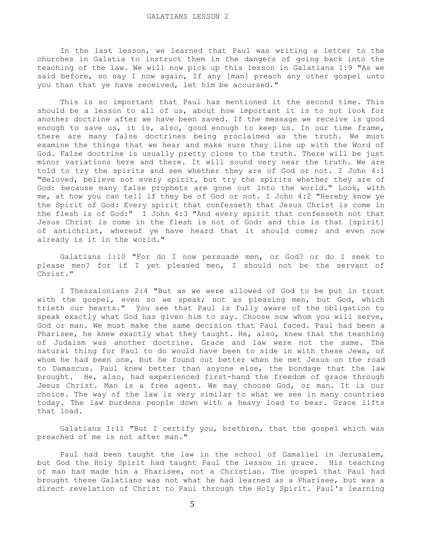In the last lesson, we learned that Paul was writing a letter to the churches in Galatia to instruct them in the dangers of going back into the teaching of the law. We will now pick up this lesson in Galatians 1:9 "As we said before, so say I now again, If any [man] preach any other gospel unto you than that ye have received, let him be accursed."

 This is so important that Paul has mentioned it the second time. This should be a lesson to all of us, about how important it is to not look for another doctrine after we have been saved. If the message we receive is good enough to save us, it is, also, good enough to keep us. In our time frame, there are many false doctrines being proclaimed as the truth. We must examine the things that we hear and make sure they line up with the Word of God. False doctrine is usually pretty close to the truth. There will be just minor variations here and there. It will sound very near the truth. We are told to try the spirits and see whether they are of God or not. I John 4:1 "Beloved, believe not every spirit, but try the spirits whether they are of God: because many false prophets are gone out into the world." Look, with me, at how you can tell if they be of God or not. I John 4:2 "Hereby know ye the Spirit of God: Every spirit that confesseth that Jesus Christ is come in the flesh is of God:" I John 4:3 "And every spirit that confesseth not that Jesus Christ is come in the flesh is not of God: and this is that [spirit] of antichrist, whereof ye have heard that it should come; and even now already is it in the world."

 Galatians 1:10 "For do I now persuade men, or God? or do I seek to please men? for if I yet pleased men, I should not be the servant of Christ."

 I Thessalonians 2:4 "But as we were allowed of God to be put in trust with the gospel, even so we speak; not as pleasing men, but God, which trieth our hearts." You see that Paul is fully aware of the obligation to speak exactly what God has given him to say. Choose now whom you will serve, God or man. We must make the same decision that Paul faced. Paul had been a Pharisee, he knew exactly what they taught. He, also, knew that the teaching of Judaism was another doctrine. Grace and law were not the same. The natural thing for Paul to do would have been to side in with these Jews, of whom he had been one, but he found out better when he met Jesus on the road to Damascus. Paul knew better than anyone else, the bondage that the law brought. He, also, had experienced first-hand the freedom of grace through Jesus Christ. Man is a free agent. We may choose God, or man. It is our choice. The way of the law is very similar to what we see in many countries today. The law burdens people down with a heavy load to bear. Grace lifts that load.

 Galatians 1:11 "But I certify you, brethren, that the gospel which was preached of me is not after man."

 Paul had been taught the law in the school of Gamaliel in Jerusalem, but God the Holy Spirit had taught Paul the lesson in grace. His teaching of man had made him a Pharisee, not a Christian. The gospel that Paul had brought these Galatians was not what he had learned as a Pharisee, but was a direct revelation of Christ to Paul through the Holy Spirit. Paul's learning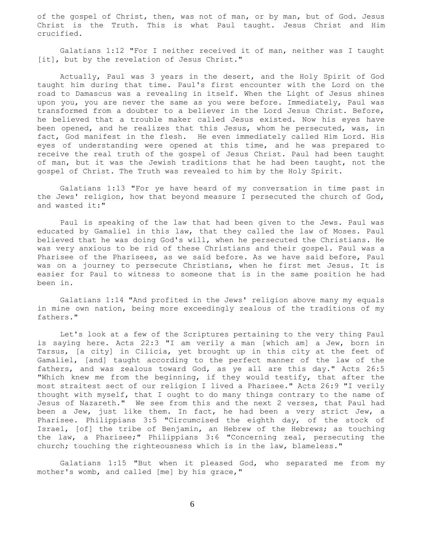of the gospel of Christ, then, was not of man, or by man, but of God. Jesus Christ is the Truth. This is what Paul taught. Jesus Christ and Him crucified.

 Galatians 1:12 "For I neither received it of man, neither was I taught [it], but by the revelation of Jesus Christ."

 Actually, Paul was 3 years in the desert, and the Holy Spirit of God taught him during that time. Paul's first encounter with the Lord on the road to Damascus was a revealing in itself. When the Light of Jesus shines upon you, you are never the same as you were before. Immediately, Paul was transformed from a doubter to a believer in the Lord Jesus Christ. Before, he believed that a trouble maker called Jesus existed. Now his eyes have been opened, and he realizes that this Jesus, whom he persecuted, was, in fact, God manifest in the flesh. He even immediately called Him Lord. His eyes of understanding were opened at this time, and he was prepared to receive the real truth of the gospel of Jesus Christ. Paul had been taught of man, but it was the Jewish traditions that he had been taught, not the gospel of Christ. The Truth was revealed to him by the Holy Spirit.

 Galatians 1:13 "For ye have heard of my conversation in time past in the Jews' religion, how that beyond measure I persecuted the church of God, and wasted it:"

 Paul is speaking of the law that had been given to the Jews. Paul was educated by Gamaliel in this law, that they called the law of Moses. Paul believed that he was doing God's will, when he persecuted the Christians. He was very anxious to be rid of these Christians and their gospel. Paul was a Pharisee of the Pharisees, as we said before. As we have said before, Paul was on a journey to persecute Christians, when he first met Jesus. It is easier for Paul to witness to someone that is in the same position he had been in.

 Galatians 1:14 "And profited in the Jews' religion above many my equals in mine own nation, being more exceedingly zealous of the traditions of my fathers."

 Let's look at a few of the Scriptures pertaining to the very thing Paul is saying here. Acts 22:3 "I am verily a man [which am] a Jew, born in Tarsus, [a city] in Cilicia, yet brought up in this city at the feet of Gamaliel, [and] taught according to the perfect manner of the law of the fathers, and was zealous toward God, as ye all are this day." Acts 26:5 "Which knew me from the beginning, if they would testify, that after the most straitest sect of our religion I lived a Pharisee." Acts 26:9 "I verily thought with myself, that I ought to do many things contrary to the name of Jesus of Nazareth." We see from this and the next 2 verses, that Paul had been a Jew, just like them. In fact, he had been a very strict Jew, a Pharisee. Philippians 3:5 "Circumcised the eighth day, of the stock of Israel, [of] the tribe of Benjamin, an Hebrew of the Hebrews; as touching the law, a Pharisee;" Philippians 3:6 "Concerning zeal, persecuting the church; touching the righteousness which is in the law, blameless."

 Galatians 1:15 "But when it pleased God, who separated me from my mother's womb, and called [me] by his grace,"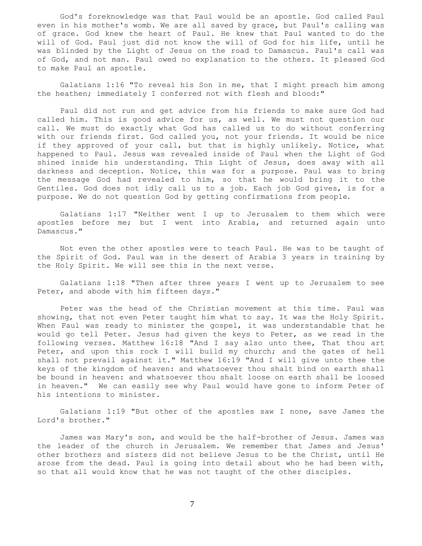God's foreknowledge was that Paul would be an apostle. God called Paul even in his mother's womb. We are all saved by grace, but Paul's calling was of grace. God knew the heart of Paul. He knew that Paul wanted to do the will of God. Paul just did not know the will of God for his life, until he was blinded by the Light of Jesus on the road to Damascus. Paul's call was of God, and not man. Paul owed no explanation to the others. It pleased God to make Paul an apostle.

 Galatians 1:16 "To reveal his Son in me, that I might preach him among the heathen; immediately I conferred not with flesh and blood:"

 Paul did not run and get advice from his friends to make sure God had called him. This is good advice for us, as well. We must not question our call. We must do exactly what God has called us to do without conferring with our friends first. God called you, not your friends. It would be nice if they approved of your call, but that is highly unlikely. Notice, what happened to Paul. Jesus was revealed inside of Paul when the Light of God shined inside his understanding. This Light of Jesus, does away with all darkness and deception. Notice, this was for a purpose. Paul was to bring the message God had revealed to him, so that he would bring it to the Gentiles. God does not idly call us to a job. Each job God gives, is for a purpose. We do not question God by getting confirmations from people.

 Galatians 1:17 "Neither went I up to Jerusalem to them which were apostles before me; but I went into Arabia, and returned again unto Damascus."

 Not even the other apostles were to teach Paul. He was to be taught of the Spirit of God. Paul was in the desert of Arabia 3 years in training by the Holy Spirit. We will see this in the next verse.

 Galatians 1:18 "Then after three years I went up to Jerusalem to see Peter, and abode with him fifteen days."

 Peter was the head of the Christian movement at this time. Paul was showing, that not even Peter taught him what to say. It was the Holy Spirit. When Paul was ready to minister the gospel, it was understandable that he would go tell Peter. Jesus had given the keys to Peter, as we read in the following verses. Matthew 16:18 "And I say also unto thee, That thou art Peter, and upon this rock I will build my church; and the gates of hell shall not prevail against it." Matthew 16:19 "And I will give unto thee the keys of the kingdom of heaven: and whatsoever thou shalt bind on earth shall be bound in heaven: and whatsoever thou shalt loose on earth shall be loosed in heaven." We can easily see why Paul would have gone to inform Peter of his intentions to minister.

 Galatians 1:19 "But other of the apostles saw I none, save James the Lord's brother."

 James was Mary's son, and would be the half-brother of Jesus. James was the leader of the church in Jerusalem. We remember that James and Jesus' other brothers and sisters did not believe Jesus to be the Christ, until He arose from the dead. Paul is going into detail about who he had been with, so that all would know that he was not taught of the other disciples.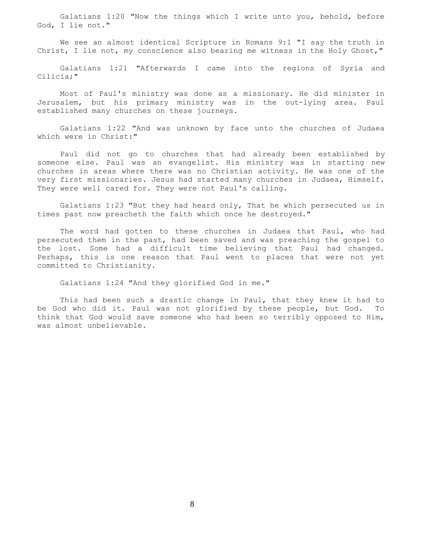Galatians 1:20 "Now the things which I write unto you, behold, before God, I lie not."

 We see an almost identical Scripture in Romans 9:1 "I say the truth in Christ, I lie not, my conscience also bearing me witness in the Holy Ghost,"

 Galatians 1:21 "Afterwards I came into the regions of Syria and Cilicia;"

 Most of Paul's ministry was done as a missionary. He did minister in Jerusalem, but his primary ministry was in the out-lying area. Paul established many churches on these journeys.

 Galatians 1:22 "And was unknown by face unto the churches of Judaea which were in Christ:"

 Paul did not go to churches that had already been established by someone else. Paul was an evangelist. His ministry was in starting new churches in areas where there was no Christian activity. He was one of the very first missionaries. Jesus had started many churches in Judaea, Himself. They were well cared for. They were not Paul's calling.

 Galatians 1:23 "But they had heard only, That he which persecuted us in times past now preacheth the faith which once he destroyed."

 The word had gotten to these churches in Judaea that Paul, who had persecuted them in the past, had been saved and was preaching the gospel to the lost. Some had a difficult time believing that Paul had changed. Perhaps, this is one reason that Paul went to places that were not yet committed to Christianity.

Galatians 1:24 "And they glorified God in me."

 This had been such a drastic change in Paul, that they knew it had to be God who did it. Paul was not glorified by these people, but God. To think that God would save someone who had been so terribly opposed to Him, was almost unbelievable.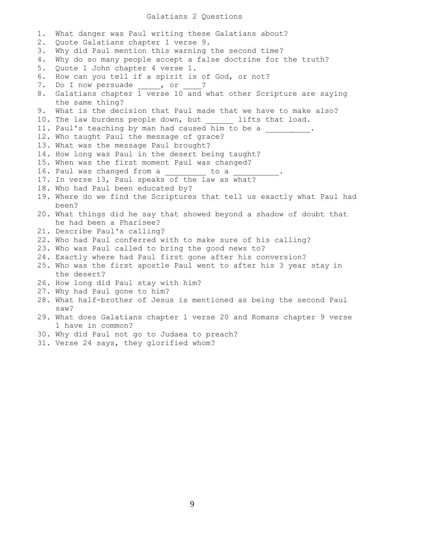## Galatians 2 Questions

1. What danger was Paul writing these Galatians about? 2. Quote Galatians chapter 1 verse 9. 3. Why did Paul mention this warning the second time? 4. Why do so many people accept a false doctrine for the truth? 5. Quote 1 John chapter 4 verse 1. 6. How can you tell if a spirit is of God, or not? 7. Do I now persuade \_\_\_\_, or \_\_\_? 8. Galatians chapter 1 verse 10 and what other Scripture are saying the same thing? 9. What is the decision that Paul made that we have to make also? 10. The law burdens people down, but \_\_\_\_\_\_ lifts that load. 11. Paul's teaching by man had caused him to be a  $\hskip10mm$ 12. Who taught Paul the message of grace? 13. What was the message Paul brought? 14. How long was Paul in the desert being taught? 15. When was the first moment Paul was changed? 16. Paul was changed from a \_\_\_\_\_\_\_\_ to a 17. In verse 13, Paul speaks of the law as what? 18. Who had Paul been educated by? 19. Where do we find the Scriptures that tell us exactly what Paul had been? 20. What things did he say that showed beyond a shadow of doubt that he had been a Pharisee? 21. Describe Paul's calling? 22. Who had Paul conferred with to make sure of his calling? 23. Who was Paul called to bring the good news to? 24. Exactly where had Paul first gone after his conversion? 25. Who was the first apostle Paul went to after his 3 year stay in the desert? 26. How long did Paul stay with him? 27. Why had Paul gone to him? 28. What half-brother of Jesus is mentioned as being the second Paul saw? 29. What does Galatians chapter 1 verse 20 and Romans chapter 9 verse 1 have in common? 30. Why did Paul not go to Judaea to preach? 31. Verse 24 says, they glorified whom?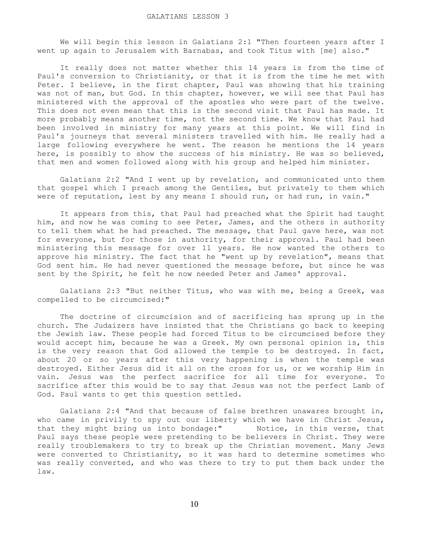We will begin this lesson in Galatians 2:1 "Then fourteen years after I went up again to Jerusalem with Barnabas, and took Titus with [me] also."

 It really does not matter whether this 14 years is from the time of Paul's conversion to Christianity, or that it is from the time he met with Peter. I believe, in the first chapter, Paul was showing that his training was not of man, but God. In this chapter, however, we will see that Paul has ministered with the approval of the apostles who were part of the twelve. This does not even mean that this is the second visit that Paul has made. It more probably means another time, not the second time. We know that Paul had been involved in ministry for many years at this point. We will find in Paul's journeys that several ministers travelled with him. He really had a large following everywhere he went. The reason he mentions the 14 years here, is possibly to show the success of his ministry. He was so believed, that men and women followed along with his group and helped him minister.

 Galatians 2:2 "And I went up by revelation, and communicated unto them that gospel which I preach among the Gentiles, but privately to them which were of reputation, lest by any means I should run, or had run, in vain."

 It appears from this, that Paul had preached what the Spirit had taught him, and now he was coming to see Peter, James, and the others in authority to tell them what he had preached. The message, that Paul gave here, was not for everyone, but for those in authority, for their approval. Paul had been ministering this message for over 11 years. He now wanted the others to approve his ministry. The fact that he "went up by revelation", means that God sent him. He had never questioned the message before, but since he was sent by the Spirit, he felt he now needed Peter and James' approval.

 Galatians 2:3 "But neither Titus, who was with me, being a Greek, was compelled to be circumcised:"

 The doctrine of circumcision and of sacrificing has sprung up in the church. The Judaizers have insisted that the Christians go back to keeping the Jewish law. These people had forced Titus to be circumcised before they would accept him, because he was a Greek. My own personal opinion is, this is the very reason that God allowed the temple to be destroyed. In fact, about 20 or so years after this very happening is when the temple was destroyed. Either Jesus did it all on the cross for us, or we worship Him in vain. Jesus was the perfect sacrifice for all time for everyone. To sacrifice after this would be to say that Jesus was not the perfect Lamb of God. Paul wants to get this question settled.

 Galatians 2:4 "And that because of false brethren unawares brought in, who came in privily to spy out our liberty which we have in Christ Jesus, that they might bring us into bondage:" Notice, in this verse, that Paul says these people were pretending to be believers in Christ. They were really troublemakers to try to break up the Christian movement. Many Jews were converted to Christianity, so it was hard to determine sometimes who was really converted, and who was there to try to put them back under the law.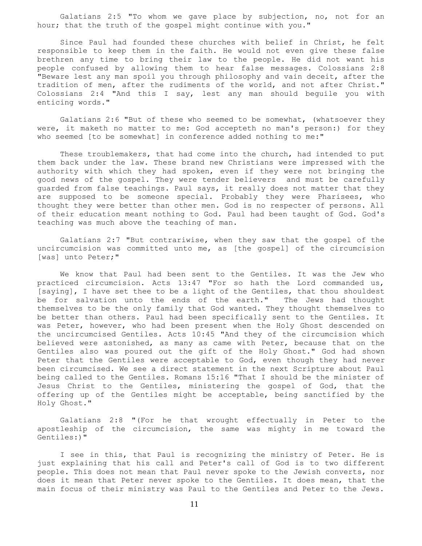Galatians 2:5 "To whom we gave place by subjection, no, not for an hour; that the truth of the gospel might continue with you."

 Since Paul had founded these churches with belief in Christ, he felt responsible to keep them in the faith. He would not even give these false brethren any time to bring their law to the people. He did not want his people confused by allowing them to hear false messages. Colossians 2:8 "Beware lest any man spoil you through philosophy and vain deceit, after the tradition of men, after the rudiments of the world, and not after Christ." Colossians 2:4 "And this I say, lest any man should beguile you with enticing words."

 Galatians 2:6 "But of these who seemed to be somewhat, (whatsoever they were, it maketh no matter to me: God accepteth no man's person:) for they who seemed [to be somewhat] in conference added nothing to me:"

 These troublemakers, that had come into the church, had intended to put them back under the law. These brand new Christians were impressed with the authority with which they had spoken, even if they were not bringing the good news of the gospel. They were tender believers and must be carefully guarded from false teachings. Paul says, it really does not matter that they are supposed to be someone special. Probably they were Pharisees, who thought they were better than other men. God is no respecter of persons. All of their education meant nothing to God. Paul had been taught of God. God's teaching was much above the teaching of man.

 Galatians 2:7 "But contrariwise, when they saw that the gospel of the uncircumcision was committed unto me, as [the gospel] of the circumcision [was] unto Peter;"

 We know that Paul had been sent to the Gentiles. It was the Jew who practiced circumcision. Acts 13:47 "For so hath the Lord commanded us, [saying], I have set thee to be a light of the Gentiles, that thou shouldest be for salvation unto the ends of the earth." The Jews had thought themselves to be the only family that God wanted. They thought themselves to be better than others. Paul had been specifically sent to the Gentiles. It was Peter, however, who had been present when the Holy Ghost descended on the uncircumcised Gentiles. Acts 10:45 "And they of the circumcision which believed were astonished, as many as came with Peter, because that on the Gentiles also was poured out the gift of the Holy Ghost." God had shown Peter that the Gentiles were acceptable to God, even though they had never been circumcised. We see a direct statement in the next Scripture about Paul being called to the Gentiles. Romans 15:16 "That I should be the minister of Jesus Christ to the Gentiles, ministering the gospel of God, that the offering up of the Gentiles might be acceptable, being sanctified by the Holy Ghost."

 Galatians 2:8 "(For he that wrought effectually in Peter to the apostleship of the circumcision, the same was mighty in me toward the Gentiles:)"

 I see in this, that Paul is recognizing the ministry of Peter. He is just explaining that his call and Peter's call of God is to two different people. This does not mean that Paul never spoke to the Jewish converts, nor does it mean that Peter never spoke to the Gentiles. It does mean, that the main focus of their ministry was Paul to the Gentiles and Peter to the Jews.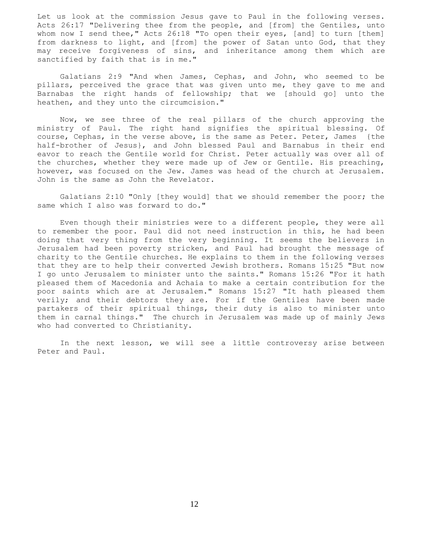Let us look at the commission Jesus gave to Paul in the following verses. Acts 26:17 "Delivering thee from the people, and [from] the Gentiles, unto whom now I send thee," Acts 26:18 "To open their eyes, [and] to turn [them] from darkness to light, and [from] the power of Satan unto God, that they may receive forgiveness of sins, and inheritance among them which are sanctified by faith that is in me."

 Galatians 2:9 "And when James, Cephas, and John, who seemed to be pillars, perceived the grace that was given unto me, they gave to me and Barnabas the right hands of fellowship; that we [should go] unto the heathen, and they unto the circumcision."

 Now, we see three of the real pillars of the church approving the ministry of Paul. The right hand signifies the spiritual blessing. Of course, Cephas, in the verse above, is the same as Peter. Peter, James {the half-brother of Jesus}, and John blessed Paul and Barnabus in their end eavor to reach the Gentile world for Christ. Peter actually was over all of the churches, whether they were made up of Jew or Gentile. His preaching, however, was focused on the Jew. James was head of the church at Jerusalem. John is the same as John the Revelator.

 Galatians 2:10 "Only [they would] that we should remember the poor; the same which I also was forward to do."

 Even though their ministries were to a different people, they were all to remember the poor. Paul did not need instruction in this, he had been doing that very thing from the very beginning. It seems the believers in Jerusalem had been poverty stricken, and Paul had brought the message of charity to the Gentile churches. He explains to them in the following verses that they are to help their converted Jewish brothers. Romans 15:25 "But now I go unto Jerusalem to minister unto the saints." Romans 15:26 "For it hath pleased them of Macedonia and Achaia to make a certain contribution for the poor saints which are at Jerusalem." Romans 15:27 "It hath pleased them verily; and their debtors they are. For if the Gentiles have been made partakers of their spiritual things, their duty is also to minister unto them in carnal things." The church in Jerusalem was made up of mainly Jews who had converted to Christianity.

 In the next lesson, we will see a little controversy arise between Peter and Paul.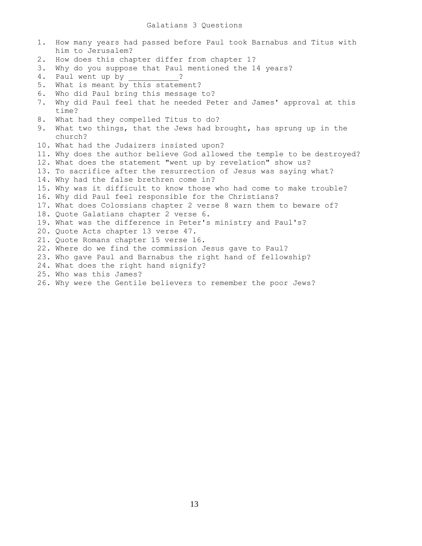1. How many years had passed before Paul took Barnabus and Titus with him to Jerusalem? 2. How does this chapter differ from chapter 1? 3. Why do you suppose that Paul mentioned the 14 years? 4. Paul went up by 2 5. What is meant by this statement? 6. Who did Paul bring this message to? 7. Why did Paul feel that he needed Peter and James' approval at this time? 8. What had they compelled Titus to do? 9. What two things, that the Jews had brought, has sprung up in the church? 10. What had the Judaizers insisted upon? 11. Why does the author believe God allowed the temple to be destroyed? 12. What does the statement "went up by revelation" show us? 13. To sacrifice after the resurrection of Jesus was saying what? 14. Why had the false brethren come in? 15. Why was it difficult to know those who had come to make trouble? 16. Why did Paul feel responsible for the Christians? 17. What does Colossians chapter 2 verse 8 warn them to beware of? 18. Quote Galatians chapter 2 verse 6. 19. What was the difference in Peter's ministry and Paul's? 20. Quote Acts chapter 13 verse 47. 21. Quote Romans chapter 15 verse 16. 22. Where do we find the commission Jesus gave to Paul? 23. Who gave Paul and Barnabus the right hand of fellowship? 24. What does the right hand signify? 25. Who was this James?

26. Why were the Gentile believers to remember the poor Jews?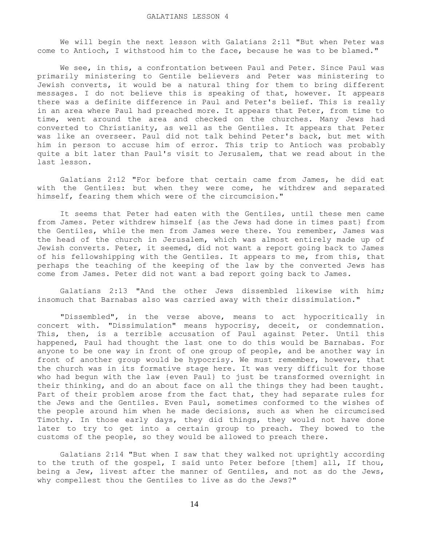We will begin the next lesson with Galatians 2:11 "But when Peter was come to Antioch, I withstood him to the face, because he was to be blamed."

 We see, in this, a confrontation between Paul and Peter. Since Paul was primarily ministering to Gentile believers and Peter was ministering to Jewish converts, it would be a natural thing for them to bring different messages. I do not believe this is speaking of that, however. It appears there was a definite difference in Paul and Peter's belief. This is really in an area where Paul had preached more. It appears that Peter, from time to time, went around the area and checked on the churches. Many Jews had converted to Christianity, as well as the Gentiles. It appears that Peter was like an overseer. Paul did not talk behind Peter's back, but met with him in person to accuse him of error. This trip to Antioch was probably quite a bit later than Paul's visit to Jerusalem, that we read about in the last lesson.

 Galatians 2:12 "For before that certain came from James, he did eat with the Gentiles: but when they were come, he withdrew and separated himself, fearing them which were of the circumcision."

 It seems that Peter had eaten with the Gentiles, until these men came from James. Peter withdrew himself {as the Jews had done in times past} from the Gentiles, while the men from James were there. You remember, James was the head of the church in Jerusalem, which was almost entirely made up of Jewish converts. Peter, it seemed, did not want a report going back to James of his fellowshipping with the Gentiles. It appears to me, from this, that perhaps the teaching of the keeping of the law by the converted Jews has come from James. Peter did not want a bad report going back to James.

 Galatians 2:13 "And the other Jews dissembled likewise with him; insomuch that Barnabas also was carried away with their dissimulation."

 "Dissembled", in the verse above, means to act hypocritically in concert with. "Dissimulation" means hypocrisy, deceit, or condemnation. This, then, is a terrible accusation of Paul against Peter. Until this happened, Paul had thought the last one to do this would be Barnabas. For anyone to be one way in front of one group of people, and be another way in front of another group would be hypocrisy. We must remember, however, that the church was in its formative stage here. It was very difficult for those who had begun with the law {even Paul} to just be transformed overnight in their thinking, and do an about face on all the things they had been taught. Part of their problem arose from the fact that, they had separate rules for the Jews and the Gentiles. Even Paul, sometimes conformed to the wishes of the people around him when he made decisions, such as when he circumcised Timothy. In those early days, they did things, they would not have done later to try to get into a certain group to preach. They bowed to the customs of the people, so they would be allowed to preach there.

 Galatians 2:14 "But when I saw that they walked not uprightly according to the truth of the gospel, I said unto Peter before [them] all, If thou, being a Jew, livest after the manner of Gentiles, and not as do the Jews, why compellest thou the Gentiles to live as do the Jews?"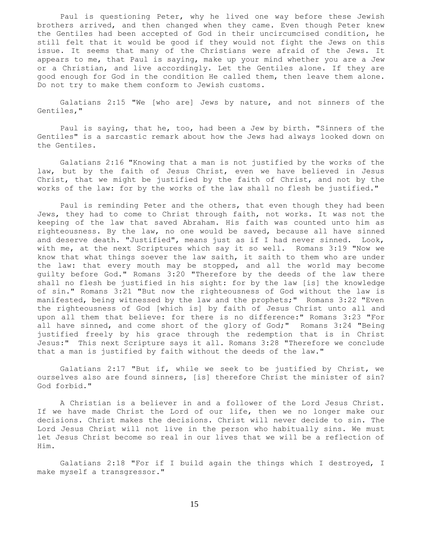Paul is questioning Peter, why he lived one way before these Jewish brothers arrived, and then changed when they came. Even though Peter knew the Gentiles had been accepted of God in their uncircumcised condition, he still felt that it would be good if they would not fight the Jews on this issue. It seems that many of the Christians were afraid of the Jews. It appears to me, that Paul is saying, make up your mind whether you are a Jew or a Christian, and live accordingly. Let the Gentiles alone. If they are good enough for God in the condition He called them, then leave them alone. Do not try to make them conform to Jewish customs.

 Galatians 2:15 "We [who are] Jews by nature, and not sinners of the Gentiles,"

 Paul is saying, that he, too, had been a Jew by birth. "Sinners of the Gentiles" is a sarcastic remark about how the Jews had always looked down on the Gentiles.

 Galatians 2:16 "Knowing that a man is not justified by the works of the law, but by the faith of Jesus Christ, even we have believed in Jesus Christ, that we might be justified by the faith of Christ, and not by the works of the law: for by the works of the law shall no flesh be justified."

 Paul is reminding Peter and the others, that even though they had been Jews, they had to come to Christ through faith, not works. It was not the keeping of the law that saved Abraham. His faith was counted unto him as righteousness. By the law, no one would be saved, because all have sinned and deserve death. "Justified", means just as if I had never sinned. Look, with me, at the next Scriptures which say it so well. Romans 3:19 "Now we know that what things soever the law saith, it saith to them who are under the law: that every mouth may be stopped, and all the world may become guilty before God." Romans 3:20 "Therefore by the deeds of the law there shall no flesh be justified in his sight: for by the law [is] the knowledge of sin." Romans 3:21 "But now the righteousness of God without the law is manifested, being witnessed by the law and the prophets;" Romans 3:22 "Even the righteousness of God [which is] by faith of Jesus Christ unto all and upon all them that believe: for there is no difference:" Romans 3:23 "For all have sinned, and come short of the glory of God;" Romans 3:24 "Being justified freely by his grace through the redemption that is in Christ Jesus:" This next Scripture says it all. Romans 3:28 "Therefore we conclude that a man is justified by faith without the deeds of the law."

 Galatians 2:17 "But if, while we seek to be justified by Christ, we ourselves also are found sinners, [is] therefore Christ the minister of sin? God forbid."

 A Christian is a believer in and a follower of the Lord Jesus Christ. If we have made Christ the Lord of our life, then we no longer make our decisions. Christ makes the decisions. Christ will never decide to sin. The Lord Jesus Christ will not live in the person who habitually sins. We must let Jesus Christ become so real in our lives that we will be a reflection of Him.

 Galatians 2:18 "For if I build again the things which I destroyed, I make myself a transgressor."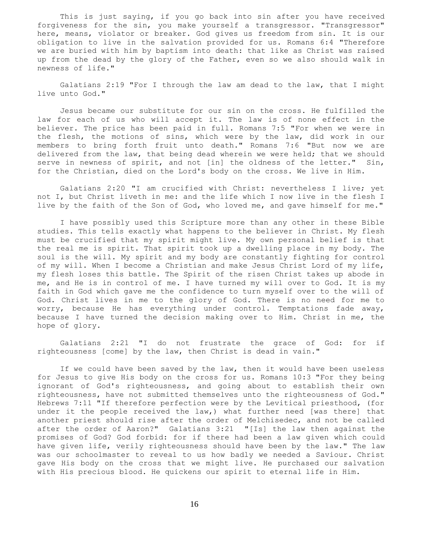This is just saying, if you go back into sin after you have received forgiveness for the sin, you make yourself a transgressor. "Transgressor" here, means, violator or breaker. God gives us freedom from sin. It is our obligation to live in the salvation provided for us. Romans 6:4 "Therefore we are buried with him by baptism into death: that like as Christ was raised up from the dead by the glory of the Father, even so we also should walk in newness of life."

 Galatians 2:19 "For I through the law am dead to the law, that I might live unto God."

 Jesus became our substitute for our sin on the cross. He fulfilled the law for each of us who will accept it. The law is of none effect in the believer. The price has been paid in full. Romans 7:5 "For when we were in the flesh, the motions of sins, which were by the law, did work in our members to bring forth fruit unto death." Romans 7:6 "But now we are delivered from the law, that being dead wherein we were held; that we should serve in newness of spirit, and not [in] the oldness of the letter." Sin, for the Christian, died on the Lord's body on the cross. We live in Him.

 Galatians 2:20 "I am crucified with Christ: nevertheless I live; yet not I, but Christ liveth in me: and the life which I now live in the flesh I live by the faith of the Son of God, who loved me, and gave himself for me."

 I have possibly used this Scripture more than any other in these Bible studies. This tells exactly what happens to the believer in Christ. My flesh must be crucified that my spirit might live. My own personal belief is that the real me is spirit. That spirit took up a dwelling place in my body. The soul is the will. My spirit and my body are constantly fighting for control of my will. When I become a Christian and make Jesus Christ Lord of my life, my flesh loses this battle. The Spirit of the risen Christ takes up abode in me, and He is in control of me. I have turned my will over to God. It is my faith in God which gave me the confidence to turn myself over to the will of God. Christ lives in me to the glory of God. There is no need for me to worry, because He has everything under control. Temptations fade away, because I have turned the decision making over to Him. Christ in me, the hope of glory.

 Galatians 2:21 "I do not frustrate the grace of God: for if righteousness [come] by the law, then Christ is dead in vain."

 If we could have been saved by the law, then it would have been useless for Jesus to give His body on the cross for us. Romans 10:3 "For they being ignorant of God's righteousness, and going about to establish their own righteousness, have not submitted themselves unto the righteousness of God." Hebrews 7:11 "If therefore perfection were by the Levitical priesthood, (for under it the people received the law,) what further need [was there] that another priest should rise after the order of Melchisedec, and not be called after the order of Aaron?" Galatians 3:21 "[Is] the law then against the promises of God? God forbid: for if there had been a law given which could have given life, verily righteousness should have been by the law." The law was our schoolmaster to reveal to us how badly we needed a Saviour. Christ gave His body on the cross that we might live. He purchased our salvation with His precious blood. He quickens our spirit to eternal life in Him.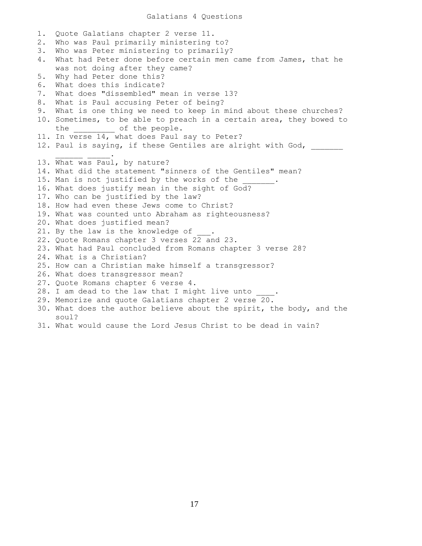## Galatians 4 Questions

1. Quote Galatians chapter 2 verse 11. 2. Who was Paul primarily ministering to? 3. Who was Peter ministering to primarily? 4. What had Peter done before certain men came from James, that he was not doing after they came? 5. Why had Peter done this? 6. What does this indicate? 7. What does "dissembled" mean in verse 13? 8. What is Paul accusing Peter of being? 9. What is one thing we need to keep in mind about these churches? 10. Sometimes, to be able to preach in a certain area, they bowed to the \_\_\_\_\_\_\_\_\_\_\_ of the people. 11. In verse 14, what does Paul say to Peter? 12. Paul is saying, if these Gentiles are alright with God,  $\mathcal{L}=\mathcal{L}=\mathcal{L}=\mathcal{L}=\mathcal{L}=\mathcal{L}=\mathcal{L}$ 13. What was Paul, by nature? 14. What did the statement "sinners of the Gentiles" mean? 15. Man is not justified by the works of the 16. What does justify mean in the sight of God? 17. Who can be justified by the law? 18. How had even these Jews come to Christ? 19. What was counted unto Abraham as righteousness? 20. What does justified mean? 21. By the law is the knowledge of 22. Quote Romans chapter 3 verses 22 and 23. 23. What had Paul concluded from Romans chapter 3 verse 28? 24. What is a Christian? 25. How can a Christian make himself a transgressor? 26. What does transgressor mean? 27. Quote Romans chapter 6 verse 4. 28. I am dead to the law that I might live unto 29. Memorize and quote Galatians chapter 2 verse 20. 30. What does the author believe about the spirit, the body, and the soul?

31. What would cause the Lord Jesus Christ to be dead in vain?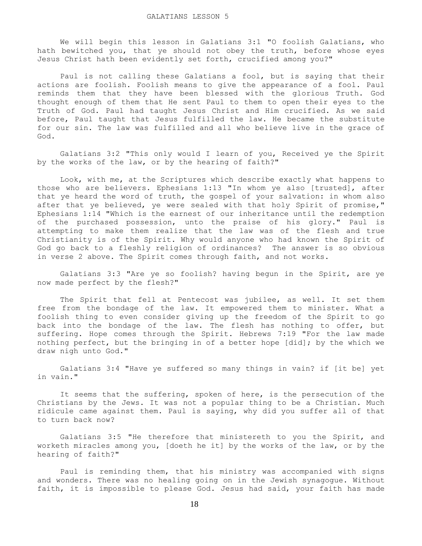We will begin this lesson in Galatians 3:1 "O foolish Galatians, who hath bewitched you, that ye should not obey the truth, before whose eyes Jesus Christ hath been evidently set forth, crucified among you?"

 Paul is not calling these Galatians a fool, but is saying that their actions are foolish. Foolish means to give the appearance of a fool. Paul reminds them that they have been blessed with the glorious Truth. God thought enough of them that He sent Paul to them to open their eyes to the Truth of God. Paul had taught Jesus Christ and Him crucified. As we said before, Paul taught that Jesus fulfilled the law. He became the substitute for our sin. The law was fulfilled and all who believe live in the grace of God.

 Galatians 3:2 "This only would I learn of you, Received ye the Spirit by the works of the law, or by the hearing of faith?"

 Look, with me, at the Scriptures which describe exactly what happens to those who are believers. Ephesians 1:13 "In whom ye also [trusted], after that ye heard the word of truth, the gospel of your salvation: in whom also after that ye believed, ye were sealed with that holy Spirit of promise," Ephesians 1:14 "Which is the earnest of our inheritance until the redemption of the purchased possession, unto the praise of his glory." Paul is attempting to make them realize that the law was of the flesh and true Christianity is of the Spirit. Why would anyone who had known the Spirit of God go back to a fleshly religion of ordinances? The answer is so obvious in verse 2 above. The Spirit comes through faith, and not works.

 Galatians 3:3 "Are ye so foolish? having begun in the Spirit, are ye now made perfect by the flesh?"

 The Spirit that fell at Pentecost was jubilee, as well. It set them free from the bondage of the law. It empowered them to minister. What a foolish thing to even consider giving up the freedom of the Spirit to go back into the bondage of the law. The flesh has nothing to offer, but suffering. Hope comes through the Spirit. Hebrews 7:19 "For the law made nothing perfect, but the bringing in of a better hope [did]; by the which we draw nigh unto God."

 Galatians 3:4 "Have ye suffered so many things in vain? if [it be] yet in vain."

 It seems that the suffering, spoken of here, is the persecution of the Christians by the Jews. It was not a popular thing to be a Christian. Much ridicule came against them. Paul is saying, why did you suffer all of that to turn back now?

 Galatians 3:5 "He therefore that ministereth to you the Spirit, and worketh miracles among you, [doeth he it] by the works of the law, or by the hearing of faith?"

 Paul is reminding them, that his ministry was accompanied with signs and wonders. There was no healing going on in the Jewish synagogue. Without faith, it is impossible to please God. Jesus had said, your faith has made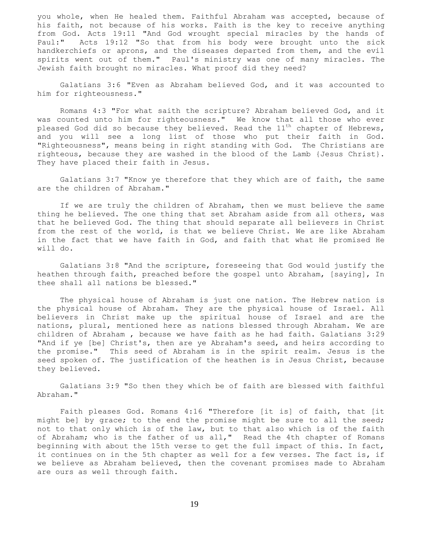you whole, when He healed them. Faithful Abraham was accepted, because of his faith, not because of his works. Faith is the key to receive anything from God. Acts 19:11 "And God wrought special miracles by the hands of Paul:" Acts 19:12 "So that from his body were brought unto the sick handkerchiefs or aprons, and the diseases departed from them, and the evil spirits went out of them." Paul's ministry was one of many miracles. The Jewish faith brought no miracles. What proof did they need?

 Galatians 3:6 "Even as Abraham believed God, and it was accounted to him for righteousness."

 Romans 4:3 "For what saith the scripture? Abraham believed God, and it was counted unto him for righteousness." We know that all those who ever pleased God did so because they believed. Read the  $11<sup>th</sup>$  chapter of Hebrews, and you will see a long list of those who put their faith in God. "Righteousness", means being in right standing with God. The Christians are righteous, because they are washed in the blood of the Lamb {Jesus Christ}. They have placed their faith in Jesus.

 Galatians 3:7 "Know ye therefore that they which are of faith, the same are the children of Abraham."

 If we are truly the children of Abraham, then we must believe the same thing he believed. The one thing that set Abraham aside from all others, was that he believed God. The thing that should separate all believers in Christ from the rest of the world, is that we believe Christ. We are like Abraham in the fact that we have faith in God, and faith that what He promised He will do.

 Galatians 3:8 "And the scripture, foreseeing that God would justify the heathen through faith, preached before the gospel unto Abraham, [saying], In thee shall all nations be blessed."

 The physical house of Abraham is just one nation. The Hebrew nation is the physical house of Abraham. They are the physical house of Israel. All believers in Christ make up the spiritual house of Israel and are the nations, plural, mentioned here as nations blessed through Abraham. We are children of Abraham , because we have faith as he had faith. Galatians 3:29 "And if ye [be] Christ's, then are ye Abraham's seed, and heirs according to the promise." This seed of Abraham is in the spirit realm. Jesus is the seed spoken of. The justification of the heathen is in Jesus Christ, because they believed.

 Galatians 3:9 "So then they which be of faith are blessed with faithful Abraham."

 Faith pleases God. Romans 4:16 "Therefore [it is] of faith, that [it might be] by grace; to the end the promise might be sure to all the seed; not to that only which is of the law, but to that also which is of the faith of Abraham; who is the father of us all," Read the 4th chapter of Romans beginning with about the 15th verse to get the full impact of this. In fact, it continues on in the 5th chapter as well for a few verses. The fact is, if we believe as Abraham believed, then the covenant promises made to Abraham are ours as well through faith.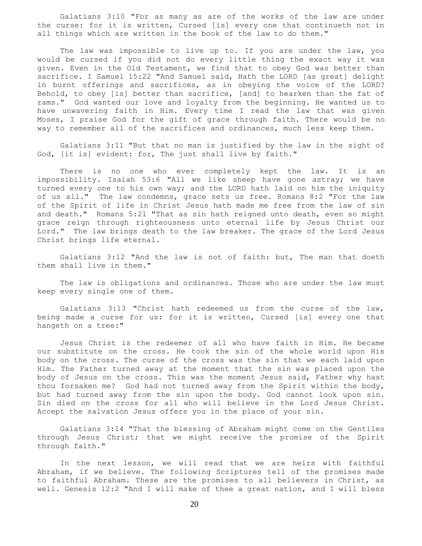Galatians 3:10 "For as many as are of the works of the law are under the curse: for it is written, Cursed [is] every one that continueth not in all things which are written in the book of the law to do them."

The law was impossible to live up to. If you are under the law, you would be cursed if you did not do every little thing the exact way it was given. Even in the Old Testament, we find that to obey God was better than sacrifice. I Samuel 15:22 "And Samuel said, Hath the LORD [as great] delight in burnt offerings and sacrifices, as in obeying the voice of the LORD? Behold, to obey [is] better than sacrifice, [and] to hearken than the fat of rams." God wanted our love and loyalty from the beginning. He wanted us to have unwavering faith in Him. Every time I read the law that was given Moses, I praise God for the gift of grace through faith. There would be no way to remember all of the sacrifices and ordinances, much less keep them.

 Galatians 3:11 "But that no man is justified by the law in the sight of God, [it is] evident: for, The just shall live by faith."

There is no one who ever completely kept the law. It is an impossibility. Isaiah 53:6 "All we like sheep have gone astray; we have turned every one to his own way; and the LORD hath laid on him the iniquity of us all." The law condemns, grace sets us free. Romans 8:2 "For the law of the Spirit of life in Christ Jesus hath made me free from the law of sin and death." Romans 5:21 "That as sin hath reigned unto death, even so might grace reign through righteousness unto eternal life by Jesus Christ our Lord." The law brings death to the law breaker. The grace of the Lord Jesus Christ brings life eternal.

 Galatians 3:12 "And the law is not of faith: but, The man that doeth them shall live in them."

 The law is obligations and ordinances. Those who are under the law must keep every single one of them.

 Galatians 3:13 "Christ hath redeemed us from the curse of the law, being made a curse for us: for it is written, Cursed [is] every one that hangeth on a tree:"

 Jesus Christ is the redeemer of all who have faith in Him. He became our substitute on the cross. He took the sin of the whole world upon His body on the cross. The curse of the cross was the sin that we each laid upon Him. The Father turned away at the moment that the sin was placed upon the body of Jesus on the cross. This was the moment Jesus said, Father why hast thou forsaken me? God had not turned away from the Spirit within the body, but had turned away from the sin upon the body. God cannot look upon sin. Sin died on the cross for all who will believe in the Lord Jesus Christ. Accept the salvation Jesus offers you in the place of your sin.

 Galatians 3:14 "That the blessing of Abraham might come on the Gentiles through Jesus Christ; that we might receive the promise of the Spirit through faith."

 In the next lesson, we will read that we are heirs with faithful Abraham, if we believe. The following Scriptures tell of the promises made to faithful Abraham. These are the promises to all believers in Christ, as well. Genesis 12:2 "And I will make of thee a great nation, and I will bless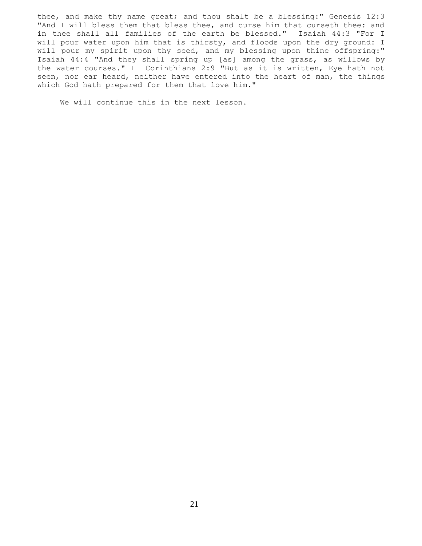thee, and make thy name great; and thou shalt be a blessing:" Genesis 12:3 "And I will bless them that bless thee, and curse him that curseth thee: and in thee shall all families of the earth be blessed." Isaiah 44:3 "For I will pour water upon him that is thirsty, and floods upon the dry ground: I will pour my spirit upon thy seed, and my blessing upon thine offspring:" Isaiah 44:4 "And they shall spring up [as] among the grass, as willows by the water courses." I Corinthians 2:9 "But as it is written, Eye hath not seen, nor ear heard, neither have entered into the heart of man, the things which God hath prepared for them that love him."

We will continue this in the next lesson.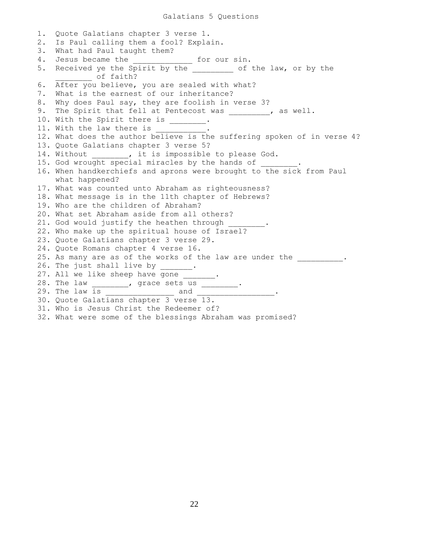1. Quote Galatians chapter 3 verse 1. 2. Is Paul calling them a fool? Explain. 3. What had Paul taught them? 4. Jesus became the \_\_\_\_\_\_\_\_\_\_\_\_\_\_ for our sin. 5. Received ye the Spirit by the \_\_\_\_\_\_\_\_ of the law, or by the \_\_\_\_\_\_\_\_ of faith? 6. After you believe, you are sealed with what? 7. What is the earnest of our inheritance? 8. Why does Paul say, they are foolish in verse 3? 9. The Spirit that fell at Pentecost was \_\_\_\_\_\_\_\_, as well. 10. With the Spirit there is \_\_\_\_\_\_\_. 11. With the law there is 12. What does the author believe is the suffering spoken of in verse 4? 13. Quote Galatians chapter 3 verse 5? 14. Without \_\_\_\_\_\_\_, it is impossible to please God. 15. God wrought special miracles by the hands of 16. When handkerchiefs and aprons were brought to the sick from Paul what happened? 17. What was counted unto Abraham as righteousness? 18. What message is in the 11th chapter of Hebrews? 19. Who are the children of Abraham? 20. What set Abraham aside from all others? 21. God would justify the heathen through 22. Who make up the spiritual house of Israel? 23. Quote Galatians chapter 3 verse 29. 24. Quote Romans chapter 4 verse 16. 25. As many are as of the works of the law are under the \_\_\_\_\_\_\_\_\_. 26. The just shall live by  $\frac{1}{\sqrt{2}}$ . 27. All we like sheep have gone \_\_\_\_\_\_\_. 28. The law \_\_\_\_\_\_\_\_, grace sets us \_\_\_\_\_\_\_\_. 29. The law is \_\_\_\_\_\_\_\_\_\_\_\_\_\_\_ and \_\_\_\_\_\_\_\_\_\_\_\_\_\_\_\_\_. 30. Quote Galatians chapter 3 verse 13. 31. Who is Jesus Christ the Redeemer of? 32. What were some of the blessings Abraham was promised?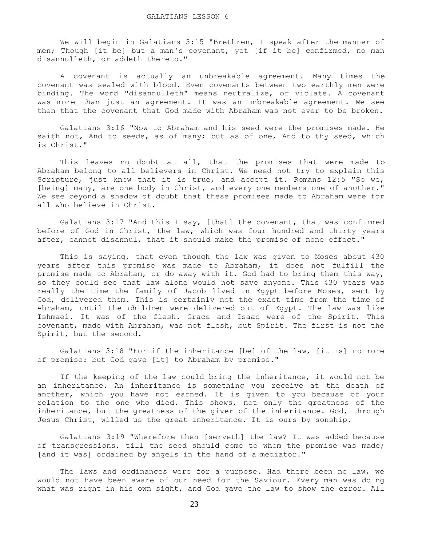We will begin in Galatians 3:15 "Brethren, I speak after the manner of men; Though [it be] but a man's covenant, yet [if it be] confirmed, no man disannulleth, or addeth thereto."

 A covenant is actually an unbreakable agreement. Many times the covenant was sealed with blood. Even covenants between two earthly men were binding. The word "disannulleth" means neutralize, or violate. A covenant was more than just an agreement. It was an unbreakable agreement. We see then that the covenant that God made with Abraham was not ever to be broken.

 Galatians 3:16 "Now to Abraham and his seed were the promises made. He saith not, And to seeds, as of many; but as of one, And to thy seed, which is Christ."

 This leaves no doubt at all, that the promises that were made to Abraham belong to all believers in Christ. We need not try to explain this Scripture, just know that it is true, and accept it. Romans 12:5 "So we, [being] many, are one body in Christ, and every one members one of another." We see beyond a shadow of doubt that these promises made to Abraham were for all who believe in Christ.

 Galatians 3:17 "And this I say, [that] the covenant, that was confirmed before of God in Christ, the law, which was four hundred and thirty years after, cannot disannul, that it should make the promise of none effect."

 This is saying, that even though the law was given to Moses about 430 years after this promise was made to Abraham, it does not fulfill the promise made to Abraham, or do away with it. God had to bring them this way, so they could see that law alone would not save anyone. This 430 years was really the time the family of Jacob lived in Egypt before Moses, sent by God, delivered them. This is certainly not the exact time from the time of Abraham, until the children were delivered out of Egypt. The law was like Ishmael. It was of the flesh. Grace and Isaac were of the Spirit. This covenant, made with Abraham, was not flesh, but Spirit. The first is not the Spirit, but the second.

 Galatians 3:18 "For if the inheritance [be] of the law, [it is] no more of promise: but God gave [it] to Abraham by promise."

 If the keeping of the law could bring the inheritance, it would not be an inheritance. An inheritance is something you receive at the death of another, which you have not earned. It is given to you because of your relation to the one who died. This shows, not only the greatness of the inheritance, but the greatness of the giver of the inheritance. God, through Jesus Christ, willed us the great inheritance. It is ours by sonship.

 Galatians 3:19 "Wherefore then [serveth] the law? It was added because of transgressions, till the seed should come to whom the promise was made; [and it was] ordained by angels in the hand of a mediator."

The laws and ordinances were for a purpose. Had there been no law, we would not have been aware of our need for the Saviour. Every man was doing what was right in his own sight, and God gave the law to show the error. All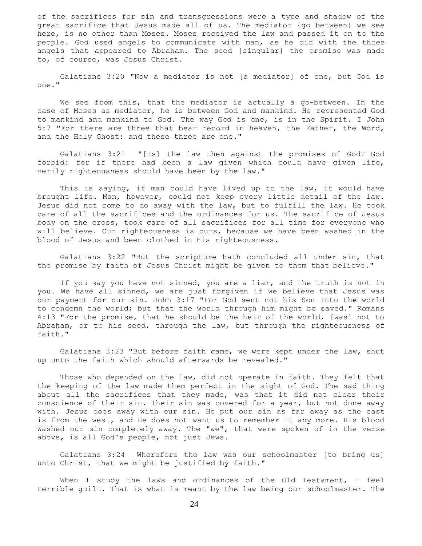of the sacrifices for sin and transgressions were a type and shadow of the great sacrifice that Jesus made all of us. The mediator {go between} we see here, is no other than Moses. Moses received the law and passed it on to the people. God used angels to communicate with man, as he did with the three angels that appeared to Abraham. The seed {singular} the promise was made to, of course, was Jesus Christ.

 Galatians 3:20 "Now a mediator is not [a mediator] of one, but God is one."

 We see from this, that the mediator is actually a go-between. In the case of Moses as mediator, he is between God and mankind. He represented God to mankind and mankind to God. The way God is one, is in the Spirit. I John 5:7 "For there are three that bear record in heaven, the Father, the Word, and the Holy Ghost: and these three are one."

 Galatians 3:21 "[Is] the law then against the promises of God? God forbid: for if there had been a law given which could have given life, verily righteousness should have been by the law."

 This is saying, if man could have lived up to the law, it would have brought life. Man, however, could not keep every little detail of the law. Jesus did not come to do away with the law, but to fulfill the law. He took care of all the sacrifices and the ordinances for us. The sacrifice of Jesus body on the cross, took care of all sacrifices for all time for everyone who will believe. Our righteousness is ours, because we have been washed in the blood of Jesus and been clothed in His righteousness.

 Galatians 3:22 "But the scripture hath concluded all under sin, that the promise by faith of Jesus Christ might be given to them that believe."

 If you say you have not sinned, you are a liar, and the truth is not in you. We have all sinned, we are just forgiven if we believe that Jesus was our payment for our sin. John 3:17 "For God sent not his Son into the world to condemn the world; but that the world through him might be saved." Romans 4:13 "For the promise, that he should be the heir of the world, [was] not to Abraham, or to his seed, through the law, but through the righteousness of faith."

 Galatians 3:23 "But before faith came, we were kept under the law, shut up unto the faith which should afterwards be revealed."

 Those who depended on the law, did not operate in faith. They felt that the keeping of the law made them perfect in the sight of God. The sad thing about all the sacrifices that they made, was that it did not clear their conscience of their sin. Their sin was covered for a year, but not done away with. Jesus does away with our sin. He put our sin as far away as the east is from the west, and He does not want us to remember it any more. His blood washed our sin completely away. The "we", that were spoken of in the verse above, is all God's people, not just Jews.

 Galatians 3:24 Wherefore the law was our schoolmaster [to bring us] unto Christ, that we might be justified by faith."

When I study the laws and ordinances of the Old Testament, I feel terrible guilt. That is what is meant by the law being our schoolmaster. The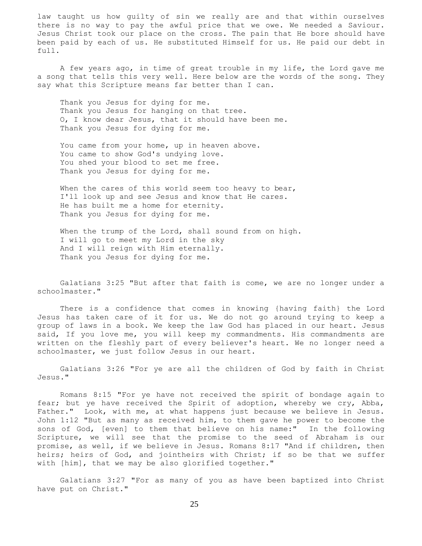law taught us how guilty of sin we really are and that within ourselves there is no way to pay the awful price that we owe. We needed a Saviour. Jesus Christ took our place on the cross. The pain that He bore should have been paid by each of us. He substituted Himself for us. He paid our debt in full.

 A few years ago, in time of great trouble in my life, the Lord gave me a song that tells this very well. Here below are the words of the song. They say what this Scripture means far better than I can.

 Thank you Jesus for dying for me. Thank you Jesus for hanging on that tree. O, I know dear Jesus, that it should have been me. Thank you Jesus for dying for me.

You came from your home, up in heaven above. You came to show God's undying love. You shed your blood to set me free. Thank you Jesus for dying for me.

When the cares of this world seem too heavy to bear, I'll look up and see Jesus and know that He cares. He has built me a home for eternity. Thank you Jesus for dying for me.

When the trump of the Lord, shall sound from on high. I will go to meet my Lord in the sky And I will reign with Him eternally. Thank you Jesus for dying for me.

 Galatians 3:25 "But after that faith is come, we are no longer under a schoolmaster."

 There is a confidence that comes in knowing {having faith} the Lord Jesus has taken care of it for us. We do not go around trying to keep a group of laws in a book. We keep the law God has placed in our heart. Jesus said, If you love me, you will keep my commandments. His commandments are written on the fleshly part of every believer's heart. We no longer need a schoolmaster, we just follow Jesus in our heart.

 Galatians 3:26 "For ye are all the children of God by faith in Christ Jesus."

 Romans 8:15 "For ye have not received the spirit of bondage again to fear; but ye have received the Spirit of adoption, whereby we cry, Abba, Father." Look, with me, at what happens just because we believe in Jesus. John 1:12 "But as many as received him, to them gave he power to become the sons of God, [even] to them that believe on his name:" In the following Scripture, we will see that the promise to the seed of Abraham is our promise, as well, if we believe in Jesus. Romans 8:17 "And if children, then heirs; heirs of God, and jointheirs with Christ; if so be that we suffer with [him], that we may be also glorified together."

 Galatians 3:27 "For as many of you as have been baptized into Christ have put on Christ."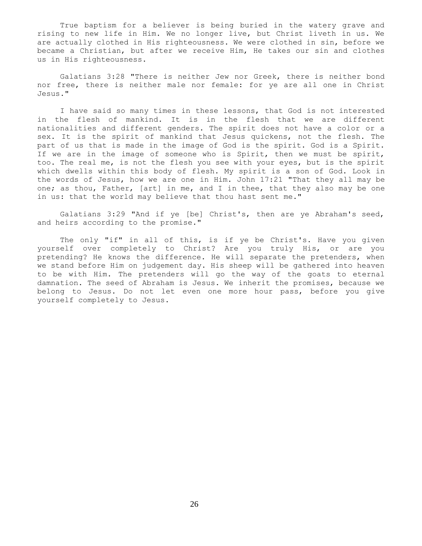True baptism for a believer is being buried in the watery grave and rising to new life in Him. We no longer live, but Christ liveth in us. We are actually clothed in His righteousness. We were clothed in sin, before we became a Christian, but after we receive Him, He takes our sin and clothes us in His righteousness.

 Galatians 3:28 "There is neither Jew nor Greek, there is neither bond nor free, there is neither male nor female: for ye are all one in Christ Jesus."

 I have said so many times in these lessons, that God is not interested in the flesh of mankind. It is in the flesh that we are different nationalities and different genders. The spirit does not have a color or a sex. It is the spirit of mankind that Jesus quickens, not the flesh. The part of us that is made in the image of God is the spirit. God is a Spirit. If we are in the image of someone who is Spirit, then we must be spirit, too. The real me, is not the flesh you see with your eyes, but is the spirit which dwells within this body of flesh. My spirit is a son of God. Look in the words of Jesus, how we are one in Him. John 17:21 "That they all may be one; as thou, Father, [art] in me, and I in thee, that they also may be one in us: that the world may believe that thou hast sent me."

 Galatians 3:29 "And if ye [be] Christ's, then are ye Abraham's seed, and heirs according to the promise."

The only "if" in all of this, is if ye be Christ's. Have you given yourself over completely to Christ? Are you truly His, or are you pretending? He knows the difference. He will separate the pretenders, when we stand before Him on judgement day. His sheep will be gathered into heaven to be with Him. The pretenders will go the way of the goats to eternal damnation. The seed of Abraham is Jesus. We inherit the promises, because we belong to Jesus. Do not let even one more hour pass, before you give yourself completely to Jesus.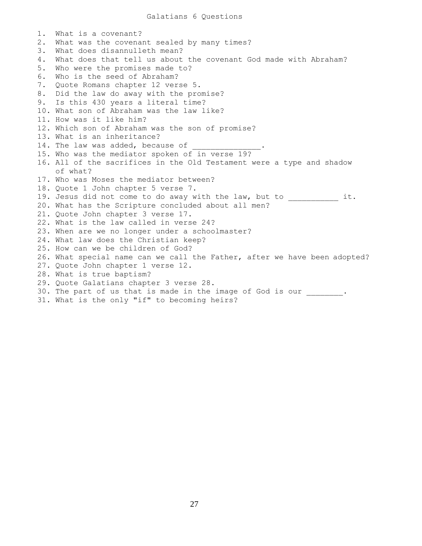1. What is a covenant? 2. What was the covenant sealed by many times? 3. What does disannulleth mean? 4. What does that tell us about the covenant God made with Abraham? 5. Who were the promises made to? 6. Who is the seed of Abraham? 7. Quote Romans chapter 12 verse 5. 8. Did the law do away with the promise? 9. Is this 430 years a literal time? 10. What son of Abraham was the law like? 11. How was it like him? 12. Which son of Abraham was the son of promise? 13. What is an inheritance? 14. The law was added, because of 15. Who was the mediator spoken of in verse 19? 16. All of the sacrifices in the Old Testament were a type and shadow of what? 17. Who was Moses the mediator between? 18. Quote 1 John chapter 5 verse 7. 19. Jesus did not come to do away with the law, but to \_\_\_\_\_\_\_\_\_\_\_ it. 20. What has the Scripture concluded about all men? 21. Quote John chapter 3 verse 17. 22. What is the law called in verse 24? 23. When are we no longer under a schoolmaster? 24. What law does the Christian keep? 25. How can we be children of God? 26. What special name can we call the Father, after we have been adopted? 27. Quote John chapter 1 verse 12. 28. What is true baptism? 29. Quote Galatians chapter 3 verse 28. 30. The part of us that is made in the image of God is our . 31. What is the only "if" to becoming heirs?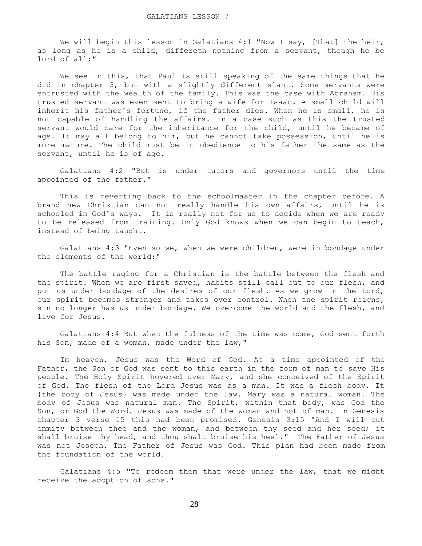We will begin this lesson in Galatians  $4:1$  "Now I say, [That] the heir, as long as he is a child, differeth nothing from a servant, though he be lord of all;"

 We see in this, that Paul is still speaking of the same things that he did in chapter 3, but with a slightly different slant. Some servants were entrusted with the wealth of the family. This was the case with Abraham. His trusted servant was even sent to bring a wife for Isaac. A small child will inherit his father's fortune, if the father dies. When he is small, he is not capable of handling the affairs. In a case such as this the trusted servant would care for the inheritance for the child, until he became of age. It may all belong to him, but he cannot take possession, until he is more mature. The child must be in obedience to his father the same as the servant, until he is of age.

 Galatians 4:2 "But is under tutors and governors until the time appointed of the father."

 This is reverting back to the schoolmaster in the chapter before. A brand new Christian can not really handle his own affairs, until he is schooled in God's ways. It is really not for us to decide when we are ready to be released from training. Only God knows when we can begin to teach, instead of being taught.

 Galatians 4:3 "Even so we, when we were children, were in bondage under the elements of the world:"

 The battle raging for a Christian is the battle between the flesh and the spirit. When we are first saved, habits still call out to our flesh, and put us under bondage of the desires of our flesh. As we grow in the Lord, our spirit becomes stronger and takes over control. When the spirit reigns, sin no longer has us under bondage. We overcome the world and the flesh, and live for Jesus.

 Galatians 4:4 But when the fulness of the time was come, God sent forth his Son, made of a woman, made under the law,"

 In heaven, Jesus was the Word of God. At a time appointed of the Father, the Son of God was sent to this earth in the form of man to save His people. The Holy Spirit hovered over Mary, and she conceived of the Spirit of God. The flesh of the Lord Jesus was as a man. It was a flesh body. It {the body of Jesus} was made under the law. Mary was a natural woman. The body of Jesus was natural man. The Spirit, within that body, was God the Son, or God the Word. Jesus was made of the woman and not of man. In Genesis chapter 3 verse 15 this had been promised. Genesis 3:15 "And I will put enmity between thee and the woman, and between thy seed and her seed; it shall bruise thy head, and thou shalt bruise his heel." The Father of Jesus was not Joseph. The Father of Jesus was God. This plan had been made from the foundation of the world.

 Galatians 4:5 "To redeem them that were under the law, that we might receive the adoption of sons."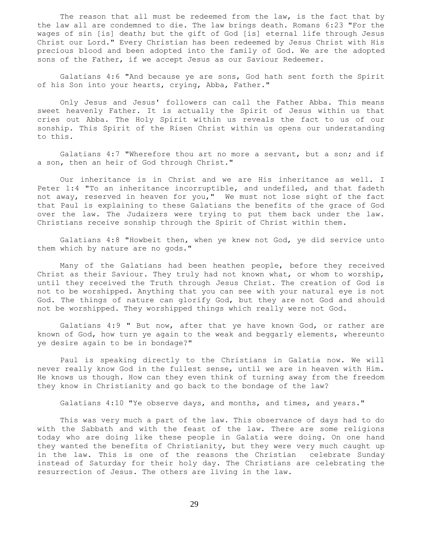The reason that all must be redeemed from the law, is the fact that by the law all are condemned to die. The law brings death. Romans 6:23 "For the wages of sin [is] death; but the gift of God [is] eternal life through Jesus Christ our Lord." Every Christian has been redeemed by Jesus Christ with His precious blood and been adopted into the family of God. We are the adopted sons of the Father, if we accept Jesus as our Saviour Redeemer.

 Galatians 4:6 "And because ye are sons, God hath sent forth the Spirit of his Son into your hearts, crying, Abba, Father."

 Only Jesus and Jesus' followers can call the Father Abba. This means sweet heavenly Father. It is actually the Spirit of Jesus within us that cries out Abba. The Holy Spirit within us reveals the fact to us of our sonship. This Spirit of the Risen Christ within us opens our understanding to this.

 Galatians 4:7 "Wherefore thou art no more a servant, but a son; and if a son, then an heir of God through Christ."

 Our inheritance is in Christ and we are His inheritance as well. I Peter 1:4 "To an inheritance incorruptible, and undefiled, and that fadeth not away, reserved in heaven for you," We must not lose sight of the fact that Paul is explaining to these Galatians the benefits of the grace of God over the law. The Judaizers were trying to put them back under the law. Christians receive sonship through the Spirit of Christ within them.

 Galatians 4:8 "Howbeit then, when ye knew not God, ye did service unto them which by nature are no gods."

 Many of the Galatians had been heathen people, before they received Christ as their Saviour. They truly had not known what, or whom to worship, until they received the Truth through Jesus Christ. The creation of God is not to be worshipped. Anything that you can see with your natural eye is not God. The things of nature can glorify God, but they are not God and should not be worshipped. They worshipped things which really were not God.

 Galatians 4:9 " But now, after that ye have known God, or rather are known of God, how turn ye again to the weak and beggarly elements, whereunto ye desire again to be in bondage?"

 Paul is speaking directly to the Christians in Galatia now. We will never really know God in the fullest sense, until we are in heaven with Him. He knows us though. How can they even think of turning away from the freedom they know in Christianity and go back to the bondage of the law?

Galatians 4:10 "Ye observe days, and months, and times, and years."

 This was very much a part of the law. This observance of days had to do with the Sabbath and with the feast of the law. There are some religions today who are doing like these people in Galatia were doing. On one hand they wanted the benefits of Christianity, but they were very much caught up in the law. This is one of the reasons the Christian celebrate Sunday instead of Saturday for their holy day. The Christians are celebrating the resurrection of Jesus. The others are living in the law.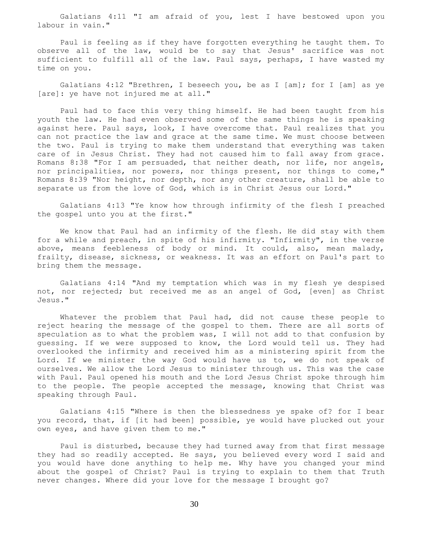Galatians 4:11 "I am afraid of you, lest I have bestowed upon you labour in vain."

 Paul is feeling as if they have forgotten everything he taught them. To observe all of the law, would be to say that Jesus' sacrifice was not sufficient to fulfill all of the law. Paul says, perhaps, I have wasted my time on you.

Galatians 4:12 "Brethren, I beseech you, be as I  $\lceil am \rceil$ ; for I  $\lceil am \rceil$  as ye [are]: ye have not injured me at all."

 Paul had to face this very thing himself. He had been taught from his youth the law. He had even observed some of the same things he is speaking against here. Paul says, look, I have overcome that. Paul realizes that you can not practice the law and grace at the same time. We must choose between the two. Paul is trying to make them understand that everything was taken care of in Jesus Christ. They had not caused him to fall away from grace. Romans 8:38 "For I am persuaded, that neither death, nor life, nor angels, nor principalities, nor powers, nor things present, nor things to come," Romans 8:39 "Nor height, nor depth, nor any other creature, shall be able to separate us from the love of God, which is in Christ Jesus our Lord."

 Galatians 4:13 "Ye know how through infirmity of the flesh I preached the gospel unto you at the first."

 We know that Paul had an infirmity of the flesh. He did stay with them for a while and preach, in spite of his infirmity. "Infirmity", in the verse above, means feebleness of body or mind. It could, also, mean malady, frailty, disease, sickness, or weakness. It was an effort on Paul's part to bring them the message.

 Galatians 4:14 "And my temptation which was in my flesh ye despised not, nor rejected; but received me as an angel of God, [even] as Christ Jesus."

 Whatever the problem that Paul had, did not cause these people to reject hearing the message of the gospel to them. There are all sorts of speculation as to what the problem was, I will not add to that confusion by guessing. If we were supposed to know, the Lord would tell us. They had overlooked the infirmity and received him as a ministering spirit from the Lord. If we minister the way God would have us to, we do not speak of ourselves. We allow the Lord Jesus to minister through us. This was the case with Paul. Paul opened his mouth and the Lord Jesus Christ spoke through him to the people. The people accepted the message, knowing that Christ was speaking through Paul.

 Galatians 4:15 "Where is then the blessedness ye spake of? for I bear you record, that, if [it had been] possible, ye would have plucked out your own eyes, and have given them to me."

 Paul is disturbed, because they had turned away from that first message they had so readily accepted. He says, you believed every word I said and you would have done anything to help me. Why have you changed your mind about the gospel of Christ? Paul is trying to explain to them that Truth never changes. Where did your love for the message I brought go?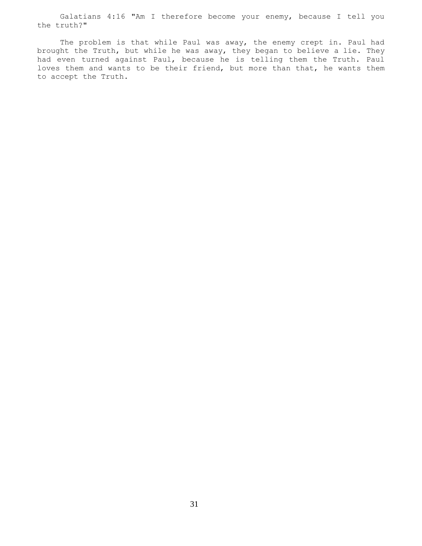Galatians 4:16 "Am I therefore become your enemy, because I tell you the truth?"

The problem is that while Paul was away, the enemy crept in. Paul had brought the Truth, but while he was away, they began to believe a lie. They had even turned against Paul, because he is telling them the Truth. Paul loves them and wants to be their friend, but more than that, he wants them to accept the Truth.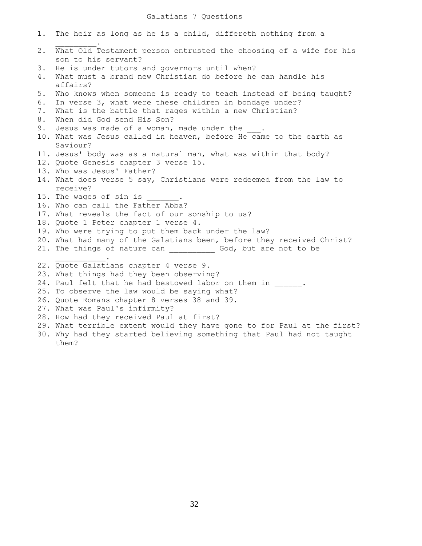## Galatians 7 Questions

| 1. | The heir as long as he is a child, differeth nothing from a                               |
|----|-------------------------------------------------------------------------------------------|
| 2. | What Old Testament person entrusted the choosing of a wife for his<br>son to his servant? |
| 3. | He is under tutors and governors until when?                                              |
| 4. | What must a brand new Christian do before he can handle his<br>affairs?                   |
| 5. | Who knows when someone is ready to teach instead of being taught?                         |
| 6. | In verse 3, what were these children in bondage under?                                    |
| 7. | What is the battle that rages within a new Christian?                                     |
| 8. | When did God send His Son?                                                                |
| 9. | Jesus was made of a woman, made under the .                                               |
|    | 10. What was Jesus called in heaven, before He came to the earth as                       |
|    | Saviour?                                                                                  |
|    | 11. Jesus' body was as a natural man, what was within that body?                          |
|    | 12. Quote Genesis chapter 3 verse 15.                                                     |
|    | 13. Who was Jesus' Father?                                                                |
|    | 14. What does verse 5 say, Christians were redeemed from the law to                       |
|    | receive?                                                                                  |
|    | 15. The wages of sin is                                                                   |
|    | 16. Who can call the Father Abba?                                                         |
|    | 17. What reveals the fact of our sonship to us?                                           |
|    | 18. Quote 1 Peter chapter 1 verse 4.                                                      |
|    | 19. Who were trying to put them back under the law?                                       |
|    | 20. What had many of the Galatians been, before they received Christ?                     |
|    | 21. The things of nature can ____________ God, but are not to be                          |
|    |                                                                                           |
|    | 22. Quote Galatians chapter 4 verse 9.                                                    |
|    | 23. What things had they been observing?                                                  |
|    | 24. Paul felt that he had bestowed labor on them in .                                     |
|    | 25. To observe the law would be saying what?                                              |
|    | 26. Quote Romans chapter 8 verses 38 and 39.                                              |
|    | 27. What was Paul's infirmity?                                                            |
|    | 28. How had they received Paul at first?                                                  |
|    | 29. What terrible extent would they have gone to for Paul at the first?                   |
|    | 30. Why had they started believing something that Paul had not taught                     |
|    | them?                                                                                     |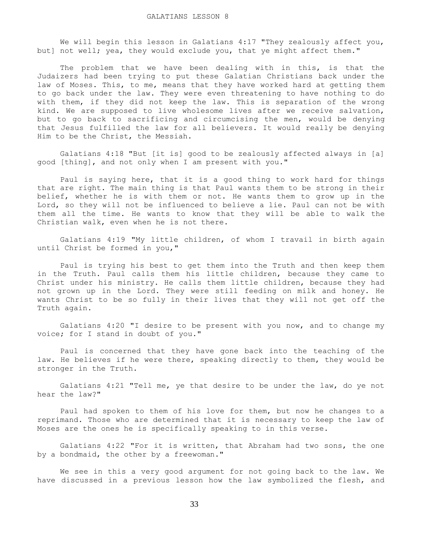We will begin this lesson in Galatians 4:17 "They zealously affect you, but] not well; yea, they would exclude you, that ye might affect them."

 The problem that we have been dealing with in this, is that the Judaizers had been trying to put these Galatian Christians back under the law of Moses. This, to me, means that they have worked hard at getting them to go back under the law. They were even threatening to have nothing to do with them, if they did not keep the law. This is separation of the wrong kind. We are supposed to live wholesome lives after we receive salvation, but to go back to sacrificing and circumcising the men, would be denying that Jesus fulfilled the law for all believers. It would really be denying Him to be the Christ, the Messiah.

 Galatians 4:18 "But [it is] good to be zealously affected always in [a] good [thing], and not only when I am present with you."

 Paul is saying here, that it is a good thing to work hard for things that are right. The main thing is that Paul wants them to be strong in their belief, whether he is with them or not. He wants them to grow up in the Lord, so they will not be influenced to believe a lie. Paul can not be with them all the time. He wants to know that they will be able to walk the Christian walk, even when he is not there.

 Galatians 4:19 "My little children, of whom I travail in birth again until Christ be formed in you,"

 Paul is trying his best to get them into the Truth and then keep them in the Truth. Paul calls them his little children, because they came to Christ under his ministry. He calls them little children, because they had not grown up in the Lord. They were still feeding on milk and honey. He wants Christ to be so fully in their lives that they will not get off the Truth again.

 Galatians 4:20 "I desire to be present with you now, and to change my voice; for I stand in doubt of you."

 Paul is concerned that they have gone back into the teaching of the law. He believes if he were there, speaking directly to them, they would be stronger in the Truth.

 Galatians 4:21 "Tell me, ye that desire to be under the law, do ye not hear the law?"

 Paul had spoken to them of his love for them, but now he changes to a reprimand. Those who are determined that it is necessary to keep the law of Moses are the ones he is specifically speaking to in this verse.

 Galatians 4:22 "For it is written, that Abraham had two sons, the one by a bondmaid, the other by a freewoman."

 We see in this a very good argument for not going back to the law. We have discussed in a previous lesson how the law symbolized the flesh, and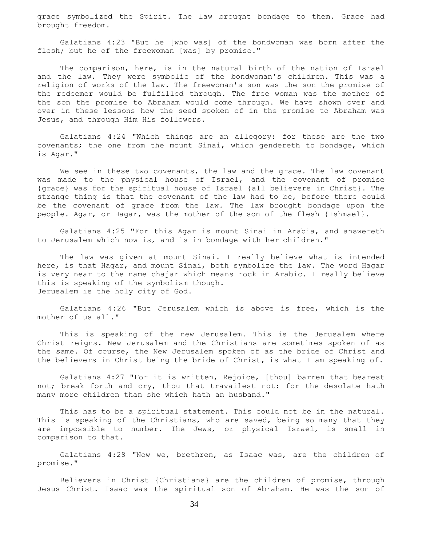grace symbolized the Spirit. The law brought bondage to them. Grace had brought freedom.

 Galatians 4:23 "But he [who was] of the bondwoman was born after the flesh; but he of the freewoman [was] by promise."

The comparison, here, is in the natural birth of the nation of Israel and the law. They were symbolic of the bondwoman's children. This was a religion of works of the law. The freewoman's son was the son the promise of the redeemer would be fulfilled through. The free woman was the mother of the son the promise to Abraham would come through. We have shown over and over in these lessons how the seed spoken of in the promise to Abraham was Jesus, and through Him His followers.

 Galatians 4:24 "Which things are an allegory: for these are the two covenants; the one from the mount Sinai, which gendereth to bondage, which is Agar."

We see in these two covenants, the law and the grace. The law covenant was made to the physical house of Israel, and the covenant of promise {grace} was for the spiritual house of Israel {all believers in Christ}. The strange thing is that the covenant of the law had to be, before there could be the covenant of grace from the law. The law brought bondage upon the people. Agar, or Hagar, was the mother of the son of the flesh {Ishmael}.

 Galatians 4:25 "For this Agar is mount Sinai in Arabia, and answereth to Jerusalem which now is, and is in bondage with her children."

 The law was given at mount Sinai. I really believe what is intended here, is that Hagar, and mount Sinai, both symbolize the law. The word Hagar is very near to the name chajar which means rock in Arabic. I really believe this is speaking of the symbolism though. Jerusalem is the holy city of God.

 Galatians 4:26 "But Jerusalem which is above is free, which is the mother of us all."

 This is speaking of the new Jerusalem. This is the Jerusalem where Christ reigns. New Jerusalem and the Christians are sometimes spoken of as the same. Of course, the New Jerusalem spoken of as the bride of Christ and the believers in Christ being the bride of Christ, is what I am speaking of.

 Galatians 4:27 "For it is written, Rejoice, [thou] barren that bearest not; break forth and cry, thou that travailest not: for the desolate hath many more children than she which hath an husband."

 This has to be a spiritual statement. This could not be in the natural. This is speaking of the Christians, who are saved, being so many that they are impossible to number. The Jews, or physical Israel, is small in comparison to that.

 Galatians 4:28 "Now we, brethren, as Isaac was, are the children of promise."

 Believers in Christ {Christians} are the children of promise, through Jesus Christ. Isaac was the spiritual son of Abraham. He was the son of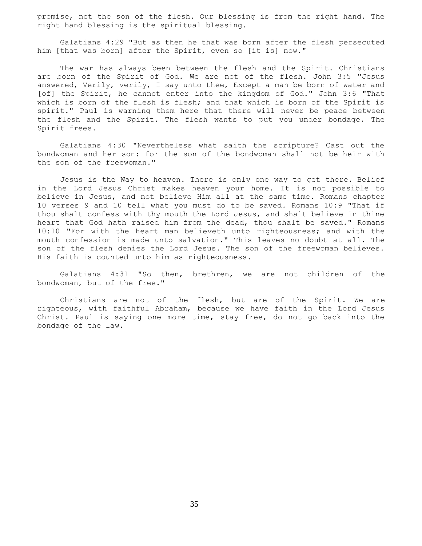promise, not the son of the flesh. Our blessing is from the right hand. The right hand blessing is the spiritual blessing.

 Galatians 4:29 "But as then he that was born after the flesh persecuted him [that was born] after the Spirit, even so [it is] now."

 The war has always been between the flesh and the Spirit. Christians are born of the Spirit of God. We are not of the flesh. John 3:5 "Jesus answered, Verily, verily, I say unto thee, Except a man be born of water and [of] the Spirit, he cannot enter into the kingdom of God." John 3:6 "That which is born of the flesh is flesh; and that which is born of the Spirit is spirit." Paul is warning them here that there will never be peace between the flesh and the Spirit. The flesh wants to put you under bondage. The Spirit frees.

 Galatians 4:30 "Nevertheless what saith the scripture? Cast out the bondwoman and her son: for the son of the bondwoman shall not be heir with the son of the freewoman."

 Jesus is the Way to heaven. There is only one way to get there. Belief in the Lord Jesus Christ makes heaven your home. It is not possible to believe in Jesus, and not believe Him all at the same time. Romans chapter 10 verses 9 and 10 tell what you must do to be saved. Romans 10:9 "That if thou shalt confess with thy mouth the Lord Jesus, and shalt believe in thine heart that God hath raised him from the dead, thou shalt be saved." Romans 10:10 "For with the heart man believeth unto righteousness; and with the mouth confession is made unto salvation." This leaves no doubt at all. The son of the flesh denies the Lord Jesus. The son of the freewoman believes. His faith is counted unto him as righteousness.

 Galatians 4:31 "So then, brethren, we are not children of the bondwoman, but of the free."

 Christians are not of the flesh, but are of the Spirit. We are righteous, with faithful Abraham, because we have faith in the Lord Jesus Christ. Paul is saying one more time, stay free, do not go back into the bondage of the law.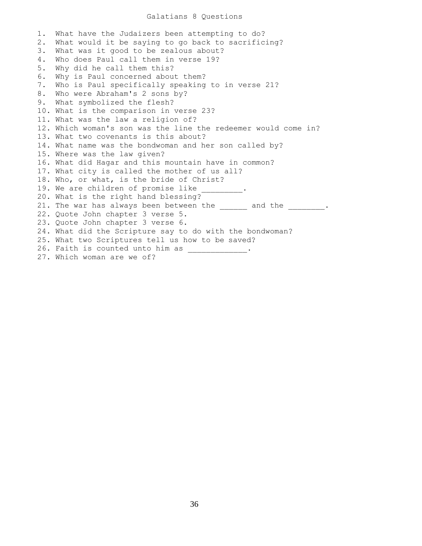## Galatians 8 Questions

1. What have the Judaizers been attempting to do? 2. What would it be saying to go back to sacrificing? 3. What was it good to be zealous about? 4. Who does Paul call them in verse 19? 5. Why did he call them this? 6. Why is Paul concerned about them? 7. Who is Paul specifically speaking to in verse 21? 8. Who were Abraham's 2 sons by? 9. What symbolized the flesh? 10. What is the comparison in verse 23? 11. What was the law a religion of? 12. Which woman's son was the line the redeemer would come in? 13. What two covenants is this about? 14. What name was the bondwoman and her son called by? 15. Where was the law given? 16. What did Hagar and this mountain have in common? 17. What city is called the mother of us all? 18. Who, or what, is the bride of Christ? 19. We are children of promise like 20. What is the right hand blessing? 21. The war has always been between the \_\_\_\_\_\_ and the \_\_\_\_\_\_\_\_\_. 22. Quote John chapter 3 verse 5. 23. Quote John chapter 3 verse 6. 24. What did the Scripture say to do with the bondwoman? 25. What two Scriptures tell us how to be saved? 26. Faith is counted unto him as \_\_\_\_\_\_\_\_\_\_\_\_. 27. Which woman are we of?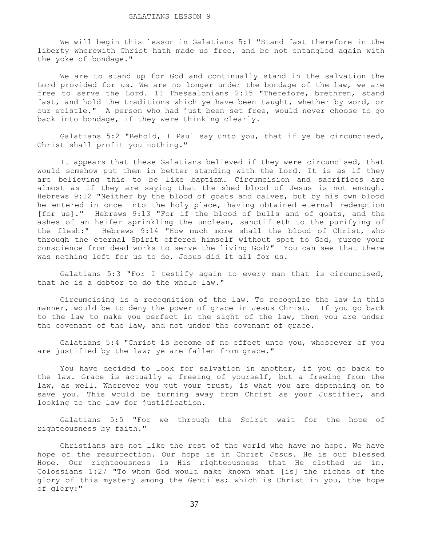We will begin this lesson in Galatians 5:1 "Stand fast therefore in the liberty wherewith Christ hath made us free, and be not entangled again with the yoke of bondage."

 We are to stand up for God and continually stand in the salvation the Lord provided for us. We are no longer under the bondage of the law, we are free to serve the Lord. II Thessalonians 2:15 "Therefore, brethren, stand fast, and hold the traditions which ye have been taught, whether by word, or our epistle." A person who had just been set free, would never choose to go back into bondage, if they were thinking clearly.

 Galatians 5:2 "Behold, I Paul say unto you, that if ye be circumcised, Christ shall profit you nothing."

 It appears that these Galatians believed if they were circumcised, that would somehow put them in better standing with the Lord. It is as if they are believing this to be like baptism. Circumcision and sacrifices are almost as if they are saying that the shed blood of Jesus is not enough. Hebrews 9:12 "Neither by the blood of goats and calves, but by his own blood he entered in once into the holy place, having obtained eternal redemption [for us]." Hebrews 9:13 "For if the blood of bulls and of goats, and the ashes of an heifer sprinkling the unclean, sanctifieth to the purifying of the flesh:" Hebrews 9:14 "How much more shall the blood of Christ, who through the eternal Spirit offered himself without spot to God, purge your conscience from dead works to serve the living God?" You can see that there was nothing left for us to do, Jesus did it all for us.

 Galatians 5:3 "For I testify again to every man that is circumcised, that he is a debtor to do the whole law."

 Circumcising is a recognition of the law. To recognize the law in this manner, would be to deny the power of grace in Jesus Christ. If you go back to the law to make you perfect in the sight of the law, then you are under the covenant of the law, and not under the covenant of grace.

 Galatians 5:4 "Christ is become of no effect unto you, whosoever of you are justified by the law; ye are fallen from grace."

 You have decided to look for salvation in another, if you go back to the law. Grace is actually a freeing of yourself, but a freeing from the law, as well. Wherever you put your trust, is what you are depending on to save you. This would be turning away from Christ as your Justifier, and looking to the law for justification.

 Galatians 5:5 "For we through the Spirit wait for the hope of righteousness by faith."

 Christians are not like the rest of the world who have no hope. We have hope of the resurrection. Our hope is in Christ Jesus. He is our blessed Hope. Our righteousness is His righteousness that He clothed us in. Colossians 1:27 "To whom God would make known what [is] the riches of the glory of this mystery among the Gentiles; which is Christ in you, the hope of glory:"

37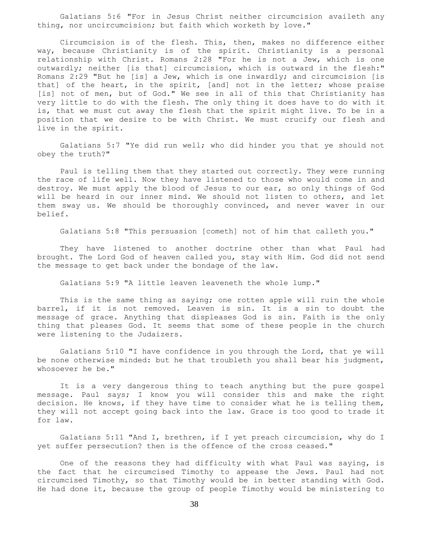Galatians 5:6 "For in Jesus Christ neither circumcision availeth any thing, nor uncircumcision; but faith which worketh by love."

 Circumcision is of the flesh. This, then, makes no difference either way, because Christianity is of the spirit. Christianity is a personal relationship with Christ. Romans 2:28 "For he is not a Jew, which is one outwardly; neither [is that] circumcision, which is outward in the flesh:" Romans 2:29 "But he [is] a Jew, which is one inwardly; and circumcision [is that] of the heart, in the spirit, [and] not in the letter; whose praise [is] not of men, but of God." We see in all of this that Christianity has very little to do with the flesh. The only thing it does have to do with it is, that we must cut away the flesh that the spirit might live. To be in a position that we desire to be with Christ. We must crucify our flesh and live in the spirit.

 Galatians 5:7 "Ye did run well; who did hinder you that ye should not obey the truth?"

 Paul is telling them that they started out correctly. They were running the race of life well. Now they have listened to those who would come in and destroy. We must apply the blood of Jesus to our ear, so only things of God will be heard in our inner mind. We should not listen to others, and let them sway us. We should be thoroughly convinced, and never waver in our belief.

Galatians 5:8 "This persuasion [cometh] not of him that calleth you."

 They have listened to another doctrine other than what Paul had brought. The Lord God of heaven called you, stay with Him. God did not send the message to get back under the bondage of the law.

Galatians 5:9 "A little leaven leaveneth the whole lump."

This is the same thing as saying; one rotten apple will ruin the whole barrel, if it is not removed. Leaven is sin. It is a sin to doubt the message of grace. Anything that displeases God is sin. Faith is the only thing that pleases God. It seems that some of these people in the church were listening to the Judaizers.

 Galatians 5:10 "I have confidence in you through the Lord, that ye will be none otherwise minded: but he that troubleth you shall bear his judgment, whosoever he be."

 It is a very dangerous thing to teach anything but the pure gospel message. Paul says; I know you will consider this and make the right decision. He knows, if they have time to consider what he is telling them, they will not accept going back into the law. Grace is too good to trade it for law.

 Galatians 5:11 "And I, brethren, if I yet preach circumcision, why do I yet suffer persecution? then is the offence of the cross ceased."

 One of the reasons they had difficulty with what Paul was saying, is the fact that he circumcised Timothy to appease the Jews. Paul had not circumcised Timothy, so that Timothy would be in better standing with God. He had done it, because the group of people Timothy would be ministering to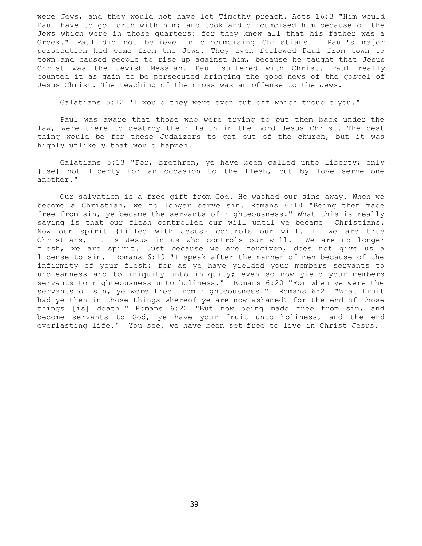were Jews, and they would not have let Timothy preach. Acts 16:3 "Him would Paul have to go forth with him; and took and circumcised him because of the Jews which were in those quarters: for they knew all that his father was a Greek." Paul did not believe in circumcising Christians. Paul's major persecution had come from the Jews. They even followed Paul from town to town and caused people to rise up against him, because he taught that Jesus Christ was the Jewish Messiah. Paul suffered with Christ. Paul really counted it as gain to be persecuted bringing the good news of the gospel of Jesus Christ. The teaching of the cross was an offense to the Jews.

Galatians 5:12 "I would they were even cut off which trouble you."

 Paul was aware that those who were trying to put them back under the law, were there to destroy their faith in the Lord Jesus Christ. The best thing would be for these Judaizers to get out of the church, but it was highly unlikely that would happen.

 Galatians 5:13 "For, brethren, ye have been called unto liberty; only [use] not liberty for an occasion to the flesh, but by love serve one another."

 Our salvation is a free gift from God. He washed our sins away. When we become a Christian, we no longer serve sin. Romans 6:18 "Being then made free from sin, ye became the servants of righteousness." What this is really saying is that our flesh controlled our will until we became Christians. Now our spirit {filled with Jesus} controls our will. If we are true Christians, it is Jesus in us who controls our will. We are no longer flesh, we are spirit. Just because we are forgiven, does not give us a license to sin. Romans 6:19 "I speak after the manner of men because of the infirmity of your flesh: for as ye have yielded your members servants to uncleanness and to iniquity unto iniquity; even so now yield your members servants to righteousness unto holiness." Romans 6:20 "For when ye were the servants of sin, ye were free from righteousness." Romans 6:21 "What fruit had ye then in those things whereof ye are now ashamed? for the end of those things [is] death." Romans 6:22 "But now being made free from sin, and become servants to God, ye have your fruit unto holiness, and the end everlasting life." You see, we have been set free to live in Christ Jesus.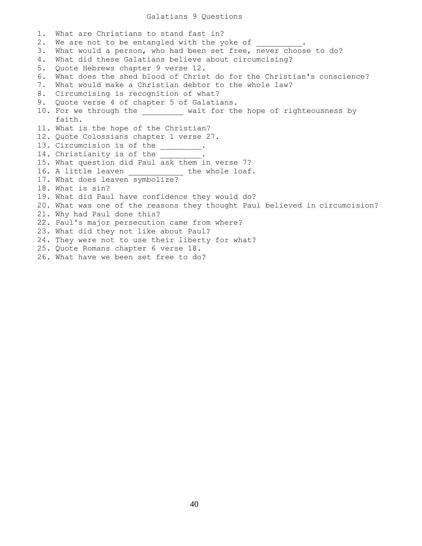### Galatians 9 Questions

1. What are Christians to stand fast in? 2. We are not to be entangled with the yoke of 3. What would a person, who had been set free, never choose to do? 4. What did these Galatians believe about circumcising? 5. Quote Hebrews chapter 9 verse 12. 6. What does the shed blood of Christ do for the Christian's conscience? 7. What would make a Christian debtor to the whole law? 8. Circumcising is recognition of what? 9. Quote verse 4 of chapter 5 of Galatians. 10. For we through the wait for the hope of righteousness by faith. 11. What is the hope of the Christian? 12. Quote Colossians chapter 1 verse 27. 13. Circumcision is of the  $\qquad \qquad$ . 14. Christianity is of the \_\_\_\_\_\_\_\_\_. 15. What question did Paul ask them in verse 7? 16. A little leaven the whole loaf. 17. What does leaven symbolize? 18. What is sin? 19. What did Paul have confidence they would do? 20. What was one of the reasons they thought Paul believed in circumcision? 21. Why had Paul done this? 22. Paul's major persecution came from where? 23. What did they not like about Paul? 24. They were not to use their liberty for what? 25. Quote Romans chapter 6 verse 18. 26. What have we been set free to do?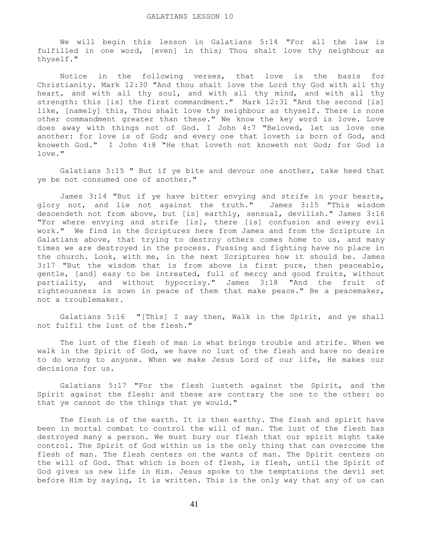We will begin this lesson in Galatians 5:14 "For all the law is fulfilled in one word, [even] in this; Thou shalt love thy neighbour as thyself."

 Notice in the following verses, that love is the basis for Christianity. Mark 12:30 "And thou shalt love the Lord thy God with all thy heart, and with all thy soul, and with all thy mind, and with all thy strength: this [is] the first commandment." Mark 12:31 "And the second [is] like, [namely] this, Thou shalt love thy neighbour as thyself. There is none other commandment greater than these." We know the key word is love. Love does away with things not of God. I John 4:7 "Beloved, let us love one another: for love is of God; and every one that loveth is born of God, and knoweth God." I John 4:8 "He that loveth not knoweth not God; for God is love."

 Galatians 5:15 " But if ye bite and devour one another, take heed that ye be not consumed one of another."

 James 3:14 "But if ye have bitter envying and strife in your hearts, glory not, and lie not against the truth." James 3:15 "This wisdom descendeth not from above, but [is] earthly, sensual, devilish." James 3:16 "For where envying and strife [is], there [is] confusion and every evil work." We find in the Scriptures here from James and from the Scripture in Galatians above, that trying to destroy others comes home to us, and many times we are destroyed in the process. Fussing and fighting have no place in the church. Look, with me, in the next Scriptures how it should be. James 3:17 "But the wisdom that is from above is first pure, then peaceable, gentle, [and] easy to be intreated, full of mercy and good fruits, without partiality, and without hypocrisy." James 3:18 "And the fruit of righteousness is sown in peace of them that make peace." Be a peacemaker, not a troublemaker.

 Galatians 5:16 "[This] I say then, Walk in the Spirit, and ye shall not fulfil the lust of the flesh."

 The lust of the flesh of man is what brings trouble and strife. When we walk in the Spirit of God, we have no lust of the flesh and have no desire to do wrong to anyone. When we make Jesus Lord of our life, He makes our decisions for us.

 Galatians 5:17 "For the flesh lusteth against the Spirit, and the Spirit against the flesh: and these are contrary the one to the other: so that ye cannot do the things that ye would."

 The flesh is of the earth. It is then earthy. The flesh and spirit have been in mortal combat to control the will of man. The lust of the flesh has destroyed many a person. We must bury our flesh that our spirit might take control. The Spirit of God within us is the only thing that can overcome the flesh of man. The flesh centers on the wants of man. The Spirit centers on the will of God. That which is born of flesh, is flesh, until the Spirit of God gives us new life in Him. Jesus spoke to the temptations the devil set before Him by saying, It is written. This is the only way that any of us can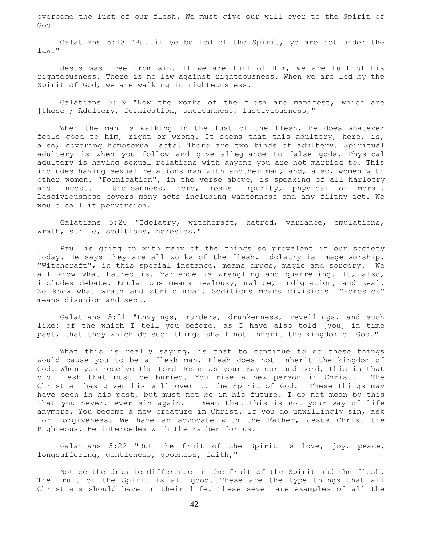overcome the lust of our flesh. We must give our will over to the Spirit of God.

 Galatians 5:18 "But if ye be led of the Spirit, ye are not under the law."

 Jesus was free from sin. If we are full of Him, we are full of His righteousness. There is no law against righteousness. When we are led by the Spirit of God, we are walking in righteousness.

 Galatians 5:19 "Now the works of the flesh are manifest, which are [these]; Adultery, fornication, uncleanness, lasciviousness,"

 When the man is walking in the lust of the flesh, he does whatever feels good to him, right or wrong. It seems that this adultery, here, is, also, covering homosexual acts. There are two kinds of adultery. Spiritual adultery is when you follow and give allegiance to false gods. Physical adultery is having sexual relations with anyone you are not married to. This includes having sexual relations man with another man, and, also, women with other women. "Fornication", in the verse above, is speaking of all harlotry and incest. Uncleanness, here, means impurity, physical or moral. Lasciviousness covers many acts including wantonness and any filthy act. We would call it perversion.

 Galatians 5:20 "Idolatry, witchcraft, hatred, variance, emulations, wrath, strife, seditions, heresies,"

 Paul is going on with many of the things so prevalent in our society today. He says they are all works of the flesh. Idolatry is image-worship. "Witchcraft", in this special instance, means drugs, magic and sorcery. We all know what hatred is. Variance is wrangling and quarreling. It, also, includes debate. Emulations means jealousy, malice, indignation, and zeal. We know what wrath and strife mean. Seditions means divisions. "Heresies" means disunion and sect.

 Galatians 5:21 "Envyings, murders, drunkenness, revellings, and such like: of the which I tell you before, as I have also told [you] in time past, that they which do such things shall not inherit the kingdom of God."

 What this is really saying, is that to continue to do these things would cause you to be a flesh man. Flesh does not inherit the kingdom of God. When you receive the Lord Jesus as your Saviour and Lord, this is that old flesh that must be buried. You rise a new person in Christ. The Christian has given his will over to the Spirit of God. These things may have been in his past, but must not be in his future. I do not mean by this that you never, ever sin again. I mean that this is not your way of life anymore. You become a new creature in Christ. If you do unwillingly sin, ask for forgiveness. We have an advocate with the Father, Jesus Christ the Righteous. He intercedes with the Father for us.

 Galatians 5:22 "But the fruit of the Spirit is love, joy, peace, longsuffering, gentleness, goodness, faith,"

 Notice the drastic difference in the fruit of the Spirit and the flesh. The fruit of the Spirit is all good. These are the type things that all Christians should have in their life. These seven are examples of all the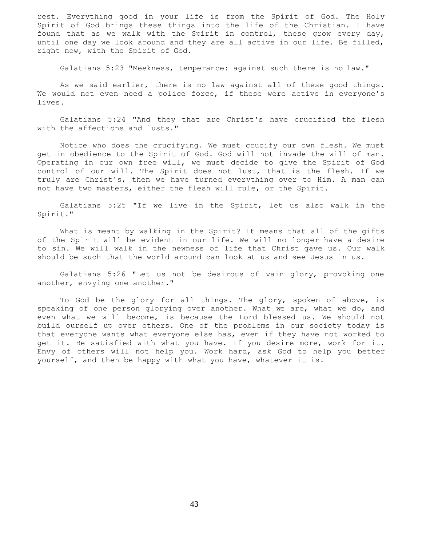rest. Everything good in your life is from the Spirit of God. The Holy Spirit of God brings these things into the life of the Christian. I have found that as we walk with the Spirit in control, these grow every day, until one day we look around and they are all active in our life. Be filled, right now, with the Spirit of God.

Galatians 5:23 "Meekness, temperance: against such there is no law."

 As we said earlier, there is no law against all of these good things. We would not even need a police force, if these were active in everyone's lives.

 Galatians 5:24 "And they that are Christ's have crucified the flesh with the affections and lusts."

 Notice who does the crucifying. We must crucify our own flesh. We must get in obedience to the Spirit of God. God will not invade the will of man. Operating in our own free will, we must decide to give the Spirit of God control of our will. The Spirit does not lust, that is the flesh. If we truly are Christ's, then we have turned everything over to Him. A man can not have two masters, either the flesh will rule, or the Spirit.

 Galatians 5:25 "If we live in the Spirit, let us also walk in the Spirit."

 What is meant by walking in the Spirit? It means that all of the gifts of the Spirit will be evident in our life. We will no longer have a desire to sin. We will walk in the newness of life that Christ gave us. Our walk should be such that the world around can look at us and see Jesus in us.

 Galatians 5:26 "Let us not be desirous of vain glory, provoking one another, envying one another."

 To God be the glory for all things. The glory, spoken of above, is speaking of one person glorying over another. What we are, what we do, and even what we will become, is because the Lord blessed us. We should not build ourself up over others. One of the problems in our society today is that everyone wants what everyone else has, even if they have not worked to get it. Be satisfied with what you have. If you desire more, work for it. Envy of others will not help you. Work hard, ask God to help you better yourself, and then be happy with what you have, whatever it is.

43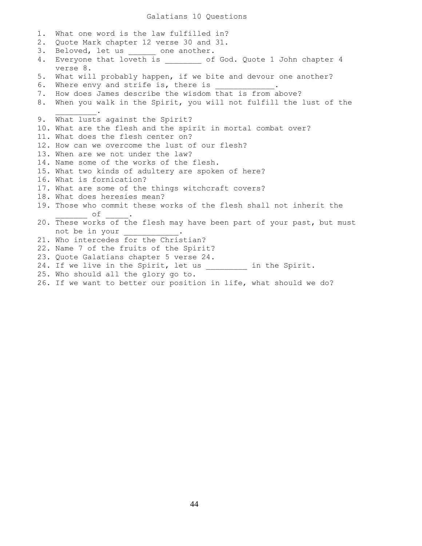1. What one word is the law fulfilled in? 2. Quote Mark chapter 12 verse 30 and 31. 3. Beloved, let us \_\_\_\_\_\_ one another. 4. Everyone that loveth is \_\_\_\_\_\_\_ of God. Quote 1 John chapter 4 verse 8. 5. What will probably happen, if we bite and devour one another? 6. Where envy and strife is, there is 7. How does James describe the wisdom that is from above? 8. When you walk in the Spirit, you will not fulfill the lust of the  $\mathcal{L}=\mathcal{L}^{\mathcal{L}}$ 9. What lusts against the Spirit? 10. What are the flesh and the spirit in mortal combat over? 11. What does the flesh center on? 12. How can we overcome the lust of our flesh? 13. When are we not under the law? 14. Name some of the works of the flesh. 15. What two kinds of adultery are spoken of here? 16. What is fornication? 17. What are some of the things witchcraft covers? 18. What does heresies mean? 19. Those who commit these works of the flesh shall not inherit the  $\circ$  f  $\_\_$ . 20. These works of the flesh may have been part of your past, but must not be in your 21. Who intercedes for the Christian? 22. Name 7 of the fruits of the Spirit? 23. Quote Galatians chapter 5 verse 24. 24. If we live in the Spirit, let us \_\_\_\_\_\_\_\_\_ in the Spirit. 25. Who should all the glory go to. 26. If we want to better our position in life, what should we do?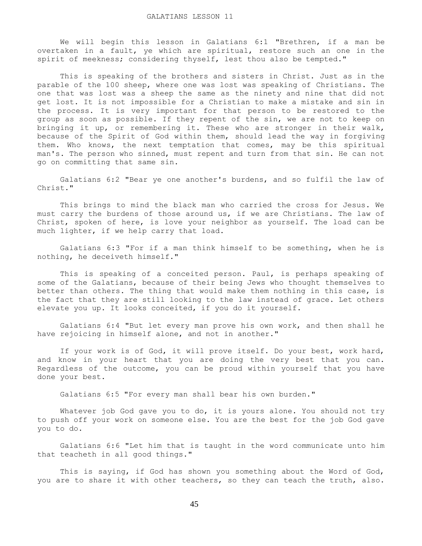We will begin this lesson in Galatians 6:1 "Brethren, if a man be overtaken in a fault, ye which are spiritual, restore such an one in the spirit of meekness; considering thyself, lest thou also be tempted."

 This is speaking of the brothers and sisters in Christ. Just as in the parable of the 100 sheep, where one was lost was speaking of Christians. The one that was lost was a sheep the same as the ninety and nine that did not get lost. It is not impossible for a Christian to make a mistake and sin in the process. It is very important for that person to be restored to the group as soon as possible. If they repent of the sin, we are not to keep on bringing it up, or remembering it. These who are stronger in their walk, because of the Spirit of God within them, should lead the way in forgiving them. Who knows, the next temptation that comes, may be this spiritual man's. The person who sinned, must repent and turn from that sin. He can not go on committing that same sin.

 Galatians 6:2 "Bear ye one another's burdens, and so fulfil the law of Christ."

 This brings to mind the black man who carried the cross for Jesus. We must carry the burdens of those around us, if we are Christians. The law of Christ, spoken of here, is love your neighbor as yourself. The load can be much lighter, if we help carry that load.

 Galatians 6:3 "For if a man think himself to be something, when he is nothing, he deceiveth himself."

 This is speaking of a conceited person. Paul, is perhaps speaking of some of the Galatians, because of their being Jews who thought themselves to better than others. The thing that would make them nothing in this case, is the fact that they are still looking to the law instead of grace. Let others elevate you up. It looks conceited, if you do it yourself.

 Galatians 6:4 "But let every man prove his own work, and then shall he have rejoicing in himself alone, and not in another."

 If your work is of God, it will prove itself. Do your best, work hard, and know in your heart that you are doing the very best that you can. Regardless of the outcome, you can be proud within yourself that you have done your best.

Galatians 6:5 "For every man shall bear his own burden."

 Whatever job God gave you to do, it is yours alone. You should not try to push off your work on someone else. You are the best for the job God gave you to do.

 Galatians 6:6 "Let him that is taught in the word communicate unto him that teacheth in all good things."

This is saying, if God has shown you something about the Word of God, you are to share it with other teachers, so they can teach the truth, also.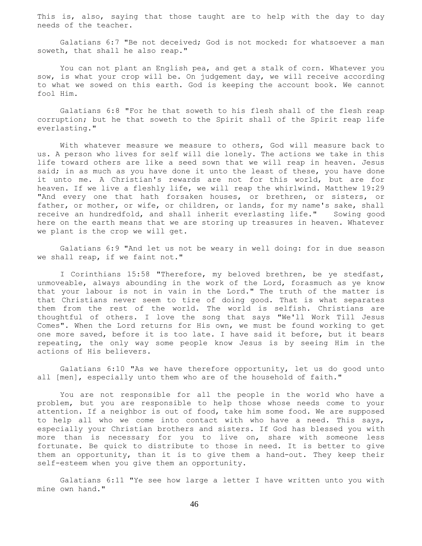This is, also, saying that those taught are to help with the day to day needs of the teacher.

 Galatians 6:7 "Be not deceived; God is not mocked: for whatsoever a man soweth, that shall he also reap."

 You can not plant an English pea, and get a stalk of corn. Whatever you sow, is what your crop will be. On judgement day, we will receive according to what we sowed on this earth. God is keeping the account book. We cannot fool Him.

 Galatians 6:8 "For he that soweth to his flesh shall of the flesh reap corruption; but he that soweth to the Spirit shall of the Spirit reap life everlasting."

 With whatever measure we measure to others, God will measure back to us. A person who lives for self will die lonely. The actions we take in this life toward others are like a seed sown that we will reap in heaven. Jesus said; in as much as you have done it unto the least of these, you have done it unto me. A Christian's rewards are not for this world, but are for heaven. If we live a fleshly life, we will reap the whirlwind. Matthew 19:29 "And every one that hath forsaken houses, or brethren, or sisters, or father, or mother, or wife, or children, or lands, for my name's sake, shall receive an hundredfold, and shall inherit everlasting life." Sowing good here on the earth means that we are storing up treasures in heaven. Whatever we plant is the crop we will get.

 Galatians 6:9 "And let us not be weary in well doing: for in due season we shall reap, if we faint not."

 I Corinthians 15:58 "Therefore, my beloved brethren, be ye stedfast, unmoveable, always abounding in the work of the Lord, forasmuch as ye know that your labour is not in vain in the Lord." The truth of the matter is that Christians never seem to tire of doing good. That is what separates them from the rest of the world. The world is selfish. Christians are thoughtful of others. I love the song that says "We'll Work Till Jesus Comes". When the Lord returns for His own, we must be found working to get one more saved, before it is too late. I have said it before, but it bears repeating, the only way some people know Jesus is by seeing Him in the actions of His believers.

Galatians  $6:10$  "As we have therefore opportunity, let us do good unto all [men], especially unto them who are of the household of faith."

 You are not responsible for all the people in the world who have a problem, but you are responsible to help those whose needs come to your attention. If a neighbor is out of food, take him some food. We are supposed to help all who we come into contact with who have a need. This says, especially your Christian brothers and sisters. If God has blessed you with more than is necessary for you to live on, share with someone less fortunate. Be quick to distribute to those in need. It is better to give them an opportunity, than it is to give them a hand-out. They keep their self-esteem when you give them an opportunity.

 Galatians 6:11 "Ye see how large a letter I have written unto you with mine own hand."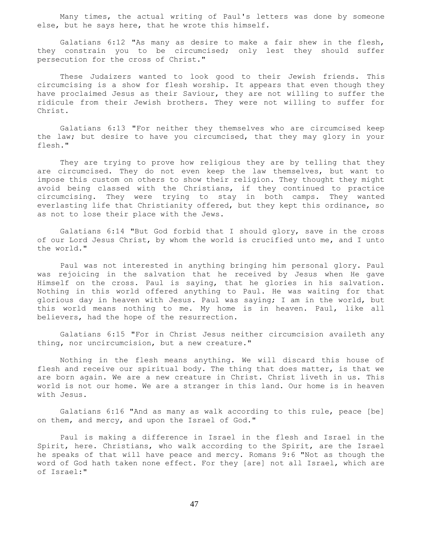Many times, the actual writing of Paul's letters was done by someone else, but he says here, that he wrote this himself.

 Galatians 6:12 "As many as desire to make a fair shew in the flesh, they constrain you to be circumcised; only lest they should suffer persecution for the cross of Christ."

 These Judaizers wanted to look good to their Jewish friends. This circumcising is a show for flesh worship. It appears that even though they have proclaimed Jesus as their Saviour, they are not willing to suffer the ridicule from their Jewish brothers. They were not willing to suffer for Christ.

 Galatians 6:13 "For neither they themselves who are circumcised keep the law; but desire to have you circumcised, that they may glory in your flesh."

 They are trying to prove how religious they are by telling that they are circumcised. They do not even keep the law themselves, but want to impose this custom on others to show their religion. They thought they might avoid being classed with the Christians, if they continued to practice circumcising. They were trying to stay in both camps. They wanted everlasting life that Christianity offered, but they kept this ordinance, so as not to lose their place with the Jews.

 Galatians 6:14 "But God forbid that I should glory, save in the cross of our Lord Jesus Christ, by whom the world is crucified unto me, and I unto the world."

 Paul was not interested in anything bringing him personal glory. Paul was rejoicing in the salvation that he received by Jesus when He gave Himself on the cross. Paul is saying, that he glories in his salvation. Nothing in this world offered anything to Paul. He was waiting for that glorious day in heaven with Jesus. Paul was saying; I am in the world, but this world means nothing to me. My home is in heaven. Paul, like all believers, had the hope of the resurrection.

 Galatians 6:15 "For in Christ Jesus neither circumcision availeth any thing, nor uncircumcision, but a new creature."

 Nothing in the flesh means anything. We will discard this house of flesh and receive our spiritual body. The thing that does matter, is that we are born again. We are a new creature in Christ. Christ liveth in us. This world is not our home. We are a stranger in this land. Our home is in heaven with Jesus.

 Galatians 6:16 "And as many as walk according to this rule, peace [be] on them, and mercy, and upon the Israel of God."

 Paul is making a difference in Israel in the flesh and Israel in the Spirit, here. Christians, who walk according to the Spirit, are the Israel he speaks of that will have peace and mercy. Romans 9:6 "Not as though the word of God hath taken none effect. For they [are] not all Israel, which are of Israel:"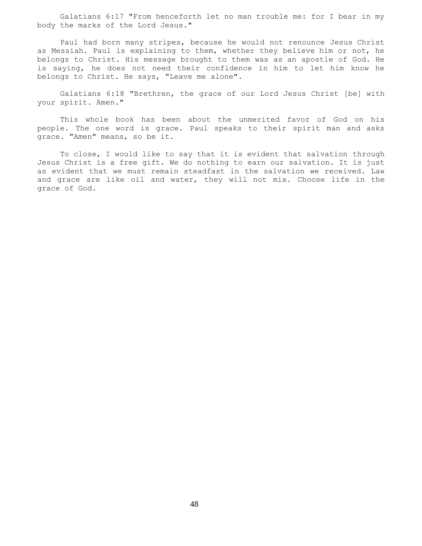Galatians 6:17 "From henceforth let no man trouble me: for I bear in my body the marks of the Lord Jesus."

 Paul had born many stripes, because he would not renounce Jesus Christ as Messiah. Paul is explaining to them, whether they believe him or not, he belongs to Christ. His message brought to them was as an apostle of God. He is saying, he does not need their confidence in him to let him know he belongs to Christ. He says, "Leave me alone".

 Galatians 6:18 "Brethren, the grace of our Lord Jesus Christ [be] with your spirit. Amen."

 This whole book has been about the unmerited favor of God on his people. The one word is grace. Paul speaks to their spirit man and asks grace. "Amen" means, so be it.

 To close, I would like to say that it is evident that salvation through Jesus Christ is a free gift. We do nothing to earn our salvation. It is just as evident that we must remain steadfast in the salvation we received. Law and grace are like oil and water, they will not mix. Choose life in the grace of God.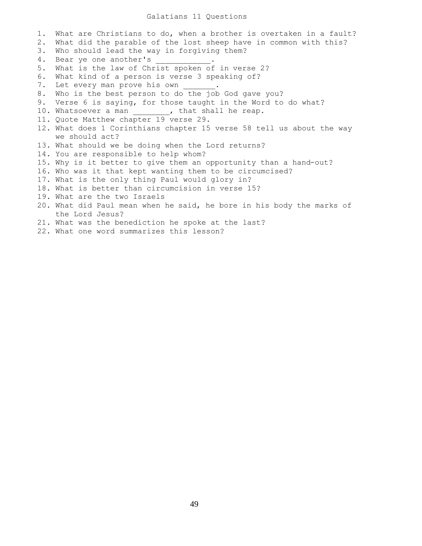## Galatians 11 Questions

1. What are Christians to do, when a brother is overtaken in a fault? 2. What did the parable of the lost sheep have in common with this? 3. Who should lead the way in forgiving them? 4. Bear ye one another's 5. What is the law of Christ spoken of in verse 2? 6. What kind of a person is verse 3 speaking of? 7. Let every man prove his own 8. Who is the best person to do the job God gave you? 9. Verse 6 is saying, for those taught in the Word to do what? 10. Whatsoever a man \_\_\_\_\_\_\_, that shall he reap. 11. Quote Matthew chapter 19 verse 29. 12. What does 1 Corinthians chapter 15 verse 58 tell us about the way we should act? 13. What should we be doing when the Lord returns? 14. You are responsible to help whom? 15. Why is it better to give them an opportunity than a hand-out? 16. Who was it that kept wanting them to be circumcised? 17. What is the only thing Paul would glory in? 18. What is better than circumcision in verse 15? 19. What are the two Israels 20. What did Paul mean when he said, he bore in his body the marks of the Lord Jesus? 21. What was the benediction he spoke at the last?

22. What one word summarizes this lesson?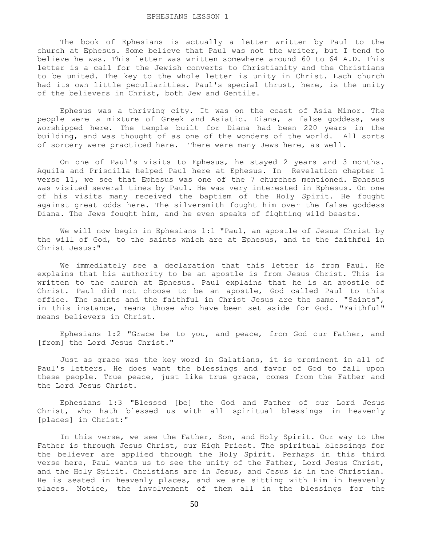#### EPHESIANS LESSON 1

 The book of Ephesians is actually a letter written by Paul to the church at Ephesus. Some believe that Paul was not the writer, but I tend to believe he was. This letter was written somewhere around 60 to 64 A.D. This letter is a call for the Jewish converts to Christianity and the Christians to be united. The key to the whole letter is unity in Christ. Each church had its own little peculiarities. Paul's special thrust, here, is the unity of the believers in Christ, both Jew and Gentile.

 Ephesus was a thriving city. It was on the coast of Asia Minor. The people were a mixture of Greek and Asiatic. Diana, a false goddess, was worshipped here. The temple built for Diana had been 220 years in the building, and was thought of as one of the wonders of the world. All sorts of sorcery were practiced here. There were many Jews here, as well.

 On one of Paul's visits to Ephesus, he stayed 2 years and 3 months. Aquila and Priscilla helped Paul here at Ephesus. In Revelation chapter 1 verse 11, we see that Ephesus was one of the 7 churches mentioned. Ephesus was visited several times by Paul. He was very interested in Ephesus. On one of his visits many received the baptism of the Holy Spirit. He fought against great odds here. The silversmith fought him over the false goddess Diana. The Jews fought him, and he even speaks of fighting wild beasts.

 We will now begin in Ephesians 1:1 "Paul, an apostle of Jesus Christ by the will of God, to the saints which are at Ephesus, and to the faithful in Christ Jesus:"

 We immediately see a declaration that this letter is from Paul. He explains that his authority to be an apostle is from Jesus Christ. This is written to the church at Ephesus. Paul explains that he is an apostle of Christ. Paul did not choose to be an apostle, God called Paul to this office. The saints and the faithful in Christ Jesus are the same. "Saints", in this instance, means those who have been set aside for God. "Faithful" means believers in Christ.

 Ephesians 1:2 "Grace be to you, and peace, from God our Father, and [from] the Lord Jesus Christ."

 Just as grace was the key word in Galatians, it is prominent in all of Paul's letters. He does want the blessings and favor of God to fall upon these people. True peace, just like true grace, comes from the Father and the Lord Jesus Christ.

 Ephesians 1:3 "Blessed [be] the God and Father of our Lord Jesus Christ, who hath blessed us with all spiritual blessings in heavenly [places] in Christ:"

 In this verse, we see the Father, Son, and Holy Spirit. Our way to the Father is through Jesus Christ, our High Priest. The spiritual blessings for the believer are applied through the Holy Spirit. Perhaps in this third verse here, Paul wants us to see the unity of the Father, Lord Jesus Christ, and the Holy Spirit. Christians are in Jesus, and Jesus is in the Christian. He is seated in heavenly places, and we are sitting with Him in heavenly places. Notice, the involvement of them all in the blessings for the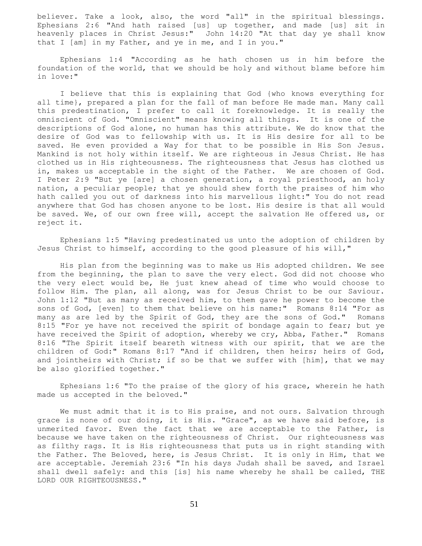believer. Take a look, also, the word "all" in the spiritual blessings. Ephesians 2:6 "And hath raised [us] up together, and made [us] sit in heavenly places in Christ Jesus:" John 14:20 "At that day ye shall know that I [am] in my Father, and ye in me, and I in you."

 Ephesians 1:4 "According as he hath chosen us in him before the foundation of the world, that we should be holy and without blame before him in love:"

 I believe that this is explaining that God {who knows everything for all time}, prepared a plan for the fall of man before He made man. Many call this predestination, I prefer to call it foreknowledge. It is really the omniscient of God. "Omniscient" means knowing all things. It is one of the descriptions of God alone, no human has this attribute. We do know that the desire of God was to fellowship with us. It is His desire for all to be saved. He even provided a Way for that to be possible in His Son Jesus. Mankind is not holy within itself. We are righteous in Jesus Christ. He has clothed us in His righteousness. The righteousness that Jesus has clothed us in, makes us acceptable in the sight of the Father. We are chosen of God. I Peter 2:9 "But ye [are] a chosen generation, a royal priesthood, an holy nation, a peculiar people; that ye should shew forth the praises of him who hath called you out of darkness into his marvellous light:" You do not read anywhere that God has chosen anyone to be lost. His desire is that all would be saved. We, of our own free will, accept the salvation He offered us, or reject it.

 Ephesians 1:5 "Having predestinated us unto the adoption of children by Jesus Christ to himself, according to the good pleasure of his will,"

 His plan from the beginning was to make us His adopted children. We see from the beginning, the plan to save the very elect. God did not choose who the very elect would be, He just knew ahead of time who would choose to follow Him. The plan, all along, was for Jesus Christ to be our Saviour. John 1:12 "But as many as received him, to them gave he power to become the sons of God, [even] to them that believe on his name:" Romans 8:14 "For as many as are led by the Spirit of God, they are the sons of God." Romans 8:15 "For ye have not received the spirit of bondage again to fear; but ye have received the Spirit of adoption, whereby we cry, Abba, Father." Romans 8:16 "The Spirit itself beareth witness with our spirit, that we are the children of God:" Romans 8:17 "And if children, then heirs; heirs of God, and jointheirs with Christ; if so be that we suffer with [him], that we may be also glorified together."

 Ephesians 1:6 "To the praise of the glory of his grace, wherein he hath made us accepted in the beloved."

 We must admit that it is to His praise, and not ours. Salvation through grace is none of our doing, it is His. "Grace", as we have said before, is unmerited favor. Even the fact that we are acceptable to the Father, is because we have taken on the righteousness of Christ. Our righteousness was as filthy rags. It is His righteousness that puts us in right standing with the Father. The Beloved, here, is Jesus Christ. It is only in Him, that we are acceptable. Jeremiah 23:6 "In his days Judah shall be saved, and Israel shall dwell safely: and this [is] his name whereby he shall be called, THE LORD OUR RIGHTEOUSNESS."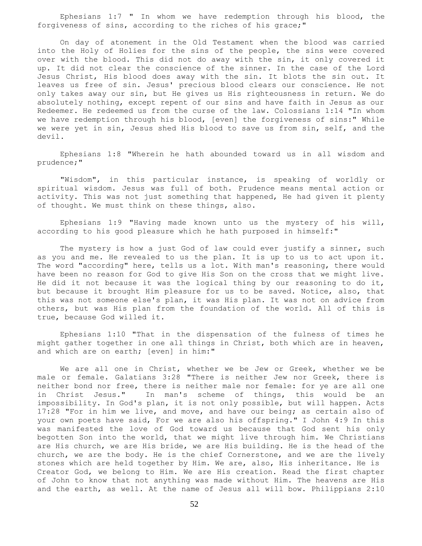Ephesians 1:7 " In whom we have redemption through his blood, the forgiveness of sins, according to the riches of his grace;"

 On day of atonement in the Old Testament when the blood was carried into the Holy of Holies for the sins of the people, the sins were covered over with the blood. This did not do away with the sin, it only covered it up. It did not clear the conscience of the sinner. In the case of the Lord Jesus Christ, His blood does away with the sin. It blots the sin out. It leaves us free of sin. Jesus' precious blood clears our conscience. He not only takes away our sin, but He gives us His righteousness in return. We do absolutely nothing, except repent of our sins and have faith in Jesus as our Redeemer. He redeemed us from the curse of the law. Colossians 1:14 "In whom we have redemption through his blood, [even] the forgiveness of sins:" While we were yet in sin, Jesus shed His blood to save us from sin, self, and the devil.

 Ephesians 1:8 "Wherein he hath abounded toward us in all wisdom and prudence;"

 "Wisdom", in this particular instance, is speaking of worldly or spiritual wisdom. Jesus was full of both. Prudence means mental action or activity. This was not just something that happened, He had given it plenty of thought. We must think on these things, also.

 Ephesians 1:9 "Having made known unto us the mystery of his will, according to his good pleasure which he hath purposed in himself:"

The mystery is how a just God of law could ever justify a sinner, such as you and me. He revealed to us the plan. It is up to us to act upon it. The word "according" here, tells us a lot. With man's reasoning, there would have been no reason for God to give His Son on the cross that we might live. He did it not because it was the logical thing by our reasoning to do it, but because it brought Him pleasure for us to be saved. Notice, also, that this was not someone else's plan, it was His plan. It was not on advice from others, but was His plan from the foundation of the world. All of this is true, because God willed it.

 Ephesians 1:10 "That in the dispensation of the fulness of times he might gather together in one all things in Christ, both which are in heaven, and which are on earth; [even] in him:"

 We are all one in Christ, whether we be Jew or Greek, whether we be male or female. Galatians 3:28 "There is neither Jew nor Greek, there is neither bond nor free, there is neither male nor female: for ye are all one in Christ Jesus." In man's scheme of things, this would be an impossibility. In God's plan, it is not only possible, but will happen. Acts 17:28 "For in him we live, and move, and have our being; as certain also of your own poets have said, For we are also his offspring." I John 4:9 In this was manifested the love of God toward us because that God sent his only begotten Son into the world, that we might live through him. We Christians are His church, we are His bride, we are His building. He is the head of the church, we are the body. He is the chief Cornerstone, and we are the lively stones which are held together by Him. We are, also, His inheritance. He is Creator God, we belong to Him. We are His creation. Read the first chapter of John to know that not anything was made without Him. The heavens are His and the earth, as well. At the name of Jesus all will bow. Philippians 2:10

52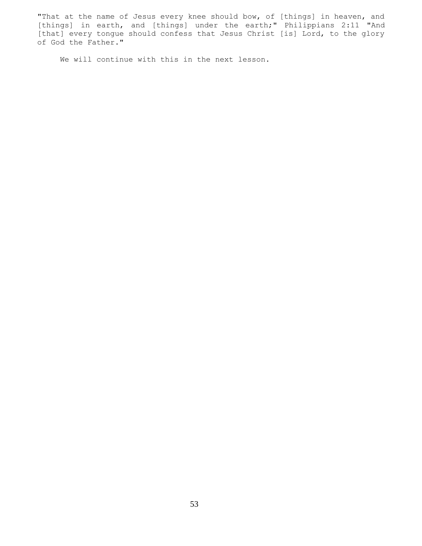"That at the name of Jesus every knee should bow, of [things] in heaven, and [things] in earth, and [things] under the earth;" Philippians 2:11 "And [that] every tongue should confess that Jesus Christ [is] Lord, to the glory of God the Father."

We will continue with this in the next lesson.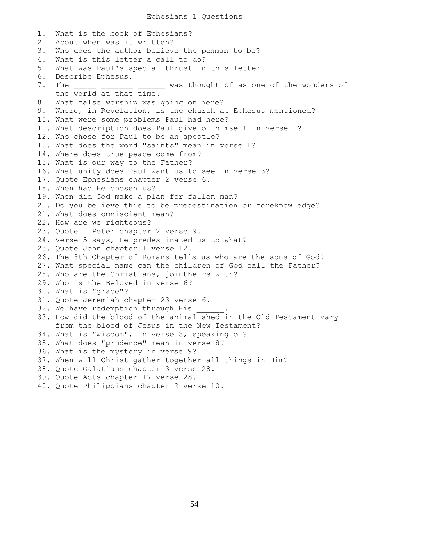### Ephesians 1 Questions

1. What is the book of Ephesians? 2. About when was it written? 3. Who does the author believe the penman to be? 4. What is this letter a call to do? 5. What was Paul's special thrust in this letter? 6. Describe Ephesus. 7. The \_\_\_\_\_ \_\_\_\_ \_\_\_ was thought of as one of the wonders of the world at that time. 8. What false worship was going on here? 9. Where, in Revelation, is the church at Ephesus mentioned? 10. What were some problems Paul had here? 11. What description does Paul give of himself in verse 1? 12. Who chose for Paul to be an apostle? 13. What does the word "saints" mean in verse 1? 14. Where does true peace come from? 15. What is our way to the Father? 16. What unity does Paul want us to see in verse 3? 17. Quote Ephesians chapter 2 verse 6. 18. When had He chosen us? 19. When did God make a plan for fallen man? 20. Do you believe this to be predestination or foreknowledge? 21. What does omniscient mean? 22. How are we righteous? 23. Quote 1 Peter chapter 2 verse 9. 24. Verse 5 says, He predestinated us to what? 25. Quote John chapter 1 verse 12. 26. The 8th Chapter of Romans tells us who are the sons of God? 27. What special name can the children of God call the Father? 28. Who are the Christians, jointheirs with? 29. Who is the Beloved in verse 6? 30. What is "grace"? 31. Quote Jeremiah chapter 23 verse 6. 32. We have redemption through His 33. How did the blood of the animal shed in the Old Testament vary from the blood of Jesus in the New Testament? 34. What is "wisdom", in verse 8, speaking of? 35. What does "prudence" mean in verse 8? 36. What is the mystery in verse 9? 37. When will Christ gather together all things in Him? 38. Quote Galatians chapter 3 verse 28. 39. Quote Acts chapter 17 verse 28. 40. Quote Philippians chapter 2 verse 10.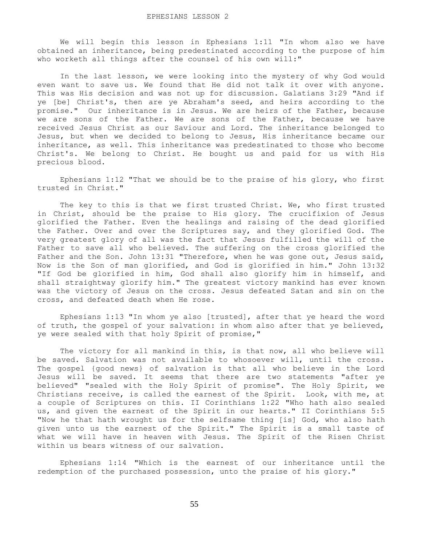We will begin this lesson in Ephesians 1:11 "In whom also we have obtained an inheritance, being predestinated according to the purpose of him who worketh all things after the counsel of his own will:"

 In the last lesson, we were looking into the mystery of why God would even want to save us. We found that He did not talk it over with anyone. This was His decision and was not up for discussion. Galatians 3:29 "And if ye [be] Christ's, then are ye Abraham's seed, and heirs according to the promise." Our inheritance is in Jesus. We are heirs of the Father, because we are sons of the Father. We are sons of the Father, because we have received Jesus Christ as our Saviour and Lord. The inheritance belonged to Jesus, but when we decided to belong to Jesus, His inheritance became our inheritance, as well. This inheritance was predestinated to those who become Christ's. We belong to Christ. He bought us and paid for us with His precious blood.

 Ephesians 1:12 "That we should be to the praise of his glory, who first trusted in Christ."

 The key to this is that we first trusted Christ. We, who first trusted in Christ, should be the praise to His glory. The crucifixion of Jesus glorified the Father. Even the healings and raising of the dead glorified the Father. Over and over the Scriptures say, and they glorified God. The very greatest glory of all was the fact that Jesus fulfilled the will of the Father to save all who believed. The suffering on the cross glorified the Father and the Son. John 13:31 "Therefore, when he was gone out, Jesus said, Now is the Son of man glorified, and God is glorified in him." John 13:32 "If God be glorified in him, God shall also glorify him in himself, and shall straightway glorify him." The greatest victory mankind has ever known was the victory of Jesus on the cross. Jesus defeated Satan and sin on the cross, and defeated death when He rose.

 Ephesians 1:13 "In whom ye also [trusted], after that ye heard the word of truth, the gospel of your salvation: in whom also after that ye believed, ye were sealed with that holy Spirit of promise,"

 The victory for all mankind in this, is that now, all who believe will be saved. Salvation was not available to whosoever will, until the cross. The gospel {good news} of salvation is that all who believe in the Lord Jesus will be saved. It seems that there are two statements "after ye believed" "sealed with the Holy Spirit of promise". The Holy Spirit, we Christians receive, is called the earnest of the Spirit. Look, with me, at a couple of Scriptures on this. II Corinthians 1:22 "Who hath also sealed us, and given the earnest of the Spirit in our hearts." II Corinthians 5:5 "Now he that hath wrought us for the selfsame thing [is] God, who also hath given unto us the earnest of the Spirit." The Spirit is a small taste of what we will have in heaven with Jesus. The Spirit of the Risen Christ within us bears witness of our salvation.

 Ephesians 1:14 "Which is the earnest of our inheritance until the redemption of the purchased possession, unto the praise of his glory."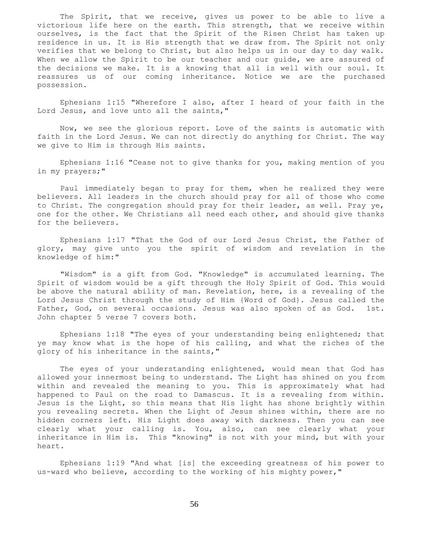The Spirit, that we receive, gives us power to be able to live a victorious life here on the earth. This strength, that we receive within ourselves, is the fact that the Spirit of the Risen Christ has taken up residence in us. It is His strength that we draw from. The Spirit not only verifies that we belong to Christ, but also helps us in our day to day walk. When we allow the Spirit to be our teacher and our quide, we are assured of the decisions we make. It is a knowing that all is well with our soul. It reassures us of our coming inheritance. Notice we are the purchased possession.

 Ephesians 1:15 "Wherefore I also, after I heard of your faith in the Lord Jesus, and love unto all the saints,"

 Now, we see the glorious report. Love of the saints is automatic with faith in the Lord Jesus. We can not directly do anything for Christ. The way we give to Him is through His saints.

 Ephesians 1:16 "Cease not to give thanks for you, making mention of you in my prayers;"

 Paul immediately began to pray for them, when he realized they were believers. All leaders in the church should pray for all of those who come to Christ. The congregation should pray for their leader, as well. Pray ye, one for the other. We Christians all need each other, and should give thanks for the believers.

 Ephesians 1:17 "That the God of our Lord Jesus Christ, the Father of glory, may give unto you the spirit of wisdom and revelation in the knowledge of him:"

 "Wisdom" is a gift from God. "Knowledge" is accumulated learning. The Spirit of wisdom would be a gift through the Holy Spirit of God. This would be above the natural ability of man. Revelation, here, is a revealing of the Lord Jesus Christ through the study of Him {Word of God}. Jesus called the Father, God, on several occasions. Jesus was also spoken of as God. 1st. John chapter 5 verse 7 covers both.

 Ephesians 1:18 "The eyes of your understanding being enlightened; that ye may know what is the hope of his calling, and what the riches of the glory of his inheritance in the saints,"

 The eyes of your understanding enlightened, would mean that God has allowed your innermost being to understand. The Light has shined on you from within and revealed the meaning to you. This is approximately what had happened to Paul on the road to Damascus. It is a revealing from within. Jesus is the Light, so this means that His light has shone brightly within you revealing secrets. When the Light of Jesus shines within, there are no hidden corners left. His Light does away with darkness. Then you can see clearly what your calling is. You, also, can see clearly what your inheritance in Him is. This "knowing" is not with your mind, but with your heart.

 Ephesians 1:19 "And what [is] the exceeding greatness of his power to us-ward who believe, according to the working of his mighty power,"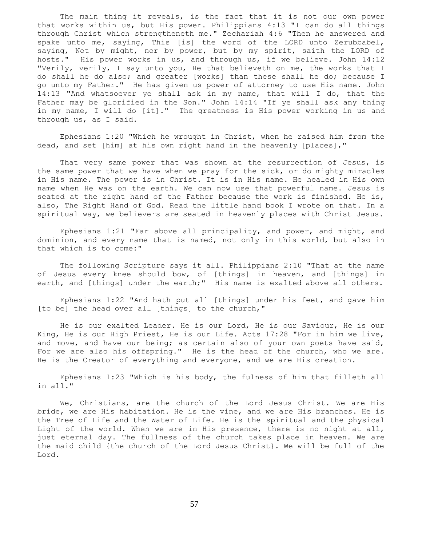The main thing it reveals, is the fact that it is not our own power that works within us, but His power. Philippians 4:13 "I can do all things through Christ which strengtheneth me." Zechariah 4:6 "Then he answered and spake unto me, saying, This [is] the word of the LORD unto Zerubbabel, saying, Not by might, nor by power, but by my spirit, saith the LORD of hosts." His power works in us, and through us, if we believe. John 14:12 "Verily, verily, I say unto you, He that believeth on me, the works that I do shall he do also; and greater [works] than these shall he do; because I go unto my Father." He has given us power of attorney to use His name. John 14:13 "And whatsoever ye shall ask in my name, that will I do, that the Father may be glorified in the Son." John 14:14 "If ye shall ask any thing in my name, I will do [it]." The greatness is His power working in us and through us, as I said.

 Ephesians 1:20 "Which he wrought in Christ, when he raised him from the dead, and set [him] at his own right hand in the heavenly [places],"

That very same power that was shown at the resurrection of Jesus, is the same power that we have when we pray for the sick, or do mighty miracles in His name. The power is in Christ. It is in His name. He healed in His own name when He was on the earth. We can now use that powerful name. Jesus is seated at the right hand of the Father because the work is finished. He is, also, The Right Hand of God. Read the little hand book I wrote on that. In a spiritual way, we believers are seated in heavenly places with Christ Jesus.

 Ephesians 1:21 "Far above all principality, and power, and might, and dominion, and every name that is named, not only in this world, but also in that which is to come:"

 The following Scripture says it all. Philippians 2:10 "That at the name of Jesus every knee should bow, of [things] in heaven, and [things] in earth, and [things] under the earth;" His name is exalted above all others.

 Ephesians 1:22 "And hath put all [things] under his feet, and gave him [to be] the head over all [things] to the church,"

 He is our exalted Leader. He is our Lord, He is our Saviour, He is our King, He is our High Priest, He is our Life. Acts 17:28 "For in him we live, and move, and have our being; as certain also of your own poets have said, For we are also his offspring." He is the head of the church, who we are. He is the Creator of everything and everyone, and we are His creation.

 Ephesians 1:23 "Which is his body, the fulness of him that filleth all in all."

 We, Christians, are the church of the Lord Jesus Christ. We are His bride, we are His habitation. He is the vine, and we are His branches. He is the Tree of Life and the Water of Life. He is the spiritual and the physical Light of the world. When we are in His presence, there is no night at all, just eternal day. The fullness of the church takes place in heaven. We are the maid child {the church of the Lord Jesus Christ}. We will be full of the Lord.

57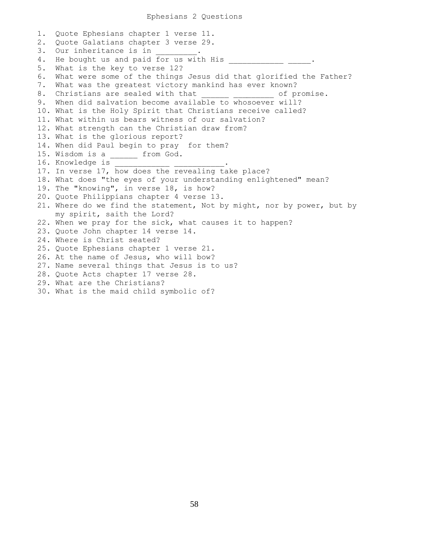1. Quote Ephesians chapter 1 verse 11. 2. Quote Galatians chapter 3 verse 29. 3. Our inheritance is in 4. He bought us and paid for us with His \_\_\_\_\_\_\_\_\_\_\_\_\_ \_\_\_\_\_. 5. What is the key to verse 12? 6. What were some of the things Jesus did that glorified the Father? 7. What was the greatest victory mankind has ever known? 8. Christians are sealed with that  $\qquad \qquad$  of promise. 9. When did salvation become available to whosoever will? 10. What is the Holy Spirit that Christians receive called? 11. What within us bears witness of our salvation? 12. What strength can the Christian draw from? 13. What is the glorious report? 14. When did Paul begin to pray for them? 15. Wisdom is a \_\_\_\_\_\_ from God. 16. Knowledge is 17. In verse 17, how does the revealing take place? 18. What does "the eyes of your understanding enlightened" mean? 19. The "knowing", in verse 18, is how? 20. Quote Philippians chapter 4 verse 13. 21. Where do we find the statement, Not by might, nor by power, but by my spirit, saith the Lord? 22. When we pray for the sick, what causes it to happen? 23. Quote John chapter 14 verse 14. 24. Where is Christ seated? 25. Quote Ephesians chapter 1 verse 21. 26. At the name of Jesus, who will bow? 27. Name several things that Jesus is to us? 28. Quote Acts chapter 17 verse 28. 29. What are the Christians? 30. What is the maid child symbolic of?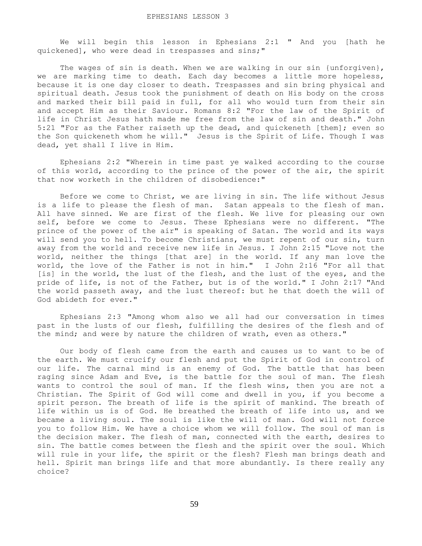We will begin this lesson in Ephesians 2:1 " And you [hath he quickened], who were dead in trespasses and sins;"

The wages of sin is death. When we are walking in our sin {unforgiven}, we are marking time to death. Each day becomes a little more hopeless, because it is one day closer to death. Trespasses and sin bring physical and spiritual death. Jesus took the punishment of death on His body on the cross and marked their bill paid in full, for all who would turn from their sin and accept Him as their Saviour. Romans 8:2 "For the law of the Spirit of life in Christ Jesus hath made me free from the law of sin and death." John 5:21 "For as the Father raiseth up the dead, and quickeneth [them]; even so the Son quickeneth whom he will." Jesus is the Spirit of Life. Though I was dead, yet shall I live in Him.

 Ephesians 2:2 "Wherein in time past ye walked according to the course of this world, according to the prince of the power of the air, the spirit that now worketh in the children of disobedience:"

 Before we come to Christ, we are living in sin. The life without Jesus is a life to please the flesh of man. Satan appeals to the flesh of man. All have sinned. We are first of the flesh. We live for pleasing our own self, before we come to Jesus. These Ephesians were no different. "The prince of the power of the air" is speaking of Satan. The world and its ways will send you to hell. To become Christians, we must repent of our sin, turn away from the world and receive new life in Jesus. I John 2:15 "Love not the world, neither the things [that are] in the world. If any man love the world, the love of the Father is not in him." I John 2:16 "For all that [is] in the world, the lust of the flesh, and the lust of the eyes, and the pride of life, is not of the Father, but is of the world." I John 2:17 "And the world passeth away, and the lust thereof: but he that doeth the will of God abideth for ever."

 Ephesians 2:3 "Among whom also we all had our conversation in times past in the lusts of our flesh, fulfilling the desires of the flesh and of the mind; and were by nature the children of wrath, even as others."

 Our body of flesh came from the earth and causes us to want to be of the earth. We must crucify our flesh and put the Spirit of God in control of our life. The carnal mind is an enemy of God. The battle that has been raging since Adam and Eve, is the battle for the soul of man. The flesh wants to control the soul of man. If the flesh wins, then you are not a Christian. The Spirit of God will come and dwell in you, if you become a spirit person. The breath of life is the spirit of mankind. The breath of life within us is of God. He breathed the breath of life into us, and we became a living soul. The soul is like the will of man. God will not force you to follow Him. We have a choice whom we will follow. The soul of man is the decision maker. The flesh of man, connected with the earth, desires to sin. The battle comes between the flesh and the spirit over the soul. Which will rule in your life, the spirit or the flesh? Flesh man brings death and hell. Spirit man brings life and that more abundantly. Is there really any choice?

59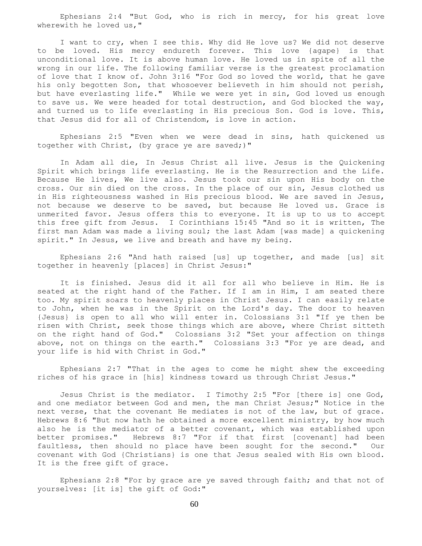Ephesians 2:4 "But God, who is rich in mercy, for his great love wherewith he loved us,"

 I want to cry, when I see this. Why did He love us? We did not deserve to be loved. His mercy endureth forever. This love {agape} is that unconditional love. It is above human love. He loved us in spite of all the wrong in our life. The following familiar verse is the greatest proclamation of love that I know of. John 3:16 "For God so loved the world, that he gave his only begotten Son, that whosoever believeth in him should not perish, but have everlasting life." While we were yet in sin, God loved us enough to save us. We were headed for total destruction, and God blocked the way, and turned us to life everlasting in His precious Son. God is love. This, that Jesus did for all of Christendom, is love in action.

 Ephesians 2:5 "Even when we were dead in sins, hath quickened us together with Christ, (by grace ye are saved;)"

 In Adam all die, In Jesus Christ all live. Jesus is the Quickening Spirit which brings life everlasting. He is the Resurrection and the Life. Because He lives, We live also. Jesus took our sin upon His body on the cross. Our sin died on the cross. In the place of our sin, Jesus clothed us in His righteousness washed in His precious blood. We are saved in Jesus, not because we deserve to be saved, but because He loved us. Grace is unmerited favor. Jesus offers this to everyone. It is up to us to accept this free gift from Jesus. I Corinthians 15:45 "And so it is written, The first man Adam was made a living soul; the last Adam [was made] a quickening spirit." In Jesus, we live and breath and have my being.

 Ephesians 2:6 "And hath raised [us] up together, and made [us] sit together in heavenly [places] in Christ Jesus:"

 It is finished. Jesus did it all for all who believe in Him. He is seated at the right hand of the Father. If I am in Him, I am seated there too. My spirit soars to heavenly places in Christ Jesus. I can easily relate to John, when he was in the Spirit on the Lord's day. The door to heaven {Jesus} is open to all who will enter in. Colossians 3:1 "If ye then be risen with Christ, seek those things which are above, where Christ sitteth on the right hand of God." Colossians 3:2 "Set your affection on things above, not on things on the earth." Colossians 3:3 "For ye are dead, and your life is hid with Christ in God."

 Ephesians 2:7 "That in the ages to come he might shew the exceeding riches of his grace in [his] kindness toward us through Christ Jesus."

 Jesus Christ is the mediator. I Timothy 2:5 "For [there is] one God, and one mediator between God and men, the man Christ Jesus;" Notice in the next verse, that the covenant He mediates is not of the law, but of grace. Hebrews 8:6 "But now hath he obtained a more excellent ministry, by how much also he is the mediator of a better covenant, which was established upon better promises." Hebrews 8:7 "For if that first [covenant] had been faultless, then should no place have been sought for the second." Our covenant with God {Christians} is one that Jesus sealed with His own blood. It is the free gift of grace.

 Ephesians 2:8 "For by grace are ye saved through faith; and that not of yourselves: [it is] the gift of God:"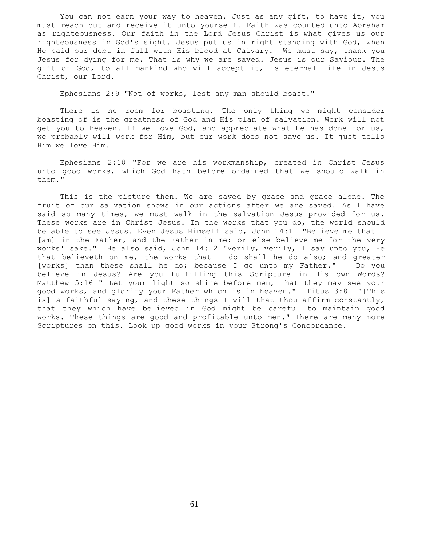You can not earn your way to heaven. Just as any gift, to have it, you must reach out and receive it unto yourself. Faith was counted unto Abraham as righteousness. Our faith in the Lord Jesus Christ is what gives us our righteousness in God's sight. Jesus put us in right standing with God, when He paid our debt in full with His blood at Calvary. We must say, thank you Jesus for dying for me. That is why we are saved. Jesus is our Saviour. The gift of God, to all mankind who will accept it, is eternal life in Jesus Christ, our Lord.

Ephesians 2:9 "Not of works, lest any man should boast."

 There is no room for boasting. The only thing we might consider boasting of is the greatness of God and His plan of salvation. Work will not get you to heaven. If we love God, and appreciate what He has done for us, we probably will work for Him, but our work does not save us. It just tells Him we love Him.

 Ephesians 2:10 "For we are his workmanship, created in Christ Jesus unto good works, which God hath before ordained that we should walk in them."

 This is the picture then. We are saved by grace and grace alone. The fruit of our salvation shows in our actions after we are saved. As I have said so many times, we must walk in the salvation Jesus provided for us. These works are in Christ Jesus. In the works that you do, the world should be able to see Jesus. Even Jesus Himself said, John 14:11 "Believe me that I [am] in the Father, and the Father in me: or else believe me for the very works' sake." He also said, John 14:12 "Verily, verily, I say unto you, He that believeth on me, the works that I do shall he do also; and greater [works] than these shall he do; because I go unto my Father." Do you believe in Jesus? Are you fulfilling this Scripture in His own Words? Matthew 5:16 " Let your light so shine before men, that they may see your good works, and glorify your Father which is in heaven." Titus 3:8 "[This is] a faithful saying, and these things I will that thou affirm constantly, that they which have believed in God might be careful to maintain good works. These things are good and profitable unto men." There are many more Scriptures on this. Look up good works in your Strong's Concordance.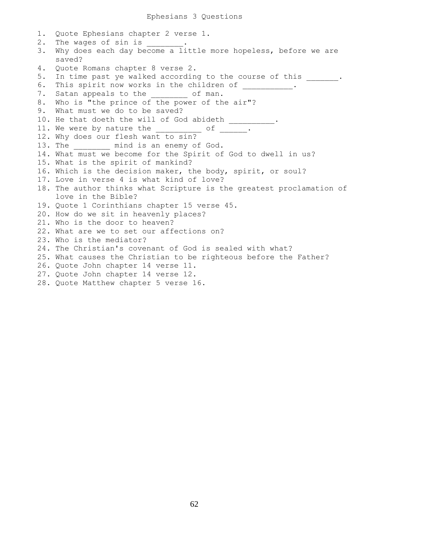| 1. | Quote Ephesians chapter 2 verse 1.                                                         |
|----|--------------------------------------------------------------------------------------------|
| 2. | The wages of sin is ________.                                                              |
| 3. | Why does each day become a little more hopeless, before we are<br>saved?                   |
| 4. | Quote Romans chapter 8 verse 2.                                                            |
| 5. | In time past ye walked according to the course of this                                     |
| 6. | This spirit now works in the children of .                                                 |
| 7. | Satan appeals to the ________ of man.                                                      |
| 8. | Who is "the prince of the power of the air"?                                               |
| 9. | What must we do to be saved?                                                               |
|    | 10. He that doeth the will of God abideth __________.                                      |
|    | 11. We were by nature the $\frac{1}{\sqrt{2}}$ of $\frac{1}{\sqrt{2}}$ .                   |
|    | 12. Why does our flesh want to sin?                                                        |
|    | 13. The _________ mind is an enemy of God.                                                 |
|    | 14. What must we become for the Spirit of God to dwell in us?                              |
|    | 15. What is the spirit of mankind?                                                         |
|    | 16. Which is the decision maker, the body, spirit, or soul?                                |
|    | 17. Love in verse 4 is what kind of love?                                                  |
|    | 18. The author thinks what Scripture is the greatest proclamation of<br>love in the Bible? |
|    | 19. Quote 1 Corinthians chapter 15 verse 45.                                               |
|    | 20. How do we sit in heavenly places?                                                      |
|    | 21. Who is the door to heaven?                                                             |
|    | 22. What are we to set our affections on?                                                  |
|    | 23. Who is the mediator?                                                                   |
|    | 24. The Christian's covenant of God is sealed with what?                                   |
|    | 25. What causes the Christian to be righteous before the Father?                           |
|    | 26. Quote John chapter 14 verse 11.                                                        |
|    | 27. Quote John chapter 14 verse 12.                                                        |
|    | 28. Quote Matthew chapter 5 verse 16.                                                      |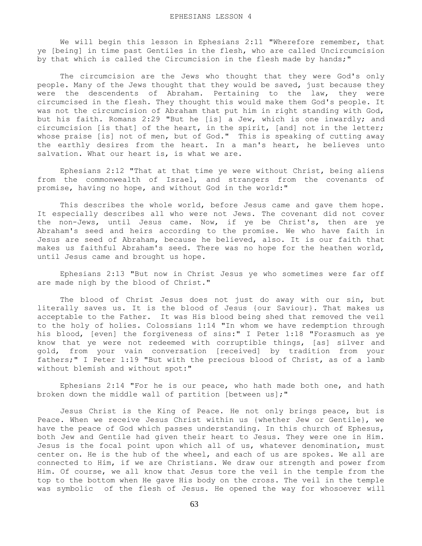We will begin this lesson in Ephesians 2:11 "Wherefore remember, that ye [being] in time past Gentiles in the flesh, who are called Uncircumcision by that which is called the Circumcision in the flesh made by hands;"

 The circumcision are the Jews who thought that they were God's only people. Many of the Jews thought that they would be saved, just because they were the descendents of Abraham. Pertaining to the law, they were circumcised in the flesh. They thought this would make them God's people. It was not the circumcision of Abraham that put him in right standing with God, but his faith. Romans 2:29 "But he [is] a Jew, which is one inwardly; and circumcision [is that] of the heart, in the spirit, [and] not in the letter; whose praise [is] not of men, but of God." This is speaking of cutting away the earthly desires from the heart. In a man's heart, he believes unto salvation. What our heart is, is what we are.

 Ephesians 2:12 "That at that time ye were without Christ, being aliens from the commonwealth of Israel, and strangers from the covenants of promise, having no hope, and without God in the world:"

This describes the whole world, before Jesus came and gave them hope. It especially describes all who were not Jews. The covenant did not cover the non-Jews, until Jesus came. Now, if ye be Christ's, then are ye Abraham's seed and heirs according to the promise. We who have faith in Jesus are seed of Abraham, because he believed, also. It is our faith that makes us faithful Abraham's seed. There was no hope for the heathen world, until Jesus came and brought us hope.

 Ephesians 2:13 "But now in Christ Jesus ye who sometimes were far off are made nigh by the blood of Christ."

 The blood of Christ Jesus does not just do away with our sin, but literally saves us. It is the blood of Jesus {our Saviour}. That makes us acceptable to the Father. It was His blood being shed that removed the veil to the holy of holies. Colossians 1:14 "In whom we have redemption through his blood, [even] the forgiveness of sins:" I Peter 1:18 "Forasmuch as ye know that ye were not redeemed with corruptible things, [as] silver and gold, from your vain conversation [received] by tradition from your fathers;" I Peter 1:19 "But with the precious blood of Christ, as of a lamb without blemish and without spot:"

 Ephesians 2:14 "For he is our peace, who hath made both one, and hath broken down the middle wall of partition [between us];"

 Jesus Christ is the King of Peace. He not only brings peace, but is Peace. When we receive Jesus Christ within us {whether Jew or Gentile}, we have the peace of God which passes understanding. In this church of Ephesus, both Jew and Gentile had given their heart to Jesus. They were one in Him. Jesus is the focal point upon which all of us, whatever denomination, must center on. He is the hub of the wheel, and each of us are spokes. We all are connected to Him, if we are Christians. We draw our strength and power from Him. Of course, we all know that Jesus tore the veil in the temple from the top to the bottom when He gave His body on the cross. The veil in the temple was symbolic of the flesh of Jesus. He opened the way for whosoever will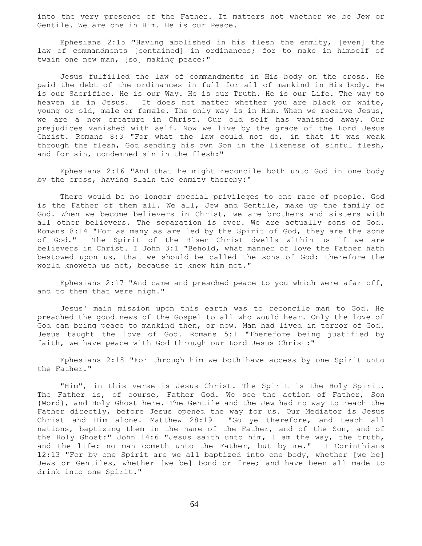into the very presence of the Father. It matters not whether we be Jew or Gentile. We are one in Him. He is our Peace.

 Ephesians 2:15 "Having abolished in his flesh the enmity, [even] the law of commandments [contained] in ordinances; for to make in himself of twain one new man, [so] making peace;"

 Jesus fulfilled the law of commandments in His body on the cross. He paid the debt of the ordinances in full for all of mankind in His body. He is our Sacrifice. He is our Way. He is our Truth. He is our Life. The way to heaven is in Jesus. It does not matter whether you are black or white, young or old, male or female. The only way is in Him. When we receive Jesus, we are a new creature in Christ. Our old self has vanished away. Our prejudices vanished with self. Now we live by the grace of the Lord Jesus Christ. Romans 8:3 "For what the law could not do, in that it was weak through the flesh, God sending his own Son in the likeness of sinful flesh, and for sin, condemned sin in the flesh:"

 Ephesians 2:16 "And that he might reconcile both unto God in one body by the cross, having slain the enmity thereby:"

 There would be no longer special privileges to one race of people. God is the Father of them all. We all, Jew and Gentile, make up the family of God. When we become believers in Christ, we are brothers and sisters with all other believers. The separation is over. We are actually sons of God. Romans 8:14 "For as many as are led by the Spirit of God, they are the sons of God." The Spirit of the Risen Christ dwells within us if we are believers in Christ. I John 3:1 "Behold, what manner of love the Father hath bestowed upon us, that we should be called the sons of God: therefore the world knoweth us not, because it knew him not."

 Ephesians 2:17 "And came and preached peace to you which were afar off, and to them that were nigh."

 Jesus' main mission upon this earth was to reconcile man to God. He preached the good news of the Gospel to all who would hear. Only the love of God can bring peace to mankind then, or now. Man had lived in terror of God. Jesus taught the love of God. Romans 5:1 "Therefore being justified by faith, we have peace with God through our Lord Jesus Christ:"

 Ephesians 2:18 "For through him we both have access by one Spirit unto the Father."

 "Him", in this verse is Jesus Christ. The Spirit is the Holy Spirit. The Father is, of course, Father God. We see the action of Father, Son {Word}, and Holy Ghost here. The Gentile and the Jew had no way to reach the Father directly, before Jesus opened the way for us. Our Mediator is Jesus Christ and Him alone. Matthew 28:19 "Go ye therefore, and teach all nations, baptizing them in the name of the Father, and of the Son, and of the Holy Ghost:" John 14:6 "Jesus saith unto him, I am the way, the truth, and the life: no man cometh unto the Father, but by me." I Corinthians 12:13 "For by one Spirit are we all baptized into one body, whether [we be] Jews or Gentiles, whether [we be] bond or free; and have been all made to drink into one Spirit."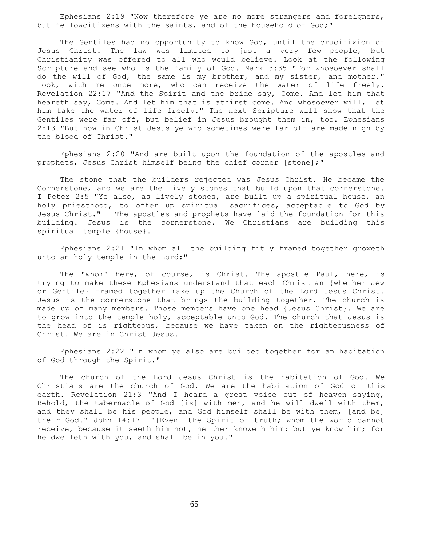Ephesians 2:19 "Now therefore ye are no more strangers and foreigners, but fellowcitizens with the saints, and of the household of God;"

 The Gentiles had no opportunity to know God, until the crucifixion of Jesus Christ. The law was limited to just a very few people, but Christianity was offered to all who would believe. Look at the following Scripture and see who is the family of God. Mark 3:35 "For whosoever shall do the will of God, the same is my brother, and my sister, and mother." Look, with me once more, who can receive the water of life freely. Revelation 22:17 "And the Spirit and the bride say, Come. And let him that heareth say, Come. And let him that is athirst come. And whosoever will, let him take the water of life freely." The next Scripture will show that the Gentiles were far off, but belief in Jesus brought them in, too. Ephesians 2:13 "But now in Christ Jesus ye who sometimes were far off are made nigh by the blood of Christ."

 Ephesians 2:20 "And are built upon the foundation of the apostles and prophets, Jesus Christ himself being the chief corner [stone];"

 The stone that the builders rejected was Jesus Christ. He became the Cornerstone, and we are the lively stones that build upon that cornerstone. I Peter 2:5 "Ye also, as lively stones, are built up a spiritual house, an holy priesthood, to offer up spiritual sacrifices, acceptable to God by Jesus Christ." The apostles and prophets have laid the foundation for this building. Jesus is the cornerstone. We Christians are building this spiritual temple {house}.

 Ephesians 2:21 "In whom all the building fitly framed together groweth unto an holy temple in the Lord:"

 The "whom" here, of course, is Christ. The apostle Paul, here, is trying to make these Ephesians understand that each Christian {whether Jew or Gentile} framed together make up the Church of the Lord Jesus Christ. Jesus is the cornerstone that brings the building together. The church is made up of many members. Those members have one head {Jesus Christ}. We are to grow into the temple holy, acceptable unto God. The church that Jesus is the head of is righteous, because we have taken on the righteousness of Christ. We are in Christ Jesus.

 Ephesians 2:22 "In whom ye also are builded together for an habitation of God through the Spirit."

 The church of the Lord Jesus Christ is the habitation of God. We Christians are the church of God. We are the habitation of God on this earth. Revelation 21:3 "And I heard a great voice out of heaven saying, Behold, the tabernacle of God [is] with men, and he will dwell with them, and they shall be his people, and God himself shall be with them, [and be] their God." John 14:17 "[Even] the Spirit of truth; whom the world cannot receive, because it seeth him not, neither knoweth him: but ye know him; for he dwelleth with you, and shall be in you."

65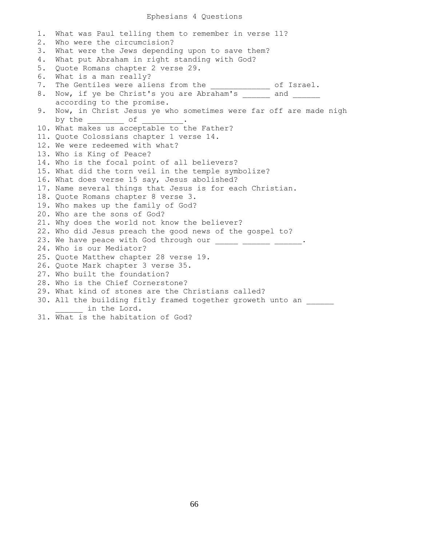# Ephesians 4 Questions

```
1. What was Paul telling them to remember in verse 11?
2. Who were the circumcision?
3. What were the Jews depending upon to save them?
4. What put Abraham in right standing with God?
5. Quote Romans chapter 2 verse 29.
6. What is a man really?
7. The Gentiles were aliens from the ______________ of Israel.
8. Now, if ye be Christ's you are Abraham's ______ and ____
    according to the promise.
9. Now, in Christ Jesus ye who sometimes were far off are made nigh
    by the \frac{1}{\sqrt{2}} of \frac{1}{\sqrt{2}}.
10. What makes us acceptable to the Father?
11. Quote Colossians chapter 1 verse 14.
12. We were redeemed with what?
13. Who is King of Peace?
14. Who is the focal point of all believers?
15. What did the torn veil in the temple symbolize?
16. What does verse 15 say, Jesus abolished?
17. Name several things that Jesus is for each Christian.
18. Quote Romans chapter 8 verse 3.
19. Who makes up the family of God?
20. Who are the sons of God?
21. Why does the world not know the believer?
22. Who did Jesus preach the good news of the gospel to?
23. We have peace with God through our _____ ______ ______.
24. Who is our Mediator?
25. Quote Matthew chapter 28 verse 19.
26. Quote Mark chapter 3 verse 35.
27. Who built the foundation?
28. Who is the Chief Cornerstone?
29. What kind of stones are the Christians called?
30. All the building fitly framed together groweth unto an
     in the Lord.
```
31. What is the habitation of God?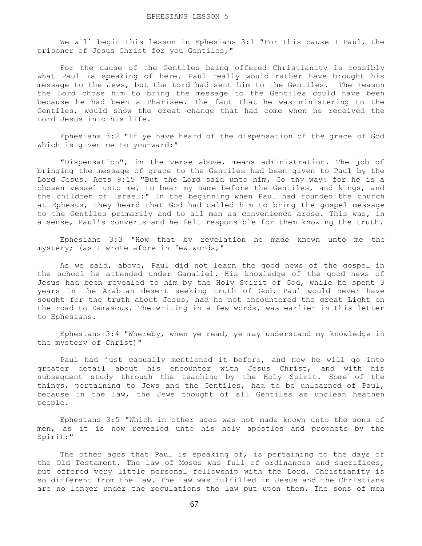We will begin this lesson in Ephesians 3:1 "For this cause I Paul, the prisoner of Jesus Christ for you Gentiles,"

 For the cause of the Gentiles being offered Christianity is possibly what Paul is speaking of here. Paul really would rather have brought his message to the Jews, but the Lord had sent him to the Gentiles. The reason the Lord chose him to bring the message to the Gentiles could have been because he had been a Pharisee. The fact that he was ministering to the Gentiles, would show the great change that had come when he received the Lord Jesus into his life.

 Ephesians 3:2 "If ye have heard of the dispensation of the grace of God which is given me to you-ward:"

 "Dispensation", in the verse above, means administration. The job of bringing the message of grace to the Gentiles had been given to Paul by the Lord Jesus. Acts 9:15 "But the Lord said unto him, Go thy way: for he is a chosen vessel unto me, to bear my name before the Gentiles, and kings, and the children of Israel:" In the beginning when Paul had founded the church at Ephesus, they heard that God had called him to bring the gospel message to the Gentiles primarily and to all men as convenience arose. This was, in a sense, Paul's converts and he felt responsible for them knowing the truth.

 Ephesians 3:3 "How that by revelation he made known unto me the mystery; (as I wrote afore in few words,"

 As we said, above, Paul did not learn the good news of the gospel in the school he attended under Gamaliel. His knowledge of the good news of Jesus had been revealed to him by the Holy Spirit of God, while he spent 3 years in the Arabian desert seeking truth of God. Paul would never have sought for the truth about Jesus, had he not encountered the great Light on the road to Damascus. The writing in a few words, was earlier in this letter to Ephesians.

 Ephesians 3:4 "Whereby, when ye read, ye may understand my knowledge in the mystery of Christ)"

 Paul had just casually mentioned it before, and now he will go into greater detail about his encounter with Jesus Christ, and with his subsequent study through the teaching by the Holy Spirit. Some of the things, pertaining to Jews and the Gentiles, had to be unlearned of Paul, because in the law, the Jews thought of all Gentiles as unclean heathen people.

 Ephesians 3:5 "Which in other ages was not made known unto the sons of men, as it is now revealed unto his holy apostles and prophets by the Spirit;"

The other ages that Paul is speaking of, is pertaining to the days of the Old Testament. The law of Moses was full of ordinances and sacrifices, but offered very little personal fellowship with the Lord. Christianity is so different from the law. The law was fulfilled in Jesus and the Christians are no longer under the regulations the law put upon them. The sons of men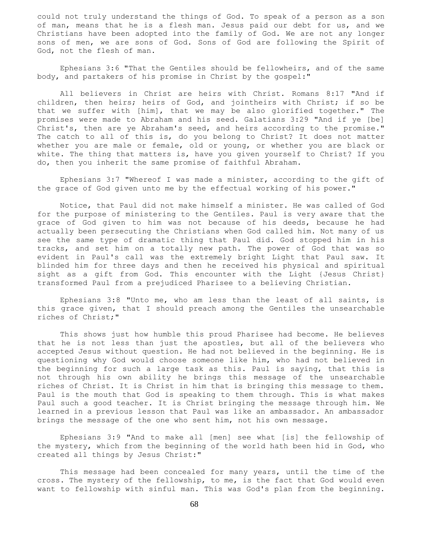could not truly understand the things of God. To speak of a person as a son of man, means that he is a flesh man. Jesus paid our debt for us, and we Christians have been adopted into the family of God. We are not any longer sons of men, we are sons of God. Sons of God are following the Spirit of God, not the flesh of man.

 Ephesians 3:6 "That the Gentiles should be fellowheirs, and of the same body, and partakers of his promise in Christ by the gospel:"

 All believers in Christ are heirs with Christ. Romans 8:17 "And if children, then heirs; heirs of God, and jointheirs with Christ; if so be that we suffer with [him], that we may be also glorified together." The promises were made to Abraham and his seed. Galatians 3:29 "And if ye [be] Christ's, then are ye Abraham's seed, and heirs according to the promise." The catch to all of this is, do you belong to Christ? It does not matter whether you are male or female, old or young, or whether you are black or white. The thing that matters is, have you given yourself to Christ? If you do, then you inherit the same promise of faithful Abraham.

 Ephesians 3:7 "Whereof I was made a minister, according to the gift of the grace of God given unto me by the effectual working of his power."

 Notice, that Paul did not make himself a minister. He was called of God for the purpose of ministering to the Gentiles. Paul is very aware that the grace of God given to him was not because of his deeds, because he had actually been persecuting the Christians when God called him. Not many of us see the same type of dramatic thing that Paul did. God stopped him in his tracks, and set him on a totally new path. The power of God that was so evident in Paul's call was the extremely bright Light that Paul saw. It blinded him for three days and then he received his physical and spiritual sight as a gift from God. This encounter with the Light {Jesus Christ} transformed Paul from a prejudiced Pharisee to a believing Christian.

 Ephesians 3:8 "Unto me, who am less than the least of all saints, is this grace given, that I should preach among the Gentiles the unsearchable riches of Christ;"

 This shows just how humble this proud Pharisee had become. He believes that he is not less than just the apostles, but all of the believers who accepted Jesus without question. He had not believed in the beginning. He is questioning why God would choose someone like him, who had not believed in the beginning for such a large task as this. Paul is saying, that this is not through his own ability he brings this message of the unsearchable riches of Christ. It is Christ in him that is bringing this message to them. Paul is the mouth that God is speaking to them through. This is what makes Paul such a good teacher. It is Christ bringing the message through him. We learned in a previous lesson that Paul was like an ambassador. An ambassador brings the message of the one who sent him, not his own message.

 Ephesians 3:9 "And to make all [men] see what [is] the fellowship of the mystery, which from the beginning of the world hath been hid in God, who created all things by Jesus Christ:"

 This message had been concealed for many years, until the time of the cross. The mystery of the fellowship, to me, is the fact that God would even want to fellowship with sinful man. This was God's plan from the beginning.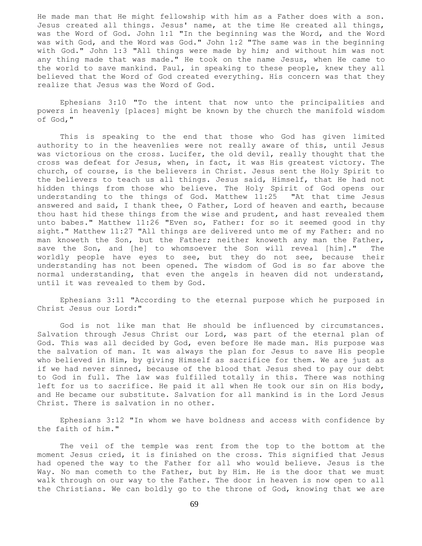He made man that He might fellowship with him as a Father does with a son. Jesus created all things. Jesus' name, at the time He created all things, was the Word of God. John 1:1 "In the beginning was the Word, and the Word was with God, and the Word was God." John 1:2 "The same was in the beginning with God." John 1:3 "All things were made by him; and without him was not any thing made that was made." He took on the name Jesus, when He came to the world to save mankind. Paul, in speaking to these people, knew they all believed that the Word of God created everything. His concern was that they realize that Jesus was the Word of God.

 Ephesians 3:10 "To the intent that now unto the principalities and powers in heavenly [places] might be known by the church the manifold wisdom of God,"

 This is speaking to the end that those who God has given limited authority to in the heavenlies were not really aware of this, until Jesus was victorious on the cross. Lucifer, the old devil, really thought that the cross was defeat for Jesus, when, in fact, it was His greatest victory. The church, of course, is the believers in Christ. Jesus sent the Holy Spirit to the believers to teach us all things. Jesus said, Himself, that He had not hidden things from those who believe. The Holy Spirit of God opens our understanding to the things of God. Matthew 11:25 "At that time Jesus answered and said, I thank thee, O Father, Lord of heaven and earth, because thou hast hid these things from the wise and prudent, and hast revealed them unto babes." Matthew 11:26 "Even so, Father: for so it seemed good in thy sight." Matthew 11:27 "All things are delivered unto me of my Father: and no man knoweth the Son, but the Father; neither knoweth any man the Father, save the Son, and [he] to whomsoever the Son will reveal [him]." The worldly people have eyes to see, but they do not see, because their understanding has not been opened. The wisdom of God is so far above the normal understanding, that even the angels in heaven did not understand, until it was revealed to them by God.

 Ephesians 3:11 "According to the eternal purpose which he purposed in Christ Jesus our Lord:"

 God is not like man that He should be influenced by circumstances. Salvation through Jesus Christ our Lord, was part of the eternal plan of God. This was all decided by God, even before He made man. His purpose was the salvation of man. It was always the plan for Jesus to save His people who believed in Him, by giving Himself as sacrifice for them. We are just as if we had never sinned, because of the blood that Jesus shed to pay our debt to God in full. The law was fulfilled totally in this. There was nothing left for us to sacrifice. He paid it all when He took our sin on His body, and He became our substitute. Salvation for all mankind is in the Lord Jesus Christ. There is salvation in no other.

 Ephesians 3:12 "In whom we have boldness and access with confidence by the faith of him."

 The veil of the temple was rent from the top to the bottom at the moment Jesus cried, it is finished on the cross. This signified that Jesus had opened the way to the Father for all who would believe. Jesus is the Way. No man cometh to the Father, but by Him. He is the door that we must walk through on our way to the Father. The door in heaven is now open to all the Christians. We can boldly go to the throne of God, knowing that we are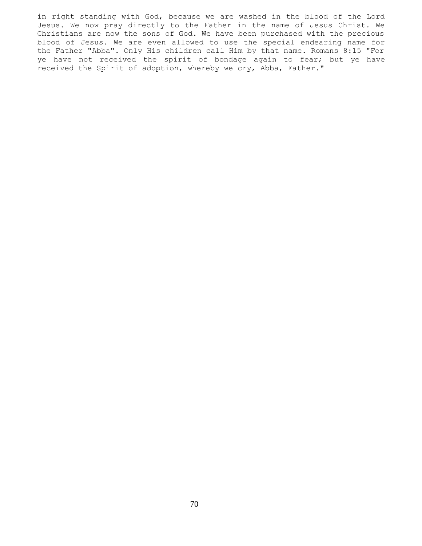in right standing with God, because we are washed in the blood of the Lord Jesus. We now pray directly to the Father in the name of Jesus Christ. We Christians are now the sons of God. We have been purchased with the precious blood of Jesus. We are even allowed to use the special endearing name for the Father "Abba". Only His children call Him by that name. Romans 8:15 "For ye have not received the spirit of bondage again to fear; but ye have received the Spirit of adoption, whereby we cry, Abba, Father."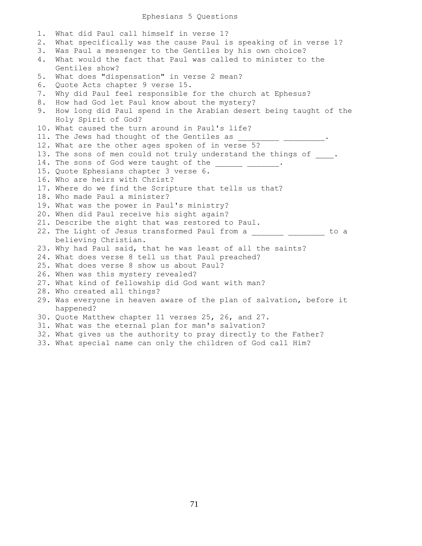## Ephesians 5 Questions

1. What did Paul call himself in verse 1? 2. What specifically was the cause Paul is speaking of in verse 1? 3. Was Paul a messenger to the Gentiles by his own choice? 4. What would the fact that Paul was called to minister to the Gentiles show? 5. What does "dispensation" in verse 2 mean? 6. Quote Acts chapter 9 verse 15. 7. Why did Paul feel responsible for the church at Ephesus? 8. How had God let Paul know about the mystery? 9. How long did Paul spend in the Arabian desert being taught of the Holy Spirit of God? 10. What caused the turn around in Paul's life? 11. The Jews had thought of the Gentiles as 12. What are the other ages spoken of in verse 5? 13. The sons of men could not truly understand the things of \_\_\_\_. 14. The sons of God were taught of the \_\_\_\_\_\_\_ \_\_\_\_\_\_\_. 15. Quote Ephesians chapter 3 verse 6. 16. Who are heirs with Christ? 17. Where do we find the Scripture that tells us that? 18. Who made Paul a minister? 19. What was the power in Paul's ministry? 20. When did Paul receive his sight again? 21. Describe the sight that was restored to Paul. 22. The Light of Jesus transformed Paul from a \_\_\_\_\_\_\_\_ \_\_\_\_\_\_\_\_\_ to a believing Christian. 23. Why had Paul said, that he was least of all the saints? 24. What does verse 8 tell us that Paul preached? 25. What does verse 8 show us about Paul? 26. When was this mystery revealed? 27. What kind of fellowship did God want with man? 28. Who created all things? 29. Was everyone in heaven aware of the plan of salvation, before it happened? 30. Quote Matthew chapter 11 verses 25, 26, and 27. 31. What was the eternal plan for man's salvation? 32. What gives us the authority to pray directly to the Father?

33. What special name can only the children of God call Him?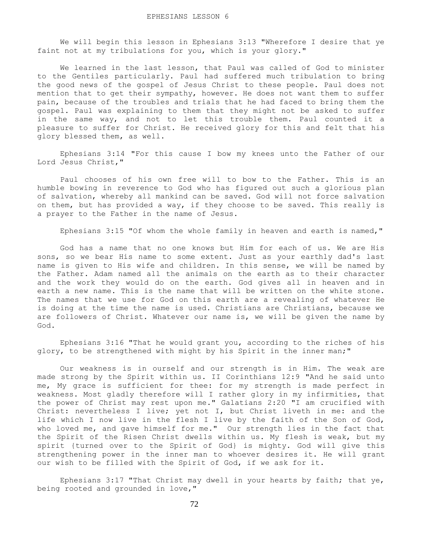We will begin this lesson in Ephesians 3:13 "Wherefore I desire that ye faint not at my tribulations for you, which is your glory."

 We learned in the last lesson, that Paul was called of God to minister to the Gentiles particularly. Paul had suffered much tribulation to bring the good news of the gospel of Jesus Christ to these people. Paul does not mention that to get their sympathy, however. He does not want them to suffer pain, because of the troubles and trials that he had faced to bring them the gospel. Paul was explaining to them that they might not be asked to suffer in the same way, and not to let this trouble them. Paul counted it a pleasure to suffer for Christ. He received glory for this and felt that his glory blessed them, as well.

 Ephesians 3:14 "For this cause I bow my knees unto the Father of our Lord Jesus Christ,"

 Paul chooses of his own free will to bow to the Father. This is an humble bowing in reverence to God who has figured out such a glorious plan of salvation, whereby all mankind can be saved. God will not force salvation on them, but has provided a way, if they choose to be saved. This really is a prayer to the Father in the name of Jesus.

Ephesians 3:15 "Of whom the whole family in heaven and earth is named,"

 God has a name that no one knows but Him for each of us. We are His sons, so we bear His name to some extent. Just as your earthly dad's last name is given to His wife and children. In this sense, we will be named by the Father. Adam named all the animals on the earth as to their character and the work they would do on the earth. God gives all in heaven and in earth a new name. This is the name that will be written on the white stone. The names that we use for God on this earth are a revealing of whatever He is doing at the time the name is used. Christians are Christians, because we are followers of Christ. Whatever our name is, we will be given the name by God.

 Ephesians 3:16 "That he would grant you, according to the riches of his glory, to be strengthened with might by his Spirit in the inner man;"

 Our weakness is in ourself and our strength is in Him. The weak are made strong by the Spirit within us. II Corinthians 12:9 "And he said unto me, My grace is sufficient for thee: for my strength is made perfect in weakness. Most gladly therefore will I rather glory in my infirmities, that the power of Christ may rest upon me." Galatians 2:20 "I am crucified with Christ: nevertheless I live; yet not I, but Christ liveth in me: and the life which I now live in the flesh I live by the faith of the Son of God, who loved me, and gave himself for me." Our strength lies in the fact that the Spirit of the Risen Christ dwells within us. My flesh is weak, but my spirit {turned over to the Spirit of God} is mighty. God will give this strengthening power in the inner man to whoever desires it. He will grant our wish to be filled with the Spirit of God, if we ask for it.

 Ephesians 3:17 "That Christ may dwell in your hearts by faith; that ye, being rooted and grounded in love,"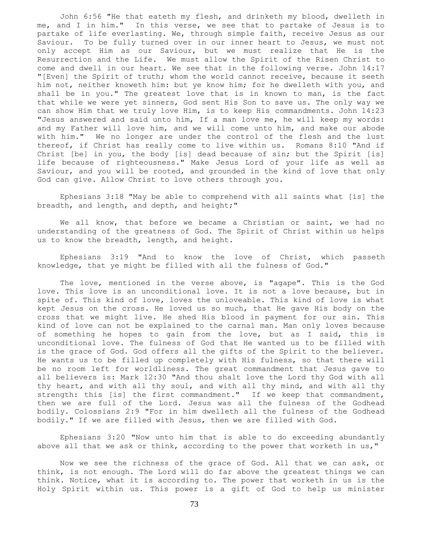John 6:56 "He that eateth my flesh, and drinketh my blood, dwelleth in me, and I in him." In this verse, we see that to partake of Jesus is to partake of life everlasting. We, through simple faith, receive Jesus as our Saviour. To be fully turned over in our inner heart to Jesus, we must not only accept Him as our Saviour, but we must realize that He is the Resurrection and the Life. We must allow the Spirit of the Risen Christ to come and dwell in our heart. We see that in the following verse. John 14:17 "[Even] the Spirit of truth; whom the world cannot receive, because it seeth him not, neither knoweth him: but ye know him; for he dwelleth with you, and shall be in you." The greatest love that is in known to man, is the fact that while we were yet sinners, God sent His Son to save us. The only way we can show Him that we truly love Him, is to keep His commandments. John 14:23 "Jesus answered and said unto him, If a man love me, he will keep my words: and my Father will love him, and we will come unto him, and make our abode with him." We no longer are under the control of the flesh and the lust thereof, if Christ has really come to live within us. Romans 8:10 "And if Christ [be] in you, the body [is] dead because of sin; but the Spirit [is] life because of righteousness." Make Jesus Lord of your life as well as Saviour, and you will be rooted, and grounded in the kind of love that only God can give. Allow Christ to love others through you.

 Ephesians 3:18 "May be able to comprehend with all saints what [is] the breadth, and length, and depth, and height;"

 We all know, that before we became a Christian or saint, we had no understanding of the greatness of God. The Spirit of Christ within us helps us to know the breadth, length, and height.

 Ephesians 3:19 "And to know the love of Christ, which passeth knowledge, that ye might be filled with all the fulness of God."

 The love, mentioned in the verse above, is "agape". This is the God love. This love is an unconditional love. It is not a love because, but in spite of. This kind of love, loves the unloveable. This kind of love is what kept Jesus on the cross. He loved us so much, that He gave His body on the cross that we might live. He shed His blood in payment for our sin. This kind of love can not be explained to the carnal man. Man only loves because of something he hopes to gain from the love, but as I said, this is unconditional love. The fulness of God that He wanted us to be filled with is the grace of God. God offers all the gifts of the Spirit to the believer. He wants us to be filled up completely with His fulness, so that there will be no room left for worldliness. The great commandment that Jesus gave to all believers is: Mark 12:30 "And thou shalt love the Lord thy God with all thy heart, and with all thy soul, and with all thy mind, and with all thy strength: this [is] the first commandment." If we keep that commandment, then we are full of the Lord. Jesus was all the fulness of the Godhead bodily. Colossians 2:9 "For in him dwelleth all the fulness of the Godhead bodily." If we are filled with Jesus, then we are filled with God.

 Ephesians 3:20 "Now unto him that is able to do exceeding abundantly above all that we ask or think, according to the power that worketh in us,"

 Now we see the richness of the grace of God. All that we can ask, or think, is not enough. The Lord will do far above the greatest things we can think. Notice, what it is according to. The power that worketh in us is the Holy Spirit within us. This power is a gift of God to help us minister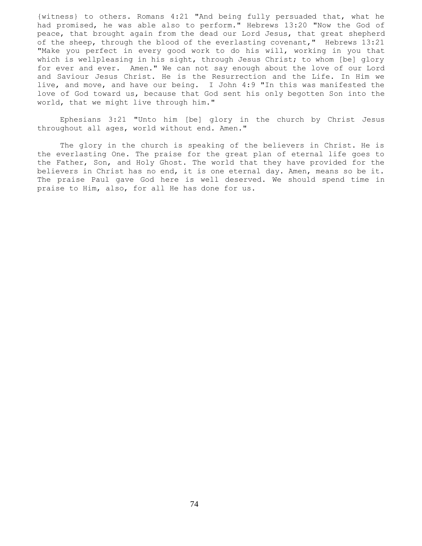{witness} to others. Romans 4:21 "And being fully persuaded that, what he had promised, he was able also to perform." Hebrews 13:20 "Now the God of peace, that brought again from the dead our Lord Jesus, that great shepherd of the sheep, through the blood of the everlasting covenant," Hebrews 13:21 "Make you perfect in every good work to do his will, working in you that which is wellpleasing in his sight, through Jesus Christ; to whom [be] glory for ever and ever. Amen." We can not say enough about the love of our Lord and Saviour Jesus Christ. He is the Resurrection and the Life. In Him we live, and move, and have our being. I John 4:9 "In this was manifested the love of God toward us, because that God sent his only begotten Son into the world, that we might live through him."

 Ephesians 3:21 "Unto him [be] glory in the church by Christ Jesus throughout all ages, world without end. Amen."

 The glory in the church is speaking of the believers in Christ. He is the everlasting One. The praise for the great plan of eternal life goes to the Father, Son, and Holy Ghost. The world that they have provided for the believers in Christ has no end, it is one eternal day. Amen, means so be it. The praise Paul gave God here is well deserved. We should spend time in praise to Him, also, for all He has done for us.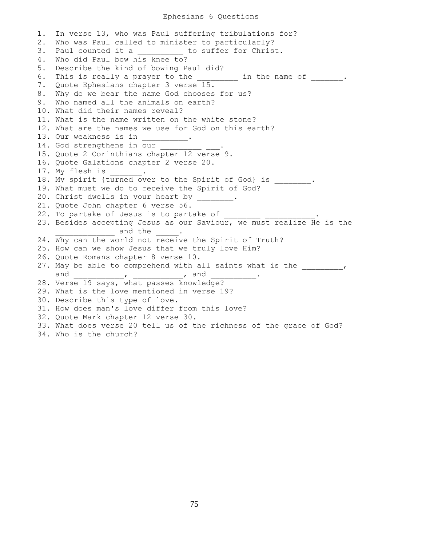## Ephesians 6 Questions

1. In verse 13, who was Paul suffering tribulations for? 2. Who was Paul called to minister to particularly? 3. Paul counted it a b to suffer for Christ. 4. Who did Paul bow his knee to? 5. Describe the kind of bowing Paul did? 6. This is really a prayer to the \_\_\_\_\_\_\_\_\_ in the name of \_\_\_\_\_\_\_. 7. Quote Ephesians chapter 3 verse 15. 8. Why do we bear the name God chooses for us? 9. Who named all the animals on earth? 10. What did their names reveal? 11. What is the name written on the white stone? 12. What are the names we use for God on this earth? 13. Our weakness is in 14. God strengthens in our 15. Quote 2 Corinthians chapter 12 verse 9. 16. Quote Galations chapter 2 verse 20. 17. My flesh is . 18. My spirit {turned over to the Spirit of God} is \_\_\_\_\_\_\_\_. 19. What must we do to receive the Spirit of God? 20. Christ dwells in your heart by \_\_\_ 21. Quote John chapter 6 verse 56. 22. To partake of Jesus is to partake of  $\overline{\phantom{a}}$ 23. Besides accepting Jesus as our Saviour, we must realize He is the and the  $\qquad \qquad .$ 24. Why can the world not receive the Spirit of Truth? 25. How can we show Jesus that we truly love Him? 26. Quote Romans chapter 8 verse 10. 27. May be able to comprehend with all saints what is the  $\qquad \qquad$ and \_\_\_\_\_\_\_\_\_\_\_\_\_\_\_\_\_, \_\_\_\_\_\_\_\_\_\_\_\_\_\_\_, and \_ 28. Verse 19 says, what passes knowledge? 29. What is the love mentioned in verse 19? 30. Describe this type of love. 31. How does man's love differ from this love? 32. Quote Mark chapter 12 verse 30. 33. What does verse 20 tell us of the richness of the grace of God? 34. Who is the church?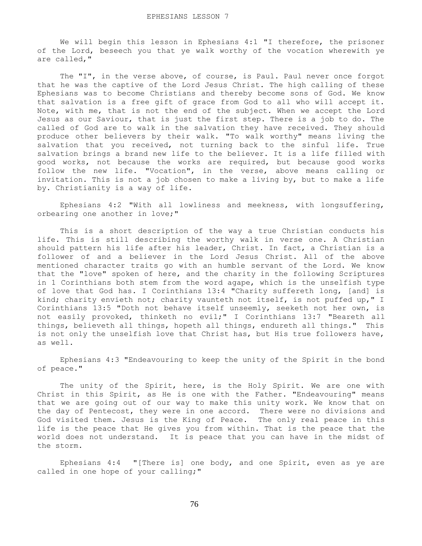We will begin this lesson in Ephesians 4:1 "I therefore, the prisoner of the Lord, beseech you that ye walk worthy of the vocation wherewith ye are called,"

The "I", in the verse above, of course, is Paul. Paul never once forgot that he was the captive of the Lord Jesus Christ. The high calling of these Ephesians was to become Christians and thereby become sons of God. We know that salvation is a free gift of grace from God to all who will accept it. Note, with me, that is not the end of the subject. When we accept the Lord Jesus as our Saviour, that is just the first step. There is a job to do. The called of God are to walk in the salvation they have received. They should produce other believers by their walk. "To walk worthy" means living the salvation that you received, not turning back to the sinful life. True salvation brings a brand new life to the believer. It is a life filled with good works, not because the works are required, but because good works follow the new life. "Vocation", in the verse, above means calling or invitation. This is not a job chosen to make a living by, but to make a life by. Christianity is a way of life.

 Ephesians 4:2 "With all lowliness and meekness, with longsuffering, orbearing one another in love;"

 This is a short description of the way a true Christian conducts his life. This is still describing the worthy walk in verse one. A Christian should pattern his life after his leader, Christ. In fact, a Christian is a follower of and a believer in the Lord Jesus Christ. All of the above mentioned character traits go with an humble servant of the Lord. We know that the "love" spoken of here, and the charity in the following Scriptures in 1 Corinthians both stem from the word agape, which is the unselfish type of love that God has. I Corinthians 13:4 "Charity suffereth long, [and] is kind; charity envieth not; charity vaunteth not itself, is not puffed up," I Corinthians 13:5 "Doth not behave itself unseemly, seeketh not her own, is not easily provoked, thinketh no evil;" I Corinthians 13:7 "Beareth all things, believeth all things, hopeth all things, endureth all things." This is not only the unselfish love that Christ has, but His true followers have, as well.

 Ephesians 4:3 "Endeavouring to keep the unity of the Spirit in the bond of peace."

The unity of the Spirit, here, is the Holy Spirit. We are one with Christ in this Spirit, as He is one with the Father. "Endeavouring" means that we are going out of our way to make this unity work. We know that on the day of Pentecost, they were in one accord. There were no divisions and God visited them. Jesus is the King of Peace. The only real peace in this life is the peace that He gives you from within. That is the peace that the world does not understand. It is peace that you can have in the midst of the storm.

 Ephesians 4:4 "[There is] one body, and one Spirit, even as ye are called in one hope of your calling;"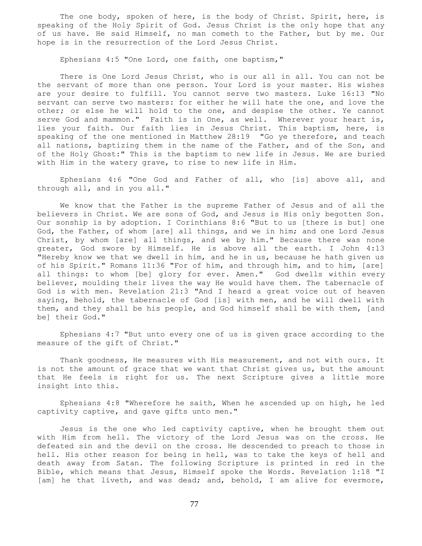The one body, spoken of here, is the body of Christ. Spirit, here, is speaking of the Holy Spirit of God. Jesus Christ is the only hope that any of us have. He said Himself, no man cometh to the Father, but by me. Our hope is in the resurrection of the Lord Jesus Christ.

Ephesians 4:5 "One Lord, one faith, one baptism,"

 There is One Lord Jesus Christ, who is our all in all. You can not be the servant of more than one person. Your Lord is your master. His wishes are your desire to fulfill. You cannot serve two masters. Luke 16:13 "No servant can serve two masters: for either he will hate the one, and love the other; or else he will hold to the one, and despise the other. Ye cannot serve God and mammon." Faith is in One, as well. Wherever your heart is, lies your faith. Our faith lies in Jesus Christ. This baptism, here, is speaking of the one mentioned in Matthew 28:19 "Go ye therefore, and teach all nations, baptizing them in the name of the Father, and of the Son, and of the Holy Ghost:" This is the baptism to new life in Jesus. We are buried with Him in the watery grave, to rise to new life in Him.

 Ephesians 4:6 "One God and Father of all, who [is] above all, and through all, and in you all."

 We know that the Father is the supreme Father of Jesus and of all the believers in Christ. We are sons of God, and Jesus is His only begotten Son. Our sonship is by adoption. I Corinthians 8:6 "But to us [there is but] one God, the Father, of whom [are] all things, and we in him; and one Lord Jesus Christ, by whom [are] all things, and we by him." Because there was none greater, God swore by Himself. He is above all the earth. I John 4:13 "Hereby know we that we dwell in him, and he in us, because he hath given us of his Spirit." Romans 11:36 "For of him, and through him, and to him, [are] all things: to whom [be] glory for ever. Amen." God dwells within every believer, moulding their lives the way He would have them. The tabernacle of God is with men. Revelation 21:3 "And I heard a great voice out of heaven saying, Behold, the tabernacle of God [is] with men, and he will dwell with them, and they shall be his people, and God himself shall be with them, [and be] their God."

 Ephesians 4:7 "But unto every one of us is given grace according to the measure of the gift of Christ."

 Thank goodness, He measures with His measurement, and not with ours. It is not the amount of grace that we want that Christ gives us, but the amount that He feels is right for us. The next Scripture gives a little more insight into this.

 Ephesians 4:8 "Wherefore he saith, When he ascended up on high, he led captivity captive, and gave gifts unto men."

 Jesus is the one who led captivity captive, when he brought them out with Him from hell. The victory of the Lord Jesus was on the cross. He defeated sin and the devil on the cross. He descended to preach to those in hell. His other reason for being in hell, was to take the keys of hell and death away from Satan. The following Scripture is printed in red in the Bible, which means that Jesus, Himself spoke the Words. Revelation 1:18 "I [am] he that liveth, and was dead; and, behold, I am alive for evermore,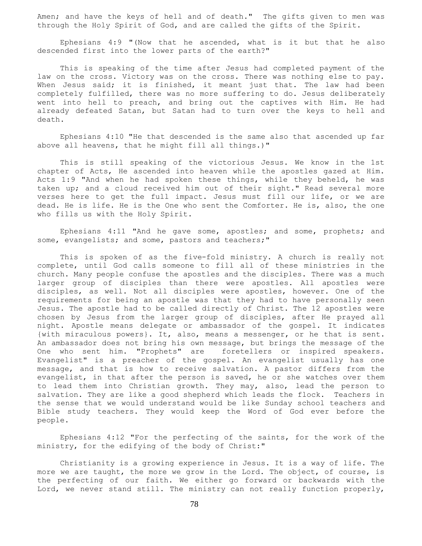Amen; and have the keys of hell and of death." The gifts given to men was through the Holy Spirit of God, and are called the gifts of the Spirit.

 Ephesians 4:9 "(Now that he ascended, what is it but that he also descended first into the lower parts of the earth?"

 This is speaking of the time after Jesus had completed payment of the law on the cross. Victory was on the cross. There was nothing else to pay. When Jesus said; it is finished, it meant just that. The law had been completely fulfilled, there was no more suffering to do. Jesus deliberately went into hell to preach, and bring out the captives with Him. He had already defeated Satan, but Satan had to turn over the keys to hell and death.

 Ephesians 4:10 "He that descended is the same also that ascended up far above all heavens, that he might fill all things.)"

 This is still speaking of the victorious Jesus. We know in the 1st chapter of Acts, He ascended into heaven while the apostles gazed at Him. Acts 1:9 "And when he had spoken these things, while they beheld, he was taken up; and a cloud received him out of their sight." Read several more verses here to get the full impact. Jesus must fill our life, or we are dead. He is life. He is the One who sent the Comforter. He is, also, the one who fills us with the Holy Spirit.

 Ephesians 4:11 "And he gave some, apostles; and some, prophets; and some, evangelists; and some, pastors and teachers;"

 This is spoken of as the five-fold ministry. A church is really not complete, until God calls someone to fill all of these ministries in the church. Many people confuse the apostles and the disciples. There was a much larger group of disciples than there were apostles. All apostles were disciples, as well. Not all disciples were apostles, however. One of the requirements for being an apostle was that they had to have personally seen Jesus. The apostle had to be called directly of Christ. The 12 apostles were chosen by Jesus from the larger group of disciples, after He prayed all night. Apostle means delegate or ambassador of the gospel. It indicates {with miraculous powers}. It, also, means a messenger, or he that is sent. An ambassador does not bring his own message, but brings the message of the One who sent him. "Prophets" are foretellers or inspired speakers. Evangelist" is a preacher of the gospel. An evangelist usually has one message, and that is how to receive salvation. A pastor differs from the evangelist, in that after the person is saved, he or she watches over them to lead them into Christian growth. They may, also, lead the person to salvation. They are like a good shepherd which leads the flock. Teachers in the sense that we would understand would be like Sunday school teachers and Bible study teachers. They would keep the Word of God ever before the people.

 Ephesians 4:12 "For the perfecting of the saints, for the work of the ministry, for the edifying of the body of Christ:"

 Christianity is a growing experience in Jesus. It is a way of life. The more we are taught, the more we grow in the Lord. The object, of course, is the perfecting of our faith. We either go forward or backwards with the Lord, we never stand still. The ministry can not really function properly,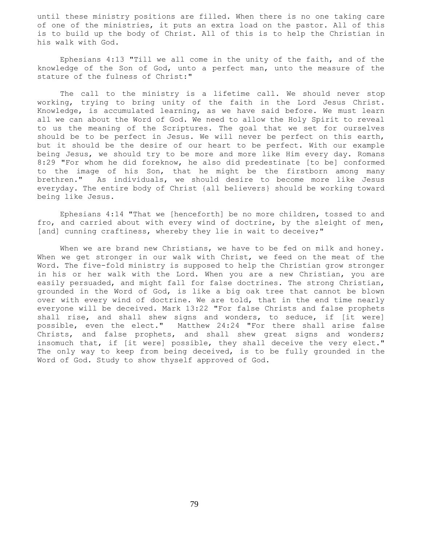until these ministry positions are filled. When there is no one taking care of one of the ministries, it puts an extra load on the pastor. All of this is to build up the body of Christ. All of this is to help the Christian in his walk with God.

 Ephesians 4:13 "Till we all come in the unity of the faith, and of the knowledge of the Son of God, unto a perfect man, unto the measure of the stature of the fulness of Christ:"

 The call to the ministry is a lifetime call. We should never stop working, trying to bring unity of the faith in the Lord Jesus Christ. Knowledge, is accumulated learning, as we have said before. We must learn all we can about the Word of God. We need to allow the Holy Spirit to reveal to us the meaning of the Scriptures. The goal that we set for ourselves should be to be perfect in Jesus. We will never be perfect on this earth, but it should be the desire of our heart to be perfect. With our example being Jesus, we should try to be more and more like Him every day. Romans 8:29 "For whom he did foreknow, he also did predestinate [to be] conformed to the image of his Son, that he might be the firstborn among many brethren." As individuals, we should desire to become more like Jesus everyday. The entire body of Christ {all believers} should be working toward being like Jesus.

 Ephesians 4:14 "That we [henceforth] be no more children, tossed to and fro, and carried about with every wind of doctrine, by the sleight of men, [and] cunning craftiness, whereby they lie in wait to deceive;"

When we are brand new Christians, we have to be fed on milk and honey. When we get stronger in our walk with Christ, we feed on the meat of the Word. The five-fold ministry is supposed to help the Christian grow stronger in his or her walk with the Lord. When you are a new Christian, you are easily persuaded, and might fall for false doctrines. The strong Christian, grounded in the Word of God, is like a big oak tree that cannot be blown over with every wind of doctrine. We are told, that in the end time nearly everyone will be deceived. Mark 13:22 "For false Christs and false prophets shall rise, and shall shew signs and wonders, to seduce, if [it were] possible, even the elect." Matthew 24:24 "For there shall arise false Christs, and false prophets, and shall shew great signs and wonders; insomuch that, if [it were] possible, they shall deceive the very elect." The only way to keep from being deceived, is to be fully grounded in the Word of God. Study to show thyself approved of God.

79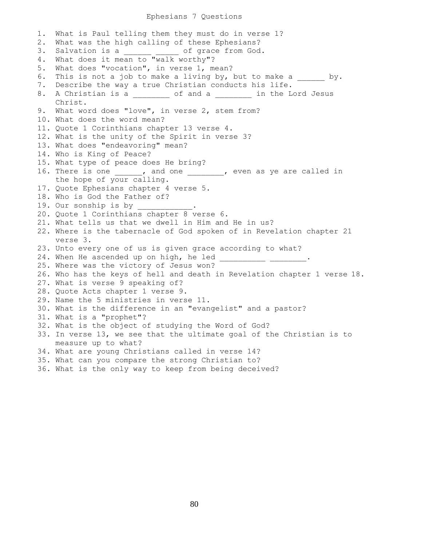## Ephesians 7 Questions

1. What is Paul telling them they must do in verse 1? 2. What was the high calling of these Ephesians? 3. Salvation is a  $\qquad \qquad$  of grace from God. 4. What does it mean to "walk worthy"? 5. What does "vocation", in verse 1, mean? 6. This is not a job to make a living by, but to make a by. 7. Describe the way a true Christian conducts his life. 8. A Christian is a \_\_\_\_\_\_\_\_ of and a \_\_\_\_\_\_\_\_ in the Lord Jesus Christ. 9. What word does "love", in verse 2, stem from? 10. What does the word mean? 11. Quote 1 Corinthians chapter 13 verse 4. 12. What is the unity of the Spirit in verse 3? 13. What does "endeavoring" mean? 14. Who is King of Peace? 15. What type of peace does He bring? 16. There is one , and one , even as ye are called in the hope of your calling. 17. Quote Ephesians chapter 4 verse 5. 18. Who is God the Father of? 19. Our sonship is by \_\_\_\_\_\_\_\_ 20. Quote 1 Corinthians chapter 8 verse 6. 21. What tells us that we dwell in Him and He in us? 22. Where is the tabernacle of God spoken of in Revelation chapter 21 verse 3. 23. Unto every one of us is given grace according to what? 24. When He ascended up on high, he led 25. Where was the victory of Jesus won? 26. Who has the keys of hell and death in Revelation chapter 1 verse 18. 27. What is verse 9 speaking of? 28. Quote Acts chapter 1 verse 9. 29. Name the 5 ministries in verse 11. 30. What is the difference in an "evangelist" and a pastor? 31. What is a "prophet"? 32. What is the object of studying the Word of God? 33. In verse 13, we see that the ultimate goal of the Christian is to measure up to what? 34. What are young Christians called in verse 14? 35. What can you compare the strong Christian to?

36. What is the only way to keep from being deceived?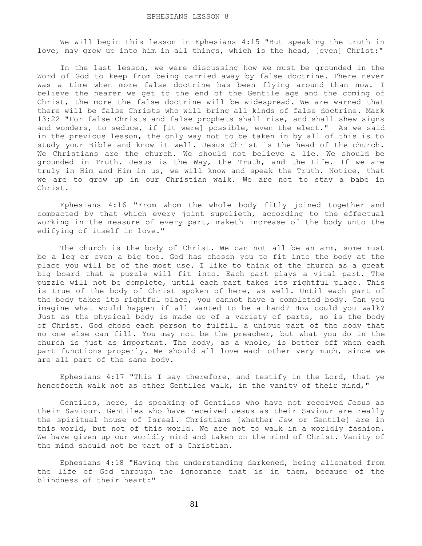We will begin this lesson in Ephesians 4:15 "But speaking the truth in love, may grow up into him in all things, which is the head, [even] Christ:"

 In the last lesson, we were discussing how we must be grounded in the Word of God to keep from being carried away by false doctrine. There never was a time when more false doctrine has been flying around than now. I believe the nearer we get to the end of the Gentile age and the coming of Christ, the more the false doctrine will be widespread. We are warned that there will be false Christs who will bring all kinds of false doctrine. Mark 13:22 "For false Christs and false prophets shall rise, and shall shew signs and wonders, to seduce, if [it were] possible, even the elect." As we said in the previous lesson, the only way not to be taken in by all of this is to study your Bible and know it well. Jesus Christ is the head of the church. We Christians are the church. We should not believe a lie. We should be grounded in Truth. Jesus is the Way, the Truth, and the Life. If we are truly in Him and Him in us, we will know and speak the Truth. Notice, that we are to grow up in our Christian walk. We are not to stay a babe in Christ.

 Ephesians 4:16 "From whom the whole body fitly joined together and compacted by that which every joint supplieth, according to the effectual working in the measure of every part, maketh increase of the body unto the edifying of itself in love."

The church is the body of Christ. We can not all be an arm, some must be a leg or even a big toe. God has chosen you to fit into the body at the place you will be of the most use. I like to think of the church as a great big board that a puzzle will fit into. Each part plays a vital part. The puzzle will not be complete, until each part takes its rightful place. This is true of the body of Christ spoken of here, as well. Until each part of the body takes its rightful place, you cannot have a completed body. Can you imagine what would happen if all wanted to be a hand? How could you walk? Just as the physical body is made up of a variety of parts, so is the body of Christ. God chose each person to fulfill a unique part of the body that no one else can fill. You may not be the preacher, but what you do in the church is just as important. The body, as a whole, is better off when each part functions properly. We should all love each other very much, since we are all part of the same body.

 Ephesians 4:17 "This I say therefore, and testify in the Lord, that ye henceforth walk not as other Gentiles walk, in the vanity of their mind,"

 Gentiles, here, is speaking of Gentiles who have not received Jesus as their Saviour. Gentiles who have received Jesus as their Saviour are really the spiritual house of Isreal. Christians {whether Jew or Gentile} are in this world, but not of this world. We are not to walk in a worldly fashion. We have given up our worldly mind and taken on the mind of Christ. Vanity of the mind should not be part of a Christian.

 Ephesians 4:18 "Having the understanding darkened, being alienated from the life of God through the ignorance that is in them, because of the blindness of their heart:"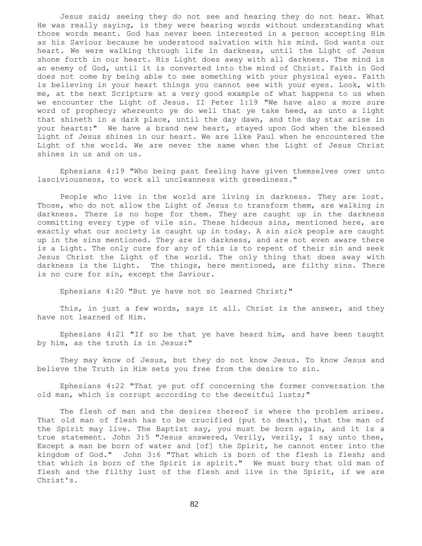Jesus said; seeing they do not see and hearing they do not hear. What He was really saying, is they were hearing words without understanding what those words meant. God has never been interested in a person accepting Him as his Saviour because he understood salvation with his mind. God wants our heart. We were walking through life in darkness, until the Light of Jesus shone forth in our heart. His Light does away with all darkness. The mind is an enemy of God, until it is converted into the mind of Christ. Faith in God does not come by being able to see something with your physical eyes. Faith is believing in your heart things you cannot see with your eyes. Look, with me, at the next Scripture at a very good example of what happens to us when we encounter the Light of Jesus. II Peter 1:19 "We have also a more sure word of prophecy; whereunto ye do well that ye take heed, as unto a light that shineth in a dark place, until the day dawn, and the day star arise in your hearts:" We have a brand new heart, stayed upon God when the blessed Light of Jesus shines in our heart. We are like Paul when he encountered the Light of the world. We are never the same when the Light of Jesus Christ shines in us and on us.

 Ephesians 4:19 "Who being past feeling have given themselves over unto lasciviousness, to work all uncleanness with greediness."

 People who live in the world are living in darkness. They are lost. Those, who do not allow the Light of Jesus to transform them, are walking in darkness. There is no hope for them. They are caught up in the darkness committing every type of vile sin. These hideous sins, mentioned here, are exactly what our society is caught up in today. A sin sick people are caught up in the sins mentioned. They are in darkness, and are not even aware there is a Light. The only cure for any of this is to repent of their sin and seek Jesus Christ the Light of the world. The only thing that does away with darkness is the Light. The things, here mentioned, are filthy sins. There is no cure for sin, except the Saviour.

Ephesians 4:20 "But ye have not so learned Christ;"

This, in just a few words, says it all. Christ is the answer, and they have not learned of Him.

 Ephesians 4:21 "If so be that ye have heard him, and have been taught by him, as the truth is in Jesus:"

 They may know of Jesus, but they do not know Jesus. To know Jesus and believe the Truth in Him sets you free from the desire to sin.

 Ephesians 4:22 "That ye put off concerning the former conversation the old man, which is corrupt according to the deceitful lusts;"

 The flesh of man and the desires thereof is where the problem arises. That old man of flesh has to be crucified {put to death}, that the man of the Spirit may live. The Baptist say, you must be born again, and it is a true statement. John 3:5 "Jesus answered, Verily, verily, I say unto thee, Except a man be born of water and [of] the Spirit, he cannot enter into the kingdom of God." John 3:6 "That which is born of the flesh is flesh; and that which is born of the Spirit is spirit." We must bury that old man of flesh and the filthy lust of the flesh and live in the Spirit, if we are Christ's.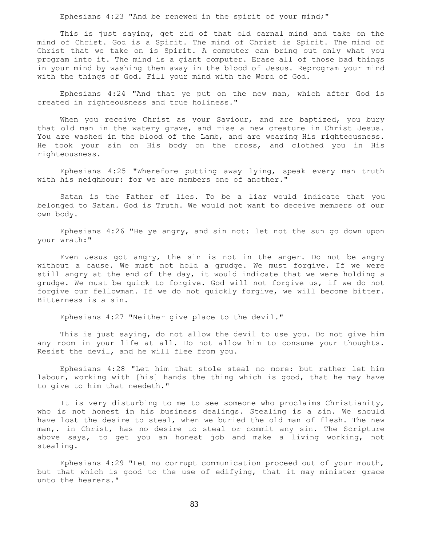Ephesians 4:23 "And be renewed in the spirit of your mind;"

 This is just saying, get rid of that old carnal mind and take on the mind of Christ. God is a Spirit. The mind of Christ is Spirit. The mind of Christ that we take on is Spirit. A computer can bring out only what you program into it. The mind is a giant computer. Erase all of those bad things in your mind by washing them away in the blood of Jesus. Reprogram your mind with the things of God. Fill your mind with the Word of God.

 Ephesians 4:24 "And that ye put on the new man, which after God is created in righteousness and true holiness."

When you receive Christ as your Saviour, and are baptized, you bury that old man in the watery grave, and rise a new creature in Christ Jesus. You are washed in the blood of the Lamb, and are wearing His righteousness. He took your sin on His body on the cross, and clothed you in His righteousness.

 Ephesians 4:25 "Wherefore putting away lying, speak every man truth with his neighbour: for we are members one of another."

 Satan is the Father of lies. To be a liar would indicate that you belonged to Satan. God is Truth. We would not want to deceive members of our own body.

 Ephesians 4:26 "Be ye angry, and sin not: let not the sun go down upon your wrath:"

 Even Jesus got angry, the sin is not in the anger. Do not be angry without a cause. We must not hold a grudge. We must forgive. If we were still angry at the end of the day, it would indicate that we were holding a grudge. We must be quick to forgive. God will not forgive us, if we do not forgive our fellowman. If we do not quickly forgive, we will become bitter. Bitterness is a sin.

Ephesians 4:27 "Neither give place to the devil."

 This is just saying, do not allow the devil to use you. Do not give him any room in your life at all. Do not allow him to consume your thoughts. Resist the devil, and he will flee from you.

 Ephesians 4:28 "Let him that stole steal no more: but rather let him labour, working with [his] hands the thing which is good, that he may have to give to him that needeth."

 It is very disturbing to me to see someone who proclaims Christianity, who is not honest in his business dealings. Stealing is a sin. We should have lost the desire to steal, when we buried the old man of flesh. The new man,. in Christ, has no desire to steal or commit any sin. The Scripture above says, to get you an honest job and make a living working, not stealing.

 Ephesians 4:29 "Let no corrupt communication proceed out of your mouth, but that which is good to the use of edifying, that it may minister grace unto the hearers."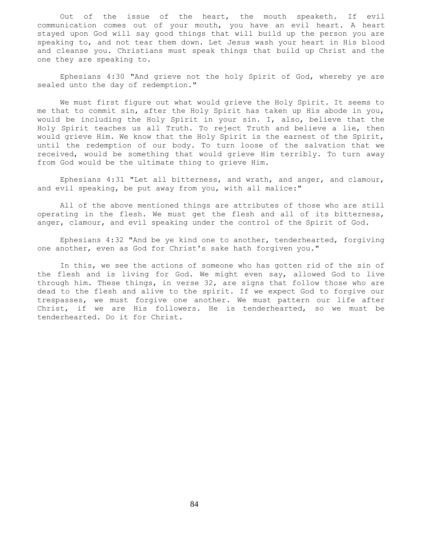Out of the issue of the heart, the mouth speaketh. If evil communication comes out of your mouth, you have an evil heart. A heart stayed upon God will say good things that will build up the person you are speaking to, and not tear them down. Let Jesus wash your heart in His blood and cleanse you. Christians must speak things that build up Christ and the one they are speaking to.

 Ephesians 4:30 "And grieve not the holy Spirit of God, whereby ye are sealed unto the day of redemption."

 We must first figure out what would grieve the Holy Spirit. It seems to me that to commit sin, after the Holy Spirit has taken up His abode in you, would be including the Holy Spirit in your sin. I, also, believe that the Holy Spirit teaches us all Truth. To reject Truth and believe a lie, then would grieve Him. We know that the Holy Spirit is the earnest of the Spirit, until the redemption of our body. To turn loose of the salvation that we received, would be something that would grieve Him terribly. To turn away from God would be the ultimate thing to grieve Him.

 Ephesians 4:31 "Let all bitterness, and wrath, and anger, and clamour, and evil speaking, be put away from you, with all malice:"

 All of the above mentioned things are attributes of those who are still operating in the flesh. We must get the flesh and all of its bitterness, anger, clamour, and evil speaking under the control of the Spirit of God.

 Ephesians 4:32 "And be ye kind one to another, tenderhearted, forgiving one another, even as God for Christ's sake hath forgiven you."

 In this, we see the actions of someone who has gotten rid of the sin of the flesh and is living for God. We might even say, allowed God to live through him. These things, in verse 32, are signs that follow those who are dead to the flesh and alive to the spirit. If we expect God to forgive our trespasses, we must forgive one another. We must pattern our life after Christ, if we are His followers. He is tenderhearted, so we must be tenderhearted. Do it for Christ.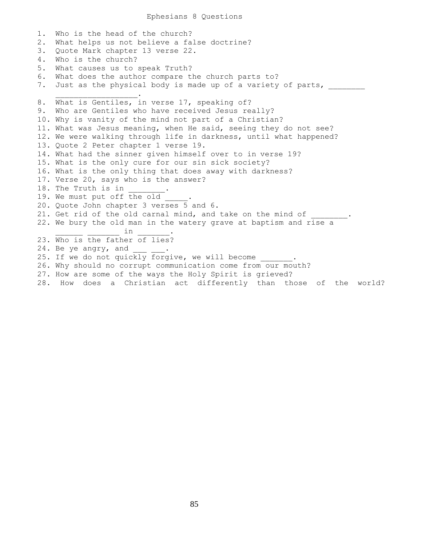1. Who is the head of the church? 2. What helps us not believe a false doctrine? 3. Quote Mark chapter 13 verse 22. 4. Who is the church? 5. What causes us to speak Truth? 6. What does the author compare the church parts to? 7. Just as the physical body is made up of a variety of parts,  $\overline{\phantom{a}}$  ,  $\overline{\phantom{a}}$  ,  $\overline{\phantom{a}}$  ,  $\overline{\phantom{a}}$  ,  $\overline{\phantom{a}}$  ,  $\overline{\phantom{a}}$  ,  $\overline{\phantom{a}}$  ,  $\overline{\phantom{a}}$  ,  $\overline{\phantom{a}}$  ,  $\overline{\phantom{a}}$  ,  $\overline{\phantom{a}}$  ,  $\overline{\phantom{a}}$  ,  $\overline{\phantom{a}}$  ,  $\overline{\phantom{a}}$  ,  $\overline{\phantom{a}}$  ,  $\overline{\phantom{a}}$ 8. What is Gentiles, in verse 17, speaking of? 9. Who are Gentiles who have received Jesus really? 10. Why is vanity of the mind not part of a Christian? 11. What was Jesus meaning, when He said, seeing they do not see? 12. We were walking through life in darkness, until what happened? 13. Quote 2 Peter chapter 1 verse 19. 14. What had the sinner given himself over to in verse 19? 15. What is the only cure for our sin sick society? 16. What is the only thing that does away with darkness? 17. Verse 20, says who is the answer? 18. The Truth is in 19. We must put off the old 20. Quote John chapter 3 verses 5 and 6. 21. Get rid of the old carnal mind, and take on the mind of 22. We bury the old man in the watery grave at baptism and rise a  $\verb|in |$ 23. Who is the father of lies? 24. Be ye angry, and 25. If we do not quickly forgive, we will become 26. Why should no corrupt communication come from our mouth? 27. How are some of the ways the Holy Spirit is grieved? 28. How does a Christian act differently than those of the world?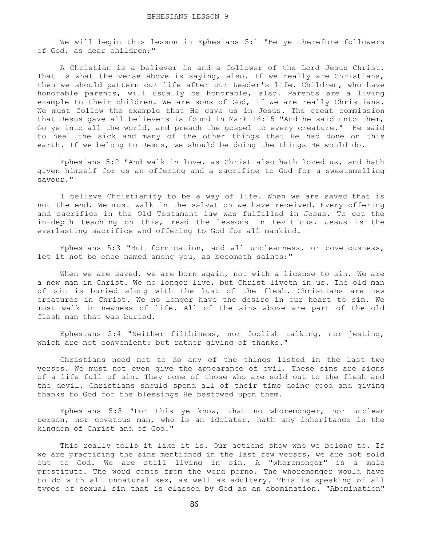We will begin this lesson in Ephesians 5:1 "Be ye therefore followers of God, as dear children;"

 A Christian is a believer in and a follower of the Lord Jesus Christ. That is what the verse above is saying, also. If we really are Christians, then we should pattern our life after our Leader's life. Children, who have honorable parents, will usually be honorable, also. Parents are a living example to their children. We are sons of God, if we are really Christians. We must follow the example that He gave us in Jesus. The great commission that Jesus gave all believers is found in Mark 16:15 "And he said unto them, Go ye into all the world, and preach the gospel to every creature." He said to heal the sick and many of the other things that He had done on this earth. If we belong to Jesus, we should be doing the things He would do.

 Ephesians 5:2 "And walk in love, as Christ also hath loved us, and hath given himself for us an offering and a sacrifice to God for a sweetsmelling savour."

 I believe Christianity to be a way of life. When we are saved that is not the end. We must walk in the salvation we have received. Every offering and sacrifice in the Old Testament law was fulfilled in Jesus. To get the in-depth teaching on this, read the lessons in Leviticus. Jesus is the everlasting sacrifice and offering to God for all mankind.

 Ephesians 5:3 "But fornication, and all uncleanness, or covetousness, let it not be once named among you, as becometh saints;"

When we are saved, we are born again, not with a license to sin. We are a new man in Christ. We no longer live, but Christ liveth in us. The old man of sin is buried along with the lust of the flesh. Christians are new creatures in Christ. We no longer have the desire in our heart to sin. We must walk in newness of life. All of the sins above are part of the old flesh man that was buried.

 Ephesians 5:4 "Neither filthiness, nor foolish talking, nor jesting, which are not convenient: but rather giving of thanks."

 Christians need not to do any of the things listed in the last two verses. We must not even give the appearance of evil. These sins are signs of a life full of sin. They come of those who are sold out to the flesh and the devil. Christians should spend all of their time doing good and giving thanks to God for the blessings He bestowed upon them.

 Ephesians 5:5 "For this ye know, that no whoremonger, nor unclean person, nor covetous man, who is an idolater, hath any inheritance in the kingdom of Christ and of God."

 This really tells it like it is. Our actions show who we belong to. If we are practicing the sins mentioned in the last few verses, we are not sold out to God. We are still living in sin. A "whoremonger" is a male prostitute. The word comes from the word porno. The whoremonger would have to do with all unnatural sex, as well as adultery. This is speaking of all types of sexual sin that is classed by God as an abomination. "Abomination"

86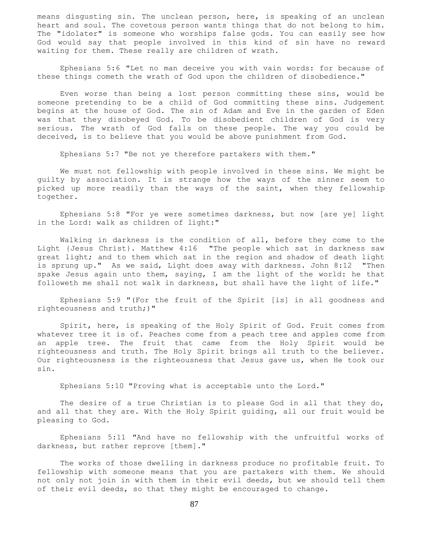means disgusting sin. The unclean person, here, is speaking of an unclean heart and soul. The covetous person wants things that do not belong to him. The "idolater" is someone who worships false gods. You can easily see how God would say that people involved in this kind of sin have no reward waiting for them. These really are children of wrath.

 Ephesians 5:6 "Let no man deceive you with vain words: for because of these things cometh the wrath of God upon the children of disobedience."

 Even worse than being a lost person committing these sins, would be someone pretending to be a child of God committing these sins. Judgement begins at the house of God. The sin of Adam and Eve in the garden of Eden was that they disobeyed God. To be disobedient children of God is very serious. The wrath of God falls on these people. The way you could be deceived, is to believe that you would be above punishment from God.

Ephesians 5:7 "Be not ye therefore partakers with them."

 We must not fellowship with people involved in these sins. We might be guilty by association. It is strange how the ways of the sinner seem to picked up more readily than the ways of the saint, when they fellowship together.

 Ephesians 5:8 "For ye were sometimes darkness, but now [are ye] light in the Lord: walk as children of light:"

 Walking in darkness is the condition of all, before they come to the Light {Jesus Christ}. Matthew 4:16 "The people which sat in darkness saw great light; and to them which sat in the region and shadow of death light is sprung up." As we said, Light does away with darkness. John 8:12 "Then spake Jesus again unto them, saying, I am the light of the world: he that followeth me shall not walk in darkness, but shall have the light of life."

 Ephesians 5:9 "(For the fruit of the Spirit [is] in all goodness and righteousness and truth;)"

 Spirit, here, is speaking of the Holy Spirit of God. Fruit comes from whatever tree it is of. Peaches come from a peach tree and apples come from an apple tree. The fruit that came from the Holy Spirit would be righteousness and truth. The Holy Spirit brings all truth to the believer. Our righteousness is the righteousness that Jesus gave us, when He took our sin.

Ephesians 5:10 "Proving what is acceptable unto the Lord."

The desire of a true Christian is to please God in all that they do, and all that they are. With the Holy Spirit guiding, all our fruit would be pleasing to God.

 Ephesians 5:11 "And have no fellowship with the unfruitful works of darkness, but rather reprove [them]."

 The works of those dwelling in darkness produce no profitable fruit. To fellowship with someone means that you are partakers with them. We should not only not join in with them in their evil deeds, but we should tell them of their evil deeds, so that they might be encouraged to change.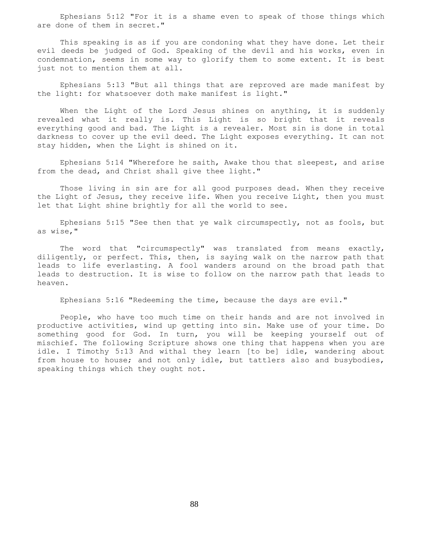Ephesians 5:12 "For it is a shame even to speak of those things which are done of them in secret."

 This speaking is as if you are condoning what they have done. Let their evil deeds be judged of God. Speaking of the devil and his works, even in condemnation, seems in some way to glorify them to some extent. It is best just not to mention them at all.

 Ephesians 5:13 "But all things that are reproved are made manifest by the light: for whatsoever doth make manifest is light."

When the Light of the Lord Jesus shines on anything, it is suddenly revealed what it really is. This Light is so bright that it reveals everything good and bad. The Light is a revealer. Most sin is done in total darkness to cover up the evil deed. The Light exposes everything. It can not stay hidden, when the Light is shined on it.

 Ephesians 5:14 "Wherefore he saith, Awake thou that sleepest, and arise from the dead, and Christ shall give thee light."

 Those living in sin are for all good purposes dead. When they receive the Light of Jesus, they receive life. When you receive Light, then you must let that Light shine brightly for all the world to see.

 Ephesians 5:15 "See then that ye walk circumspectly, not as fools, but as wise,"

 The word that "circumspectly" was translated from means exactly, diligently, or perfect. This, then, is saying walk on the narrow path that leads to life everlasting. A fool wanders around on the broad path that leads to destruction. It is wise to follow on the narrow path that leads to heaven.

Ephesians 5:16 "Redeeming the time, because the days are evil."

 People, who have too much time on their hands and are not involved in productive activities, wind up getting into sin. Make use of your time. Do something good for God. In turn, you will be keeping yourself out of mischief. The following Scripture shows one thing that happens when you are idle. I Timothy 5:13 And withal they learn [to be] idle, wandering about from house to house; and not only idle, but tattlers also and busybodies, speaking things which they ought not.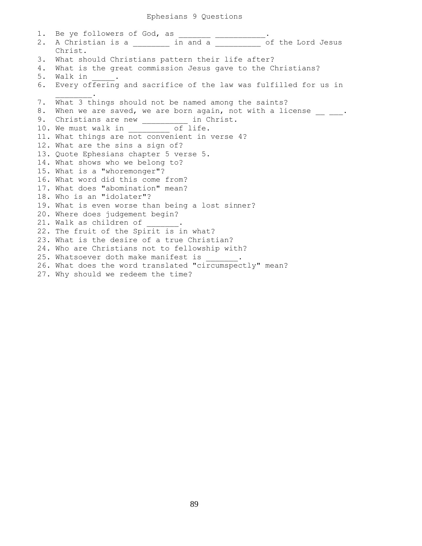1. Be ye followers of God, as \_\_\_\_\_\_\_\_\_\_\_\_\_\_\_. 2. A Christian is a zero in and a series of the Lord Jesus Christ. 3. What should Christians pattern their life after? 4. What is the great commission Jesus gave to the Christians? 5. Walk in 6. Every offering and sacrifice of the law was fulfilled for us in  $\frac{1}{2}$  and  $\frac{1}{2}$  and  $\frac{1}{2}$  and  $\frac{1}{2}$ 7. What 3 things should not be named among the saints? 8. When we are saved, we are born again, not with a license  $\frac{1}{\sqrt{2}}$ . 9. Christians are new \_\_\_\_\_\_\_\_\_\_ in Christ. 10. We must walk in \_\_\_\_\_\_\_\_\_ of life. 11. What things are not convenient in verse 4? 12. What are the sins a sign of? 13. Quote Ephesians chapter 5 verse 5. 14. What shows who we belong to? 15. What is a "whoremonger"? 16. What word did this come from? 17. What does "abomination" mean? 18. Who is an "idolater"? 19. What is even worse than being a lost sinner? 20. Where does judgement begin? 21. Walk as children of 22. The fruit of the Spirit is in what? 23. What is the desire of a true Christian? 24. Who are Christians not to fellowship with? 25. Whatsoever doth make manifest is 26. What does the word translated "circumspectly" mean? 27. Why should we redeem the time?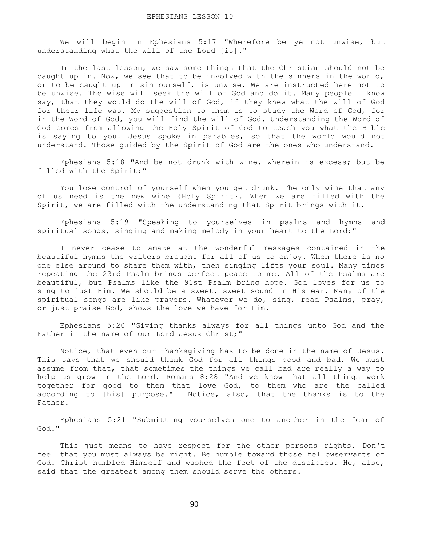We will begin in Ephesians 5:17 "Wherefore be ye not unwise, but understanding what the will of the Lord [is]."

 In the last lesson, we saw some things that the Christian should not be caught up in. Now, we see that to be involved with the sinners in the world, or to be caught up in sin ourself, is unwise. We are instructed here not to be unwise. The wise will seek the will of God and do it. Many people I know say, that they would do the will of God, if they knew what the will of God for their life was. My suggestion to them is to study the Word of God, for in the Word of God, you will find the will of God. Understanding the Word of God comes from allowing the Holy Spirit of God to teach you what the Bible is saying to you. Jesus spoke in parables, so that the world would not understand. Those guided by the Spirit of God are the ones who understand.

 Ephesians 5:18 "And be not drunk with wine, wherein is excess; but be filled with the Spirit;"

 You lose control of yourself when you get drunk. The only wine that any of us need is the new wine {Holy Spirit}. When we are filled with the Spirit, we are filled with the understanding that Spirit brings with it.

 Ephesians 5:19 "Speaking to yourselves in psalms and hymns and spiritual songs, singing and making melody in your heart to the Lord;"

 I never cease to amaze at the wonderful messages contained in the beautiful hymns the writers brought for all of us to enjoy. When there is no one else around to share them with, then singing lifts your soul. Many times repeating the 23rd Psalm brings perfect peace to me. All of the Psalms are beautiful, but Psalms like the 91st Psalm bring hope. God loves for us to sing to just Him. We should be a sweet, sweet sound in His ear. Many of the spiritual songs are like prayers. Whatever we do, sing, read Psalms, pray, or just praise God, shows the love we have for Him.

 Ephesians 5:20 "Giving thanks always for all things unto God and the Father in the name of our Lord Jesus Christ;"

 Notice, that even our thanksgiving has to be done in the name of Jesus. This says that we should thank God for all things good and bad. We must assume from that, that sometimes the things we call bad are really a way to help us grow in the Lord. Romans 8:28 "And we know that all things work together for good to them that love God, to them who are the called according to [his] purpose." Notice, also, that the thanks is to the Father.

 Ephesians 5:21 "Submitting yourselves one to another in the fear of God."

 This just means to have respect for the other persons rights. Don't feel that you must always be right. Be humble toward those fellowservants of God. Christ humbled Himself and washed the feet of the disciples. He, also, said that the greatest among them should serve the others.

90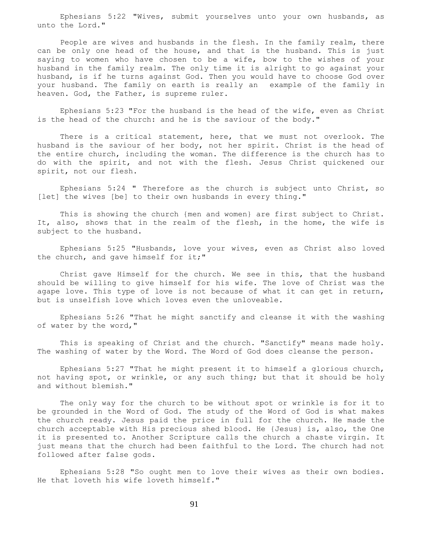Ephesians 5:22 "Wives, submit yourselves unto your own husbands, as unto the Lord."

 People are wives and husbands in the flesh. In the family realm, there can be only one head of the house, and that is the husband. This is just saying to women who have chosen to be a wife, bow to the wishes of your husband in the family realm. The only time it is alright to go against your husband, is if he turns against God. Then you would have to choose God over your husband. The family on earth is really an example of the family in heaven. God, the Father, is supreme ruler.

 Ephesians 5:23 "For the husband is the head of the wife, even as Christ is the head of the church: and he is the saviour of the body."

 There is a critical statement, here, that we must not overlook. The husband is the saviour of her body, not her spirit. Christ is the head of the entire church, including the woman. The difference is the church has to do with the spirit, and not with the flesh. Jesus Christ quickened our spirit, not our flesh.

 Ephesians 5:24 " Therefore as the church is subject unto Christ, so [let] the wives [be] to their own husbands in every thing."

 This is showing the church {men and women} are first subject to Christ. It, also, shows that in the realm of the flesh, in the home, the wife is subject to the husband.

 Ephesians 5:25 "Husbands, love your wives, even as Christ also loved the church, and gave himself for it;"

 Christ gave Himself for the church. We see in this, that the husband should be willing to give himself for his wife. The love of Christ was the agape love. This type of love is not because of what it can get in return, but is unselfish love which loves even the unloveable.

 Ephesians 5:26 "That he might sanctify and cleanse it with the washing of water by the word,"

 This is speaking of Christ and the church. "Sanctify" means made holy. The washing of water by the Word. The Word of God does cleanse the person.

 Ephesians 5:27 "That he might present it to himself a glorious church, not having spot, or wrinkle, or any such thing; but that it should be holy and without blemish."

 The only way for the church to be without spot or wrinkle is for it to be grounded in the Word of God. The study of the Word of God is what makes the church ready. Jesus paid the price in full for the church. He made the church acceptable with His precious shed blood. He {Jesus} is, also, the One it is presented to. Another Scripture calls the church a chaste virgin. It just means that the church had been faithful to the Lord. The church had not followed after false gods.

 Ephesians 5:28 "So ought men to love their wives as their own bodies. He that loveth his wife loveth himself."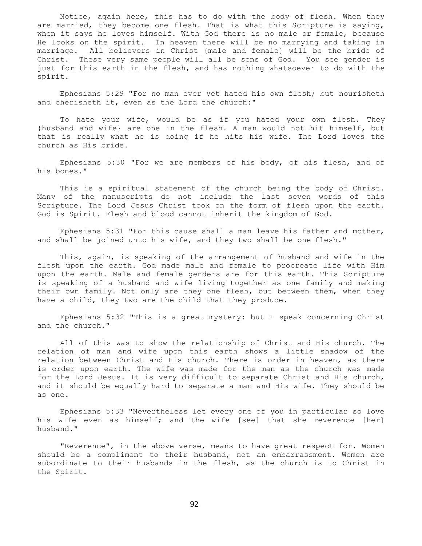Notice, again here, this has to do with the body of flesh. When they are married, they become one flesh. That is what this Scripture is saying, when it says he loves himself. With God there is no male or female, because He looks on the spirit. In heaven there will be no marrying and taking in marriage. All believers in Christ {male and female} will be the bride of Christ. These very same people will all be sons of God. You see gender is just for this earth in the flesh, and has nothing whatsoever to do with the spirit.

 Ephesians 5:29 "For no man ever yet hated his own flesh; but nourisheth and cherisheth it, even as the Lord the church:"

 To hate your wife, would be as if you hated your own flesh. They {husband and wife} are one in the flesh. A man would not hit himself, but that is really what he is doing if he hits his wife. The Lord loves the church as His bride.

 Ephesians 5:30 "For we are members of his body, of his flesh, and of his bones."

 This is a spiritual statement of the church being the body of Christ. Many of the manuscripts do not include the last seven words of this Scripture. The Lord Jesus Christ took on the form of flesh upon the earth. God is Spirit. Flesh and blood cannot inherit the kingdom of God.

 Ephesians 5:31 "For this cause shall a man leave his father and mother, and shall be joined unto his wife, and they two shall be one flesh."

 This, again, is speaking of the arrangement of husband and wife in the flesh upon the earth. God made male and female to procreate life with Him upon the earth. Male and female genders are for this earth. This Scripture is speaking of a husband and wife living together as one family and making their own family. Not only are they one flesh, but between them, when they have a child, they two are the child that they produce.

 Ephesians 5:32 "This is a great mystery: but I speak concerning Christ and the church."

 All of this was to show the relationship of Christ and His church. The relation of man and wife upon this earth shows a little shadow of the relation between Christ and His church. There is order in heaven, as there is order upon earth. The wife was made for the man as the church was made for the Lord Jesus. It is very difficult to separate Christ and His church, and it should be equally hard to separate a man and His wife. They should be as one.

 Ephesians 5:33 "Nevertheless let every one of you in particular so love his wife even as himself; and the wife [see] that she reverence [her] husband."

 "Reverence", in the above verse, means to have great respect for. Women should be a compliment to their husband, not an embarrassment. Women are subordinate to their husbands in the flesh, as the church is to Christ in the Spirit.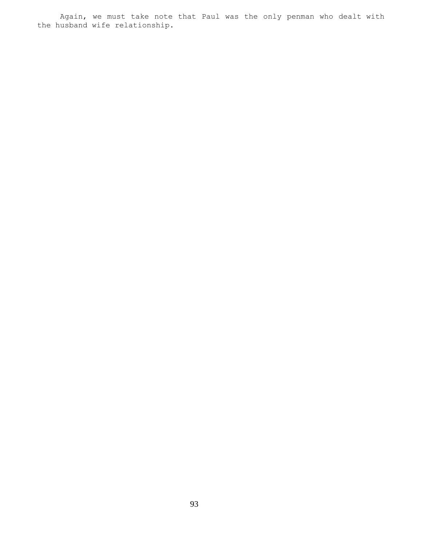Again, we must take note that Paul was the only penman who dealt with the husband wife relationship.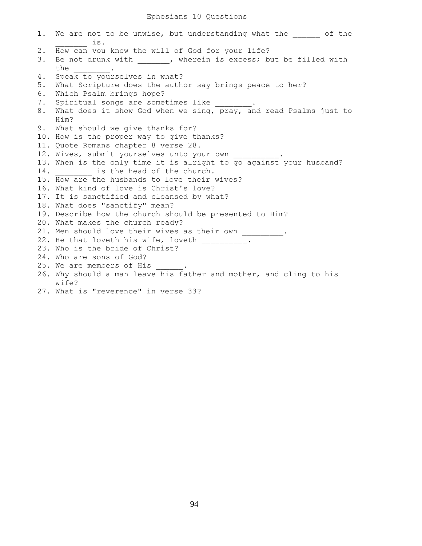1. We are not to be unwise, but understanding what the  $\qquad$  of the \_\_\_\_\_\_\_ is. 2. How can you know the will of God for your life? 3. Be not drunk with \_\_\_\_\_\_, wherein is excess; but be filled with the  $\qquad$ . 4. Speak to yourselves in what? 5. What Scripture does the author say brings peace to her? 6. Which Psalm brings hope? 7. Spiritual songs are sometimes like 8. What does it show God when we sing, pray, and read Psalms just to Him? 9. What should we give thanks for? 10. How is the proper way to give thanks? 11. Quote Romans chapter 8 verse 28. 12. Wives, submit yourselves unto your own 13. When is the only time it is alright to go against your husband? 14. \_\_\_\_\_\_\_\_\_ is the head of the church. 15. How are the husbands to love their wives? 16. What kind of love is Christ's love? 17. It is sanctified and cleansed by what? 18. What does "sanctify" mean? 19. Describe how the church should be presented to Him? 20. What makes the church ready? 21. Men should love their wives as their own 22. He that loveth his wife, loveth . 23. Who is the bride of Christ? 24. Who are sons of God? 25. We are members of His 26. Why should a man leave his father and mother, and cling to his wife? 27. What is "reverence" in verse 33?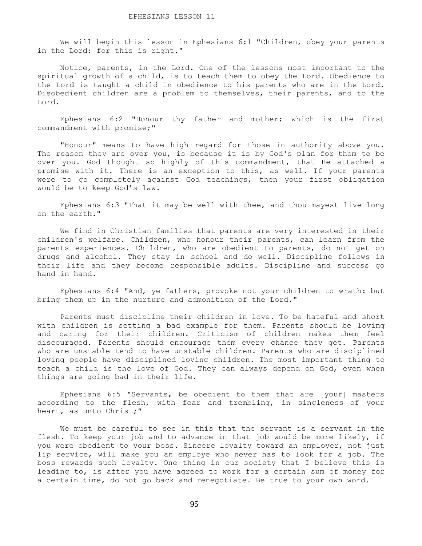We will begin this lesson in Ephesians 6:1 "Children, obey your parents in the Lord: for this is right."

 Notice, parents, in the Lord. One of the lessons most important to the spiritual growth of a child, is to teach them to obey the Lord. Obedience to the Lord is taught a child in obedience to his parents who are in the Lord. Disobedient children are a problem to themselves, their parents, and to the Lord.

 Ephesians 6:2 "Honour thy father and mother; which is the first commandment with promise;"

 "Honour" means to have high regard for those in authority above you. The reason they are over you, is because it is by God's plan for them to be over you. God thought so highly of this commandment, that He attached a promise with it. There is an exception to this, as well. If your parents were to go completely against God teachings, then your first obligation would be to keep God's law.

 Ephesians 6:3 "That it may be well with thee, and thou mayest live long on the earth."

 We find in Christian families that parents are very interested in their children's welfare. Children, who honour their parents, can learn from the parents experiences. Children, who are obedient to parents, do not get on drugs and alcohol. They stay in school and do well. Discipline follows in their life and they become responsible adults. Discipline and success go hand in hand.

 Ephesians 6:4 "And, ye fathers, provoke not your children to wrath: but bring them up in the nurture and admonition of the Lord."

 Parents must discipline their children in love. To be hateful and short with children is setting a bad example for them. Parents should be loving and caring for their children. Criticism of children makes them feel discouraged. Parents should encourage them every chance they get. Parents who are unstable tend to have unstable children. Parents who are disciplined loving people have disciplined loving children. The most important thing to teach a child is the love of God. They can always depend on God, even when things are going bad in their life.

 Ephesians 6:5 "Servants, be obedient to them that are [your] masters according to the flesh, with fear and trembling, in singleness of your heart, as unto Christ;"

 We must be careful to see in this that the servant is a servant in the flesh. To keep your job and to advance in that job would be more likely, if you were obedient to your boss. Sincere loyalty toward an employer, not just lip service, will make you an employe who never has to look for a job. The boss rewards such loyalty. One thing in our society that I believe this is leading to, is after you have agreed to work for a certain sum of money for a certain time, do not go back and renegotiate. Be true to your own word.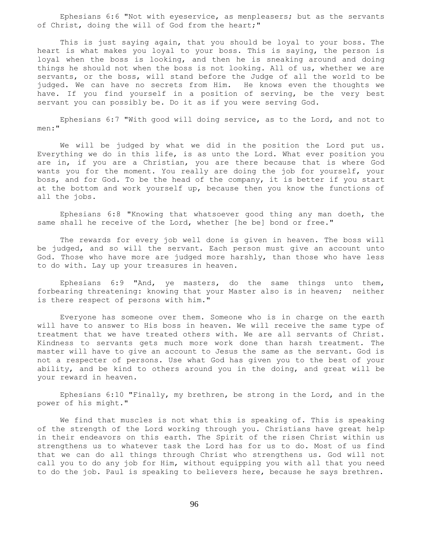Ephesians 6:6 "Not with eyeservice, as menpleasers; but as the servants of Christ, doing the will of God from the heart;"

 This is just saying again, that you should be loyal to your boss. The heart is what makes you loyal to your boss. This is saying, the person is loyal when the boss is looking, and then he is sneaking around and doing things he should not when the boss is not looking. All of us, whether we are servants, or the boss, will stand before the Judge of all the world to be judged. We can have no secrets from Him. He knows even the thoughts we have. If you find yourself in a position of serving, be the very best servant you can possibly be. Do it as if you were serving God.

 Ephesians 6:7 "With good will doing service, as to the Lord, and not to men:"

 We will be judged by what we did in the position the Lord put us. Everything we do in this life, is as unto the Lord. What ever position you are in, if you are a Christian, you are there because that is where God wants you for the moment. You really are doing the job for yourself, your boss, and for God. To be the head of the company, it is better if you start at the bottom and work yourself up, because then you know the functions of all the jobs.

 Ephesians 6:8 "Knowing that whatsoever good thing any man doeth, the same shall he receive of the Lord, whether [he be] bond or free."

 The rewards for every job well done is given in heaven. The boss will be judged, and so will the servant. Each person must give an account unto God. Those who have more are judged more harshly, than those who have less to do with. Lay up your treasures in heaven.

 Ephesians 6:9 "And, ye masters, do the same things unto them, forbearing threatening: knowing that your Master also is in heaven; neither is there respect of persons with him."

 Everyone has someone over them. Someone who is in charge on the earth will have to answer to His boss in heaven. We will receive the same type of treatment that we have treated others with. We are all servants of Christ. Kindness to servants gets much more work done than harsh treatment. The master will have to give an account to Jesus the same as the servant. God is not a respecter of persons. Use what God has given you to the best of your ability, and be kind to others around you in the doing, and great will be your reward in heaven.

 Ephesians 6:10 "Finally, my brethren, be strong in the Lord, and in the power of his might."

 We find that muscles is not what this is speaking of. This is speaking of the strength of the Lord working through you. Christians have great help in their endeavors on this earth. The Spirit of the risen Christ within us strengthens us to whatever task the Lord has for us to do. Most of us find that we can do all things through Christ who strengthens us. God will not call you to do any job for Him, without equipping you with all that you need to do the job. Paul is speaking to believers here, because he says brethren.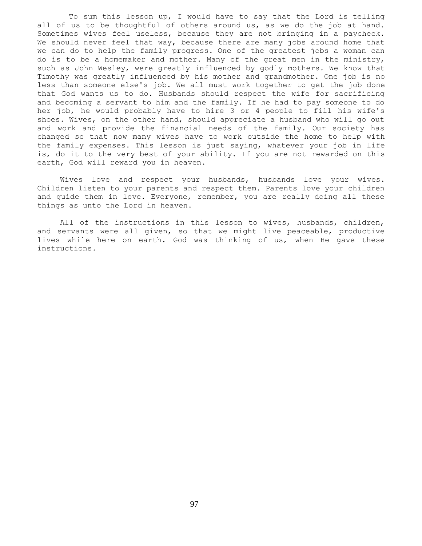To sum this lesson up, I would have to say that the Lord is telling all of us to be thoughtful of others around us, as we do the job at hand. Sometimes wives feel useless, because they are not bringing in a paycheck. We should never feel that way, because there are many jobs around home that we can do to help the family progress. One of the greatest jobs a woman can do is to be a homemaker and mother. Many of the great men in the ministry, such as John Wesley, were greatly influenced by godly mothers. We know that Timothy was greatly influenced by his mother and grandmother. One job is no less than someone else's job. We all must work together to get the job done that God wants us to do. Husbands should respect the wife for sacrificing and becoming a servant to him and the family. If he had to pay someone to do her job, he would probably have to hire 3 or 4 people to fill his wife's shoes. Wives, on the other hand, should appreciate a husband who will go out and work and provide the financial needs of the family. Our society has changed so that now many wives have to work outside the home to help with the family expenses. This lesson is just saying, whatever your job in life is, do it to the very best of your ability. If you are not rewarded on this earth, God will reward you in heaven.

 Wives love and respect your husbands, husbands love your wives. Children listen to your parents and respect them. Parents love your children and guide them in love. Everyone, remember, you are really doing all these things as unto the Lord in heaven.

All of the instructions in this lesson to wives, husbands, children, and servants were all given, so that we might live peaceable, productive lives while here on earth. God was thinking of us, when He gave these instructions.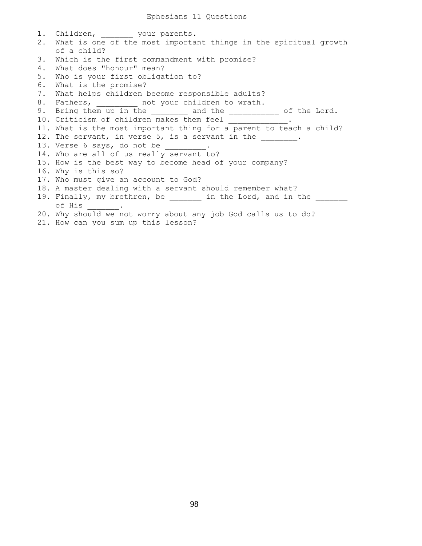1. Children, your parents. 2. What is one of the most important things in the spiritual growth of a child? 3. Which is the first commandment with promise? 4. What does "honour" mean? 5. Who is your first obligation to? 6. What is the promise? 7. What helps children become responsible adults? 8. Fathers, \_\_\_\_\_\_\_\_\_ not your children to wrath. 9. Bring them up in the \_\_\_\_\_\_\_ and the \_\_\_\_\_\_\_\_\_\_ of the Lord. 10. Criticism of children makes them feel \_\_\_\_\_\_\_\_ 11. What is the most important thing for a parent to teach a child? 12. The servant, in verse 5, is a servant in the \_\_\_\_\_\_\_\_. 13. Verse 6 says, do not be \_\_\_\_\_\_\_ 14. Who are all of us really servant to? 15. How is the best way to become head of your company? 16. Why is this so? 17. Who must give an account to God? 18. A master dealing with a servant should remember what? 19. Finally, my brethren, be \_\_\_\_\_\_\_ in the Lord, and in the of His \_\_\_\_\_\_\_. 20. Why should we not worry about any job God calls us to do? 21. How can you sum up this lesson?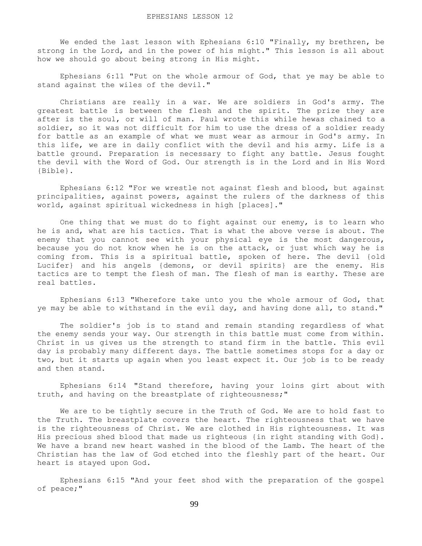We ended the last lesson with Ephesians 6:10 "Finally, my brethren, be strong in the Lord, and in the power of his might." This lesson is all about how we should go about being strong in His might.

 Ephesians 6:11 "Put on the whole armour of God, that ye may be able to stand against the wiles of the devil."

 Christians are really in a war. We are soldiers in God's army. The greatest battle is between the flesh and the spirit. The prize they are after is the soul, or will of man. Paul wrote this while hewas chained to a soldier, so it was not difficult for him to use the dress of a soldier ready for battle as an example of what we must wear as armour in God's army. In this life, we are in daily conflict with the devil and his army. Life is a battle ground. Preparation is necessary to fight any battle. Jesus fought the devil with the Word of God. Our strength is in the Lord and in His Word {Bible}.

 Ephesians 6:12 "For we wrestle not against flesh and blood, but against principalities, against powers, against the rulers of the darkness of this world, against spiritual wickedness in high [places]."

 One thing that we must do to fight against our enemy, is to learn who he is and, what are his tactics. That is what the above verse is about. The enemy that you cannot see with your physical eye is the most dangerous, because you do not know when he is on the attack, or just which way he is coming from. This is a spiritual battle, spoken of here. The devil {old Lucifer} and his angels {demons, or devil spirits} are the enemy. His tactics are to tempt the flesh of man. The flesh of man is earthy. These are real battles.

 Ephesians 6:13 "Wherefore take unto you the whole armour of God, that ye may be able to withstand in the evil day, and having done all, to stand."

 The soldier's job is to stand and remain standing regardless of what the enemy sends your way. Our strength in this battle must come from within. Christ in us gives us the strength to stand firm in the battle. This evil day is probably many different days. The battle sometimes stops for a day or two, but it starts up again when you least expect it. Our job is to be ready and then stand.

 Ephesians 6:14 "Stand therefore, having your loins girt about with truth, and having on the breastplate of righteousness;"

 We are to be tightly secure in the Truth of God. We are to hold fast to the Truth. The breastplate covers the heart. The righteousness that we have is the righteousness of Christ. We are clothed in His righteousness. It was His precious shed blood that made us righteous {in right standing with God}. We have a brand new heart washed in the blood of the Lamb. The heart of the Christian has the law of God etched into the fleshly part of the heart. Our heart is stayed upon God.

 Ephesians 6:15 "And your feet shod with the preparation of the gospel of peace;"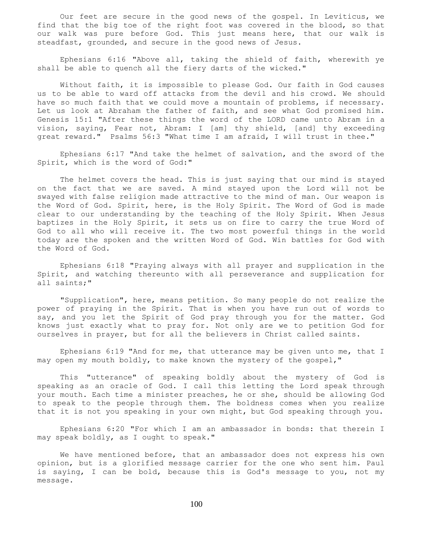Our feet are secure in the good news of the gospel. In Leviticus, we find that the big toe of the right foot was covered in the blood, so that our walk was pure before God. This just means here, that our walk is steadfast, grounded, and secure in the good news of Jesus.

 Ephesians 6:16 "Above all, taking the shield of faith, wherewith ye shall be able to quench all the fiery darts of the wicked."

 Without faith, it is impossible to please God. Our faith in God causes us to be able to ward off attacks from the devil and his crowd. We should have so much faith that we could move a mountain of problems, if necessary. Let us look at Abraham the father of faith, and see what God promised him. Genesis 15:1 "After these things the word of the LORD came unto Abram in a vision, saying, Fear not, Abram: I [am] thy shield, [and] thy exceeding great reward." Psalms 56:3 "What time I am afraid, I will trust in thee."

 Ephesians 6:17 "And take the helmet of salvation, and the sword of the Spirit, which is the word of God:"

 The helmet covers the head. This is just saying that our mind is stayed on the fact that we are saved. A mind stayed upon the Lord will not be swayed with false religion made attractive to the mind of man. Our weapon is the Word of God. Spirit, here, is the Holy Spirit. The Word of God is made clear to our understanding by the teaching of the Holy Spirit. When Jesus baptizes in the Holy Spirit, it sets us on fire to carry the true Word of God to all who will receive it. The two most powerful things in the world today are the spoken and the written Word of God. Win battles for God with the Word of God.

 Ephesians 6:18 "Praying always with all prayer and supplication in the Spirit, and watching thereunto with all perseverance and supplication for all saints;"

 "Supplication", here, means petition. So many people do not realize the power of praying in the Spirit. That is when you have run out of words to say, and you let the Spirit of God pray through you for the matter. God knows just exactly what to pray for. Not only are we to petition God for ourselves in prayer, but for all the believers in Christ called saints.

 Ephesians 6:19 "And for me, that utterance may be given unto me, that I may open my mouth boldly, to make known the mystery of the gospel,"

 This "utterance" of speaking boldly about the mystery of God is speaking as an oracle of God. I call this letting the Lord speak through your mouth. Each time a minister preaches, he or she, should be allowing God to speak to the people through them. The boldness comes when you realize that it is not you speaking in your own might, but God speaking through you.

 Ephesians 6:20 "For which I am an ambassador in bonds: that therein I may speak boldly, as I ought to speak."

 We have mentioned before, that an ambassador does not express his own opinion, but is a glorified message carrier for the one who sent him. Paul is saying, I can be bold, because this is God's message to you, not my message.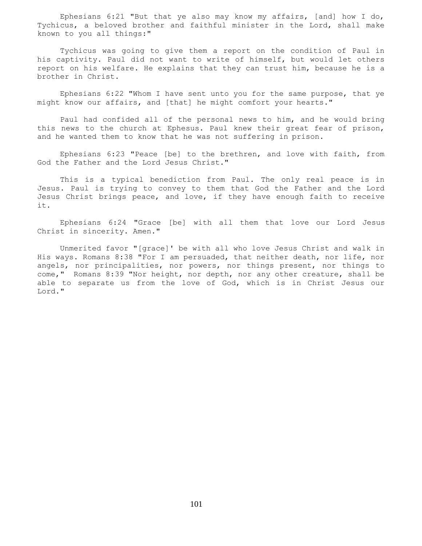Ephesians  $6:21$  "But that ye also may know my affairs, [and] how I do, Tychicus, a beloved brother and faithful minister in the Lord, shall make known to you all things:"

 Tychicus was going to give them a report on the condition of Paul in his captivity. Paul did not want to write of himself, but would let others report on his welfare. He explains that they can trust him, because he is a brother in Christ.

 Ephesians 6:22 "Whom I have sent unto you for the same purpose, that ye might know our affairs, and [that] he might comfort your hearts."

 Paul had confided all of the personal news to him, and he would bring this news to the church at Ephesus. Paul knew their great fear of prison, and he wanted them to know that he was not suffering in prison.

 Ephesians 6:23 "Peace [be] to the brethren, and love with faith, from God the Father and the Lord Jesus Christ."

 This is a typical benediction from Paul. The only real peace is in Jesus. Paul is trying to convey to them that God the Father and the Lord Jesus Christ brings peace, and love, if they have enough faith to receive it.

 Ephesians 6:24 "Grace [be] with all them that love our Lord Jesus Christ in sincerity. Amen."

 Unmerited favor "[grace]' be with all who love Jesus Christ and walk in His ways. Romans 8:38 "For I am persuaded, that neither death, nor life, nor angels, nor principalities, nor powers, nor things present, nor things to come," Romans 8:39 "Nor height, nor depth, nor any other creature, shall be able to separate us from the love of God, which is in Christ Jesus our Lord."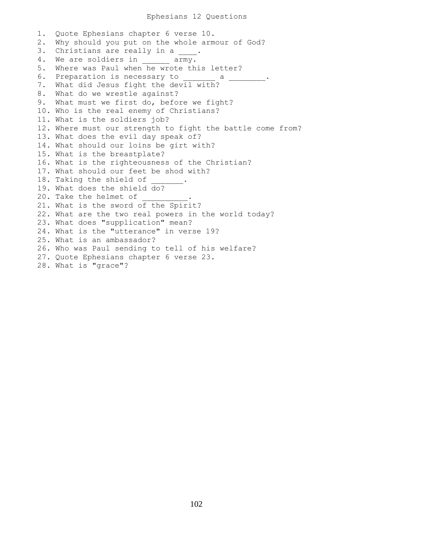## Ephesians 12 Questions

1. Quote Ephesians chapter 6 verse 10. 2. Why should you put on the whole armour of God? 3. Christians are really in a \_\_\_\_. 4. We are soldiers in \_\_\_\_\_\_ army. 5. Where was Paul when he wrote this letter? 6. Preparation is necessary to \_\_\_\_\_\_\_ a \_\_\_\_\_\_\_\_. 7. What did Jesus fight the devil with? 8. What do we wrestle against? 9. What must we first do, before we fight? 10. Who is the real enemy of Christians? 11. What is the soldiers job? 12. Where must our strength to fight the battle come from? 13. What does the evil day speak of? 14. What should our loins be girt with? 15. What is the breastplate? 16. What is the righteousness of the Christian? 17. What should our feet be shod with? 18. Taking the shield of 19. What does the shield do? 20. Take the helmet of 21. What is the sword of the Spirit? 22. What are the two real powers in the world today? 23. What does "supplication" mean? 24. What is the "utterance" in verse 19? 25. What is an ambassador? 26. Who was Paul sending to tell of his welfare? 27. Quote Ephesians chapter 6 verse 23. 28. What is "grace"?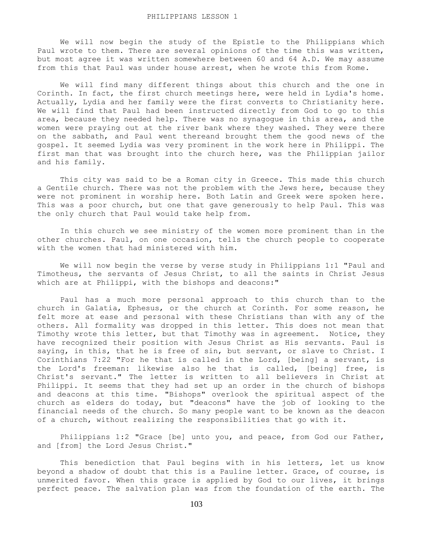We will now begin the study of the Epistle to the Philippians which Paul wrote to them. There are several opinions of the time this was written, but most agree it was written somewhere between 60 and 64 A.D. We may assume from this that Paul was under house arrest, when he wrote this from Rome.

 We will find many different things about this church and the one in Corinth. In fact, the first church meetings here, were held in Lydia's home. Actually, Lydia and her family were the first converts to Christianity here. We will find that Paul had been instructed directly from God to go to this area, because they needed help. There was no synagogue in this area, and the women were praying out at the river bank where they washed. They were there on the sabbath, and Paul went thereand brought them the good news of the gospel. It seemed Lydia was very prominent in the work here in Philippi. The first man that was brought into the church here, was the Philippian jailor and his family.

 This city was said to be a Roman city in Greece. This made this church a Gentile church. There was not the problem with the Jews here, because they were not prominent in worship here. Both Latin and Greek were spoken here. This was a poor church, but one that gave generously to help Paul. This was the only church that Paul would take help from.

 In this church we see ministry of the women more prominent than in the other churches. Paul, on one occasion, tells the church people to cooperate with the women that had ministered with him.

 We will now begin the verse by verse study in Philippians 1:1 "Paul and Timotheus, the servants of Jesus Christ, to all the saints in Christ Jesus which are at Philippi, with the bishops and deacons:"

 Paul has a much more personal approach to this church than to the church in Galatia, Ephesus, or the church at Corinth. For some reason, he felt more at ease and personal with these Christians than with any of the others. All formality was dropped in this letter. This does not mean that Timothy wrote this letter, but that Timothy was in agreement. Notice, they have recognized their position with Jesus Christ as His servants. Paul is saying, in this, that he is free of sin, but servant, or slave to Christ. I Corinthians 7:22 "For he that is called in the Lord, [being] a servant, is the Lord's freeman: likewise also he that is called, [being] free, is Christ's servant." The letter is written to all believers in Christ at Philippi. It seems that they had set up an order in the church of bishops and deacons at this time. "Bishops" overlook the spiritual aspect of the church as elders do today, but "deacons" have the job of looking to the financial needs of the church. So many people want to be known as the deacon of a church, without realizing the responsibilities that go with it.

 Philippians 1:2 "Grace [be] unto you, and peace, from God our Father, and [from] the Lord Jesus Christ."

 This benediction that Paul begins with in his letters, let us know beyond a shadow of doubt that this is a Pauline letter. Grace, of course, is unmerited favor. When this grace is applied by God to our lives, it brings perfect peace. The salvation plan was from the foundation of the earth. The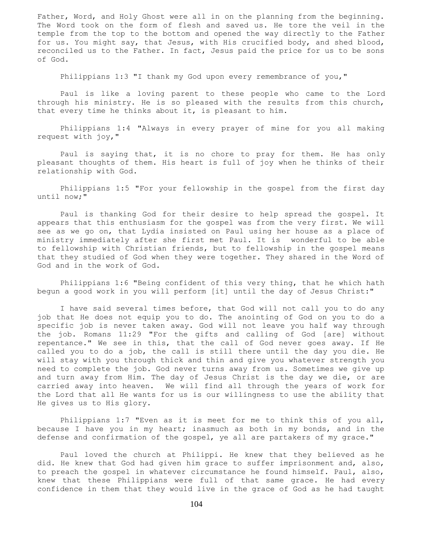Father, Word, and Holy Ghost were all in on the planning from the beginning. The Word took on the form of flesh and saved us. He tore the veil in the temple from the top to the bottom and opened the way directly to the Father for us. You might say, that Jesus, with His crucified body, and shed blood, reconciled us to the Father. In fact, Jesus paid the price for us to be sons of God.

Philippians 1:3 "I thank my God upon every remembrance of you,"

 Paul is like a loving parent to these people who came to the Lord through his ministry. He is so pleased with the results from this church, that every time he thinks about it, is pleasant to him.

 Philippians 1:4 "Always in every prayer of mine for you all making request with joy,"

 Paul is saying that, it is no chore to pray for them. He has only pleasant thoughts of them. His heart is full of joy when he thinks of their relationship with God.

 Philippians 1:5 "For your fellowship in the gospel from the first day until now;"

 Paul is thanking God for their desire to help spread the gospel. It appears that this enthusiasm for the gospel was from the very first. We will see as we go on, that Lydia insisted on Paul using her house as a place of ministry immediately after she first met Paul. It is wonderful to be able to fellowship with Christian friends, but to fellowship in the gospel means that they studied of God when they were together. They shared in the Word of God and in the work of God.

 Philippians 1:6 "Being confident of this very thing, that he which hath begun a good work in you will perform [it] until the day of Jesus Christ:"

 I have said several times before, that God will not call you to do any job that He does not equip you to do. The anointing of God on you to do a specific job is never taken away. God will not leave you half way through the job. Romans 11:29 "For the gifts and calling of God [are] without repentance." We see in this, that the call of God never goes away. If He called you to do a job, the call is still there until the day you die. He will stay with you through thick and thin and give you whatever strength you need to complete the job. God never turns away from us. Sometimes we give up and turn away from Him. The day of Jesus Christ is the day we die, or are carried away into heaven. We will find all through the years of work for the Lord that all He wants for us is our willingness to use the ability that He gives us to His glory.

 Philippians 1:7 "Even as it is meet for me to think this of you all, because I have you in my heart; inasmuch as both in my bonds, and in the defense and confirmation of the gospel, ye all are partakers of my grace."

 Paul loved the church at Philippi. He knew that they believed as he did. He knew that God had given him grace to suffer imprisonment and, also, to preach the gospel in whatever circumstance he found himself. Paul, also, knew that these Philippians were full of that same grace. He had every confidence in them that they would live in the grace of God as he had taught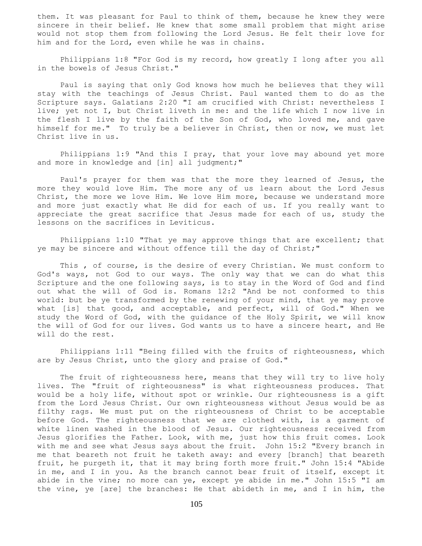them. It was pleasant for Paul to think of them, because he knew they were sincere in their belief. He knew that some small problem that might arise would not stop them from following the Lord Jesus. He felt their love for him and for the Lord, even while he was in chains.

 Philippians 1:8 "For God is my record, how greatly I long after you all in the bowels of Jesus Christ."

 Paul is saying that only God knows how much he believes that they will stay with the teachings of Jesus Christ. Paul wanted them to do as the Scripture says. Galatians 2:20 "I am crucified with Christ: nevertheless I live; yet not I, but Christ liveth in me: and the life which I now live in the flesh I live by the faith of the Son of God, who loved me, and gave himself for me." To truly be a believer in Christ, then or now, we must let Christ live in us.

 Philippians 1:9 "And this I pray, that your love may abound yet more and more in knowledge and [in] all judgment;"

 Paul's prayer for them was that the more they learned of Jesus, the more they would love Him. The more any of us learn about the Lord Jesus Christ, the more we love Him. We love Him more, because we understand more and more just exactly what He did for each of us. If you really want to appreciate the great sacrifice that Jesus made for each of us, study the lessons on the sacrifices in Leviticus.

 Philippians 1:10 "That ye may approve things that are excellent; that ye may be sincere and without offence till the day of Christ;"

 This , of course, is the desire of every Christian. We must conform to God's ways, not God to our ways. The only way that we can do what this Scripture and the one following says, is to stay in the Word of God and find out what the will of God is. Romans 12:2 "And be not conformed to this world: but be ye transformed by the renewing of your mind, that ye may prove what [is] that good, and acceptable, and perfect, will of God." When we study the Word of God, with the guidance of the Holy Spirit, we will know the will of God for our lives. God wants us to have a sincere heart, and He will do the rest.

 Philippians 1:11 "Being filled with the fruits of righteousness, which are by Jesus Christ, unto the glory and praise of God."

The fruit of righteousness here, means that they will try to live holy lives. The "fruit of righteousness" is what righteousness produces. That would be a holy life, without spot or wrinkle. Our righteousness is a gift from the Lord Jesus Christ. Our own righteousness without Jesus would be as filthy rags. We must put on the righteousness of Christ to be acceptable before God. The righteousness that we are clothed with, is a garment of white linen washed in the blood of Jesus. Our righteousness received from Jesus glorifies the Father. Look, with me, just how this fruit comes. Look with me and see what Jesus says about the fruit. John 15:2 "Every branch in me that beareth not fruit he taketh away: and every [branch] that beareth fruit, he purgeth it, that it may bring forth more fruit." John 15:4 "Abide in me, and I in you. As the branch cannot bear fruit of itself, except it abide in the vine; no more can ye, except ye abide in me." John 15:5 "I am the vine, ye [are] the branches: He that abideth in me, and I in him, the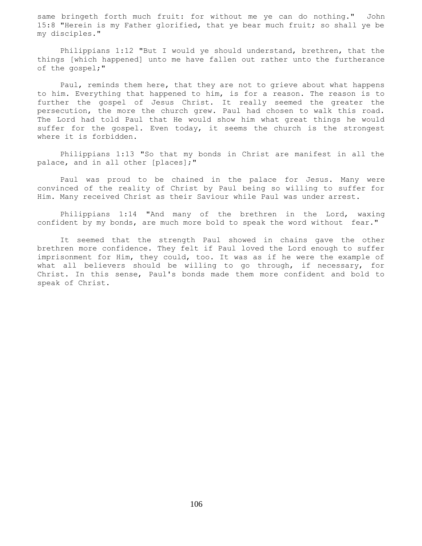same bringeth forth much fruit: for without me ye can do nothing." John 15:8 "Herein is my Father glorified, that ye bear much fruit; so shall ye be my disciples."

 Philippians 1:12 "But I would ye should understand, brethren, that the things [which happened] unto me have fallen out rather unto the furtherance of the gospel;"

 Paul, reminds them here, that they are not to grieve about what happens to him. Everything that happened to him, is for a reason. The reason is to further the gospel of Jesus Christ. It really seemed the greater the persecution, the more the church grew. Paul had chosen to walk this road. The Lord had told Paul that He would show him what great things he would suffer for the gospel. Even today, it seems the church is the strongest where it is forbidden.

 Philippians 1:13 "So that my bonds in Christ are manifest in all the palace, and in all other [places];"

 Paul was proud to be chained in the palace for Jesus. Many were convinced of the reality of Christ by Paul being so willing to suffer for Him. Many received Christ as their Saviour while Paul was under arrest.

 Philippians 1:14 "And many of the brethren in the Lord, waxing confident by my bonds, are much more bold to speak the word without fear."

 It seemed that the strength Paul showed in chains gave the other brethren more confidence. They felt if Paul loved the Lord enough to suffer imprisonment for Him, they could, too. It was as if he were the example of what all believers should be willing to go through, if necessary, for Christ. In this sense, Paul's bonds made them more confident and bold to speak of Christ.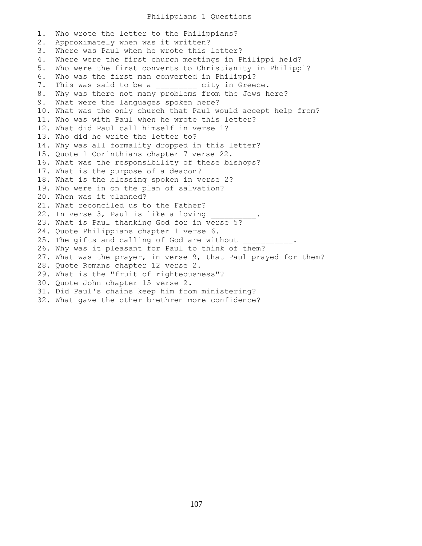## Philippians 1 Questions

1. Who wrote the letter to the Philippians? 2. Approximately when was it written? 3. Where was Paul when he wrote this letter? 4. Where were the first church meetings in Philippi held? 5. Who were the first converts to Christianity in Philippi? 6. Who was the first man converted in Philippi? 7. This was said to be a \_\_\_\_\_\_\_\_ city in Greece. 8. Why was there not many problems from the Jews here? 9. What were the languages spoken here? 10. What was the only church that Paul would accept help from? 11. Who was with Paul when he wrote this letter? 12. What did Paul call himself in verse 1? 13. Who did he write the letter to? 14. Why was all formality dropped in this letter? 15. Quote 1 Corinthians chapter 7 verse 22. 16. What was the responsibility of these bishops? 17. What is the purpose of a deacon? 18. What is the blessing spoken in verse 2? 19. Who were in on the plan of salvation? 20. When was it planned? 21. What reconciled us to the Father? 22. In verse 3, Paul is like a loving 23. What is Paul thanking God for in verse 5? 24. Quote Philippians chapter 1 verse 6. 25. The gifts and calling of God are without 26. Why was it pleasant for Paul to think of them? 27. What was the prayer, in verse 9, that Paul prayed for them? 28. Quote Romans chapter 12 verse 2. 29. What is the "fruit of righteousness"? 30. Quote John chapter 15 verse 2. 31. Did Paul's chains keep him from ministering? 32. What gave the other brethren more confidence?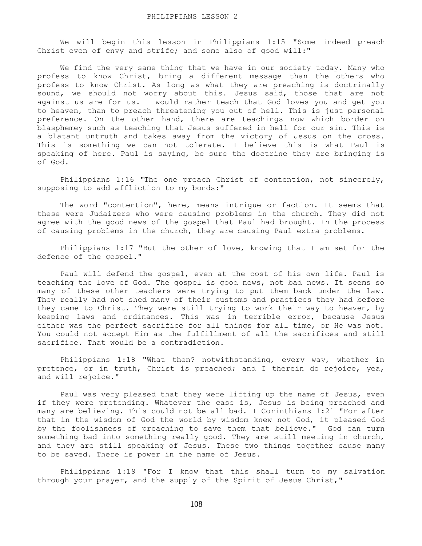We will begin this lesson in Philippians 1:15 "Some indeed preach Christ even of envy and strife; and some also of good will:"

 We find the very same thing that we have in our society today. Many who profess to know Christ, bring a different message than the others who profess to know Christ. As long as what they are preaching is doctrinally sound, we should not worry about this. Jesus said, those that are not against us are for us. I would rather teach that God loves you and get you to heaven, than to preach threatening you out of hell. This is just personal preference. On the other hand, there are teachings now which border on blasphemey such as teaching that Jesus suffered in hell for our sin. This is a blatant untruth and takes away from the victory of Jesus on the cross. This is something we can not tolerate. I believe this is what Paul is speaking of here. Paul is saying, be sure the doctrine they are bringing is of God.

Philippians 1:16 "The one preach Christ of contention, not sincerely, supposing to add affliction to my bonds:"

The word "contention", here, means intrigue or faction. It seems that these were Judaizers who were causing problems in the church. They did not agree with the good news of the gospel that Paul had brought. In the process of causing problems in the church, they are causing Paul extra problems.

 Philippians 1:17 "But the other of love, knowing that I am set for the defence of the gospel."

 Paul will defend the gospel, even at the cost of his own life. Paul is teaching the love of God. The gospel is good news, not bad news. It seems so many of these other teachers were trying to put them back under the law. They really had not shed many of their customs and practices they had before they came to Christ. They were still trying to work their way to heaven, by keeping laws and ordinances. This was in terrible error, because Jesus either was the perfect sacrifice for all things for all time, or He was not. You could not accept Him as the fulfillment of all the sacrifices and still sacrifice. That would be a contradiction.

 Philippians 1:18 "What then? notwithstanding, every way, whether in pretence, or in truth, Christ is preached; and I therein do rejoice, yea, and will rejoice."

 Paul was very pleased that they were lifting up the name of Jesus, even if they were pretending. Whatever the case is, Jesus is being preached and many are believing. This could not be all bad. I Corinthians 1:21 "For after that in the wisdom of God the world by wisdom knew not God, it pleased God by the foolishness of preaching to save them that believe." God can turn something bad into something really good. They are still meeting in church, and they are still speaking of Jesus. These two things together cause many to be saved. There is power in the name of Jesus.

 Philippians 1:19 "For I know that this shall turn to my salvation through your prayer, and the supply of the Spirit of Jesus Christ,"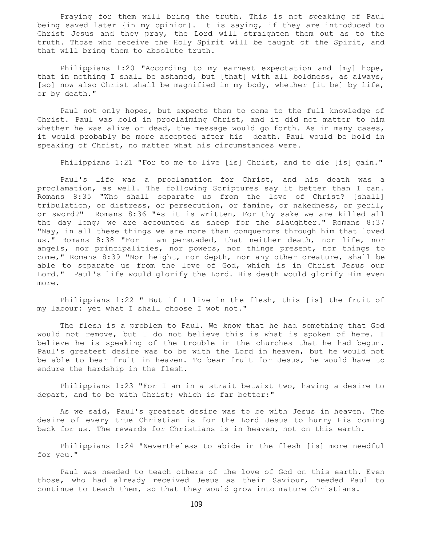Praying for them will bring the truth. This is not speaking of Paul being saved later {in my opinion}. It is saying, if they are introduced to Christ Jesus and they pray, the Lord will straighten them out as to the truth. Those who receive the Holy Spirit will be taught of the Spirit, and that will bring them to absolute truth.

 Philippians 1:20 "According to my earnest expectation and [my] hope, that in nothing I shall be ashamed, but [that] with all boldness, as always, [so] now also Christ shall be magnified in my body, whether [it be] by life, or by death."

 Paul not only hopes, but expects them to come to the full knowledge of Christ. Paul was bold in proclaiming Christ, and it did not matter to him whether he was alive or dead, the message would go forth. As in many cases, it would probably be more accepted after his death. Paul would be bold in speaking of Christ, no matter what his circumstances were.

Philippians 1:21 "For to me to live [is] Christ, and to die [is] gain."

 Paul's life was a proclamation for Christ, and his death was a proclamation, as well. The following Scriptures say it better than I can. Romans 8:35 "Who shall separate us from the love of Christ? [shall] tribulation, or distress, or persecution, or famine, or nakedness, or peril, or sword?" Romans 8:36 "As it is written, For thy sake we are killed all the day long; we are accounted as sheep for the slaughter." Romans 8:37 "Nay, in all these things we are more than conquerors through him that loved us." Romans 8:38 "For I am persuaded, that neither death, nor life, nor angels, nor principalities, nor powers, nor things present, nor things to come," Romans 8:39 "Nor height, nor depth, nor any other creature, shall be able to separate us from the love of God, which is in Christ Jesus our Lord." Paul's life would glorify the Lord. His death would glorify Him even more.

 Philippians 1:22 " But if I live in the flesh, this [is] the fruit of my labour: yet what I shall choose I wot not."

 The flesh is a problem to Paul. We know that he had something that God would not remove, but I do not believe this is what is spoken of here. I believe he is speaking of the trouble in the churches that he had begun. Paul's greatest desire was to be with the Lord in heaven, but he would not be able to bear fruit in heaven. To bear fruit for Jesus, he would have to endure the hardship in the flesh.

 Philippians 1:23 "For I am in a strait betwixt two, having a desire to depart, and to be with Christ; which is far better:"

 As we said, Paul's greatest desire was to be with Jesus in heaven. The desire of every true Christian is for the Lord Jesus to hurry His coming back for us. The rewards for Christians is in heaven, not on this earth.

 Philippians 1:24 "Nevertheless to abide in the flesh [is] more needful for you."

 Paul was needed to teach others of the love of God on this earth. Even those, who had already received Jesus as their Saviour, needed Paul to continue to teach them, so that they would grow into mature Christians.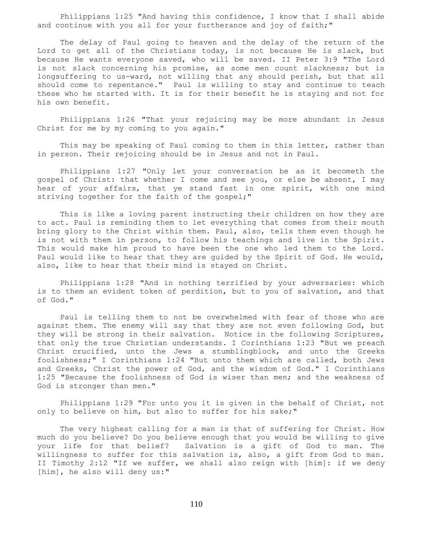Philippians 1:25 "And having this confidence, I know that I shall abide and continue with you all for your furtherance and joy of faith;"

 The delay of Paul going to heaven and the delay of the return of the Lord to get all of the Christians today, is not because He is slack, but because He wants everyone saved, who will be saved. II Peter 3:9 "The Lord is not slack concerning his promise, as some men count slackness; but is longsuffering to us-ward, not willing that any should perish, but that all should come to repentance." Paul is willing to stay and continue to teach these who he started with. It is for their benefit he is staying and not for his own benefit.

 Philippians 1:26 "That your rejoicing may be more abundant in Jesus Christ for me by my coming to you again."

 This may be speaking of Paul coming to them in this letter, rather than in person. Their rejoicing should be in Jesus and not in Paul.

 Philippians 1:27 "Only let your conversation be as it becometh the gospel of Christ: that whether I come and see you, or else be absent, I may hear of your affairs, that ye stand fast in one spirit, with one mind striving together for the faith of the gospel;"

 This is like a loving parent instructing their children on how they are to act. Paul is reminding them to let everything that comes from their mouth bring glory to the Christ within them. Paul, also, tells them even though he is not with them in person, to follow his teachings and live in the Spirit. This would make him proud to have been the one who led them to the Lord. Paul would like to hear that they are guided by the Spirit of God. He would, also, like to hear that their mind is stayed on Christ.

 Philippians 1:28 "And in nothing terrified by your adversaries: which is to them an evident token of perdition, but to you of salvation, and that of God."

 Paul is telling them to not be overwhelmed with fear of those who are against them. The enemy will say that they are not even following God, but they will be strong in their salvation. Notice in the following Scriptures, that only the true Christian understands. I Corinthians 1:23 "But we preach Christ crucified, unto the Jews a stumblingblock, and unto the Greeks foolishness;" I Corinthians 1:24 "But unto them which are called, both Jews and Greeks, Christ the power of God, and the wisdom of God." I Corinthians 1:25 "Because the foolishness of God is wiser than men; and the weakness of God is stronger than men."

 Philippians 1:29 "For unto you it is given in the behalf of Christ, not only to believe on him, but also to suffer for his sake;"

 The very highest calling for a man is that of suffering for Christ. How much do you believe? Do you believe enough that you would be willing to give your life for that belief? Salvation is a gift of God to man. The willingness to suffer for this salvation is, also, a gift from God to man. II Timothy 2:12 "If we suffer, we shall also reign with [him]: if we deny [him], he also will deny us:"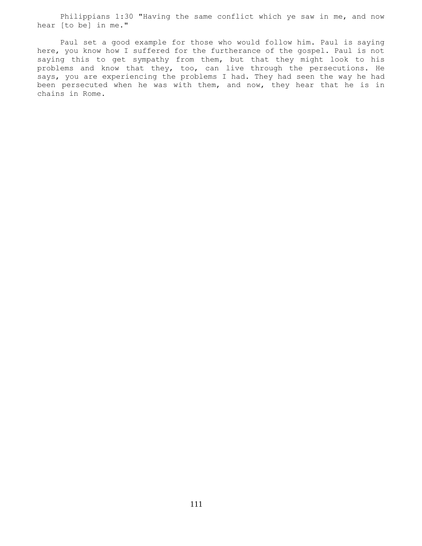Philippians 1:30 "Having the same conflict which ye saw in me, and now hear [to be] in me."

 Paul set a good example for those who would follow him. Paul is saying here, you know how I suffered for the furtherance of the gospel. Paul is not saying this to get sympathy from them, but that they might look to his problems and know that they, too, can live through the persecutions. He says, you are experiencing the problems I had. They had seen the way he had been persecuted when he was with them, and now, they hear that he is in chains in Rome.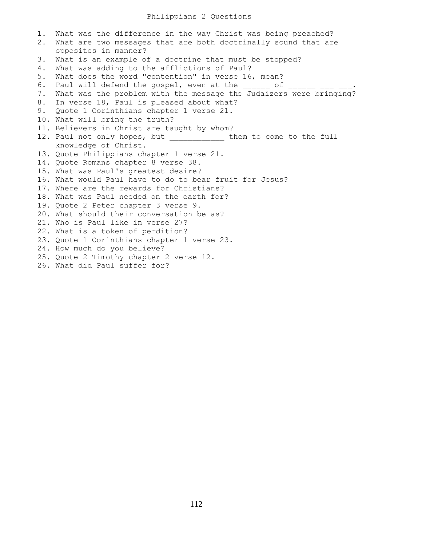# Philippians 2 Questions

1. What was the difference in the way Christ was being preached? 2. What are two messages that are both doctrinally sound that are opposites in manner? 3. What is an example of a doctrine that must be stopped? 4. What was adding to the afflictions of Paul? 5. What does the word "contention" in verse 16, mean? 6. Paul will defend the gospel, even at the cof 7. What was the problem with the message the Judaizers were bringing? 8. In verse 18, Paul is pleased about what? 9. Quote 1 Corinthians chapter 1 verse 21. 10. What will bring the truth? 11. Believers in Christ are taught by whom? 12. Paul not only hopes, but them to come to the full knowledge of Christ. 13. Quote Philippians chapter 1 verse 21. 14. Quote Romans chapter 8 verse 38. 15. What was Paul's greatest desire? 16. What would Paul have to do to bear fruit for Jesus? 17. Where are the rewards for Christians? 18. What was Paul needed on the earth for? 19. Quote 2 Peter chapter 3 verse 9. 20. What should their conversation be as? 21. Who is Paul like in verse 27? 22. What is a token of perdition? 23. Quote 1 Corinthians chapter 1 verse 23. 24. How much do you believe? 25. Quote 2 Timothy chapter 2 verse 12. 26. What did Paul suffer for?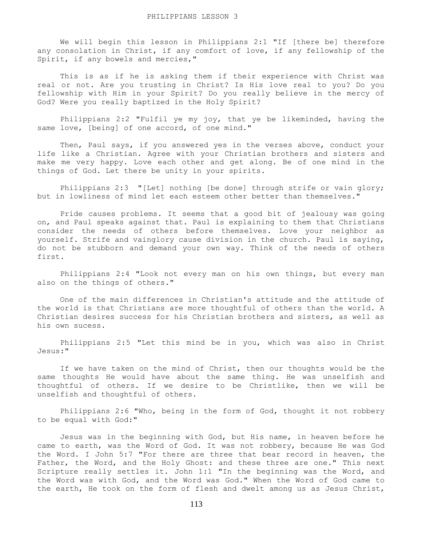We will begin this lesson in Philippians 2:1 "If [there be] therefore any consolation in Christ, if any comfort of love, if any fellowship of the Spirit, if any bowels and mercies,"

 This is as if he is asking them if their experience with Christ was real or not. Are you trusting in Christ? Is His love real to you? Do you fellowship with Him in your Spirit? Do you really believe in the mercy of God? Were you really baptized in the Holy Spirit?

 Philippians 2:2 "Fulfil ye my joy, that ye be likeminded, having the same love, [being] of one accord, of one mind."

 Then, Paul says, if you answered yes in the verses above, conduct your life like a Christian. Agree with your Christian brothers and sisters and make me very happy. Love each other and get along. Be of one mind in the things of God. Let there be unity in your spirits.

 Philippians 2:3 "[Let] nothing [be done] through strife or vain glory; but in lowliness of mind let each esteem other better than themselves."

 Pride causes problems. It seems that a good bit of jealousy was going on, and Paul speaks against that. Paul is explaining to them that Christians consider the needs of others before themselves. Love your neighbor as yourself. Strife and vainglory cause division in the church. Paul is saying, do not be stubborn and demand your own way. Think of the needs of others first.

 Philippians 2:4 "Look not every man on his own things, but every man also on the things of others."

 One of the main differences in Christian's attitude and the attitude of the world is that Christians are more thoughtful of others than the world. A Christian desires success for his Christian brothers and sisters, as well as his own sucess.

 Philippians 2:5 "Let this mind be in you, which was also in Christ Jesus:"

If we have taken on the mind of Christ, then our thoughts would be the same thoughts He would have about the same thing. He was unselfish and thoughtful of others. If we desire to be Christlike, then we will be unselfish and thoughtful of others.

 Philippians 2:6 "Who, being in the form of God, thought it not robbery to be equal with God:"

 Jesus was in the beginning with God, but His name, in heaven before he came to earth, was the Word of God. It was not robbery, because He was God the Word. I John 5:7 "For there are three that bear record in heaven, the Father, the Word, and the Holy Ghost: and these three are one." This next Scripture really settles it. John 1:1 "In the beginning was the Word, and the Word was with God, and the Word was God." When the Word of God came to the earth, He took on the form of flesh and dwelt among us as Jesus Christ,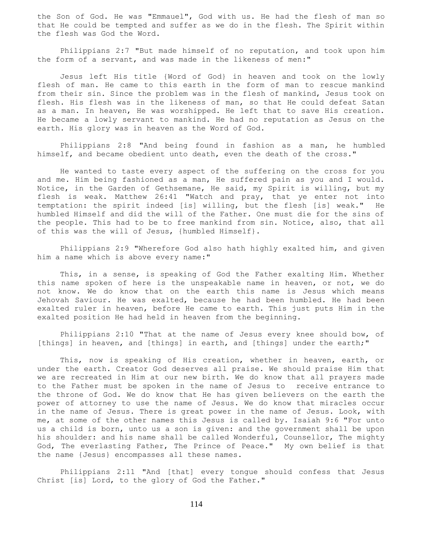the Son of God. He was "Emmauel", God with us. He had the flesh of man so that He could be tempted and suffer as we do in the flesh. The Spirit within the flesh was God the Word.

 Philippians 2:7 "But made himself of no reputation, and took upon him the form of a servant, and was made in the likeness of men:"

 Jesus left His title {Word of God} in heaven and took on the lowly flesh of man. He came to this earth in the form of man to rescue mankind from their sin. Since the problem was in the flesh of mankind, Jesus took on flesh. His flesh was in the likeness of man, so that He could defeat Satan as a man. In heaven, He was worshipped. He left that to save His creation. He became a lowly servant to mankind. He had no reputation as Jesus on the earth. His glory was in heaven as the Word of God.

 Philippians 2:8 "And being found in fashion as a man, he humbled himself, and became obedient unto death, even the death of the cross."

 He wanted to taste every aspect of the suffering on the cross for you and me. Him being fashioned as a man, He suffered pain as you and I would. Notice, in the Garden of Gethsemane, He said, my Spirit is willing, but my flesh is weak. Matthew 26:41 "Watch and pray, that ye enter not into temptation: the spirit indeed [is] willing, but the flesh [is] weak." He humbled Himself and did the will of the Father. One must die for the sins of the people. This had to be to free mankind from sin. Notice, also, that all of this was the will of Jesus, {humbled Himself}.

 Philippians 2:9 "Wherefore God also hath highly exalted him, and given him a name which is above every name:"

 This, in a sense, is speaking of God the Father exalting Him. Whether this name spoken of here is the unspeakable name in heaven, or not, we do not know. We do know that on the earth this name is Jesus which means Jehovah Saviour. He was exalted, because he had been humbled. He had been exalted ruler in heaven, before He came to earth. This just puts Him in the exalted position He had held in heaven from the beginning.

 Philippians 2:10 "That at the name of Jesus every knee should bow, of [things] in heaven, and [things] in earth, and [things] under the earth;"

 This, now is speaking of His creation, whether in heaven, earth, or under the earth. Creator God deserves all praise. We should praise Him that we are recreated in Him at our new birth. We do know that all prayers made to the Father must be spoken in the name of Jesus to receive entrance to the throne of God. We do know that He has given believers on the earth the power of attorney to use the name of Jesus. We do know that miracles occur in the name of Jesus. There is great power in the name of Jesus. Look, with me, at some of the other names this Jesus is called by. Isaiah 9:6 "For unto us a child is born, unto us a son is given: and the government shall be upon his shoulder: and his name shall be called Wonderful, Counsellor, The mighty God, The everlasting Father, The Prince of Peace." My own belief is that the name {Jesus} encompasses all these names.

 Philippians 2:11 "And [that] every tongue should confess that Jesus Christ [is] Lord, to the glory of God the Father."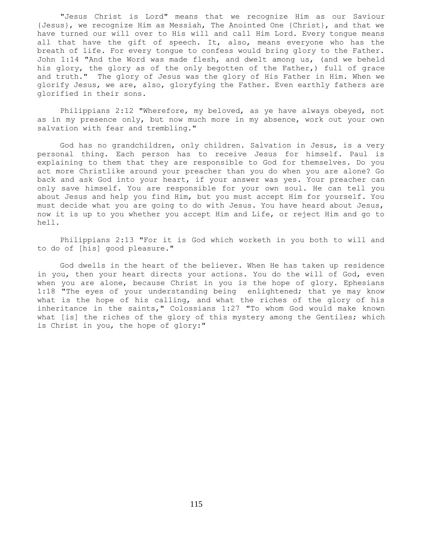"Jesus Christ is Lord" means that we recognize Him as our Saviour {Jesus}, we recognize Him as Messiah, The Anointed One {Christ}, and that we have turned our will over to His will and call Him Lord. Every tongue means all that have the gift of speech. It, also, means everyone who has the breath of life. For every tongue to confess would bring glory to the Father. John 1:14 "And the Word was made flesh, and dwelt among us, (and we beheld his glory, the glory as of the only begotten of the Father,) full of grace and truth." The glory of Jesus was the glory of His Father in Him. When we glorify Jesus, we are, also, gloryfying the Father. Even earthly fathers are glorified in their sons.

 Philippians 2:12 "Wherefore, my beloved, as ye have always obeyed, not as in my presence only, but now much more in my absence, work out your own salvation with fear and trembling."

 God has no grandchildren, only children. Salvation in Jesus, is a very personal thing. Each person has to receive Jesus for himself. Paul is explaining to them that they are responsible to God for themselves. Do you act more Christlike around your preacher than you do when you are alone? Go back and ask God into your heart, if your answer was yes. Your preacher can only save himself. You are responsible for your own soul. He can tell you about Jesus and help you find Him, but you must accept Him for yourself. You must decide what you are going to do with Jesus. You have heard about Jesus, now it is up to you whether you accept Him and Life, or reject Him and go to hell.

 Philippians 2:13 "For it is God which worketh in you both to will and to do of [his] good pleasure."

 God dwells in the heart of the believer. When He has taken up residence in you, then your heart directs your actions. You do the will of God, even when you are alone, because Christ in you is the hope of glory. Ephesians 1:18 "The eyes of your understanding being enlightened; that ye may know what is the hope of his calling, and what the riches of the glory of his inheritance in the saints," Colossians 1:27 "To whom God would make known what [is] the riches of the glory of this mystery among the Gentiles; which is Christ in you, the hope of glory:"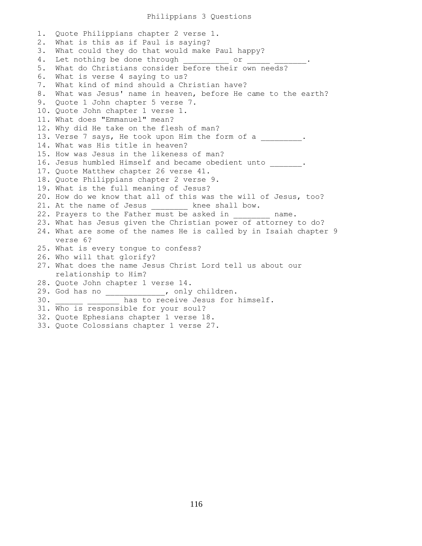### Philippians 3 Questions

1. Quote Philippians chapter 2 verse 1. 2. What is this as if Paul is saying? 3. What could they do that would make Paul happy? 4. Let nothing be done through cor 5. What do Christians consider before their own needs? 6. What is verse 4 saying to us? 7. What kind of mind should a Christian have? 8. What was Jesus' name in heaven, before He came to the earth? 9. Quote 1 John chapter 5 verse 7. 10. Quote John chapter 1 verse 1. 11. What does "Emmanuel" mean? 12. Why did He take on the flesh of man? 13. Verse 7 says, He took upon Him the form of a  $\qquad \qquad$ 14. What was His title in heaven? 15. How was Jesus in the likeness of man? 16. Jesus humbled Himself and became obedient unto \_\_\_\_\_\_\_. 17. Quote Matthew chapter 26 verse 41. 18. Quote Philippians chapter 2 verse 9. 19. What is the full meaning of Jesus? 20. How do we know that all of this was the will of Jesus, too? 21. At the name of Jesus ball bow. 22. Prayers to the Father must be asked in \_\_\_\_\_\_\_\_ name. 23. What has Jesus given the Christian power of attorney to do? 24. What are some of the names He is called by in Isaiah chapter 9 verse 6? 25. What is every tongue to confess? 26. Who will that glorify? 27. What does the name Jesus Christ Lord tell us about our relationship to Him? 28. Quote John chapter 1 verse 14. 29. God has no \_\_\_\_\_\_\_\_\_\_\_\_\_, only children. 30. \_\_\_\_\_\_ \_\_\_\_\_\_\_ has to receive Jesus for himself. 31. Who is responsible for your soul? 32. Quote Ephesians chapter 1 verse 18.

33. Quote Colossians chapter 1 verse 27.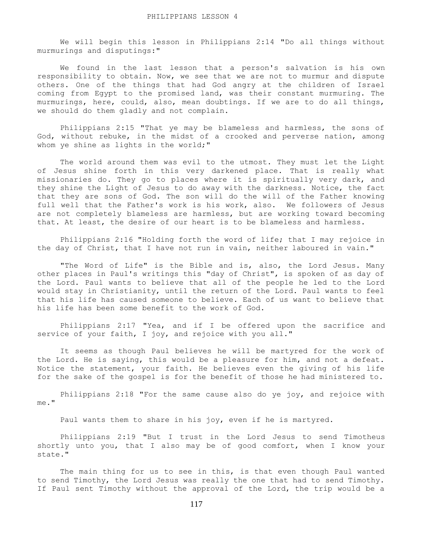We will begin this lesson in Philippians 2:14 "Do all things without murmurings and disputings:"

 We found in the last lesson that a person's salvation is his own responsibility to obtain. Now, we see that we are not to murmur and dispute others. One of the things that had God angry at the children of Israel coming from Egypt to the promised land, was their constant murmuring. The murmurings, here, could, also, mean doubtings. If we are to do all things, we should do them gladly and not complain.

 Philippians 2:15 "That ye may be blameless and harmless, the sons of God, without rebuke, in the midst of a crooked and perverse nation, among whom ye shine as lights in the world;"

 The world around them was evil to the utmost. They must let the Light of Jesus shine forth in this very darkened place. That is really what missionaries do. They go to places where it is spiritually very dark, and they shine the Light of Jesus to do away with the darkness. Notice, the fact that they are sons of God. The son will do the will of the Father knowing full well that the Father's work is his work, also. We followers of Jesus are not completely blameless are harmless, but are working toward becoming that. At least, the desire of our heart is to be blameless and harmless.

 Philippians 2:16 "Holding forth the word of life; that I may rejoice in the day of Christ, that I have not run in vain, neither laboured in vain."

"The Word of Life" is the Bible and is, also, the Lord Jesus. Many other places in Paul's writings this "day of Christ", is spoken of as day of the Lord. Paul wants to believe that all of the people he led to the Lord would stay in Christianity, until the return of the Lord. Paul wants to feel that his life has caused someone to believe. Each of us want to believe that his life has been some benefit to the work of God.

 Philippians 2:17 "Yea, and if I be offered upon the sacrifice and service of your faith, I joy, and rejoice with you all."

 It seems as though Paul believes he will be martyred for the work of the Lord. He is saying, this would be a pleasure for him, and not a defeat. Notice the statement, your faith. He believes even the giving of his life for the sake of the gospel is for the benefit of those he had ministered to.

 Philippians 2:18 "For the same cause also do ye joy, and rejoice with me."

Paul wants them to share in his joy, even if he is martyred.

 Philippians 2:19 "But I trust in the Lord Jesus to send Timotheus shortly unto you, that I also may be of good comfort, when I know your state."

 The main thing for us to see in this, is that even though Paul wanted to send Timothy, the Lord Jesus was really the one that had to send Timothy. If Paul sent Timothy without the approval of the Lord, the trip would be a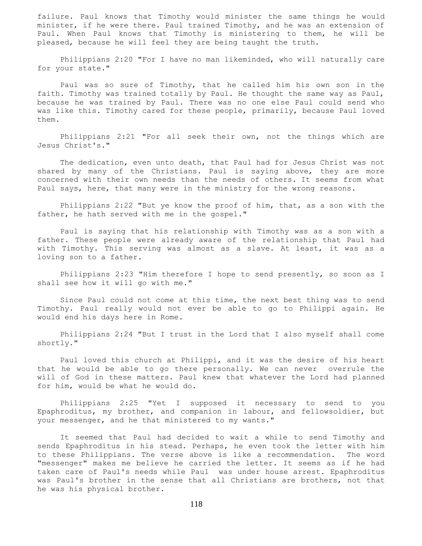failure. Paul knows that Timothy would minister the same things he would minister, if he were there. Paul trained Timothy, and he was an extension of Paul. When Paul knows that Timothy is ministering to them, he will be pleased, because he will feel they are being taught the truth.

 Philippians 2:20 "For I have no man likeminded, who will naturally care for your state."

 Paul was so sure of Timothy, that he called him his own son in the faith. Timothy was trained totally by Paul. He thought the same way as Paul, because he was trained by Paul. There was no one else Paul could send who was like this. Timothy cared for these people, primarily, because Paul loved them.

 Philippians 2:21 "For all seek their own, not the things which are Jesus Christ's."

 The dedication, even unto death, that Paul had for Jesus Christ was not shared by many of the Christians. Paul is saying above, they are more concerned with their own needs than the needs of others. It seems from what Paul says, here, that many were in the ministry for the wrong reasons.

 Philippians 2:22 "But ye know the proof of him, that, as a son with the father, he hath served with me in the gospel."

 Paul is saying that his relationship with Timothy was as a son with a father. These people were already aware of the relationship that Paul had with Timothy. This serving was almost as a slave. At least, it was as a loving son to a father.

 Philippians 2:23 "Him therefore I hope to send presently, so soon as I shall see how it will go with me."

 Since Paul could not come at this time, the next best thing was to send Timothy. Paul really would not ever be able to go to Philippi again. He would end his days here in Rome.

 Philippians 2:24 "But I trust in the Lord that I also myself shall come shortly."

 Paul loved this church at Philippi, and it was the desire of his heart that he would be able to go there personally. We can never overrule the will of God in these matters. Paul knew that whatever the Lord had planned for him, would be what he would do.

 Philippians 2:25 "Yet I supposed it necessary to send to you Epaphroditus, my brother, and companion in labour, and fellowsoldier, but your messenger, and he that ministered to my wants."

 It seemed that Paul had decided to wait a while to send Timothy and sends Epaphroditus in his stead. Perhaps, he even took the letter with him to these Philippians. The verse above is like a recommendation. The word "messenger" makes me believe he carried the letter. It seems as if he had taken care of Paul's needs while Paul was under house arrest. Epaphroditus was Paul's brother in the sense that all Christians are brothers, not that he was his physical brother.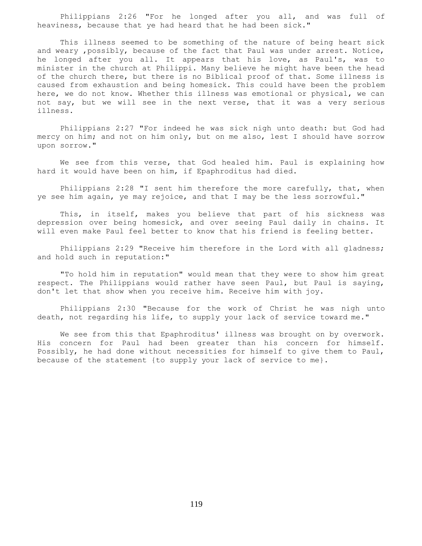Philippians 2:26 "For he longed after you all, and was full of heaviness, because that ye had heard that he had been sick."

 This illness seemed to be something of the nature of being heart sick and weary ,possibly, because of the fact that Paul was under arrest. Notice, he longed after you all. It appears that his love, as Paul's, was to minister in the church at Philippi. Many believe he might have been the head of the church there, but there is no Biblical proof of that. Some illness is caused from exhaustion and being homesick. This could have been the problem here, we do not know. Whether this illness was emotional or physical, we can not say, but we will see in the next verse, that it was a very serious illness.

 Philippians 2:27 "For indeed he was sick nigh unto death: but God had mercy on him; and not on him only, but on me also, lest I should have sorrow upon sorrow."

 We see from this verse, that God healed him. Paul is explaining how hard it would have been on him, if Epaphroditus had died.

 Philippians 2:28 "I sent him therefore the more carefully, that, when ye see him again, ye may rejoice, and that I may be the less sorrowful."

 This, in itself, makes you believe that part of his sickness was depression over being homesick, and over seeing Paul daily in chains. It will even make Paul feel better to know that his friend is feeling better.

Philippians 2:29 "Receive him therefore in the Lord with all gladness; and hold such in reputation:"

 "To hold him in reputation" would mean that they were to show him great respect. The Philippians would rather have seen Paul, but Paul is saying, don't let that show when you receive him. Receive him with joy.

 Philippians 2:30 "Because for the work of Christ he was nigh unto death, not regarding his life, to supply your lack of service toward me."

 We see from this that Epaphroditus' illness was brought on by overwork. His concern for Paul had been greater than his concern for himself. Possibly, he had done without necessities for himself to give them to Paul, because of the statement {to supply your lack of service to me}.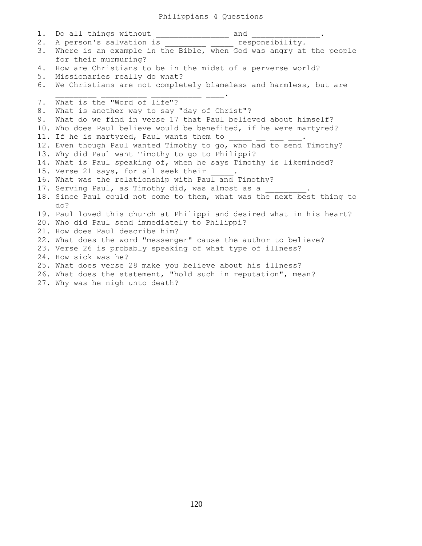### Philippians 4 Questions

1. Do all things without \_\_\_\_\_\_\_\_\_\_\_\_\_\_\_\_\_ and \_\_\_\_\_\_\_\_\_\_\_\_\_\_. 2. A person's salvation is entitled a responsibility. 3. Where is an example in the Bible, when God was angry at the people for their murmuring? 4. How are Christians to be in the midst of a perverse world? 5. Missionaries really do what? 6. We Christians are not completely blameless and harmless, but are  $\frac{1}{2}$  ,  $\frac{1}{2}$  ,  $\frac{1}{2}$  ,  $\frac{1}{2}$  ,  $\frac{1}{2}$  ,  $\frac{1}{2}$  ,  $\frac{1}{2}$  ,  $\frac{1}{2}$  ,  $\frac{1}{2}$  ,  $\frac{1}{2}$  ,  $\frac{1}{2}$  ,  $\frac{1}{2}$  ,  $\frac{1}{2}$  ,  $\frac{1}{2}$  ,  $\frac{1}{2}$  ,  $\frac{1}{2}$  ,  $\frac{1}{2}$  ,  $\frac{1}{2}$  ,  $\frac{1$ 7. What is the "Word of life"? 8. What is another way to say "day of Christ"? 9. What do we find in verse 17 that Paul believed about himself? 10. Who does Paul believe would be benefited, if he were martyred? 11. If he is martyred, Paul wants them to 12. Even though Paul wanted Timothy to go, who had to send Timothy? 13. Why did Paul want Timothy to go to Philippi? 14. What is Paul speaking of, when he says Timothy is likeminded? 15. Verse 21 says, for all seek their 16. What was the relationship with Paul and Timothy? 17. Serving Paul, as Timothy did, was almost as a 18. Since Paul could not come to them, what was the next best thing to do? 19. Paul loved this church at Philippi and desired what in his heart? 20. Who did Paul send immediately to Philippi? 21. How does Paul describe him? 22. What does the word "messenger" cause the author to believe? 23. Verse 26 is probably speaking of what type of illness? 24. How sick was he? 25. What does verse 28 make you believe about his illness? 26. What does the statement, "hold such in reputation", mean? 27. Why was he nigh unto death?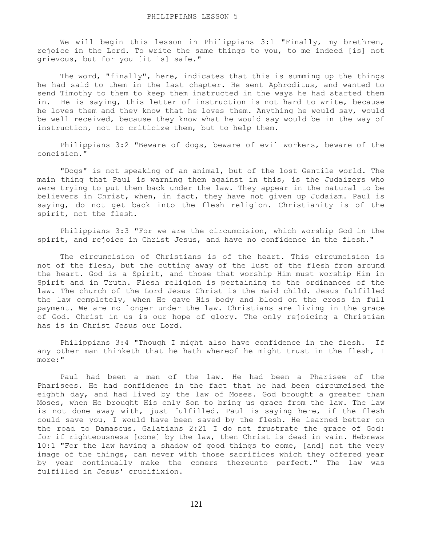We will begin this lesson in Philippians 3:1 "Finally, my brethren, rejoice in the Lord. To write the same things to you, to me indeed [is] not grievous, but for you [it is] safe."

The word, "finally", here, indicates that this is summing up the things he had said to them in the last chapter. He sent Aphroditus, and wanted to send Timothy to them to keep them instructed in the ways he had started them in. He is saying, this letter of instruction is not hard to write, because he loves them and they know that he loves them. Anything he would say, would be well received, because they know what he would say would be in the way of instruction, not to criticize them, but to help them.

 Philippians 3:2 "Beware of dogs, beware of evil workers, beware of the concision."

 "Dogs" is not speaking of an animal, but of the lost Gentile world. The main thing that Paul is warning them against in this, is the Judaizers who were trying to put them back under the law. They appear in the natural to be believers in Christ, when, in fact, they have not given up Judaism. Paul is saying, do not get back into the flesh religion. Christianity is of the spirit, not the flesh.

 Philippians 3:3 "For we are the circumcision, which worship God in the spirit, and rejoice in Christ Jesus, and have no confidence in the flesh."

 The circumcision of Christians is of the heart. This circumcision is not of the flesh, but the cutting away of the lust of the flesh from around the heart. God is a Spirit, and those that worship Him must worship Him in Spirit and in Truth. Flesh religion is pertaining to the ordinances of the law. The church of the Lord Jesus Christ is the maid child. Jesus fulfilled the law completely, when He gave His body and blood on the cross in full payment. We are no longer under the law. Christians are living in the grace of God. Christ in us is our hope of glory. The only rejoicing a Christian has is in Christ Jesus our Lord.

 Philippians 3:4 "Though I might also have confidence in the flesh. If any other man thinketh that he hath whereof he might trust in the flesh, I more:"

 Paul had been a man of the law. He had been a Pharisee of the Pharisees. He had confidence in the fact that he had been circumcised the eighth day, and had lived by the law of Moses. God brought a greater than Moses, when He brought His only Son to bring us grace from the law. The law is not done away with, just fulfilled. Paul is saying here, if the flesh could save you, I would have been saved by the flesh. He learned better on the road to Damascus. Galatians 2:21 I do not frustrate the grace of God: for if righteousness [come] by the law, then Christ is dead in vain. Hebrews 10:1 "For the law having a shadow of good things to come, [and] not the very image of the things, can never with those sacrifices which they offered year by year continually make the comers thereunto perfect." The law was fulfilled in Jesus' crucifixion.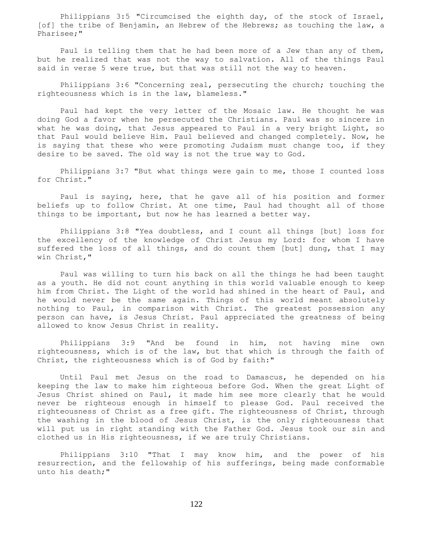Philippians 3:5 "Circumcised the eighth day, of the stock of Israel, [of] the tribe of Benjamin, an Hebrew of the Hebrews; as touching the law, a Pharisee;"

 Paul is telling them that he had been more of a Jew than any of them, but he realized that was not the way to salvation. All of the things Paul said in verse 5 were true, but that was still not the way to heaven.

 Philippians 3:6 "Concerning zeal, persecuting the church; touching the righteousness which is in the law, blameless."

 Paul had kept the very letter of the Mosaic law. He thought he was doing God a favor when he persecuted the Christians. Paul was so sincere in what he was doing, that Jesus appeared to Paul in a very bright Light, so that Paul would believe Him. Paul believed and changed completely. Now, he is saying that these who were promoting Judaism must change too, if they desire to be saved. The old way is not the true way to God.

 Philippians 3:7 "But what things were gain to me, those I counted loss for Christ."

 Paul is saying, here, that he gave all of his position and former beliefs up to follow Christ. At one time, Paul had thought all of those things to be important, but now he has learned a better way.

 Philippians 3:8 "Yea doubtless, and I count all things [but] loss for the excellency of the knowledge of Christ Jesus my Lord: for whom I have suffered the loss of all things, and do count them [but] dung, that I may win Christ,"

 Paul was willing to turn his back on all the things he had been taught as a youth. He did not count anything in this world valuable enough to keep him from Christ. The Light of the world had shined in the heart of Paul, and he would never be the same again. Things of this world meant absolutely nothing to Paul, in comparison with Christ. The greatest possession any person can have, is Jesus Christ. Paul appreciated the greatness of being allowed to know Jesus Christ in reality.

 Philippians 3:9 "And be found in him, not having mine own righteousness, which is of the law, but that which is through the faith of Christ, the righteousness which is of God by faith:"

 Until Paul met Jesus on the road to Damascus, he depended on his keeping the law to make him righteous before God. When the great Light of Jesus Christ shined on Paul, it made him see more clearly that he would never be righteous enough in himself to please God. Paul received the righteousness of Christ as a free gift. The righteousness of Christ, through the washing in the blood of Jesus Christ, is the only righteousness that will put us in right standing with the Father God. Jesus took our sin and clothed us in His righteousness, if we are truly Christians.

 Philippians 3:10 "That I may know him, and the power of his resurrection, and the fellowship of his sufferings, being made conformable unto his death;"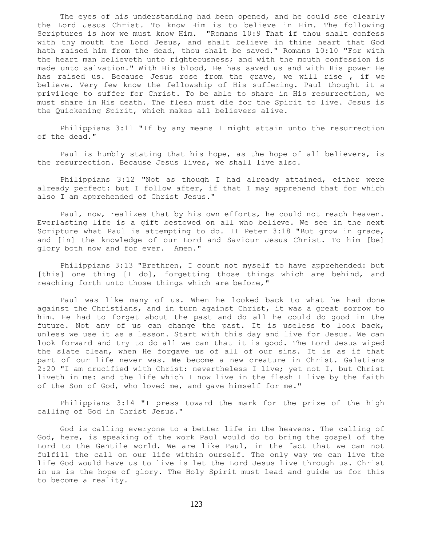The eyes of his understanding had been opened, and he could see clearly the Lord Jesus Christ. To know Him is to believe in Him. The following Scriptures is how we must know Him. "Romans 10:9 That if thou shalt confess with thy mouth the Lord Jesus, and shalt believe in thine heart that God hath raised him from the dead, thou shalt be saved." Romans 10:10 "For with the heart man believeth unto righteousness; and with the mouth confession is made unto salvation." With His blood, He has saved us and with His power He has raised us. Because Jesus rose from the grave, we will rise, if we believe. Very few know the fellowship of His suffering. Paul thought it a privilege to suffer for Christ. To be able to share in His resurrection, we must share in His death. The flesh must die for the Spirit to live. Jesus is the Quickening Spirit, which makes all believers alive.

 Philippians 3:11 "If by any means I might attain unto the resurrection of the dead."

 Paul is humbly stating that his hope, as the hope of all believers, is the resurrection. Because Jesus lives, we shall live also.

 Philippians 3:12 "Not as though I had already attained, either were already perfect: but I follow after, if that I may apprehend that for which also I am apprehended of Christ Jesus."

 Paul, now, realizes that by his own efforts, he could not reach heaven. Everlasting life is a gift bestowed on all who believe. We see in the next Scripture what Paul is attempting to do. II Peter 3:18 "But grow in grace, and [in] the knowledge of our Lord and Saviour Jesus Christ. To him [be] glory both now and for ever. Amen."

 Philippians 3:13 "Brethren, I count not myself to have apprehended: but [this] one thing [I do], forgetting those things which are behind, and reaching forth unto those things which are before,"

 Paul was like many of us. When he looked back to what he had done against the Christians, and in turn against Christ, it was a great sorrow to him. He had to forget about the past and do all he could do good in the future. Not any of us can change the past. It is useless to look back, unless we use it as a lesson. Start with this day and live for Jesus. We can look forward and try to do all we can that it is good. The Lord Jesus wiped the slate clean, when He forgave us of all of our sins. It is as if that part of our life never was. We become a new creature in Christ. Galatians 2:20 "I am crucified with Christ: nevertheless I live; yet not I, but Christ liveth in me: and the life which I now live in the flesh I live by the faith of the Son of God, who loved me, and gave himself for me."

 Philippians 3:14 "I press toward the mark for the prize of the high calling of God in Christ Jesus."

 God is calling everyone to a better life in the heavens. The calling of God, here, is speaking of the work Paul would do to bring the gospel of the Lord to the Gentile world. We are like Paul, in the fact that we can not fulfill the call on our life within ourself. The only way we can live the life God would have us to live is let the Lord Jesus live through us. Christ in us is the hope of glory. The Holy Spirit must lead and guide us for this to become a reality.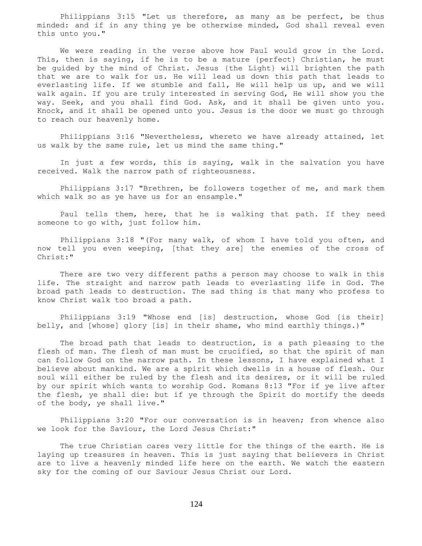Philippians 3:15 "Let us therefore, as many as be perfect, be thus minded: and if in any thing ye be otherwise minded, God shall reveal even this unto you."

 We were reading in the verse above how Paul would grow in the Lord. This, then is saying, if he is to be a mature {perfect} Christian, he must be guided by the mind of Christ. Jesus {the Light} will brighten the path that we are to walk for us. He will lead us down this path that leads to everlasting life. If we stumble and fall, He will help us up, and we will walk again. If you are truly interested in serving God, He will show you the way. Seek, and you shall find God. Ask, and it shall be given unto you. Knock, and it shall be opened unto you. Jesus is the door we must go through to reach our heavenly home.

 Philippians 3:16 "Nevertheless, whereto we have already attained, let us walk by the same rule, let us mind the same thing."

 In just a few words, this is saying, walk in the salvation you have received. Walk the narrow path of righteousness.

 Philippians 3:17 "Brethren, be followers together of me, and mark them which walk so as ye have us for an ensample."

 Paul tells them, here, that he is walking that path. If they need someone to go with, just follow him.

 Philippians 3:18 "(For many walk, of whom I have told you often, and now tell you even weeping, [that they are] the enemies of the cross of Christ:"

 There are two very different paths a person may choose to walk in this life. The straight and narrow path leads to everlasting life in God. The broad path leads to destruction. The sad thing is that many who profess to know Christ walk too broad a path.

 Philippians 3:19 "Whose end [is] destruction, whose God [is their] belly, and [whose] glory [is] in their shame, who mind earthly things.)"

 The broad path that leads to destruction, is a path pleasing to the flesh of man. The flesh of man must be crucified, so that the spirit of man can follow God on the narrow path. In these lessons, I have explained what I believe about mankind. We are a spirit which dwells in a house of flesh. Our soul will either be ruled by the flesh and its desires, or it will be ruled by our spirit which wants to worship God. Romans 8:13 "For if ye live after the flesh, ye shall die: but if ye through the Spirit do mortify the deeds of the body, ye shall live."

 Philippians 3:20 "For our conversation is in heaven; from whence also we look for the Saviour, the Lord Jesus Christ:"

 The true Christian cares very little for the things of the earth. He is laying up treasures in heaven. This is just saying that believers in Christ are to live a heavenly minded life here on the earth. We watch the eastern sky for the coming of our Saviour Jesus Christ our Lord.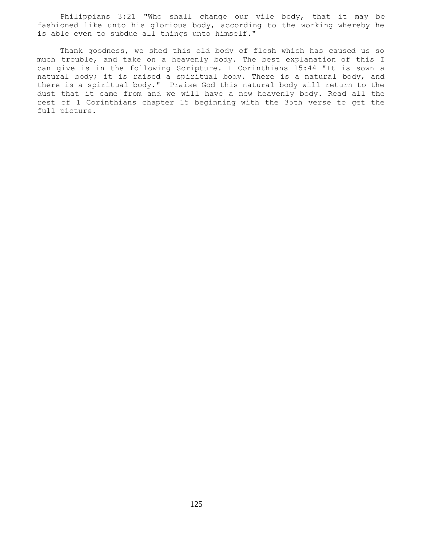Philippians 3:21 "Who shall change our vile body, that it may be fashioned like unto his glorious body, according to the working whereby he is able even to subdue all things unto himself."

 Thank goodness, we shed this old body of flesh which has caused us so much trouble, and take on a heavenly body. The best explanation of this I can give is in the following Scripture. I Corinthians 15:44 "It is sown a natural body; it is raised a spiritual body. There is a natural body, and there is a spiritual body." Praise God this natural body will return to the dust that it came from and we will have a new heavenly body. Read all the rest of 1 Corinthians chapter 15 beginning with the 35th verse to get the full picture.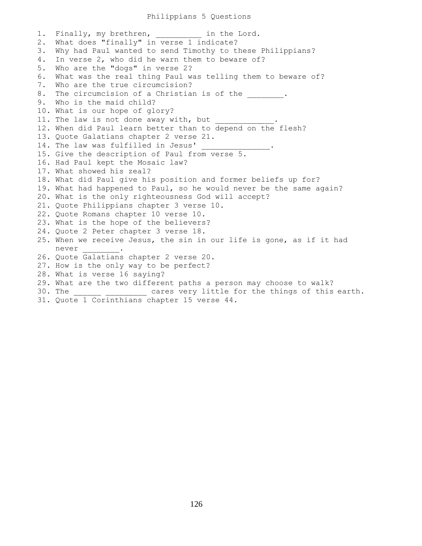#### Philippians 5 Questions

1. Finally, my brethren, and in the Lord. 2. What does "finally" in verse 1 indicate? 3. Why had Paul wanted to send Timothy to these Philippians? 4. In verse 2, who did he warn them to beware of? 5. Who are the "dogs" in verse 2? 6. What was the real thing Paul was telling them to beware of? 7. Who are the true circumcision? 8. The circumcision of a Christian is of the  $\qquad \qquad$ . 9. Who is the maid child? 10. What is our hope of glory? 11. The law is not done away with, but 12. When did Paul learn better than to depend on the flesh? 13. Quote Galatians chapter 2 verse 21. 14. The law was fulfilled in Jesus' 15. Give the description of Paul from verse 5. 16. Had Paul kept the Mosaic law? 17. What showed his zeal? 18. What did Paul give his position and former beliefs up for? 19. What had happened to Paul, so he would never be the same again? 20. What is the only righteousness God will accept? 21. Quote Philippians chapter 3 verse 10. 22. Quote Romans chapter 10 verse 10. 23. What is the hope of the believers? 24. Quote 2 Peter chapter 3 verse 18. 25. When we receive Jesus, the sin in our life is gone, as if it had never \_\_\_\_\_\_\_\_. 26. Quote Galatians chapter 2 verse 20. 27. How is the only way to be perfect? 28. What is verse 16 saying? 29. What are the two different paths a person may choose to walk? 30. The \_\_\_\_\_\_ \_\_\_\_\_\_\_\_\_ cares very little for the things of this earth. 31. Quote 1 Corinthians chapter 15 verse 44.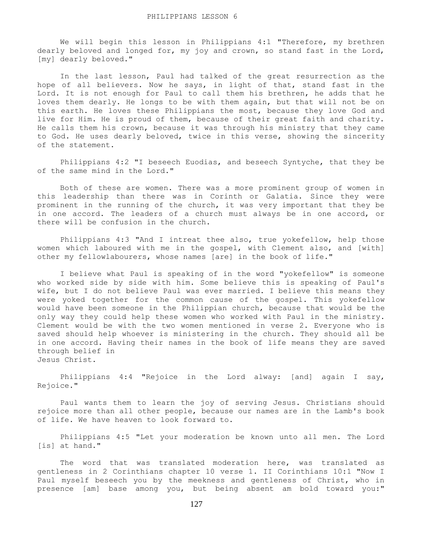We will begin this lesson in Philippians 4:1 "Therefore, my brethren dearly beloved and longed for, my joy and crown, so stand fast in the Lord, [my] dearly beloved."

 In the last lesson, Paul had talked of the great resurrection as the hope of all believers. Now he says, in light of that, stand fast in the Lord. It is not enough for Paul to call them his brethren, he adds that he loves them dearly. He longs to be with them again, but that will not be on this earth. He loves these Philippians the most, because they love God and live for Him. He is proud of them, because of their great faith and charity. He calls them his crown, because it was through his ministry that they came to God. He uses dearly beloved, twice in this verse, showing the sincerity of the statement.

 Philippians 4:2 "I beseech Euodias, and beseech Syntyche, that they be of the same mind in the Lord."

 Both of these are women. There was a more prominent group of women in this leadership than there was in Corinth or Galatia. Since they were prominent in the running of the church, it was very important that they be in one accord. The leaders of a church must always be in one accord, or there will be confusion in the church.

 Philippians 4:3 "And I intreat thee also, true yokefellow, help those women which laboured with me in the gospel, with Clement also, and [with] other my fellowlabourers, whose names [are] in the book of life."

 I believe what Paul is speaking of in the word "yokefellow" is someone who worked side by side with him. Some believe this is speaking of Paul's wife, but I do not believe Paul was ever married. I believe this means they were yoked together for the common cause of the gospel. This yokefellow would have been someone in the Philippian church, because that would be the only way they could help these women who worked with Paul in the ministry. Clement would be with the two women mentioned in verse 2. Everyone who is saved should help whoever is ministering in the church. They should all be in one accord. Having their names in the book of life means they are saved through belief in Jesus Christ.

 Philippians 4:4 "Rejoice in the Lord alway: [and] again I say, Rejoice."

 Paul wants them to learn the joy of serving Jesus. Christians should rejoice more than all other people, because our names are in the Lamb's book of life. We have heaven to look forward to.

 Philippians 4:5 "Let your moderation be known unto all men. The Lord [is] at hand."

 The word that was translated moderation here, was translated as gentleness in 2 Corinthians chapter 10 verse 1. II Corinthians 10:1 "Now I Paul myself beseech you by the meekness and gentleness of Christ, who in presence [am] base among you, but being absent am bold toward you:"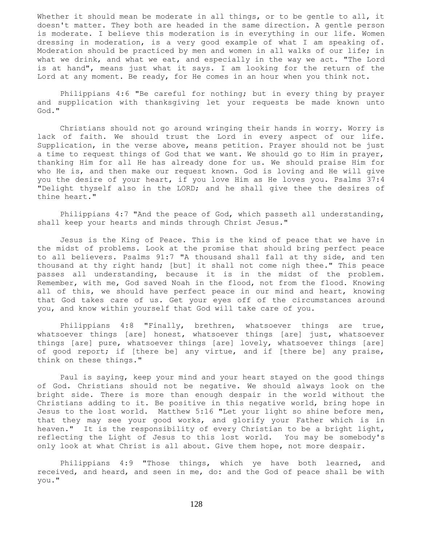Whether it should mean be moderate in all things, or to be gentle to all, it doesn't matter. They both are headed in the same direction. A gentle person is moderate. I believe this moderation is in everything in our life. Women dressing in moderation, is a very good example of what I am speaking of. Moderation should be practiced by men and women in all walks of our life; in what we drink, and what we eat, and especially in the way we act. "The Lord is at hand", means just what it says. I am looking for the return of the Lord at any moment. Be ready, for He comes in an hour when you think not.

 Philippians 4:6 "Be careful for nothing; but in every thing by prayer and supplication with thanksgiving let your requests be made known unto God."

 Christians should not go around wringing their hands in worry. Worry is lack of faith. We should trust the Lord in every aspect of our life. Supplication, in the verse above, means petition. Prayer should not be just a time to request things of God that we want. We should go to Him in prayer, thanking Him for all He has already done for us. We should praise Him for who He is, and then make our request known. God is loving and He will give you the desire of your heart, if you love Him as He loves you. Psalms 37:4 "Delight thyself also in the LORD; and he shall give thee the desires of thine heart."

 Philippians 4:7 "And the peace of God, which passeth all understanding, shall keep your hearts and minds through Christ Jesus."

 Jesus is the King of Peace. This is the kind of peace that we have in the midst of problems. Look at the promise that should bring perfect peace to all believers. Psalms 91:7 "A thousand shall fall at thy side, and ten thousand at thy right hand; [but] it shall not come nigh thee." This peace passes all understanding, because it is in the midst of the problem. Remember, with me, God saved Noah in the flood, not from the flood. Knowing all of this, we should have perfect peace in our mind and heart, knowing that God takes care of us. Get your eyes off of the circumstances around you, and know within yourself that God will take care of you.

 Philippians 4:8 "Finally, brethren, whatsoever things are true, whatsoever things [are] honest, whatsoever things [are] just, whatsoever things [are] pure, whatsoever things [are] lovely, whatsoever things [are] of good report; if [there be] any virtue, and if [there be] any praise, think on these things."

 Paul is saying, keep your mind and your heart stayed on the good things of God. Christians should not be negative. We should always look on the bright side. There is more than enough despair in the world without the Christians adding to it. Be positive in this negative world, bring hope in Jesus to the lost world. Matthew 5:16 "Let your light so shine before men, that they may see your good works, and glorify your Father which is in heaven." It is the responsibility of every Christian to be a bright light, reflecting the Light of Jesus to this lost world. You may be somebody's only look at what Christ is all about. Give them hope, not more despair.

 Philippians 4:9 "Those things, which ye have both learned, and received, and heard, and seen in me, do: and the God of peace shall be with you."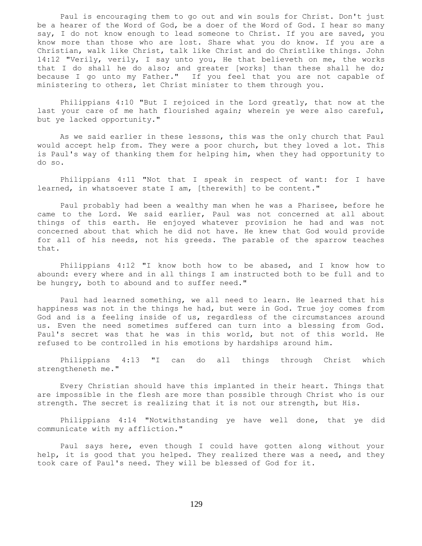Paul is encouraging them to go out and win souls for Christ. Don't just be a hearer of the Word of God, be a doer of the Word of God. I hear so many say, I do not know enough to lead someone to Christ. If you are saved, you know more than those who are lost. Share what you do know. If you are a Christian, walk like Christ, talk like Christ and do Christlike things. John 14:12 "Verily, verily, I say unto you, He that believeth on me, the works that I do shall he do also; and greater [works] than these shall he do; because I go unto my Father." If you feel that you are not capable of ministering to others, let Christ minister to them through you.

 Philippians 4:10 "But I rejoiced in the Lord greatly, that now at the last your care of me hath flourished again; wherein ye were also careful, but ye lacked opportunity."

 As we said earlier in these lessons, this was the only church that Paul would accept help from. They were a poor church, but they loved a lot. This is Paul's way of thanking them for helping him, when they had opportunity to do so.

 Philippians 4:11 "Not that I speak in respect of want: for I have learned, in whatsoever state I am, [therewith] to be content."

 Paul probably had been a wealthy man when he was a Pharisee, before he came to the Lord. We said earlier, Paul was not concerned at all about things of this earth. He enjoyed whatever provision he had and was not concerned about that which he did not have. He knew that God would provide for all of his needs, not his greeds. The parable of the sparrow teaches that.

 Philippians 4:12 "I know both how to be abased, and I know how to abound: every where and in all things I am instructed both to be full and to be hungry, both to abound and to suffer need."

 Paul had learned something, we all need to learn. He learned that his happiness was not in the things he had, but were in God. True joy comes from God and is a feeling inside of us, regardless of the circumstances around us. Even the need sometimes suffered can turn into a blessing from God. Paul's secret was that he was in this world, but not of this world. He refused to be controlled in his emotions by hardships around him.

 Philippians 4:13 "I can do all things through Christ which strengtheneth me."

 Every Christian should have this implanted in their heart. Things that are impossible in the flesh are more than possible through Christ who is our strength. The secret is realizing that it is not our strength, but His.

 Philippians 4:14 "Notwithstanding ye have well done, that ye did communicate with my affliction."

 Paul says here, even though I could have gotten along without your help, it is good that you helped. They realized there was a need, and they took care of Paul's need. They will be blessed of God for it.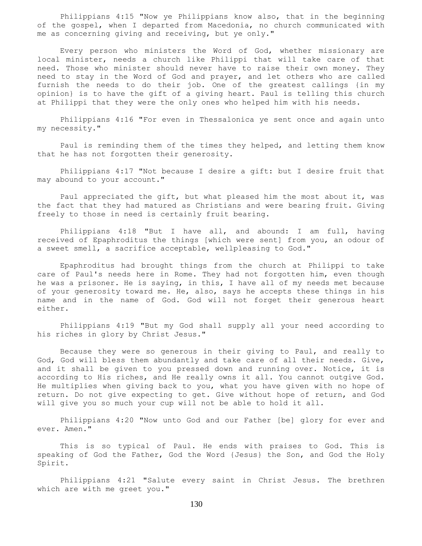Philippians 4:15 "Now ye Philippians know also, that in the beginning of the gospel, when I departed from Macedonia, no church communicated with me as concerning giving and receiving, but ye only."

 Every person who ministers the Word of God, whether missionary are local minister, needs a church like Philippi that will take care of that need. Those who minister should never have to raise their own money. They need to stay in the Word of God and prayer, and let others who are called furnish the needs to do their job. One of the greatest callings {in my opinion} is to have the gift of a giving heart. Paul is telling this church at Philippi that they were the only ones who helped him with his needs.

 Philippians 4:16 "For even in Thessalonica ye sent once and again unto my necessity."

 Paul is reminding them of the times they helped, and letting them know that he has not forgotten their generosity.

 Philippians 4:17 "Not because I desire a gift: but I desire fruit that may abound to your account."

 Paul appreciated the gift, but what pleased him the most about it, was the fact that they had matured as Christians and were bearing fruit. Giving freely to those in need is certainly fruit bearing.

 Philippians 4:18 "But I have all, and abound: I am full, having received of Epaphroditus the things [which were sent] from you, an odour of a sweet smell, a sacrifice acceptable, wellpleasing to God."

 Epaphroditus had brought things from the church at Philippi to take care of Paul's needs here in Rome. They had not forgotten him, even though he was a prisoner. He is saying, in this, I have all of my needs met because of your generosity toward me. He, also, says he accepts these things in his name and in the name of God. God will not forget their generous heart either.

 Philippians 4:19 "But my God shall supply all your need according to his riches in glory by Christ Jesus."

 Because they were so generous in their giving to Paul, and really to God, God will bless them abundantly and take care of all their needs. Give, and it shall be given to you pressed down and running over. Notice, it is according to His riches, and He really owns it all. You cannot outgive God. He multiplies when giving back to you, what you have given with no hope of return. Do not give expecting to get. Give without hope of return, and God will give you so much your cup will not be able to hold it all.

 Philippians 4:20 "Now unto God and our Father [be] glory for ever and ever. Amen."

 This is so typical of Paul. He ends with praises to God. This is speaking of God the Father, God the Word {Jesus} the Son, and God the Holy Spirit.

 Philippians 4:21 "Salute every saint in Christ Jesus. The brethren which are with me greet you."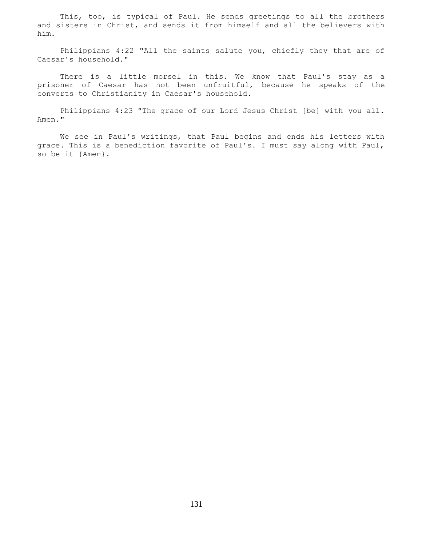This, too, is typical of Paul. He sends greetings to all the brothers and sisters in Christ, and sends it from himself and all the believers with him.

 Philippians 4:22 "All the saints salute you, chiefly they that are of Caesar's household."

 There is a little morsel in this. We know that Paul's stay as a prisoner of Caesar has not been unfruitful, because he speaks of the converts to Christianity in Caesar's household.

 Philippians 4:23 "The grace of our Lord Jesus Christ [be] with you all. Amen."

 We see in Paul's writings, that Paul begins and ends his letters with grace. This is a benediction favorite of Paul's. I must say along with Paul, so be it {Amen}.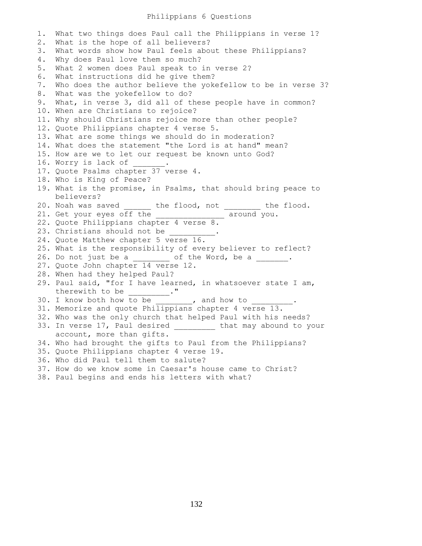## Philippians 6 Questions

1. What two things does Paul call the Philippians in verse 1? 2. What is the hope of all believers? 3. What words show how Paul feels about these Philippians? 4. Why does Paul love them so much? 5. What 2 women does Paul speak to in verse 2? 6. What instructions did he give them? 7. Who does the author believe the yokefellow to be in verse 3? 8. What was the yokefellow to do? 9. What, in verse 3, did all of these people have in common? 10. When are Christians to rejoice? 11. Why should Christians rejoice more than other people? 12. Quote Philippians chapter 4 verse 5. 13. What are some things we should do in moderation? 14. What does the statement "the Lord is at hand" mean? 15. How are we to let our request be known unto God? 16. Worry is lack of 17. Quote Psalms chapter 37 verse 4. 18. Who is King of Peace? 19. What is the promise, in Psalms, that should bring peace to believers? 20. Noah was saved \_\_\_\_\_\_ the flood, not \_\_\_\_\_\_\_\_ the flood. 21. Get your eyes off the \_\_\_\_\_\_\_\_\_\_\_\_\_\_\_ around you. 22. Quote Philippians chapter 4 verse 8. 23. Christians should not be 24. Quote Matthew chapter 5 verse 16. 25. What is the responsibility of every believer to reflect? 26. Do not just be a \_\_\_\_\_\_\_\_ of the Word, be a \_\_\_\_\_\_. 27. Quote John chapter 14 verse 12. 28. When had they helped Paul? 29. Paul said, "for I have learned, in whatsoever state I am, therewith to be 30. I know both how to be \_\_\_\_\_\_\_, and how to 31. Memorize and quote Philippians chapter 4 verse 13. 32. Who was the only church that helped Paul with his needs? 33. In verse 17, Paul desired \_\_\_\_\_\_\_\_ that may abound to your account, more than gifts. 34. Who had brought the gifts to Paul from the Philippians? 35. Quote Philippians chapter 4 verse 19. 36. Who did Paul tell them to salute? 37. How do we know some in Caesar's house came to Christ? 38. Paul begins and ends his letters with what?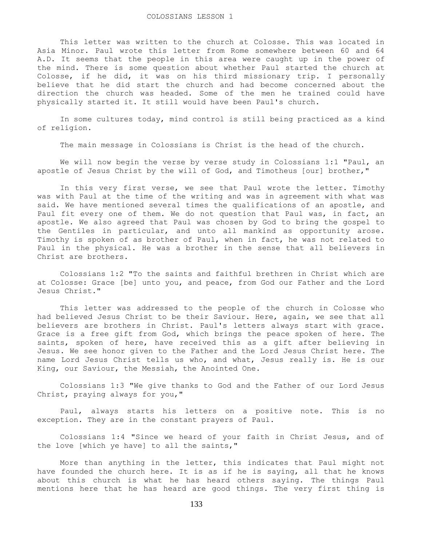This letter was written to the church at Colosse. This was located in Asia Minor. Paul wrote this letter from Rome somewhere between 60 and 64 A.D. It seems that the people in this area were caught up in the power of the mind. There is some question about whether Paul started the church at Colosse, if he did, it was on his third missionary trip. I personally believe that he did start the church and had become concerned about the direction the church was headed. Some of the men he trained could have physically started it. It still would have been Paul's church.

 In some cultures today, mind control is still being practiced as a kind of religion.

The main message in Colossians is Christ is the head of the church.

We will now begin the verse by verse study in Colossians 1:1 "Paul, an apostle of Jesus Christ by the will of God, and Timotheus [our] brother,"

 In this very first verse, we see that Paul wrote the letter. Timothy was with Paul at the time of the writing and was in agreement with what was said. We have mentioned several times the qualifications of an apostle, and Paul fit every one of them. We do not question that Paul was, in fact, an apostle. We also agreed that Paul was chosen by God to bring the gospel to the Gentiles in particular, and unto all mankind as opportunity arose. Timothy is spoken of as brother of Paul, when in fact, he was not related to Paul in the physical. He was a brother in the sense that all believers in Christ are brothers.

 Colossians 1:2 "To the saints and faithful brethren in Christ which are at Colosse: Grace [be] unto you, and peace, from God our Father and the Lord Jesus Christ."

 This letter was addressed to the people of the church in Colosse who had believed Jesus Christ to be their Saviour. Here, again, we see that all believers are brothers in Christ. Paul's letters always start with grace. Grace is a free gift from God, which brings the peace spoken of here. The saints, spoken of here, have received this as a gift after believing in Jesus. We see honor given to the Father and the Lord Jesus Christ here. The name Lord Jesus Christ tells us who, and what, Jesus really is. He is our King, our Saviour, the Messiah, the Anointed One.

 Colossians 1:3 "We give thanks to God and the Father of our Lord Jesus Christ, praying always for you,"

 Paul, always starts his letters on a positive note. This is no exception. They are in the constant prayers of Paul.

 Colossians 1:4 "Since we heard of your faith in Christ Jesus, and of the love [which ye have] to all the saints,"

 More than anything in the letter, this indicates that Paul might not have founded the church here. It is as if he is saying, all that he knows about this church is what he has heard others saying. The things Paul mentions here that he has heard are good things. The very first thing is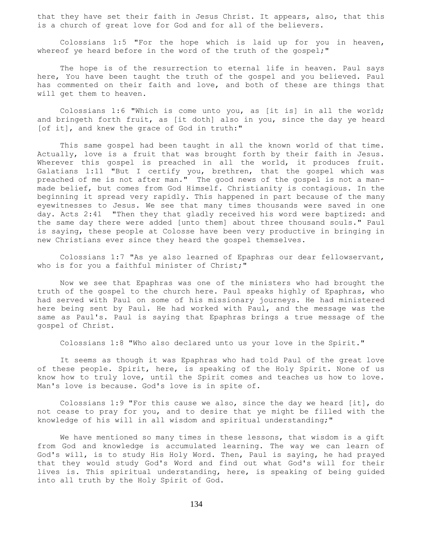that they have set their faith in Jesus Christ. It appears, also, that this is a church of great love for God and for all of the believers.

 Colossians 1:5 "For the hope which is laid up for you in heaven, whereof ye heard before in the word of the truth of the gospel;"

The hope is of the resurrection to eternal life in heaven. Paul says here, You have been taught the truth of the gospel and you believed. Paul has commented on their faith and love, and both of these are things that will get them to heaven.

 Colossians 1:6 "Which is come unto you, as [it is] in all the world; and bringeth forth fruit, as [it doth] also in you, since the day ye heard [of it], and knew the grace of God in truth:"

 This same gospel had been taught in all the known world of that time. Actually, love is a fruit that was brought forth by their faith in Jesus. Wherever this gospel is preached in all the world, it produces fruit. Galatians 1:11 "But I certify you, brethren, that the gospel which was preached of me is not after man." The good news of the gospel is not a manmade belief, but comes from God Himself. Christianity is contagious. In the beginning it spread very rapidly. This happened in part because of the many eyewitnesses to Jesus. We see that many times thousands were saved in one day. Acts 2:41 "Then they that gladly received his word were baptized: and the same day there were added [unto them] about three thousand souls." Paul is saying, these people at Colosse have been very productive in bringing in new Christians ever since they heard the gospel themselves.

 Colossians 1:7 "As ye also learned of Epaphras our dear fellowservant, who is for you a faithful minister of Christ;"

 Now we see that Epaphras was one of the ministers who had brought the truth of the gospel to the church here. Paul speaks highly of Epaphras, who had served with Paul on some of his missionary journeys. He had ministered here being sent by Paul. He had worked with Paul, and the message was the same as Paul's. Paul is saying that Epaphras brings a true message of the gospel of Christ.

Colossians 1:8 "Who also declared unto us your love in the Spirit."

 It seems as though it was Epaphras who had told Paul of the great love of these people. Spirit, here, is speaking of the Holy Spirit. None of us know how to truly love, until the Spirit comes and teaches us how to love. Man's love is because. God's love is in spite of.

 Colossians 1:9 "For this cause we also, since the day we heard [it], do not cease to pray for you, and to desire that ye might be filled with the knowledge of his will in all wisdom and spiritual understanding;"

 We have mentioned so many times in these lessons, that wisdom is a gift from God and knowledge is accumulated learning. The way we can learn of God's will, is to study His Holy Word. Then, Paul is saying, he had prayed that they would study God's Word and find out what God's will for their lives is. This spiritual understanding, here, is speaking of being guided into all truth by the Holy Spirit of God.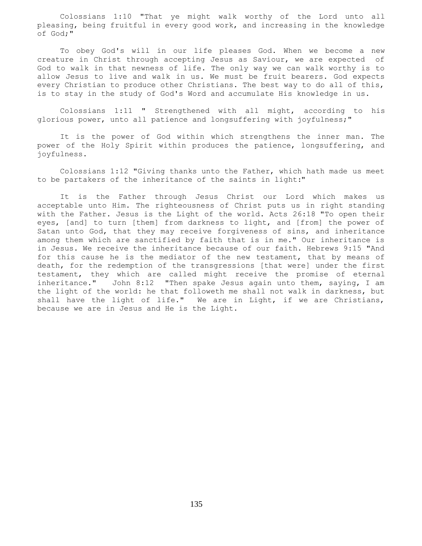Colossians 1:10 "That ye might walk worthy of the Lord unto all pleasing, being fruitful in every good work, and increasing in the knowledge of God;"

 To obey God's will in our life pleases God. When we become a new creature in Christ through accepting Jesus as Saviour, we are expected of God to walk in that newness of life. The only way we can walk worthy is to allow Jesus to live and walk in us. We must be fruit bearers. God expects every Christian to produce other Christians. The best way to do all of this, is to stay in the study of God's Word and accumulate His knowledge in us.

 Colossians 1:11 " Strengthened with all might, according to his glorious power, unto all patience and longsuffering with joyfulness;"

 It is the power of God within which strengthens the inner man. The power of the Holy Spirit within produces the patience, longsuffering, and joyfulness.

 Colossians 1:12 "Giving thanks unto the Father, which hath made us meet to be partakers of the inheritance of the saints in light:"

 It is the Father through Jesus Christ our Lord which makes us acceptable unto Him. The righteousness of Christ puts us in right standing with the Father. Jesus is the Light of the world. Acts 26:18 "To open their eyes, [and] to turn [them] from darkness to light, and [from] the power of Satan unto God, that they may receive forgiveness of sins, and inheritance among them which are sanctified by faith that is in me." Our inheritance is in Jesus. We receive the inheritance because of our faith. Hebrews 9:15 "And for this cause he is the mediator of the new testament, that by means of death, for the redemption of the transgressions [that were] under the first testament, they which are called might receive the promise of eternal inheritance." John 8:12 "Then spake Jesus again unto them, saying, I am the light of the world: he that followeth me shall not walk in darkness, but shall have the light of life." We are in Light, if we are Christians, because we are in Jesus and He is the Light.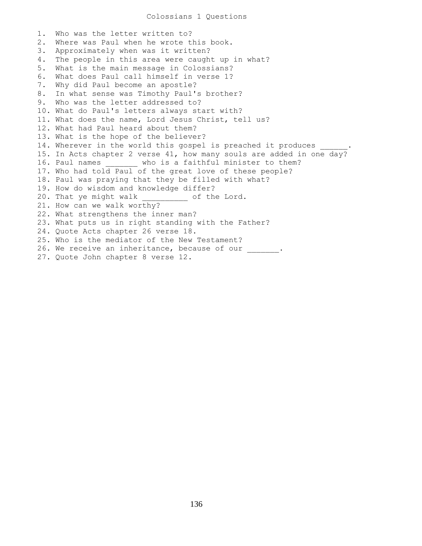1. Who was the letter written to? 2. Where was Paul when he wrote this book. 3. Approximately when was it written? 4. The people in this area were caught up in what? 5. What is the main message in Colossians? 6. What does Paul call himself in verse 1? 7. Why did Paul become an apostle? 8. In what sense was Timothy Paul's brother? 9. Who was the letter addressed to? 10. What do Paul's letters always start with? 11. What does the name, Lord Jesus Christ, tell us? 12. What had Paul heard about them? 13. What is the hope of the believer? 14. Wherever in the world this gospel is preached it produces 15. In Acts chapter 2 verse 41, how many souls are added in one day? 16. Paul names who is a faithful minister to them? 17. Who had told Paul of the great love of these people? 18. Paul was praying that they be filled with what? 19. How do wisdom and knowledge differ? 20. That ye might walk  $\qquad \qquad$  of the Lord. 21. How can we walk worthy? 22. What strengthens the inner man? 23. What puts us in right standing with the Father? 24. Quote Acts chapter 26 verse 18. 25. Who is the mediator of the New Testament? 26. We receive an inheritance, because of our \_\_\_\_\_\_. 27. Quote John chapter 8 verse 12.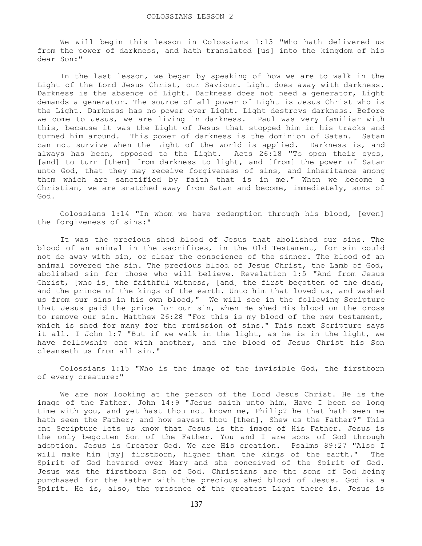We will begin this lesson in Colossians 1:13 "Who hath delivered us from the power of darkness, and hath translated [us] into the kingdom of his dear Son:"

 In the last lesson, we began by speaking of how we are to walk in the Light of the Lord Jesus Christ, our Saviour. Light does away with darkness. Darkness is the absence of Light. Darkness does not need a generator, Light demands a generator. The source of all power of Light is Jesus Christ who is the Light. Darkness has no power over Light. Light destroys darkness. Before we come to Jesus, we are living in darkness. Paul was very familiar with this, because it was the Light of Jesus that stopped him in his tracks and turned him around. This power of darkness is the dominion of Satan. Satan can not survive when the Light of the world is applied. Darkness is, and always has been, opposed to the Light. Acts 26:18 "To open their eyes, [and] to turn [them] from darkness to light, and [from] the power of Satan unto God, that they may receive forgiveness of sins, and inheritance among them which are sanctified by faith that is in me." When we become a Christian, we are snatched away from Satan and become, immedietely, sons of God.

 Colossians 1:14 "In whom we have redemption through his blood, [even] the forgiveness of sins:"

 It was the precious shed blood of Jesus that abolished our sins. The blood of an animal in the sacrifices, in the Old Testament, for sin could not do away with sin, or clear the conscience of the sinner. The blood of an animal covered the sin. The precious blood of Jesus Christ, the Lamb of God, abolished sin for those who will believe. Revelation 1:5 "And from Jesus Christ, [who is] the faithful witness, [and] the first begotten of the dead, and the prince of the kings of the earth. Unto him that loved us, and washed us from our sins in his own blood," We will see in the following Scripture that Jesus paid the price for our sin, when He shed His blood on the cross to remove our sin. Matthew 26:28 "For this is my blood of the new testament, which is shed for many for the remission of sins." This next Scripture says it all. I John 1:7 "But if we walk in the light, as he is in the light, we have fellowship one with another, and the blood of Jesus Christ his Son cleanseth us from all sin."

 Colossians 1:15 "Who is the image of the invisible God, the firstborn of every creature:"

 We are now looking at the person of the Lord Jesus Christ. He is the image of the Father. John 14:9 "Jesus saith unto him, Have I been so long time with you, and yet hast thou not known me, Philip? he that hath seen me hath seen the Father; and how sayest thou [then], Shew us the Father?" This one Scripture lets us know that Jesus is the image of His Father. Jesus is the only begotten Son of the Father. You and I are sons of God through adoption. Jesus is Creator God. We are His creation. Psalms 89:27 "Also I will make him [my] firstborn, higher than the kings of the earth." The Spirit of God hovered over Mary and she conceived of the Spirit of God. Jesus was the firstborn Son of God. Christians are the sons of God being purchased for the Father with the precious shed blood of Jesus. God is a Spirit. He is, also, the presence of the greatest Light there is. Jesus is

137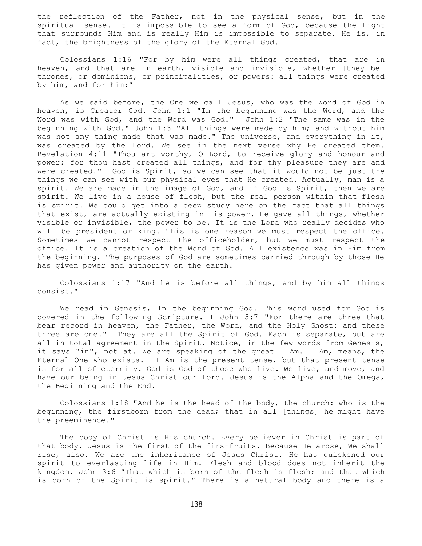the reflection of the Father, not in the physical sense, but in the spiritual sense. It is impossible to see a form of God, because the Light that surrounds Him and is really Him is impossible to separate. He is, in fact, the brightness of the glory of the Eternal God.

 Colossians 1:16 "For by him were all things created, that are in heaven, and that are in earth, visible and invisible, whether [they be] thrones, or dominions, or principalities, or powers: all things were created by him, and for him:"

 As we said before, the One we call Jesus, who was the Word of God in heaven, is Creator God. John 1:1 "In the beginning was the Word, and the Word was with God, and the Word was God." John 1:2 "The same was in the beginning with God." John 1:3 "All things were made by him; and without him was not any thing made that was made." The universe, and everything in it, was created by the Lord. We see in the next verse why He created them. Revelation 4:11 "Thou art worthy, O Lord, to receive glory and honour and power: for thou hast created all things, and for thy pleasure they are and were created." God is Spirit, so we can see that it would not be just the things we can see with our physical eyes that He created. Actually, man is a spirit. We are made in the image of God, and if God is Spirit, then we are spirit. We live in a house of flesh, but the real person within that flesh is spirit. We could get into a deep study here on the fact that all things that exist, are actually existing in His power. He gave all things, whether visible or invisible, the power to be. It is the Lord who really decides who will be president or king. This is one reason we must respect the office. Sometimes we cannot respect the officeholder, but we must respect the office. It is a creation of the Word of God. All existence was in Him from the beginning. The purposes of God are sometimes carried through by those He has given power and authority on the earth.

 Colossians 1:17 "And he is before all things, and by him all things consist."

 We read in Genesis, In the beginning God. This word used for God is covered in the following Scripture. I John 5:7 "For there are three that bear record in heaven, the Father, the Word, and the Holy Ghost: and these three are one." They are all the Spirit of God. Each is separate, but are all in total agreement in the Spirit. Notice, in the few words from Genesis, it says "in", not at. We are speaking of the great I Am. I Am, means, the Eternal One who exists. I Am is the present tense, but that present tense is for all of eternity. God is God of those who live. We live, and move, and have our being in Jesus Christ our Lord. Jesus is the Alpha and the Omega, the Beginning and the End.

 Colossians 1:18 "And he is the head of the body, the church: who is the beginning, the firstborn from the dead; that in all [things] he might have the preeminence."

 The body of Christ is His church. Every believer in Christ is part of that body. Jesus is the first of the firstfruits. Because He arose, We shall rise, also. We are the inheritance of Jesus Christ. He has quickened our spirit to everlasting life in Him. Flesh and blood does not inherit the kingdom. John 3:6 "That which is born of the flesh is flesh; and that which is born of the Spirit is spirit." There is a natural body and there is a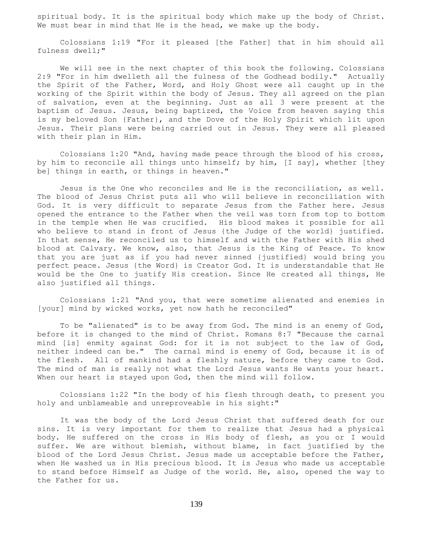spiritual body. It is the spiritual body which make up the body of Christ. We must bear in mind that He is the head, we make up the body.

 Colossians 1:19 "For it pleased [the Father] that in him should all fulness dwell;"

 We will see in the next chapter of this book the following. Colossians 2:9 "For in him dwelleth all the fulness of the Godhead bodily." Actually the Spirit of the Father, Word, and Holy Ghost were all caught up in the working of the Spirit within the body of Jesus. They all agreed on the plan of salvation, even at the beginning. Just as all 3 were present at the baptism of Jesus. Jesus, being baptized, the Voice from heaven saying this is my beloved Son {Father}, and the Dove of the Holy Spirit which lit upon Jesus. Their plans were being carried out in Jesus. They were all pleased with their plan in Him.

 Colossians 1:20 "And, having made peace through the blood of his cross, by him to reconcile all things unto himself; by him, [I say], whether [they be] things in earth, or things in heaven."

 Jesus is the One who reconciles and He is the reconciliation, as well. The blood of Jesus Christ puts all who will believe in reconciliation with God. It is very difficult to separate Jesus from the Father here. Jesus opened the entrance to the Father when the veil was torn from top to bottom in the temple when He was crucified. His blood makes it possible for all who believe to stand in front of Jesus {the Judge of the world} justified. In that sense, He reconciled us to himself and with the Father with His shed blood at Calvary. We know, also, that Jesus is the King of Peace. To know that you are just as if you had never sinned {justified} would bring you perfect peace. Jesus {the Word} is Creator God. It is understandable that He would be the One to justify His creation. Since He created all things, He also justified all things.

 Colossians 1:21 "And you, that were sometime alienated and enemies in [your] mind by wicked works, yet now hath he reconciled"

 To be "alienated" is to be away from God. The mind is an enemy of God, before it is changed to the mind of Christ. Romans 8:7 "Because the carnal mind [is] enmity against God: for it is not subject to the law of God, neither indeed can be." The carnal mind is enemy of God, because it is of the flesh. All of mankind had a fleshly nature, before they came to God. The mind of man is really not what the Lord Jesus wants He wants your heart. When our heart is stayed upon God, then the mind will follow.

 Colossians 1:22 "In the body of his flesh through death, to present you holy and unblameable and unreproveable in his sight:"

 It was the body of the Lord Jesus Christ that suffered death for our sins. It is very important for them to realize that Jesus had a physical body. He suffered on the cross in His body of flesh, as you or I would suffer. We are without blemish, without blame, in fact justified by the blood of the Lord Jesus Christ. Jesus made us acceptable before the Father, when He washed us in His precious blood. It is Jesus who made us acceptable to stand before Himself as Judge of the world. He, also, opened the way to the Father for us.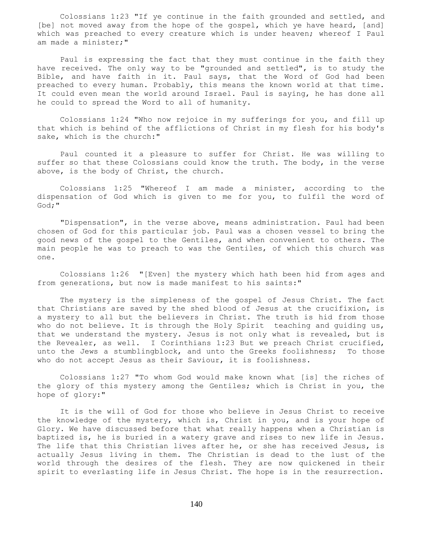Colossians 1:23 "If ye continue in the faith grounded and settled, and [be] not moved away from the hope of the gospel, which ye have heard, [and] which was preached to every creature which is under heaven; whereof I Paul am made a minister;"

 Paul is expressing the fact that they must continue in the faith they have received. The only way to be "grounded and settled", is to study the Bible, and have faith in it. Paul says, that the Word of God had been preached to every human. Probably, this means the known world at that time. It could even mean the world around Israel. Paul is saying, he has done all he could to spread the Word to all of humanity.

 Colossians 1:24 "Who now rejoice in my sufferings for you, and fill up that which is behind of the afflictions of Christ in my flesh for his body's sake, which is the church:"

 Paul counted it a pleasure to suffer for Christ. He was willing to suffer so that these Colossians could know the truth. The body, in the verse above, is the body of Christ, the church.

 Colossians 1:25 "Whereof I am made a minister, according to the dispensation of God which is given to me for you, to fulfil the word of God;"

 "Dispensation", in the verse above, means administration. Paul had been chosen of God for this particular job. Paul was a chosen vessel to bring the good news of the gospel to the Gentiles, and when convenient to others. The main people he was to preach to was the Gentiles, of which this church was one.

 Colossians 1:26 "[Even] the mystery which hath been hid from ages and from generations, but now is made manifest to his saints:"

 The mystery is the simpleness of the gospel of Jesus Christ. The fact that Christians are saved by the shed blood of Jesus at the crucifixion, is a mystery to all but the believers in Christ. The truth is hid from those who do not believe. It is through the Holy Spirit teaching and guiding us, that we understand the mystery. Jesus is not only what is revealed, but is the Revealer, as well. I Corinthians 1:23 But we preach Christ crucified, unto the Jews a stumblingblock, and unto the Greeks foolishness; To those who do not accept Jesus as their Saviour, it is foolishness.

 Colossians 1:27 "To whom God would make known what [is] the riches of the glory of this mystery among the Gentiles; which is Christ in you, the hope of glory:"

 It is the will of God for those who believe in Jesus Christ to receive the knowledge of the mystery, which is, Christ in you, and is your hope of Glory. We have discussed before that what really happens when a Christian is baptized is, he is buried in a watery grave and rises to new life in Jesus. The life that this Christian lives after he, or she has received Jesus, is actually Jesus living in them. The Christian is dead to the lust of the world through the desires of the flesh. They are now quickened in their spirit to everlasting life in Jesus Christ. The hope is in the resurrection.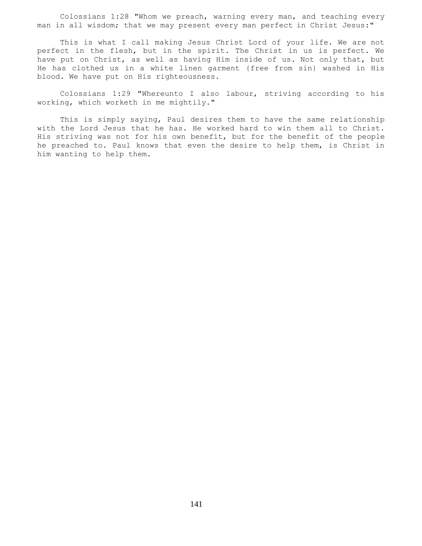Colossians 1:28 "Whom we preach, warning every man, and teaching every man in all wisdom; that we may present every man perfect in Christ Jesus:"

 This is what I call making Jesus Christ Lord of your life. We are not perfect in the flesh, but in the spirit. The Christ in us is perfect. We have put on Christ, as well as having Him inside of us. Not only that, but He has clothed us in a white linen garment {free from sin} washed in His blood. We have put on His righteousness.

 Colossians 1:29 "Whereunto I also labour, striving according to his working, which worketh in me mightily."

 This is simply saying, Paul desires them to have the same relationship with the Lord Jesus that he has. He worked hard to win them all to Christ. His striving was not for his own benefit, but for the benefit of the people he preached to. Paul knows that even the desire to help them, is Christ in him wanting to help them.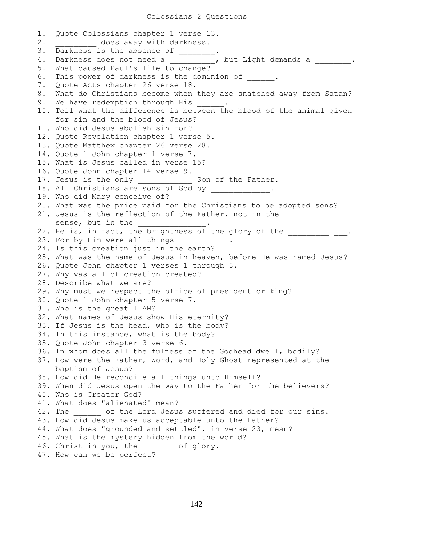1. Quote Colossians chapter 1 verse 13. 2. does away with darkness. 3. Darkness is the absence of \_\_\_\_\_\_\_. 4. Darkness does not need a \_\_\_\_\_\_\_\_\_, but Light demands a \_\_\_\_\_\_\_\_. 5. What caused Paul's life to change? 6. This power of darkness is the dominion of . 7. Quote Acts chapter 26 verse 18. 8. What do Christians become when they are snatched away from Satan? 9. We have redemption through His  $\cdots$ 10. Tell what the difference is between the blood of the animal given for sin and the blood of Jesus? 11. Who did Jesus abolish sin for? 12. Quote Revelation chapter 1 verse 5. 13. Quote Matthew chapter 26 verse 28. 14. Quote 1 John chapter 1 verse 7. 15. What is Jesus called in verse 15? 16. Quote John chapter 14 verse 9. 17. Jesus is the only \_\_\_\_\_\_\_\_\_\_\_\_\_ Son of the Father. 18. All Christians are sons of God by 19. Who did Mary conceive of? 20. What was the price paid for the Christians to be adopted sons? 21. Jesus is the reflection of the Father, not in the \_\_\_\_\_\_\_\_\_\_ sense, but in the 22. He is, in fact, the brightness of the glory of the \_\_\_\_\_\_\_\_\_\_\_. 23. For by Him were all things 24. Is this creation just in the earth? 25. What was the name of Jesus in heaven, before He was named Jesus? 26. Quote John chapter 1 verses 1 through 3. 27. Why was all of creation created? 28. Describe what we are? 29. Why must we respect the office of president or king? 30. Quote 1 John chapter 5 verse 7. 31. Who is the great I AM? 32. What names of Jesus show His eternity? 33. If Jesus is the head, who is the body? 34. In this instance, what is the body? 35. Quote John chapter 3 verse 6. 36. In whom does all the fulness of the Godhead dwell, bodily? 37. How were the Father, Word, and Holy Ghost represented at the baptism of Jesus? 38. How did He reconcile all things unto Himself? 39. When did Jesus open the way to the Father for the believers? 40. Who is Creator God? 41. What does "alienated" mean? 42. The \_\_\_\_\_\_ of the Lord Jesus suffered and died for our sins. 43. How did Jesus make us acceptable unto the Father? 44. What does "grounded and settled", in verse 23, mean? 45. What is the mystery hidden from the world? 46. Christ in you, the \_\_\_\_\_\_\_ of glory. 47. How can we be perfect?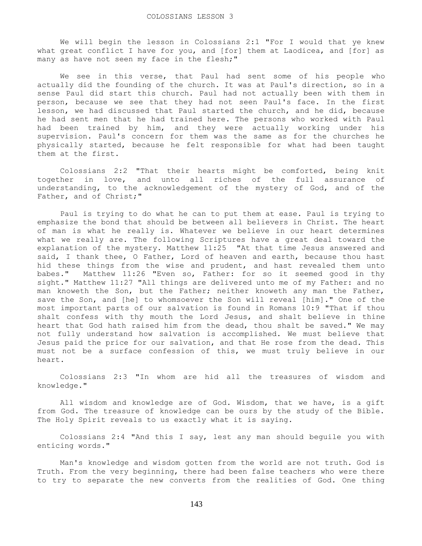We will begin the lesson in Colossians 2:1 "For I would that ye knew what great conflict I have for you, and [for] them at Laodicea, and [for] as many as have not seen my face in the flesh;"

 We see in this verse, that Paul had sent some of his people who actually did the founding of the church. It was at Paul's direction, so in a sense Paul did start this church. Paul had not actually been with them in person, because we see that they had not seen Paul's face. In the first lesson, we had discussed that Paul started the church, and he did, because he had sent men that he had trained here. The persons who worked with Paul had been trained by him, and they were actually working under his supervision. Paul's concern for them was the same as for the churches he physically started, because he felt responsible for what had been taught them at the first.

 Colossians 2:2 "That their hearts might be comforted, being knit together in love, and unto all riches of the full assurance of understanding, to the acknowledgement of the mystery of God, and of the Father, and of Christ;"

 Paul is trying to do what he can to put them at ease. Paul is trying to emphasize the bond that should be between all believers in Christ. The heart of man is what he really is. Whatever we believe in our heart determines what we really are. The following Scriptures have a great deal toward the explanation of the mystery. Matthew 11:25 "At that time Jesus answered and said, I thank thee, O Father, Lord of heaven and earth, because thou hast hid these things from the wise and prudent, and hast revealed them unto babes." Matthew 11:26 "Even so, Father: for so it seemed good in thy sight." Matthew 11:27 "All things are delivered unto me of my Father: and no man knoweth the Son, but the Father; neither knoweth any man the Father, save the Son, and [he] to whomsoever the Son will reveal [him]." One of the most important parts of our salvation is found in Romans 10:9 "That if thou shalt confess with thy mouth the Lord Jesus, and shalt believe in thine heart that God hath raised him from the dead, thou shalt be saved." We may not fully understand how salvation is accomplished. We must believe that Jesus paid the price for our salvation, and that He rose from the dead. This must not be a surface confession of this, we must truly believe in our heart.

 Colossians 2:3 "In whom are hid all the treasures of wisdom and knowledge."

 All wisdom and knowledge are of God. Wisdom, that we have, is a gift from God. The treasure of knowledge can be ours by the study of the Bible. The Holy Spirit reveals to us exactly what it is saying.

 Colossians 2:4 "And this I say, lest any man should beguile you with enticing words."

 Man's knowledge and wisdom gotten from the world are not truth. God is Truth. From the very beginning, there had been false teachers who were there to try to separate the new converts from the realities of God. One thing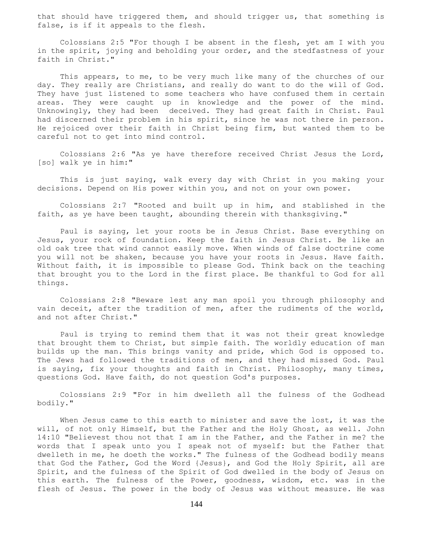that should have triggered them, and should trigger us, that something is false, is if it appeals to the flesh.

 Colossians 2:5 "For though I be absent in the flesh, yet am I with you in the spirit, joying and beholding your order, and the stedfastness of your faith in Christ."

 This appears, to me, to be very much like many of the churches of our day. They really are Christians, and really do want to do the will of God. They have just listened to some teachers who have confused them in certain areas. They were caught up in knowledge and the power of the mind. Unknowingly, they had been deceived. They had great faith in Christ. Paul had discerned their problem in his spirit, since he was not there in person. He rejoiced over their faith in Christ being firm, but wanted them to be careful not to get into mind control.

 Colossians 2:6 "As ye have therefore received Christ Jesus the Lord, [so] walk ye in him:"

 This is just saying, walk every day with Christ in you making your decisions. Depend on His power within you, and not on your own power.

 Colossians 2:7 "Rooted and built up in him, and stablished in the faith, as ye have been taught, abounding therein with thanksgiving."

 Paul is saying, let your roots be in Jesus Christ. Base everything on Jesus, your rock of foundation. Keep the faith in Jesus Christ. Be like an old oak tree that wind cannot easily move. When winds of false doctrine come you will not be shaken, because you have your roots in Jesus. Have faith. Without faith, it is impossible to please God. Think back on the teaching that brought you to the Lord in the first place. Be thankful to God for all things.

 Colossians 2:8 "Beware lest any man spoil you through philosophy and vain deceit, after the tradition of men, after the rudiments of the world, and not after Christ."

 Paul is trying to remind them that it was not their great knowledge that brought them to Christ, but simple faith. The worldly education of man builds up the man. This brings vanity and pride, which God is opposed to. The Jews had followed the traditions of men, and they had missed God. Paul is saying, fix your thoughts and faith in Christ. Philosophy, many times, questions God. Have faith, do not question God's purposes.

 Colossians 2:9 "For in him dwelleth all the fulness of the Godhead bodily."

When Jesus came to this earth to minister and save the lost, it was the will, of not only Himself, but the Father and the Holy Ghost, as well. John 14:10 "Believest thou not that I am in the Father, and the Father in me? the words that I speak unto you I speak not of myself: but the Father that dwelleth in me, he doeth the works." The fulness of the Godhead bodily means that God the Father, God the Word {Jesus}, and God the Holy Spirit, all are Spirit, and the fulness of the Spirit of God dwelled in the body of Jesus on this earth. The fulness of the Power, goodness, wisdom, etc. was in the flesh of Jesus. The power in the body of Jesus was without measure. He was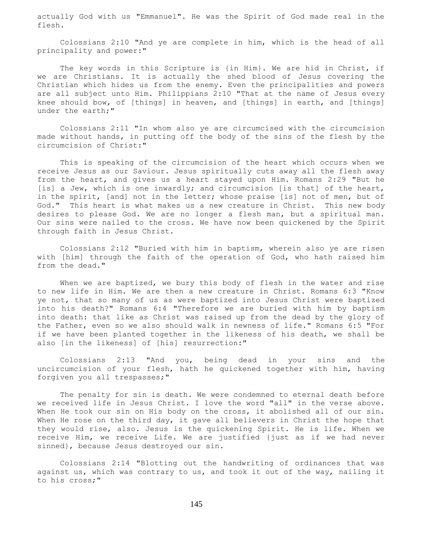actually God with us "Emmanuel". He was the Spirit of God made real in the flesh.

 Colossians 2:10 "And ye are complete in him, which is the head of all principality and power:"

 The key words in this Scripture is {in Him}. We are hid in Christ, if we are Christians. It is actually the shed blood of Jesus covering the Christian which hides us from the enemy. Even the principalities and powers are all subject unto Him. Philippians 2:10 "That at the name of Jesus every knee should bow, of [things] in heaven, and [things] in earth, and [things] under the earth;"

 Colossians 2:11 "In whom also ye are circumcised with the circumcision made without hands, in putting off the body of the sins of the flesh by the circumcision of Christ:"

 This is speaking of the circumcision of the heart which occurs when we receive Jesus as our Saviour. Jesus spiritually cuts away all the flesh away from the heart, and gives us a heart stayed upon Him. Romans 2:29 "But he [is] a Jew, which is one inwardly; and circumcision [is that] of the heart, in the spirit, [and] not in the letter; whose praise [is] not of men, but of God." This heart is what makes us a new creature in Christ. This new body desires to please God. We are no longer a flesh man, but a spiritual man. Our sins were nailed to the cross. We have now been quickened by the Spirit through faith in Jesus Christ.

 Colossians 2:12 "Buried with him in baptism, wherein also ye are risen with [him] through the faith of the operation of God, who hath raised him from the dead."

When we are baptized, we bury this body of flesh in the water and rise to new life in Him. We are then a new creature in Christ. Romans 6:3 "Know ye not, that so many of us as were baptized into Jesus Christ were baptized into his death?" Romans 6:4 "Therefore we are buried with him by baptism into death: that like as Christ was raised up from the dead by the glory of the Father, even so we also should walk in newness of life." Romans 6:5 "For if we have been planted together in the likeness of his death, we shall be also [in the likeness] of [his] resurrection:"

 Colossians 2:13 "And you, being dead in your sins and the uncircumcision of your flesh, hath he quickened together with him, having forgiven you all trespasses;"

 The penalty for sin is death. We were condemned to eternal death before we received life in Jesus Christ. I love the word "all" in the verse above. When He took our sin on His body on the cross, it abolished all of our sin. When He rose on the third day, it gave all believers in Christ the hope that they would rise, also. Jesus is the quickening Spirit. He is life. When we receive Him, we receive Life. We are justified {just as if we had never sinned}, because Jesus destroyed our sin.

 Colossians 2:14 "Blotting out the handwriting of ordinances that was against us, which was contrary to us, and took it out of the way, nailing it to his cross;"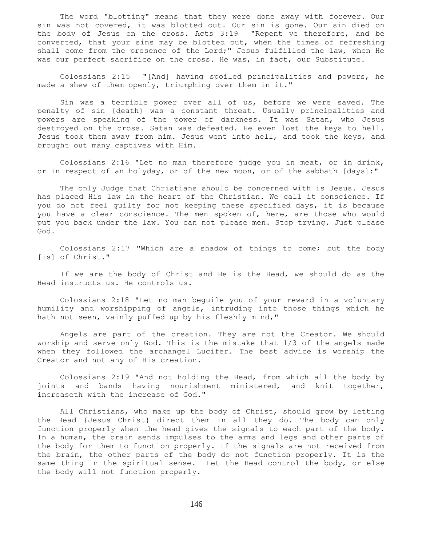The word "blotting" means that they were done away with forever. Our sin was not covered, it was blotted out. Our sin is gone. Our sin died on the body of Jesus on the cross. Acts 3:19 "Repent ye therefore, and be converted, that your sins may be blotted out, when the times of refreshing shall come from the presence of the Lord;" Jesus fulfilled the law, when He was our perfect sacrifice on the cross. He was, in fact, our Substitute.

 Colossians 2:15 "[And] having spoiled principalities and powers, he made a shew of them openly, triumphing over them in it."

 Sin was a terrible power over all of us, before we were saved. The penalty of sin {death} was a constant threat. Usually principalities and powers are speaking of the power of darkness. It was Satan, who Jesus destroyed on the cross. Satan was defeated. He even lost the keys to hell. Jesus took them away from him. Jesus went into hell, and took the keys, and brought out many captives with Him.

 Colossians 2:16 "Let no man therefore judge you in meat, or in drink, or in respect of an holyday, or of the new moon, or of the sabbath [days]:"

 The only Judge that Christians should be concerned with is Jesus. Jesus has placed His law in the heart of the Christian. We call it conscience. If you do not feel guilty for not keeping these specified days, it is because you have a clear conscience. The men spoken of, here, are those who would put you back under the law. You can not please men. Stop trying. Just please God.

 Colossians 2:17 "Which are a shadow of things to come; but the body [is] of Christ."

 If we are the body of Christ and He is the Head, we should do as the Head instructs us. He controls us.

 Colossians 2:18 "Let no man beguile you of your reward in a voluntary humility and worshipping of angels, intruding into those things which he hath not seen, vainly puffed up by his fleshly mind,"

 Angels are part of the creation. They are not the Creator. We should worship and serve only God. This is the mistake that 1/3 of the angels made when they followed the archangel Lucifer. The best advice is worship the Creator and not any of His creation.

 Colossians 2:19 "And not holding the Head, from which all the body by joints and bands having nourishment ministered, and knit together, increaseth with the increase of God."

 All Christians, who make up the body of Christ, should grow by letting the Head {Jesus Christ} direct them in all they do. The body can only function properly when the head gives the signals to each part of the body. In a human, the brain sends impulses to the arms and legs and other parts of the body for them to function properly. If the signals are not received from the brain, the other parts of the body do not function properly. It is the same thing in the spiritual sense. Let the Head control the body, or else the body will not function properly.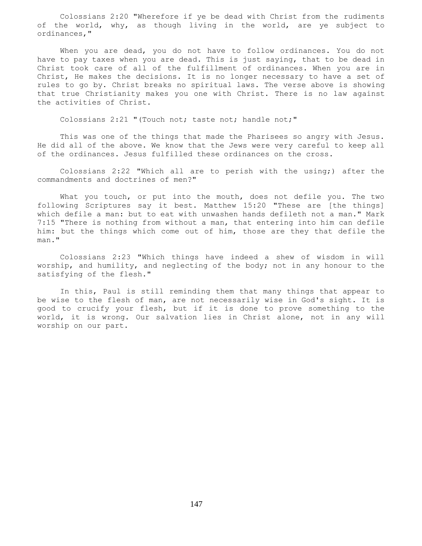Colossians 2:20 "Wherefore if ye be dead with Christ from the rudiments of the world, why, as though living in the world, are ye subject to ordinances,"

 When you are dead, you do not have to follow ordinances. You do not have to pay taxes when you are dead. This is just saying, that to be dead in Christ took care of all of the fulfillment of ordinances. When you are in Christ, He makes the decisions. It is no longer necessary to have a set of rules to go by. Christ breaks no spiritual laws. The verse above is showing that true Christianity makes you one with Christ. There is no law against the activities of Christ.

Colossians 2:21 "(Touch not; taste not; handle not;"

 This was one of the things that made the Pharisees so angry with Jesus. He did all of the above. We know that the Jews were very careful to keep all of the ordinances. Jesus fulfilled these ordinances on the cross.

 Colossians 2:22 "Which all are to perish with the using;) after the commandments and doctrines of men?"

What you touch, or put into the mouth, does not defile you. The two following Scriptures say it best. Matthew 15:20 "These are [the things] which defile a man: but to eat with unwashen hands defileth not a man." Mark 7:15 "There is nothing from without a man, that entering into him can defile him: but the things which come out of him, those are they that defile the man."

 Colossians 2:23 "Which things have indeed a shew of wisdom in will worship, and humility, and neglecting of the body; not in any honour to the satisfying of the flesh."

 In this, Paul is still reminding them that many things that appear to be wise to the flesh of man, are not necessarily wise in God's sight. It is good to crucify your flesh, but if it is done to prove something to the world, it is wrong. Our salvation lies in Christ alone, not in any will worship on our part.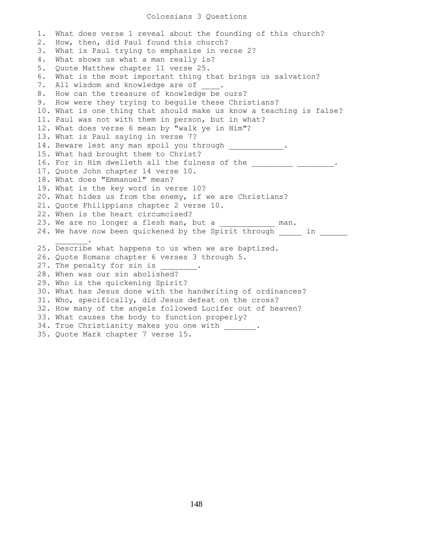## Colossians 3 Questions

1. What does verse 1 reveal about the founding of this church? 2. How, then, did Paul found this church? 3. What is Paul trying to emphasize in verse 2? 4. What shows us what a man really is? 5. Quote Matthew chapter 11 verse 25. 6. What is the most important thing that brings us salvation? 7. All wisdom and knowledge are of . 8. How can the treasure of knowledge be ours? 9. How were they trying to beguile these Christians? 10. What is one thing that should make us know a teaching is false? 11. Paul was not with them in person, but in what? 12. What does verse 6 mean by "walk ye in Him"? 13. What is Paul saying in verse 7? 14. Beware lest any man spoil you through \_\_\_\_\_\_\_\_\_\_. 15. What had brought them to Christ? 16. For in Him dwelleth all the fulness of the \_\_\_\_\_\_\_\_\_\_ \_\_\_\_\_\_\_\_. 17. Quote John chapter 14 verse 10. 18. What does "Emmanuel" mean? 19. What is the key word in verse 10? 20. What hides us from the enemy, if we are Christians? 21. Quote Philippians chapter 2 verse 10. 22. When is the heart circumcised? 23. We are no longer a flesh man, but a \_\_\_\_\_\_\_\_\_\_\_\_ man. 24. We have now been quickened by the Spirit through \_\_\_\_\_ in \_\_\_\_\_  $\overline{\phantom{a}}$  ,  $\overline{\phantom{a}}$  ,  $\overline{\phantom{a}}$  ,  $\overline{\phantom{a}}$  ,  $\overline{\phantom{a}}$ 25. Describe what happens to us when we are baptized. 26. Quote Romans chapter 6 verses 3 through 5. 27. The penalty for sin is 28. When was our sin abolished? 29. Who is the quickening Spirit? 30. What has Jesus done with the handwriting of ordinances? 31. Who, specifically, did Jesus defeat on the cross? 32. How many of the angels followed Lucifer out of heaven? 33. What causes the body to function properly? 34. True Christianity makes you one with \_\_\_\_\_\_\_. 35. Quote Mark chapter 7 verse 15.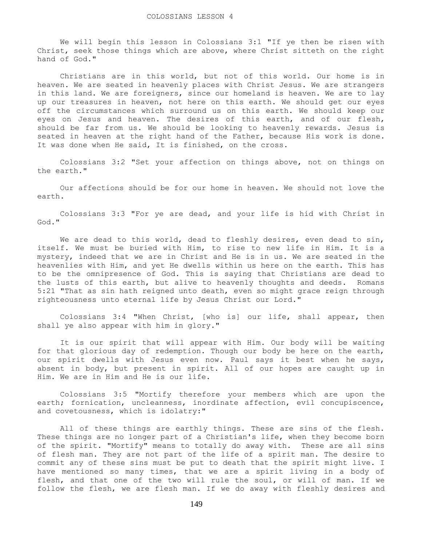We will begin this lesson in Colossians 3:1 "If ye then be risen with Christ, seek those things which are above, where Christ sitteth on the right hand of God."

 Christians are in this world, but not of this world. Our home is in heaven. We are seated in heavenly places with Christ Jesus. We are strangers in this land. We are foreigners, since our homeland is heaven. We are to lay up our treasures in heaven, not here on this earth. We should get our eyes off the circumstances which surround us on this earth. We should keep our eyes on Jesus and heaven. The desires of this earth, and of our flesh, should be far from us. We should be looking to heavenly rewards. Jesus is seated in heaven at the right hand of the Father, because His work is done. It was done when He said, It is finished, on the cross.

 Colossians 3:2 "Set your affection on things above, not on things on the earth."

 Our affections should be for our home in heaven. We should not love the earth.

 Colossians 3:3 "For ye are dead, and your life is hid with Christ in God."

We are dead to this world, dead to fleshly desires, even dead to sin, itself. We must be buried with Him, to rise to new life in Him. It is a mystery, indeed that we are in Christ and He is in us. We are seated in the heavenlies with Him, and yet He dwells within us here on the earth. This has to be the omnipresence of God. This is saying that Christians are dead to the lusts of this earth, but alive to heavenly thoughts and deeds. Romans 5:21 "That as sin hath reigned unto death, even so might grace reign through righteousness unto eternal life by Jesus Christ our Lord."

 Colossians 3:4 "When Christ, [who is] our life, shall appear, then shall ye also appear with him in glory."

 It is our spirit that will appear with Him. Our body will be waiting for that glorious day of redemption. Though our body be here on the earth, our spirit dwells with Jesus even now. Paul says it best when he says, absent in body, but present in spirit. All of our hopes are caught up in Him. We are in Him and He is our life.

 Colossians 3:5 "Mortify therefore your members which are upon the earth; fornication, uncleanness, inordinate affection, evil concupiscence, and covetousness, which is idolatry:"

All of these things are earthly things. These are sins of the flesh. These things are no longer part of a Christian's life, when they become born of the spirit. "Mortify" means to totally do away with. These are all sins of flesh man. They are not part of the life of a spirit man. The desire to commit any of these sins must be put to death that the spirit might live. I have mentioned so many times, that we are a spirit living in a body of flesh, and that one of the two will rule the soul, or will of man. If we follow the flesh, we are flesh man. If we do away with fleshly desires and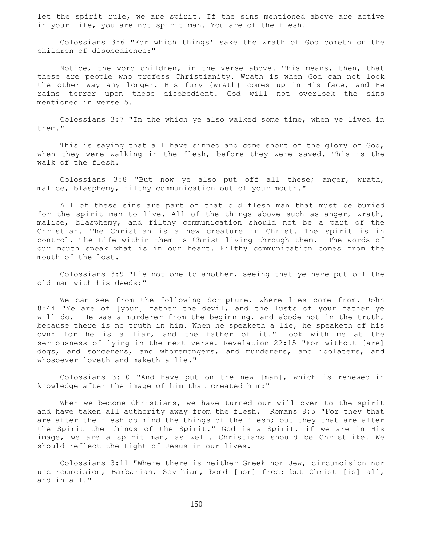let the spirit rule, we are spirit. If the sins mentioned above are active in your life, you are not spirit man. You are of the flesh.

 Colossians 3:6 "For which things' sake the wrath of God cometh on the children of disobedience:"

 Notice, the word children, in the verse above. This means, then, that these are people who profess Christianity. Wrath is when God can not look the other way any longer. His fury {wrath} comes up in His face, and He rains terror upon those disobedient. God will not overlook the sins mentioned in verse 5.

 Colossians 3:7 "In the which ye also walked some time, when ye lived in them."

This is saying that all have sinned and come short of the glory of God, when they were walking in the flesh, before they were saved. This is the walk of the flesh.

 Colossians 3:8 "But now ye also put off all these; anger, wrath, malice, blasphemy, filthy communication out of your mouth."

 All of these sins are part of that old flesh man that must be buried for the spirit man to live. All of the things above such as anger, wrath, malice, blasphemy, and filthy communication should not be a part of the Christian. The Christian is a new creature in Christ. The spirit is in control. The Life within them is Christ living through them. The words of our mouth speak what is in our heart. Filthy communication comes from the mouth of the lost.

 Colossians 3:9 "Lie not one to another, seeing that ye have put off the old man with his deeds;"

 We can see from the following Scripture, where lies come from. John 8:44 "Ye are of [your] father the devil, and the lusts of your father ye will do. He was a murderer from the beginning, and abode not in the truth, because there is no truth in him. When he speaketh a lie, he speaketh of his own: for he is a liar, and the father of it." Look with me at the seriousness of lying in the next verse. Revelation 22:15 "For without [are] dogs, and sorcerers, and whoremongers, and murderers, and idolaters, and whosoever loveth and maketh a lie."

 Colossians 3:10 "And have put on the new [man], which is renewed in knowledge after the image of him that created him:"

 When we become Christians, we have turned our will over to the spirit and have taken all authority away from the flesh. Romans 8:5 "For they that are after the flesh do mind the things of the flesh; but they that are after the Spirit the things of the Spirit." God is a Spirit, if we are in His image, we are a spirit man, as well. Christians should be Christlike. We should reflect the Light of Jesus in our lives.

 Colossians 3:11 "Where there is neither Greek nor Jew, circumcision nor uncircumcision, Barbarian, Scythian, bond [nor] free: but Christ [is] all, and in all."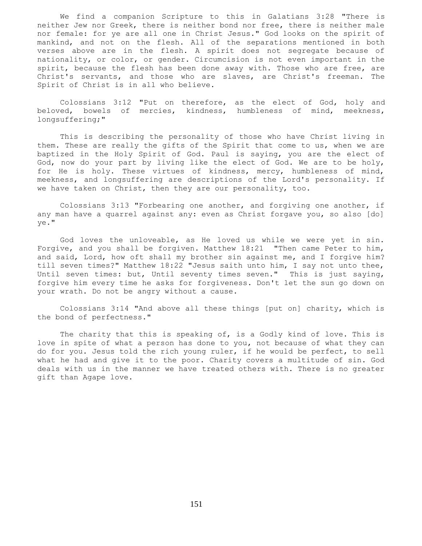We find a companion Scripture to this in Galatians 3:28 "There is neither Jew nor Greek, there is neither bond nor free, there is neither male nor female: for ye are all one in Christ Jesus." God looks on the spirit of mankind, and not on the flesh. All of the separations mentioned in both verses above are in the flesh. A spirit does not segregate because of nationality, or color, or gender. Circumcision is not even important in the spirit, because the flesh has been done away with. Those who are free, are Christ's servants, and those who are slaves, are Christ's freeman. The Spirit of Christ is in all who believe.

 Colossians 3:12 "Put on therefore, as the elect of God, holy and beloved, bowels of mercies, kindness, humbleness of mind, meekness, longsuffering;"

 This is describing the personality of those who have Christ living in them. These are really the gifts of the Spirit that come to us, when we are baptized in the Holy Spirit of God. Paul is saying, you are the elect of God, now do your part by living like the elect of God. We are to be holy, for He is holy. These virtues of kindness, mercy, humbleness of mind, meekness, and longsuffering are descriptions of the Lord's personality. If we have taken on Christ, then they are our personality, too.

 Colossians 3:13 "Forbearing one another, and forgiving one another, if any man have a quarrel against any: even as Christ forgave you, so also [do] ye."

 God loves the unloveable, as He loved us while we were yet in sin. Forgive, and you shall be forgiven. Matthew 18:21 "Then came Peter to him, and said, Lord, how oft shall my brother sin against me, and I forgive him? till seven times?" Matthew 18:22 "Jesus saith unto him, I say not unto thee, Until seven times: but, Until seventy times seven." This is just saying, forgive him every time he asks for forgiveness. Don't let the sun go down on your wrath. Do not be angry without a cause.

 Colossians 3:14 "And above all these things [put on] charity, which is the bond of perfectness."

 The charity that this is speaking of, is a Godly kind of love. This is love in spite of what a person has done to you, not because of what they can do for you. Jesus told the rich young ruler, if he would be perfect, to sell what he had and give it to the poor. Charity covers a multitude of sin. God deals with us in the manner we have treated others with. There is no greater gift than Agape love.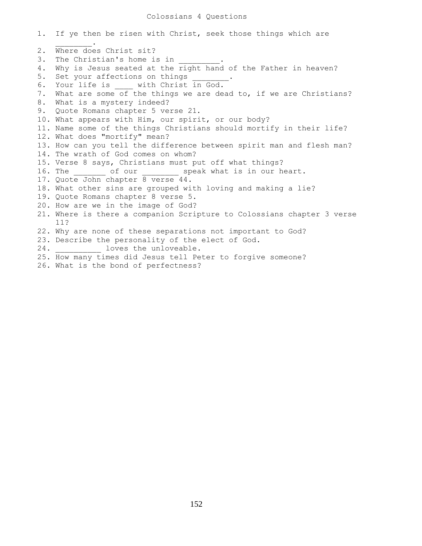## Colossians 4 Questions

1. If ye then be risen with Christ, seek those things which are  $\mathcal{L}=\mathcal{L}^{\mathcal{L}}$ 2. Where does Christ sit? 3. The Christian's home is in 4. Why is Jesus seated at the right hand of the Father in heaven? 5. Set your affections on things 6. Your life is with Christ in God. 7. What are some of the things we are dead to, if we are Christians? 8. What is a mystery indeed? 9. Quote Romans chapter 5 verse 21. 10. What appears with Him, our spirit, or our body? 11. Name some of the things Christians should mortify in their life? 12. What does "mortify" mean? 13. How can you tell the difference between spirit man and flesh man? 14. The wrath of God comes on whom? 15. Verse 8 says, Christians must put off what things? 16. The cofour speak what is in our heart. 17. Quote John chapter 8 verse 44. 18. What other sins are grouped with loving and making a lie? 19. Quote Romans chapter 8 verse 5. 20. How are we in the image of God? 21. Where is there a companion Scripture to Colossians chapter 3 verse 11? 22. Why are none of these separations not important to God? 23. Describe the personality of the elect of God. 24. Loves the unloveable. 25. How many times did Jesus tell Peter to forgive someone? 26. What is the bond of perfectness?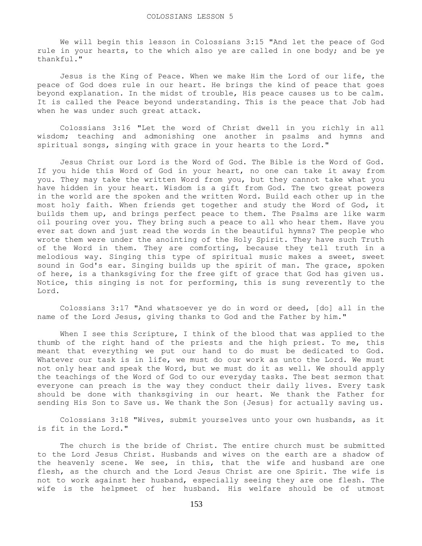We will begin this lesson in Colossians 3:15 "And let the peace of God rule in your hearts, to the which also ye are called in one body; and be ye thankful."

 Jesus is the King of Peace. When we make Him the Lord of our life, the peace of God does rule in our heart. He brings the kind of peace that goes beyond explanation. In the midst of trouble, His peace causes us to be calm. It is called the Peace beyond understanding. This is the peace that Job had when he was under such great attack.

 Colossians 3:16 "Let the word of Christ dwell in you richly in all wisdom; teaching and admonishing one another in psalms and hymns and spiritual songs, singing with grace in your hearts to the Lord."

 Jesus Christ our Lord is the Word of God. The Bible is the Word of God. If you hide this Word of God in your heart, no one can take it away from you. They may take the written Word from you, but they cannot take what you have hidden in your heart. Wisdom is a gift from God. The two great powers in the world are the spoken and the written Word. Build each other up in the most holy faith. When friends get together and study the Word of God, it builds them up, and brings perfect peace to them. The Psalms are like warm oil pouring over you. They bring such a peace to all who hear them. Have you ever sat down and just read the words in the beautiful hymns? The people who wrote them were under the anointing of the Holy Spirit. They have such Truth of the Word in them. They are comforting, because they tell truth in a melodious way. Singing this type of spiritual music makes a sweet, sweet sound in God's ear. Singing builds up the spirit of man. The grace, spoken of here, is a thanksgiving for the free gift of grace that God has given us. Notice, this singing is not for performing, this is sung reverently to the Lord.

 Colossians 3:17 "And whatsoever ye do in word or deed, [do] all in the name of the Lord Jesus, giving thanks to God and the Father by him."

When I see this Scripture, I think of the blood that was applied to the thumb of the right hand of the priests and the high priest. To me, this meant that everything we put our hand to do must be dedicated to God. Whatever our task is in life, we must do our work as unto the Lord. We must not only hear and speak the Word, but we must do it as well. We should apply the teachings of the Word of God to our everyday tasks. The best sermon that everyone can preach is the way they conduct their daily lives. Every task should be done with thanksgiving in our heart. We thank the Father for sending His Son to Save us. We thank the Son {Jesus} for actually saving us.

 Colossians 3:18 "Wives, submit yourselves unto your own husbands, as it is fit in the Lord."

 The church is the bride of Christ. The entire church must be submitted to the Lord Jesus Christ. Husbands and wives on the earth are a shadow of the heavenly scene. We see, in this, that the wife and husband are one flesh, as the church and the Lord Jesus Christ are one Spirit. The wife is not to work against her husband, especially seeing they are one flesh. The wife is the helpmeet of her husband. His welfare should be of utmost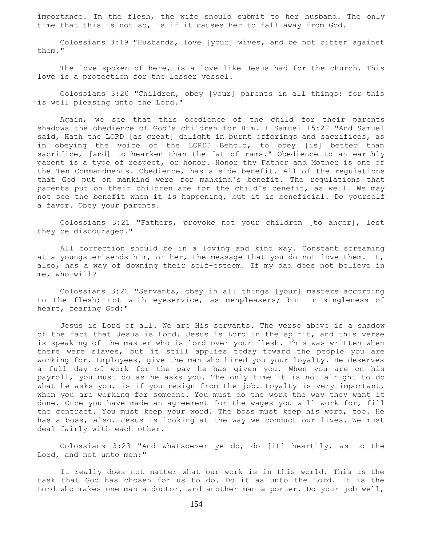importance. In the flesh, the wife should submit to her husband. The only time that this is not so, is if it causes her to fall away from God.

 Colossians 3:19 "Husbands, love [your] wives, and be not bitter against them."

 The love spoken of here, is a love like Jesus had for the church. This love is a protection for the lesser vessel.

 Colossians 3:20 "Children, obey [your] parents in all things: for this is well pleasing unto the Lord."

 Again, we see that this obedience of the child for their parents shadows the obedience of God's children for Him. I Samuel 15:22 "And Samuel said, Hath the LORD [as great] delight in burnt offerings and sacrifices, as in obeying the voice of the LORD? Behold, to obey [is] better than sacrifice, [and] to hearken than the fat of rams." Obedience to an earthly parent is a type of respect, or honor. Honor thy Father and Mother is one of the Ten Commandments. Obedience, has a side benefit. All of the regulations that God put on mankind were for mankind's benefit. The regulations that parents put on their children are for the child's benefit, as well. We may not see the benefit when it is happening, but it is beneficial. Do yourself a favor. Obey your parents.

 Colossians 3:21 "Fathers, provoke not your children [to anger], lest they be discouraged."

 All correction should be in a loving and kind way. Constant screaming at a youngster sends him, or her, the message that you do not love them. It, also, has a way of downing their self-esteem. If my dad does not believe in me, who will?

 Colossians 3:22 "Servants, obey in all things [your] masters according to the flesh; not with eyeservice, as menpleasers; but in singleness of heart, fearing God:"

 Jesus is Lord of all. We are His servants. The verse above is a shadow of the fact that Jesus is Lord. Jesus is Lord in the spirit, and this verse is speaking of the master who is lord over your flesh. This was written when there were slaves, but it still applies today toward the people you are working for. Employees, give the man who hired you your loyalty. He deserves a full day of work for the pay he has given you. When you are on his payroll, you must do as he asks you. The only time it is not alright to do what he asks you, is if you resign from the job. Loyalty is very important, when you are working for someone. You must do the work the way they want it done. Once you have made an agreement for the wages you will work for, fill the contract. You must keep your word. The boss must keep his word, too. He has a boss, also. Jesus is looking at the way we conduct our lives. We must deal fairly with each other.

 Colossians 3:23 "And whatsoever ye do, do [it] heartily, as to the Lord, and not unto men;"

 It really does not matter what our work is in this world. This is the task that God has chosen for us to do. Do it as unto the Lord. It is the Lord who makes one man a doctor, and another man a porter. Do your job well,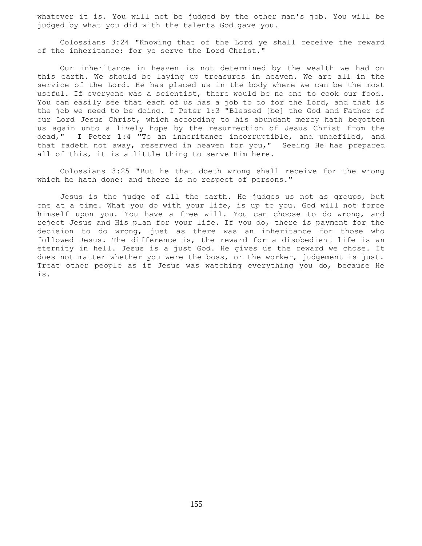whatever it is. You will not be judged by the other man's job. You will be judged by what you did with the talents God gave you.

 Colossians 3:24 "Knowing that of the Lord ye shall receive the reward of the inheritance: for ye serve the Lord Christ."

 Our inheritance in heaven is not determined by the wealth we had on this earth. We should be laying up treasures in heaven. We are all in the service of the Lord. He has placed us in the body where we can be the most useful. If everyone was a scientist, there would be no one to cook our food. You can easily see that each of us has a job to do for the Lord, and that is the job we need to be doing. I Peter 1:3 "Blessed [be] the God and Father of our Lord Jesus Christ, which according to his abundant mercy hath begotten us again unto a lively hope by the resurrection of Jesus Christ from the dead," I Peter 1:4 "To an inheritance incorruptible, and undefiled, and that fadeth not away, reserved in heaven for you," Seeing He has prepared all of this, it is a little thing to serve Him here.

 Colossians 3:25 "But he that doeth wrong shall receive for the wrong which he hath done: and there is no respect of persons."

 Jesus is the judge of all the earth. He judges us not as groups, but one at a time. What you do with your life, is up to you. God will not force himself upon you. You have a free will. You can choose to do wrong, and reject Jesus and His plan for your life. If you do, there is payment for the decision to do wrong, just as there was an inheritance for those who followed Jesus. The difference is, the reward for a disobedient life is an eternity in hell. Jesus is a just God. He gives us the reward we chose. It does not matter whether you were the boss, or the worker, judgement is just. Treat other people as if Jesus was watching everything you do, because He is.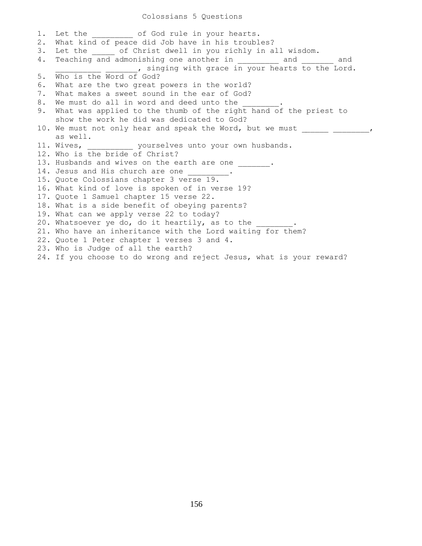## Colossians 5 Questions

|    | 1. Let the of God rule in your hearts.                               |
|----|----------------------------------------------------------------------|
| 2. | What kind of peace did Job have in his troubles?                     |
| 3. | Let the of Christ dwell in you richly in all wisdom.                 |
| 4. | Teaching and admonishing one another in __________ and _______ and   |
|    | ____________________, singing with grace in your hearts to the Lord. |
|    | 5. Who is the Word of God?                                           |
| 6. | What are the two great powers in the world?                          |
| 7. | What makes a sweet sound in the ear of God?                          |
|    | 8. We must do all in word and deed unto the ________.                |
|    | 9. What was applied to the thumb of the right hand of the priest to  |
|    | show the work he did was dedicated to God?                           |
|    | 10. We must not only hear and speak the Word, but we must            |
|    | as well.                                                             |
|    | 11. Wives, yourselves unto your own husbands.                        |
|    | 12. Who is the bride of Christ?                                      |
|    | 13. Husbands and wives on the earth are one _______.                 |
|    | 14. Jesus and His church are one ________.                           |
|    | 15. Quote Colossians chapter 3 verse 19.                             |
|    | 16. What kind of love is spoken of in verse 19?                      |
|    | 17. Quote 1 Samuel chapter 15 verse 22.                              |
|    | 18. What is a side benefit of obeying parents?                       |
|    | 19. What can we apply verse 22 to today?                             |
|    | 20. Whatsoever ye do, do it heartily, as to the                      |
|    | 21. Who have an inheritance with the Lord waiting for them?          |
|    | 22. Quote 1 Peter chapter 1 verses 3 and 4.                          |
|    | 23. Who is Judge of all the earth?                                   |
|    | 24. If you choose to do wrong and reject Jesus, what is your reward? |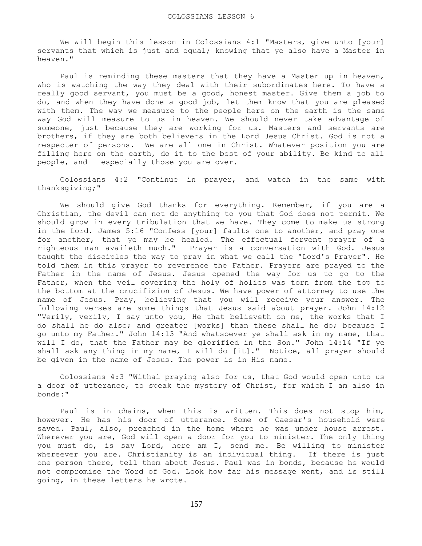We will begin this lesson in Colossians 4:1 "Masters, give unto [your] servants that which is just and equal; knowing that ye also have a Master in heaven."

 Paul is reminding these masters that they have a Master up in heaven, who is watching the way they deal with their subordinates here. To have a really good servant, you must be a good, honest master. Give them a job to do, and when they have done a good job, let them know that you are pleased with them. The way we measure to the people here on the earth is the same way God will measure to us in heaven. We should never take advantage of someone, just because they are working for us. Masters and servants are brothers, if they are both believers in the Lord Jesus Christ. God is not a respecter of persons. We are all one in Christ. Whatever position you are filling here on the earth, do it to the best of your ability. Be kind to all people, and especially those you are over.

 Colossians 4:2 "Continue in prayer, and watch in the same with thanksgiving;"

 We should give God thanks for everything. Remember, if you are a Christian, the devil can not do anything to you that God does not permit. We should grow in every tribulation that we have. They come to make us strong in the Lord. James 5:16 "Confess [your] faults one to another, and pray one for another, that ye may be healed. The effectual fervent prayer of a righteous man availeth much." Prayer is a conversation with God. Jesus taught the disciples the way to pray in what we call the "Lord's Prayer". He told them in this prayer to reverence the Father. Prayers are prayed to the Father in the name of Jesus. Jesus opened the way for us to go to the Father, when the veil covering the holy of holies was torn from the top to the bottom at the crucifixion of Jesus. We have power of attorney to use the name of Jesus. Pray, believing that you will receive your answer. The following verses are some things that Jesus said about prayer. John 14:12 "Verily, verily, I say unto you, He that believeth on me, the works that I do shall he do also; and greater [works] than these shall he do; because I go unto my Father." John 14:13 "And whatsoever ye shall ask in my name, that will I do, that the Father may be glorified in the Son." John 14:14 "If ye shall ask any thing in my name, I will do [it]." Notice, all prayer should be given in the name of Jesus. The power is in His name.

 Colossians 4:3 "Withal praying also for us, that God would open unto us a door of utterance, to speak the mystery of Christ, for which I am also in bonds:"

 Paul is in chains, when this is written. This does not stop him, however. He has his door of utterance. Some of Caesar's household were saved. Paul, also, preached in the home where he was under house arrest. Wherever you are, God will open a door for you to minister. The only thing you must do, is say Lord, here am I, send me. Be willing to minister whereever you are. Christianity is an individual thing. If there is just one person there, tell them about Jesus. Paul was in bonds, because he would not compromise the Word of God. Look how far his message went, and is still going, in these letters he wrote.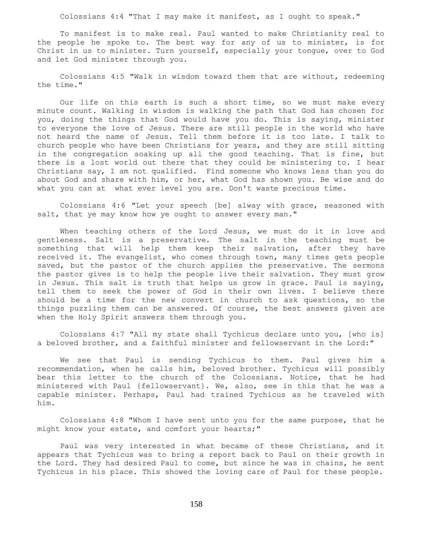Colossians 4:4 "That I may make it manifest, as I ought to speak."

 To manifest is to make real. Paul wanted to make Christianity real to the people he spoke to. The best way for any of us to minister, is for Christ in us to minister. Turn yourself, especially your tongue, over to God and let God minister through you.

 Colossians 4:5 "Walk in wisdom toward them that are without, redeeming the time."

Our life on this earth is such a short time, so we must make every minute count. Walking in wisdom is walking the path that God has chosen for you, doing the things that God would have you do. This is saying, minister to everyone the love of Jesus. There are still people in the world who have not heard the name of Jesus. Tell them before it is too late. I talk to church people who have been Christians for years, and they are still sitting in the congregation soaking up all the good teaching. That is fine, but there is a lost world out there that they could be ministering to. I hear Christians say, I am not qualified. Find someone who knows less than you do about God and share with him, or her, what God has shown you. Be wise and do what you can at what ever level you are. Don't waste precious time.

 Colossians 4:6 "Let your speech [be] alway with grace, seasoned with salt, that ye may know how ye ought to answer every man."

 When teaching others of the Lord Jesus, we must do it in love and gentleness. Salt is a preservative. The salt in the teaching must be something that will help them keep their salvation, after they have received it. The evangelist, who comes through town, many times gets people saved, but the pastor of the church applies the preservative. The sermons the pastor gives is to help the people live their salvation. They must grow in Jesus. This salt is truth that helps us grow in grace. Paul is saying, tell them to seek the power of God in their own lives. I believe there should be a time for the new convert in church to ask questions, so the things puzzling them can be answered. Of course, the best answers given are when the Holy Spirit answers them through you.

 Colossians 4:7 "All my state shall Tychicus declare unto you, [who is] a beloved brother, and a faithful minister and fellowservant in the Lord:"

 We see that Paul is sending Tychicus to them. Paul gives him a recommendation, when he calls him, beloved brother. Tychicus will possibly bear this letter to the church of the Colossians. Notice, that he had ministered with Paul {fellowservant}. We, also, see in this that he was a capable minister. Perhaps, Paul had trained Tychicus as he traveled with him.

 Colossians 4:8 "Whom I have sent unto you for the same purpose, that he might know your estate, and comfort your hearts;"

 Paul was very interested in what became of these Christians, and it appears that Tychicus was to bring a report back to Paul on their growth in the Lord. They had desired Paul to come, but since he was in chains, he sent Tychicus in his place. This showed the loving care of Paul for these people.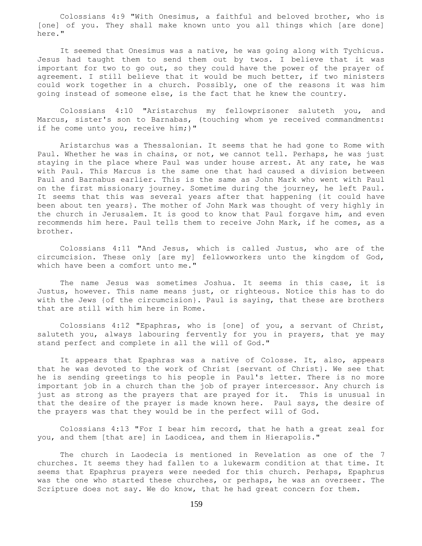Colossians 4:9 "With Onesimus, a faithful and beloved brother, who is [one] of you. They shall make known unto you all things which [are done] here."

 It seemed that Onesimus was a native, he was going along with Tychicus. Jesus had taught them to send them out by twos. I believe that it was important for two to go out, so they could have the power of the prayer of agreement. I still believe that it would be much better, if two ministers could work together in a church. Possibly, one of the reasons it was him going instead of someone else, is the fact that he knew the country.

 Colossians 4:10 "Aristarchus my fellowprisoner saluteth you, and Marcus, sister's son to Barnabas, (touching whom ye received commandments: if he come unto you, receive him;)"

 Aristarchus was a Thessalonian. It seems that he had gone to Rome with Paul. Whether he was in chains, or not, we cannot tell. Perhaps, he was just staying in the place where Paul was under house arrest. At any rate, he was with Paul. This Marcus is the same one that had caused a division between Paul and Barnabus earlier. This is the same as John Mark who went with Paul on the first missionary journey. Sometime during the journey, he left Paul. It seems that this was several years after that happening {it could have been about ten years}. The mother of John Mark was thought of very highly in the church in Jerusalem. It is good to know that Paul forgave him, and even recommends him here. Paul tells them to receive John Mark, if he comes, as a brother.

 Colossians 4:11 "And Jesus, which is called Justus, who are of the circumcision. These only [are my] fellowworkers unto the kingdom of God, which have been a comfort unto me."

 The name Jesus was sometimes Joshua. It seems in this case, it is Justus, however. This name means just, or righteous. Notice this has to do with the Jews {of the circumcision}. Paul is saying, that these are brothers that are still with him here in Rome.

 Colossians 4:12 "Epaphras, who is [one] of you, a servant of Christ, saluteth you, always labouring fervently for you in prayers, that ye may stand perfect and complete in all the will of God."

It appears that Epaphras was a native of Colosse. It, also, appears that he was devoted to the work of Christ {servant of Christ}. We see that he is sending greetings to his people in Paul's letter. There is no more important job in a church than the job of prayer intercessor. Any church is just as strong as the prayers that are prayed for it. This is unusual in that the desire of the prayer is made known here. Paul says, the desire of the prayers was that they would be in the perfect will of God.

 Colossians 4:13 "For I bear him record, that he hath a great zeal for you, and them [that are] in Laodicea, and them in Hierapolis."

 The church in Laodecia is mentioned in Revelation as one of the 7 churches. It seems they had fallen to a lukewarm condition at that time. It seems that Epaphrus prayers were needed for this church. Perhaps, Epaphrus was the one who started these churches, or perhaps, he was an overseer. The Scripture does not say. We do know, that he had great concern for them.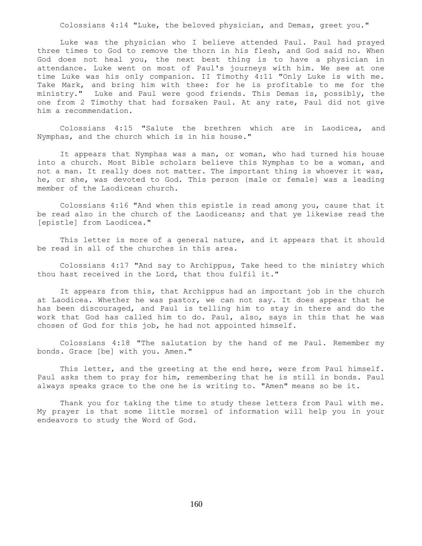Colossians 4:14 "Luke, the beloved physician, and Demas, greet you."

 Luke was the physician who I believe attended Paul. Paul had prayed three times to God to remove the thorn in his flesh, and God said no. When God does not heal you, the next best thing is to have a physician in attendance. Luke went on most of Paul's journeys with him. We see at one time Luke was his only companion. II Timothy 4:11 "Only Luke is with me. Take Mark, and bring him with thee: for he is profitable to me for the ministry." Luke and Paul were good friends. This Demas is, possibly, the one from 2 Timothy that had forsaken Paul. At any rate, Paul did not give him a recommendation.

 Colossians 4:15 "Salute the brethren which are in Laodicea, and Nymphas, and the church which is in his house."

 It appears that Nymphas was a man, or woman, who had turned his house into a church. Most Bible scholars believe this Nymphas to be a woman, and not a man. It really does not matter. The important thing is whoever it was, he, or she, was devoted to God. This person {male or female} was a leading member of the Laodicean church.

 Colossians 4:16 "And when this epistle is read among you, cause that it be read also in the church of the Laodiceans; and that ye likewise read the [epistle] from Laodicea."

 This letter is more of a general nature, and it appears that it should be read in all of the churches in this area.

 Colossians 4:17 "And say to Archippus, Take heed to the ministry which thou hast received in the Lord, that thou fulfil it."

 It appears from this, that Archippus had an important job in the church at Laodicea. Whether he was pastor, we can not say. It does appear that he has been discouraged, and Paul is telling him to stay in there and do the work that God has called him to do. Paul, also, says in this that he was chosen of God for this job, he had not appointed himself.

 Colossians 4:18 "The salutation by the hand of me Paul. Remember my bonds. Grace [be] with you. Amen."

This letter, and the greeting at the end here, were from Paul himself. Paul asks them to pray for him, remembering that he is still in bonds. Paul always speaks grace to the one he is writing to. "Amen" means so be it.

Thank you for taking the time to study these letters from Paul with me. My prayer is that some little morsel of information will help you in your endeavors to study the Word of God.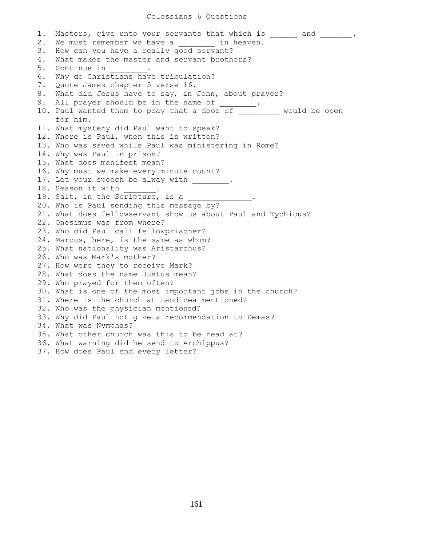## Colossians 6 Questions

1. Masters, give unto your servants that which is \_\_\_\_\_\_ and \_\_\_\_\_\_\_. 2. We must remember we have a contain heaven. 3. How can you have a really good servant? 4. What makes the master and servant brothers? 5. Continue in 6. Why do Christians have tribulation? 7. Quote James chapter 5 verse 16. 8. What did Jesus have to say, in John, about prayer? 9. All prayer should be in the name of 10. Paul wanted them to pray that a door of \_\_\_\_\_\_\_\_\_ would be open for him. 11. What mystery did Paul want to speak? 12. Where is Paul, when this is written? 13. Who was saved while Paul was ministering in Rome? 14. Why was Paul in prison? 15. What does manifest mean? 16. Why must we make every minute count? 17. Let your speech be alway with \_\_\_\_\_\_\_\_. 18. Season it with . 19. Salt, in the Scripture, is a 20. Who is Paul sending this message by? 21. What does fellowservant show us about Paul and Tychicus? 22. Onesimus was from where? 23. Who did Paul call fellowprisoner? 24. Marcus, here, is the same as whom? 25. What nationality was Aristarchus? 26. Who was Mark's mother? 27. How were they to receive Mark? 28. What does the name Justus mean? 29. Who prayed for them often? 30. What is one of the most important jobs in the church? 31. Where is the church at Laodicea mentioned? 32. Who was the physician mentioned? 33. Why did Paul not give a recommendation to Demas? 34. What was Nymphas? 35. What other church was this to be read at? 36. What warning did he send to Archippus? 37. How does Paul end every letter?